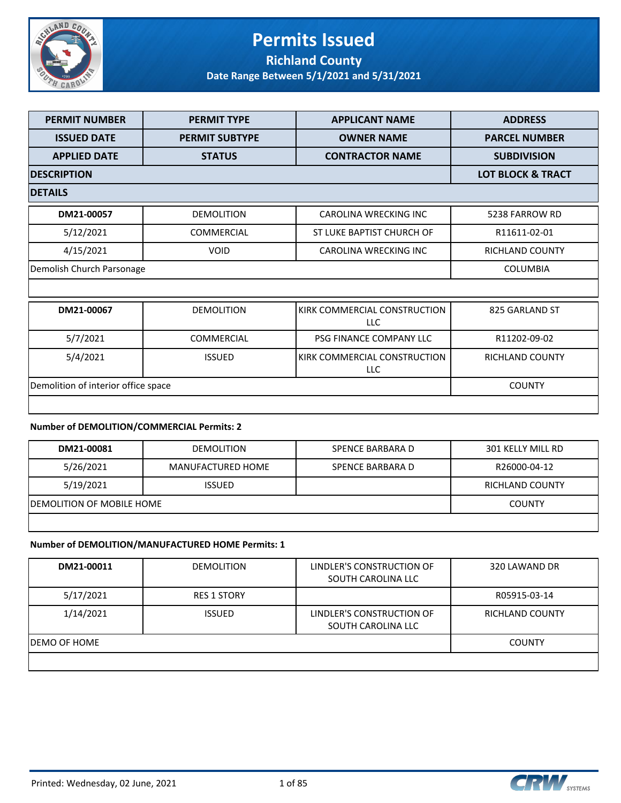

## **Permits Issued Richland County**

**Date Range Between 5/1/2021 and 5/31/2021**

| <b>PERMIT NUMBER</b>                | <b>PERMIT TYPE</b>    | <b>APPLICANT NAME</b>                      | <b>ADDRESS</b>               |
|-------------------------------------|-----------------------|--------------------------------------------|------------------------------|
| <b>ISSUED DATE</b>                  | <b>PERMIT SUBTYPE</b> | <b>OWNER NAME</b>                          | <b>PARCEL NUMBER</b>         |
| <b>APPLIED DATE</b>                 | <b>STATUS</b>         | <b>CONTRACTOR NAME</b>                     | <b>SUBDIVISION</b>           |
| <b>DESCRIPTION</b>                  |                       |                                            | <b>LOT BLOCK &amp; TRACT</b> |
| <b>DETAILS</b>                      |                       |                                            |                              |
| DM21-00057                          | <b>DEMOLITION</b>     | CAROLINA WRECKING INC                      | 5238 FARROW RD               |
| 5/12/2021                           | <b>COMMERCIAL</b>     | ST LUKE BAPTIST CHURCH OF                  | R11611-02-01                 |
| 4/15/2021                           | <b>VOID</b>           | CAROLINA WRECKING INC                      | RICHLAND COUNTY              |
| Demolish Church Parsonage           |                       |                                            |                              |
|                                     |                       |                                            |                              |
| DM21-00067                          | <b>DEMOLITION</b>     | KIRK COMMERCIAL CONSTRUCTION<br><b>LLC</b> | 825 GARLAND ST               |
| 5/7/2021                            | <b>COMMERCIAL</b>     | PSG FINANCE COMPANY LLC                    | R11202-09-02                 |
| 5/4/2021                            | <b>ISSUED</b>         | KIRK COMMERCIAL CONSTRUCTION<br>LLC        | RICHLAND COUNTY              |
| Demolition of interior office space |                       |                                            | <b>COUNTY</b>                |
|                                     |                       |                                            |                              |

### **Number of DEMOLITION/COMMERCIAL Permits: 2**

| DM21-00081                 | <b>DEMOLITION</b> | SPENCE BARBARA D | 301 KELLY MILL RD |
|----------------------------|-------------------|------------------|-------------------|
| 5/26/2021                  | MANUFACTURED HOME | SPENCE BARBARA D | R26000-04-12      |
| 5/19/2021                  | <b>ISSUED</b>     |                  | RICHLAND COUNTY   |
| IDEMOLITION OF MOBILE HOME |                   |                  | <b>COUNTY</b>     |
|                            |                   |                  |                   |

#### **Number of DEMOLITION/MANUFACTURED HOME Permits: 1**

| DM21-00011    | <b>DEMOLITION</b>  | LINDLER'S CONSTRUCTION OF<br>SOUTH CAROLINA LLC | 320 LAWAND DR   |
|---------------|--------------------|-------------------------------------------------|-----------------|
| 5/17/2021     | <b>RES 1 STORY</b> |                                                 | R05915-03-14    |
| 1/14/2021     | <b>ISSUED</b>      | LINDLER'S CONSTRUCTION OF<br>SOUTH CAROLINA LLC | RICHLAND COUNTY |
| IDEMO OF HOME |                    |                                                 | <b>COUNTY</b>   |
|               |                    |                                                 |                 |

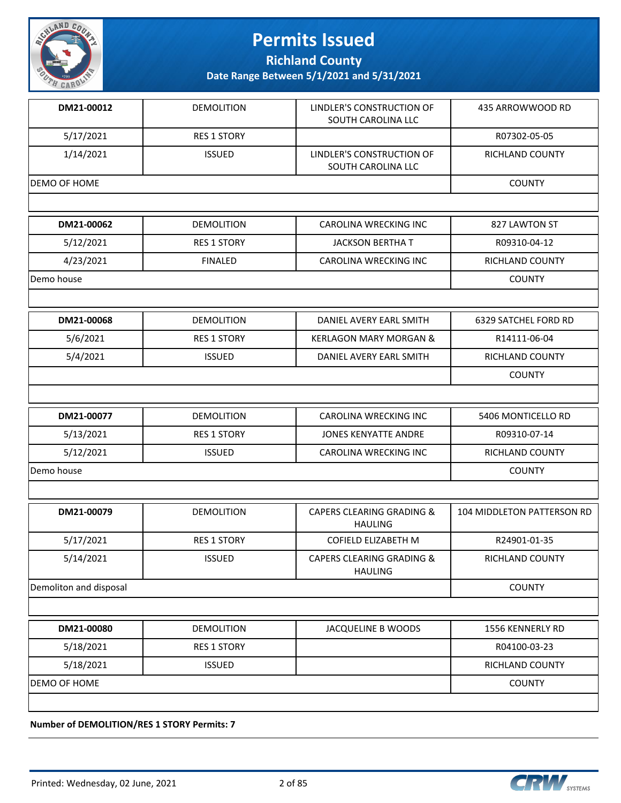

**Richland County**

**Date Range Between 5/1/2021 and 5/31/2021**

| DM21-00012             | <b>DEMOLITION</b>  | LINDLER'S CONSTRUCTION OF<br>SOUTH CAROLINA LLC        | 435 ARROWWOOD RD            |
|------------------------|--------------------|--------------------------------------------------------|-----------------------------|
| 5/17/2021              | <b>RES 1 STORY</b> |                                                        | R07302-05-05                |
| 1/14/2021              | <b>ISSUED</b>      | LINDLER'S CONSTRUCTION OF<br>SOUTH CAROLINA LLC        | <b>RICHLAND COUNTY</b>      |
| DEMO OF HOME           |                    |                                                        | <b>COUNTY</b>               |
|                        |                    |                                                        |                             |
| DM21-00062             | <b>DEMOLITION</b>  | <b>CAROLINA WRECKING INC</b>                           | 827 LAWTON ST               |
| 5/12/2021              | <b>RES 1 STORY</b> | <b>JACKSON BERTHA T</b>                                | R09310-04-12                |
| 4/23/2021              | <b>FINALED</b>     | CAROLINA WRECKING INC                                  | RICHLAND COUNTY             |
| Demo house             |                    |                                                        | <b>COUNTY</b>               |
|                        |                    |                                                        |                             |
| DM21-00068             | <b>DEMOLITION</b>  | DANIEL AVERY EARL SMITH                                | <b>6329 SATCHEL FORD RD</b> |
| 5/6/2021               | <b>RES 1 STORY</b> | <b>KERLAGON MARY MORGAN &amp;</b>                      | R14111-06-04                |
| 5/4/2021               | <b>ISSUED</b>      | DANIEL AVERY EARL SMITH                                | RICHLAND COUNTY             |
|                        |                    |                                                        | <b>COUNTY</b>               |
|                        |                    |                                                        |                             |
|                        |                    |                                                        |                             |
| DM21-00077             | <b>DEMOLITION</b>  | <b>CAROLINA WRECKING INC</b>                           | 5406 MONTICELLO RD          |
| 5/13/2021              | <b>RES 1 STORY</b> | <b>JONES KENYATTE ANDRE</b>                            | R09310-07-14                |
| 5/12/2021              | <b>ISSUED</b>      | CAROLINA WRECKING INC                                  | RICHLAND COUNTY             |
| Demo house             |                    |                                                        | <b>COUNTY</b>               |
|                        |                    |                                                        |                             |
| DM21-00079             | <b>DEMOLITION</b>  | <b>CAPERS CLEARING GRADING &amp;</b><br><b>HAULING</b> | 104 MIDDLETON PATTERSON RD  |
| 5/17/2021              | <b>RES 1 STORY</b> | COFIELD ELIZABETH M                                    | R24901-01-35                |
| 5/14/2021              | <b>ISSUED</b>      | <b>CAPERS CLEARING GRADING &amp;</b><br><b>HAULING</b> | <b>RICHLAND COUNTY</b>      |
| Demoliton and disposal |                    |                                                        | <b>COUNTY</b>               |
|                        |                    |                                                        |                             |
| DM21-00080             | <b>DEMOLITION</b>  | JACQUELINE B WOODS                                     | 1556 KENNERLY RD            |
| 5/18/2021              | <b>RES 1 STORY</b> |                                                        | R04100-03-23                |
| 5/18/2021              | <b>ISSUED</b>      |                                                        | RICHLAND COUNTY             |
| DEMO OF HOME           |                    |                                                        | <b>COUNTY</b>               |

**Number of DEMOLITION/RES 1 STORY Permits: 7**

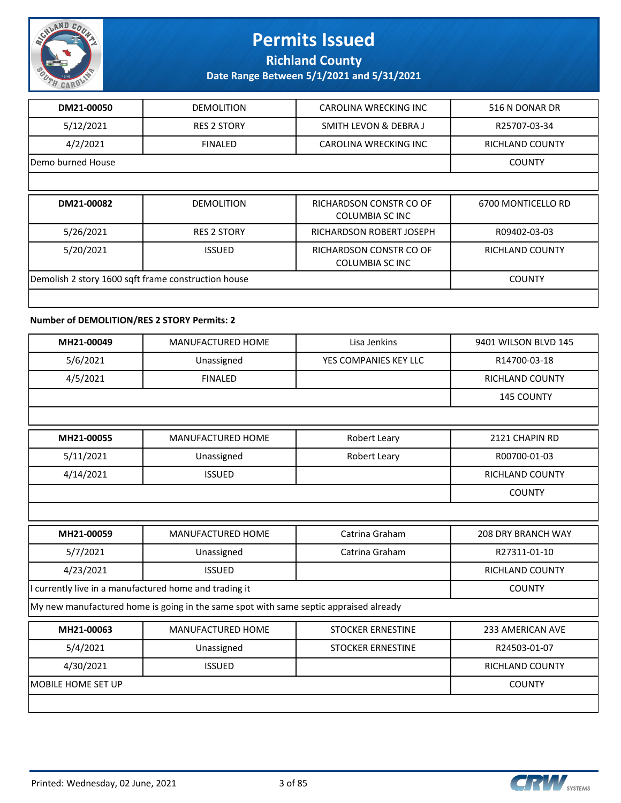

**Richland County**

**Date Range Between 5/1/2021 and 5/31/2021**

| DM21-00050                                          | <b>DEMOLITION</b>  | CAROLINA WRECKING INC                      | 516 N DONAR DR         |
|-----------------------------------------------------|--------------------|--------------------------------------------|------------------------|
| 5/12/2021                                           | <b>RES 2 STORY</b> | SMITH LEVON & DEBRA J                      | R25707-03-34           |
| 4/2/2021                                            | <b>FINALED</b>     | CAROLINA WRECKING INC                      | <b>RICHLAND COUNTY</b> |
| Demo burned House                                   |                    |                                            | <b>COUNTY</b>          |
|                                                     |                    |                                            |                        |
| DM21-00082                                          | <b>DEMOLITION</b>  | RICHARDSON CONSTR CO OF<br>COLUMBIA SC INC | 6700 MONTICELLO RD     |
| 5/26/2021                                           | <b>RES 2 STORY</b> | RICHARDSON ROBERT JOSEPH                   | R09402-03-03           |
| 5/20/2021                                           | <b>ISSUED</b>      | RICHARDSON CONSTR CO OF<br>COLUMBIA SC INC | <b>RICHLAND COUNTY</b> |
| Demolish 2 story 1600 sqft frame construction house | <b>COUNTY</b>      |                                            |                        |
|                                                     |                    |                                            |                        |

#### **Number of DEMOLITION/RES 2 STORY Permits: 2**

| MH21-00049                                             | <b>MANUFACTURED HOME</b>                                                              | Lisa Jenkins             | 9401 WILSON BLVD 145      |
|--------------------------------------------------------|---------------------------------------------------------------------------------------|--------------------------|---------------------------|
| 5/6/2021                                               | Unassigned                                                                            | YES COMPANIES KEY LLC    | R14700-03-18              |
| 4/5/2021                                               | <b>FINALED</b>                                                                        |                          | RICHLAND COUNTY           |
|                                                        |                                                                                       |                          | <b>145 COUNTY</b>         |
|                                                        |                                                                                       |                          |                           |
| MH21-00055                                             | MANUFACTURED HOME                                                                     | Robert Leary             | 2121 CHAPIN RD            |
| 5/11/2021                                              | Unassigned                                                                            | Robert Leary             | R00700-01-03              |
| 4/14/2021                                              | <b>ISSUED</b>                                                                         |                          | RICHLAND COUNTY           |
|                                                        |                                                                                       |                          | <b>COUNTY</b>             |
|                                                        |                                                                                       |                          |                           |
| MH21-00059                                             | <b>MANUFACTURED HOME</b>                                                              | Catrina Graham           | <b>208 DRY BRANCH WAY</b> |
| 5/7/2021                                               | Unassigned                                                                            | Catrina Graham           | R27311-01-10              |
| 4/23/2021                                              | <b>ISSUED</b>                                                                         |                          | <b>RICHLAND COUNTY</b>    |
| I currently live in a manufactured home and trading it |                                                                                       |                          | <b>COUNTY</b>             |
|                                                        | My new manufactured home is going in the same spot with same septic appraised already |                          |                           |
| MH21-00063                                             | <b>MANUFACTURED HOME</b>                                                              | <b>STOCKER ERNESTINE</b> | <b>233 AMERICAN AVE</b>   |
| 5/4/2021                                               | Unassigned                                                                            | <b>STOCKER ERNESTINE</b> | R24503-01-07              |
| 4/30/2021                                              | <b>ISSUED</b>                                                                         |                          | <b>RICHLAND COUNTY</b>    |
| <b>MOBILE HOME SET UP</b>                              |                                                                                       |                          | <b>COUNTY</b>             |
|                                                        |                                                                                       |                          |                           |

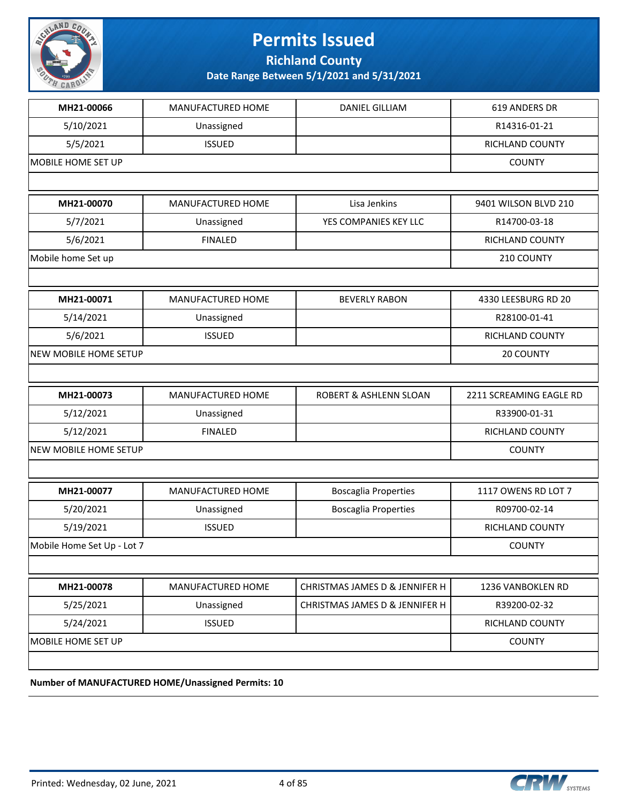

**Richland County**

**Date Range Between 5/1/2021 and 5/31/2021**

| MH21-00066                 | MANUFACTURED HOME                           | <b>DANIEL GILLIAM</b>          | 619 ANDERS DR           |
|----------------------------|---------------------------------------------|--------------------------------|-------------------------|
| 5/10/2021                  | Unassigned                                  |                                | R14316-01-21            |
| 5/5/2021                   | <b>ISSUED</b>                               |                                | RICHLAND COUNTY         |
| MOBILE HOME SET UP         |                                             |                                | <b>COUNTY</b>           |
|                            |                                             |                                |                         |
| MH21-00070                 | MANUFACTURED HOME                           | Lisa Jenkins                   | 9401 WILSON BLVD 210    |
| 5/7/2021                   | Unassigned                                  | YES COMPANIES KEY LLC          | R14700-03-18            |
| 5/6/2021                   | <b>FINALED</b>                              |                                | <b>RICHLAND COUNTY</b>  |
| Mobile home Set up         |                                             |                                | 210 COUNTY              |
|                            |                                             |                                |                         |
| MH21-00071                 | MANUFACTURED HOME                           | <b>BEVERLY RABON</b>           | 4330 LEESBURG RD 20     |
| 5/14/2021                  | Unassigned                                  |                                | R28100-01-41            |
| 5/6/2021                   | <b>ISSUED</b>                               |                                | RICHLAND COUNTY         |
| NEW MOBILE HOME SETUP      |                                             |                                | 20 COUNTY               |
|                            |                                             |                                |                         |
| MH21-00073                 | MANUFACTURED HOME                           | ROBERT & ASHLENN SLOAN         | 2211 SCREAMING EAGLE RD |
| 5/12/2021                  | Unassigned                                  |                                | R33900-01-31            |
| 5/12/2021                  | <b>FINALED</b>                              |                                | RICHLAND COUNTY         |
| NEW MOBILE HOME SETUP      | <b>COUNTY</b>                               |                                |                         |
|                            |                                             |                                |                         |
| MH21-00077                 | MANUFACTURED HOME                           | <b>Boscaglia Properties</b>    | 1117 OWENS RD LOT 7     |
| 5/20/2021                  | Unassigned                                  | <b>Boscaglia Properties</b>    | R09700-02-14            |
| 5/19/2021                  | <b>ISSUED</b>                               |                                | RICHLAND COUNTY         |
| Mobile Home Set Up - Lot 7 |                                             |                                | <b>COUNTY</b>           |
|                            |                                             |                                |                         |
| MH21-00078                 | MANUFACTURED HOME                           | CHRISTMAS JAMES D & JENNIFER H | 1236 VANBOKLEN RD       |
| 5/25/2021                  | Unassigned                                  | CHRISTMAS JAMES D & JENNIFER H | R39200-02-32            |
| 5/24/2021                  | <b>ISSUED</b>                               |                                | RICHLAND COUNTY         |
| MOBILE HOME SET UP         |                                             |                                | <b>COUNTY</b>           |
|                            |                                             |                                |                         |
|                            | ULIEA CTURED HOBAE (Hagosianed Deverite: 10 |                                |                         |

**Number of MANUFACTURED HOME/Unassigned Permits: 10**

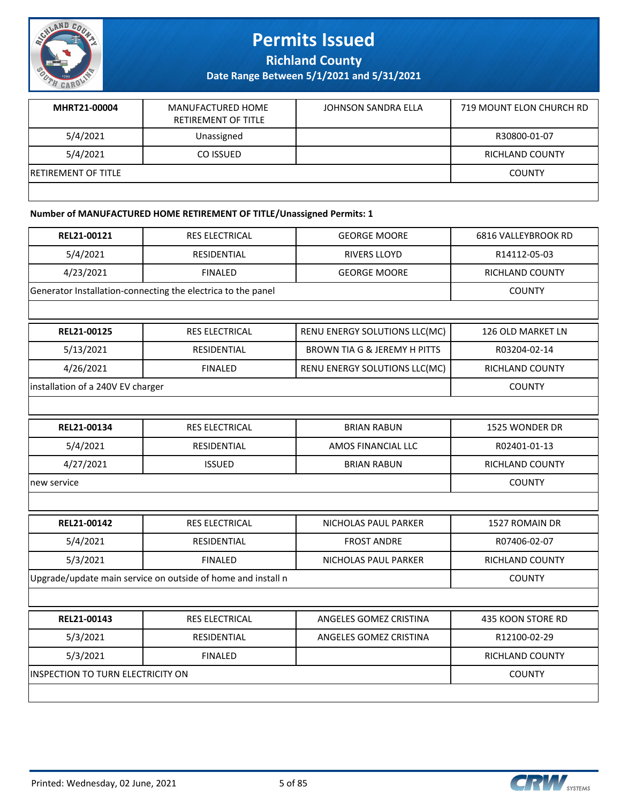

**Richland County**

**Date Range Between 5/1/2021 and 5/31/2021**

| MHRT21-00004               | MANUFACTURED HOME<br><b>RETIREMENT OF TITLE</b> | JOHNSON SANDRA ELLA | 719 MOUNT ELON CHURCH RD |
|----------------------------|-------------------------------------------------|---------------------|--------------------------|
| 5/4/2021                   | Unassigned                                      |                     | R30800-01-07             |
| 5/4/2021                   | CO ISSUED                                       |                     | RICHLAND COUNTY          |
| <b>RETIREMENT OF TITLE</b> |                                                 |                     | <b>COUNTY</b>            |
|                            |                                                 |                     |                          |

### **Number of MANUFACTURED HOME RETIREMENT OF TITLE/Unassigned Permits: 1**

| REL21-00121                       | RES ELECTRICAL                                               | <b>GEORGE MOORE</b>                     | 6816 VALLEYBROOK RD    |
|-----------------------------------|--------------------------------------------------------------|-----------------------------------------|------------------------|
| 5/4/2021                          | RESIDENTIAL                                                  | <b>RIVERS LLOYD</b>                     | R14112-05-03           |
| 4/23/2021                         | <b>FINALED</b>                                               | <b>GEORGE MOORE</b>                     | RICHLAND COUNTY        |
|                                   | Generator Installation-connecting the electrica to the panel |                                         | <b>COUNTY</b>          |
|                                   |                                                              |                                         |                        |
| REL21-00125                       | RES ELECTRICAL                                               | RENU ENERGY SOLUTIONS LLC(MC)           | 126 OLD MARKET LN      |
| 5/13/2021                         | RESIDENTIAL                                                  | <b>BROWN TIA G &amp; JEREMY H PITTS</b> | R03204-02-14           |
| 4/26/2021                         | <b>FINALED</b>                                               | RENU ENERGY SOLUTIONS LLC(MC)           | <b>RICHLAND COUNTY</b> |
| installation of a 240V EV charger |                                                              |                                         | <b>COUNTY</b>          |
|                                   |                                                              |                                         |                        |
| REL21-00134                       | RES ELECTRICAL                                               | <b>BRIAN RABUN</b>                      | 1525 WONDER DR         |
| 5/4/2021                          | RESIDENTIAL                                                  | AMOS FINANCIAL LLC                      | R02401-01-13           |
| 4/27/2021                         | <b>ISSUED</b>                                                | <b>BRIAN RABUN</b>                      | <b>RICHLAND COUNTY</b> |
| new service                       | <b>COUNTY</b>                                                |                                         |                        |
|                                   |                                                              |                                         |                        |
| REL21-00142                       | RES ELECTRICAL                                               | NICHOLAS PAUL PARKER                    | 1527 ROMAIN DR         |
| 5/4/2021                          | RESIDENTIAL                                                  | <b>FROST ANDRE</b>                      | R07406-02-07           |
| 5/3/2021                          | <b>FINALED</b>                                               | NICHOLAS PAUL PARKER                    | RICHLAND COUNTY        |
|                                   | Upgrade/update main service on outside of home and install n |                                         | <b>COUNTY</b>          |
|                                   |                                                              |                                         |                        |
| REL21-00143                       | RES ELECTRICAL                                               | ANGELES GOMEZ CRISTINA                  | 435 KOON STORE RD      |
| 5/3/2021                          | RESIDENTIAL                                                  | ANGELES GOMEZ CRISTINA                  | R12100-02-29           |
| 5/3/2021                          | <b>FINALED</b>                                               |                                         | <b>RICHLAND COUNTY</b> |
| INSPECTION TO TURN ELECTRICITY ON |                                                              |                                         | <b>COUNTY</b>          |
|                                   |                                                              |                                         |                        |

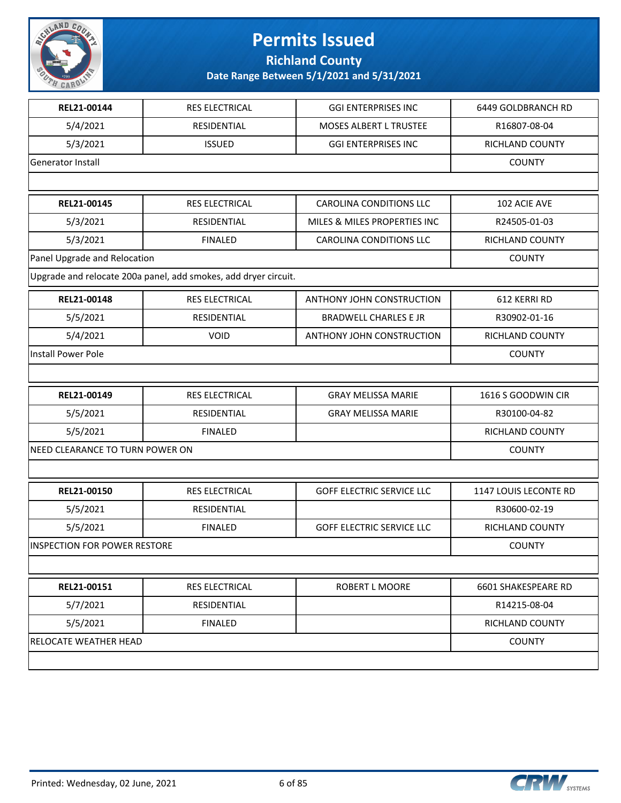

**Richland County**

| REL21-00144                         | RES ELECTRICAL                                                  | <b>GGI ENTERPRISES INC</b>       | 6449 GOLDBRANCH RD     |
|-------------------------------------|-----------------------------------------------------------------|----------------------------------|------------------------|
| 5/4/2021                            | RESIDENTIAL                                                     | MOSES ALBERT L TRUSTEE           | R16807-08-04           |
| 5/3/2021                            | <b>ISSUED</b>                                                   | <b>GGI ENTERPRISES INC</b>       | RICHLAND COUNTY        |
| Generator Install                   |                                                                 |                                  | <b>COUNTY</b>          |
|                                     |                                                                 |                                  |                        |
| REL21-00145                         | RES ELECTRICAL                                                  | <b>CAROLINA CONDITIONS LLC</b>   | 102 ACIE AVE           |
| 5/3/2021                            | RESIDENTIAL                                                     | MILES & MILES PROPERTIES INC     | R24505-01-03           |
| 5/3/2021                            | <b>FINALED</b>                                                  | <b>CAROLINA CONDITIONS LLC</b>   | RICHLAND COUNTY        |
| Panel Upgrade and Relocation        |                                                                 |                                  | <b>COUNTY</b>          |
|                                     | Upgrade and relocate 200a panel, add smokes, add dryer circuit. |                                  |                        |
| REL21-00148                         | RES ELECTRICAL                                                  | ANTHONY JOHN CONSTRUCTION        | 612 KERRI RD           |
| 5/5/2021                            | RESIDENTIAL                                                     | <b>BRADWELL CHARLES E JR</b>     | R30902-01-16           |
| 5/4/2021                            | VOID                                                            | ANTHONY JOHN CONSTRUCTION        | RICHLAND COUNTY        |
| <b>Install Power Pole</b>           |                                                                 |                                  | <b>COUNTY</b>          |
|                                     |                                                                 |                                  |                        |
| REL21-00149                         | RES ELECTRICAL                                                  | <b>GRAY MELISSA MARIE</b>        | 1616 S GOODWIN CIR     |
| 5/5/2021                            | RESIDENTIAL                                                     | <b>GRAY MELISSA MARIE</b>        | R30100-04-82           |
| 5/5/2021                            | <b>FINALED</b>                                                  |                                  | RICHLAND COUNTY        |
| NEED CLEARANCE TO TURN POWER ON     |                                                                 |                                  | <b>COUNTY</b>          |
|                                     |                                                                 |                                  |                        |
| REL21-00150                         | RES ELECTRICAL                                                  | <b>GOFF ELECTRIC SERVICE LLC</b> | 1147 LOUIS LECONTE RD  |
| 5/5/2021                            | RESIDENTIAL                                                     |                                  | R30600-02-19           |
| 5/5/2021                            | <b>FINALED</b>                                                  | <b>GOFF ELECTRIC SERVICE LLC</b> | <b>RICHLAND COUNTY</b> |
| <b>INSPECTION FOR POWER RESTORE</b> |                                                                 |                                  | <b>COUNTY</b>          |
|                                     |                                                                 |                                  |                        |
| REL21-00151                         | RES ELECTRICAL                                                  | ROBERT L MOORE                   | 6601 SHAKESPEARE RD    |
| 5/7/2021                            | RESIDENTIAL                                                     |                                  | R14215-08-04           |
| 5/5/2021                            | <b>FINALED</b>                                                  |                                  | RICHLAND COUNTY        |
| RELOCATE WEATHER HEAD               |                                                                 |                                  | <b>COUNTY</b>          |
|                                     |                                                                 |                                  |                        |
|                                     |                                                                 |                                  |                        |

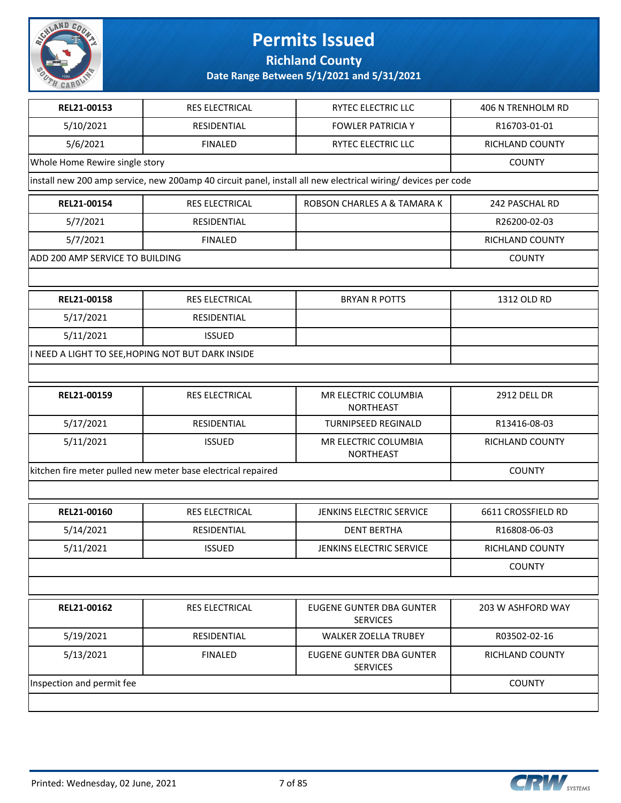

**Richland County**

| REL21-00153                     | RES ELECTRICAL                                               | RYTEC ELECTRIC LLC                                                                                            | 406 N TRENHOLM RD      |  |
|---------------------------------|--------------------------------------------------------------|---------------------------------------------------------------------------------------------------------------|------------------------|--|
| 5/10/2021                       | RESIDENTIAL                                                  | <b>FOWLER PATRICIA Y</b>                                                                                      | R16703-01-01           |  |
| 5/6/2021                        | <b>FINALED</b>                                               | RYTEC ELECTRIC LLC                                                                                            | RICHLAND COUNTY        |  |
| Whole Home Rewire single story  |                                                              |                                                                                                               | <b>COUNTY</b>          |  |
|                                 |                                                              | install new 200 amp service, new 200amp 40 circuit panel, install all new electrical wiring/ devices per code |                        |  |
| REL21-00154                     | RES ELECTRICAL                                               | ROBSON CHARLES A & TAMARA K                                                                                   | 242 PASCHAL RD         |  |
| 5/7/2021                        | <b>RESIDENTIAL</b>                                           |                                                                                                               | R26200-02-03           |  |
| 5/7/2021                        | <b>FINALED</b>                                               |                                                                                                               | RICHLAND COUNTY        |  |
| ADD 200 AMP SERVICE TO BUILDING |                                                              |                                                                                                               | <b>COUNTY</b>          |  |
|                                 |                                                              |                                                                                                               |                        |  |
| REL21-00158                     | RES ELECTRICAL                                               | <b>BRYAN R POTTS</b>                                                                                          | 1312 OLD RD            |  |
| 5/17/2021                       | RESIDENTIAL                                                  |                                                                                                               |                        |  |
| 5/11/2021                       | <b>ISSUED</b>                                                |                                                                                                               |                        |  |
|                                 | I NEED A LIGHT TO SEE, HOPING NOT BUT DARK INSIDE            |                                                                                                               |                        |  |
|                                 |                                                              |                                                                                                               |                        |  |
| REL21-00159                     | RES ELECTRICAL                                               | MR ELECTRIC COLUMBIA<br><b>NORTHEAST</b>                                                                      | <b>2912 DELL DR</b>    |  |
| 5/17/2021                       | RESIDENTIAL                                                  | <b>TURNIPSEED REGINALD</b>                                                                                    | R13416-08-03           |  |
| 5/11/2021                       | <b>ISSUED</b>                                                | MR ELECTRIC COLUMBIA<br><b>NORTHEAST</b>                                                                      | RICHLAND COUNTY        |  |
|                                 | kitchen fire meter pulled new meter base electrical repaired |                                                                                                               | <b>COUNTY</b>          |  |
|                                 |                                                              |                                                                                                               |                        |  |
| REL21-00160                     | RES ELECTRICAL                                               | JENKINS ELECTRIC SERVICE                                                                                      | 6611 CROSSFIELD RD     |  |
| 5/14/2021                       | RESIDENTIAL                                                  | <b>DENT BERTHA</b>                                                                                            | R16808-06-03           |  |
| 5/11/2021                       | <b>ISSUED</b>                                                | <b>JENKINS ELECTRIC SERVICE</b>                                                                               | RICHLAND COUNTY        |  |
|                                 |                                                              |                                                                                                               | <b>COUNTY</b>          |  |
|                                 |                                                              |                                                                                                               |                        |  |
| REL21-00162                     | <b>RES ELECTRICAL</b>                                        | <b>EUGENE GUNTER DBA GUNTER</b><br><b>SERVICES</b>                                                            | 203 W ASHFORD WAY      |  |
| 5/19/2021                       | RESIDENTIAL                                                  | <b>WALKER ZOELLA TRUBEY</b>                                                                                   | R03502-02-16           |  |
| 5/13/2021                       | <b>FINALED</b>                                               | <b>EUGENE GUNTER DBA GUNTER</b><br><b>SERVICES</b>                                                            | <b>RICHLAND COUNTY</b> |  |
| Inspection and permit fee       |                                                              |                                                                                                               |                        |  |
|                                 |                                                              |                                                                                                               |                        |  |

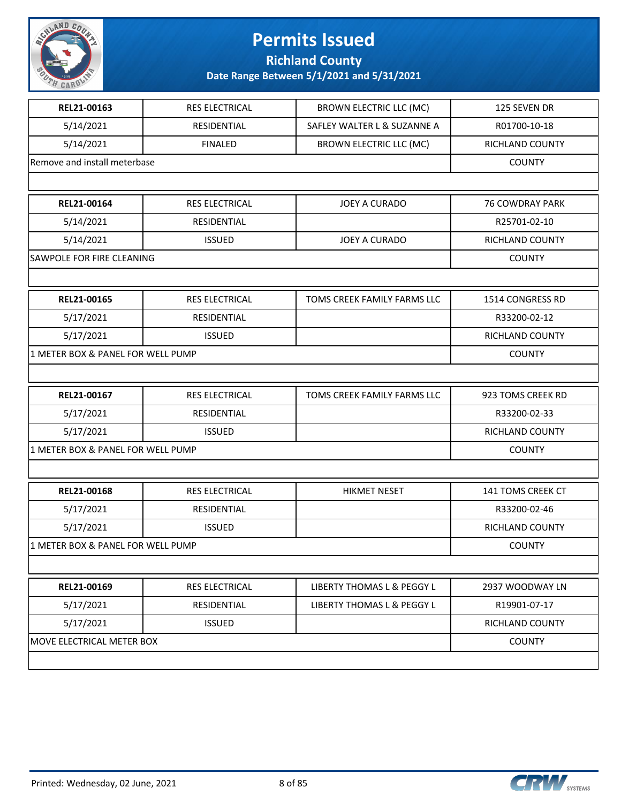

**Richland County**

| REL21-00163                       | <b>RES ELECTRICAL</b> | <b>BROWN ELECTRIC LLC (MC)</b> | 125 SEVEN DR      |
|-----------------------------------|-----------------------|--------------------------------|-------------------|
| 5/14/2021                         | RESIDENTIAL           | SAFLEY WALTER L & SUZANNE A    | R01700-10-18      |
| 5/14/2021                         | <b>FINALED</b>        | <b>BROWN ELECTRIC LLC (MC)</b> | RICHLAND COUNTY   |
| Remove and install meterbase      |                       |                                | <b>COUNTY</b>     |
|                                   |                       |                                |                   |
| REL21-00164                       | <b>RES ELECTRICAL</b> | <b>JOEY A CURADO</b>           | 76 COWDRAY PARK   |
| 5/14/2021                         | RESIDENTIAL           |                                | R25701-02-10      |
| 5/14/2021                         | <b>ISSUED</b>         | <b>JOEY A CURADO</b>           | RICHLAND COUNTY   |
| SAWPOLE FOR FIRE CLEANING         |                       |                                | <b>COUNTY</b>     |
|                                   |                       |                                |                   |
| REL21-00165                       | <b>RES ELECTRICAL</b> | TOMS CREEK FAMILY FARMS LLC    | 1514 CONGRESS RD  |
| 5/17/2021                         | RESIDENTIAL           |                                | R33200-02-12      |
| 5/17/2021                         | <b>ISSUED</b>         |                                | RICHLAND COUNTY   |
| 1 METER BOX & PANEL FOR WELL PUMP |                       |                                | <b>COUNTY</b>     |
|                                   |                       |                                |                   |
| REL21-00167                       | RES ELECTRICAL        | TOMS CREEK FAMILY FARMS LLC    | 923 TOMS CREEK RD |
| 5/17/2021                         | RESIDENTIAL           |                                | R33200-02-33      |
| 5/17/2021                         | <b>ISSUED</b>         |                                | RICHLAND COUNTY   |
| 1 METER BOX & PANEL FOR WELL PUMP |                       |                                | <b>COUNTY</b>     |
|                                   |                       |                                |                   |
| REL21-00168                       | RES ELECTRICAL        | <b>HIKMET NESET</b>            | 141 TOMS CREEK CT |
| 5/17/2021                         | RESIDENTIAL           |                                | R33200-02-46      |
| 5/17/2021                         | <b>ISSUED</b>         |                                | RICHLAND COUNTY   |
| 1 METER BOX & PANEL FOR WELL PUMP |                       |                                | <b>COUNTY</b>     |
|                                   |                       |                                |                   |
| REL21-00169                       | RES ELECTRICAL        | LIBERTY THOMAS L & PEGGY L     | 2937 WOODWAY LN   |
| 5/17/2021                         | RESIDENTIAL           | LIBERTY THOMAS L & PEGGY L     | R19901-07-17      |
| 5/17/2021                         | <b>ISSUED</b>         |                                | RICHLAND COUNTY   |
| MOVE ELECTRICAL METER BOX         |                       |                                | <b>COUNTY</b>     |
|                                   |                       |                                |                   |

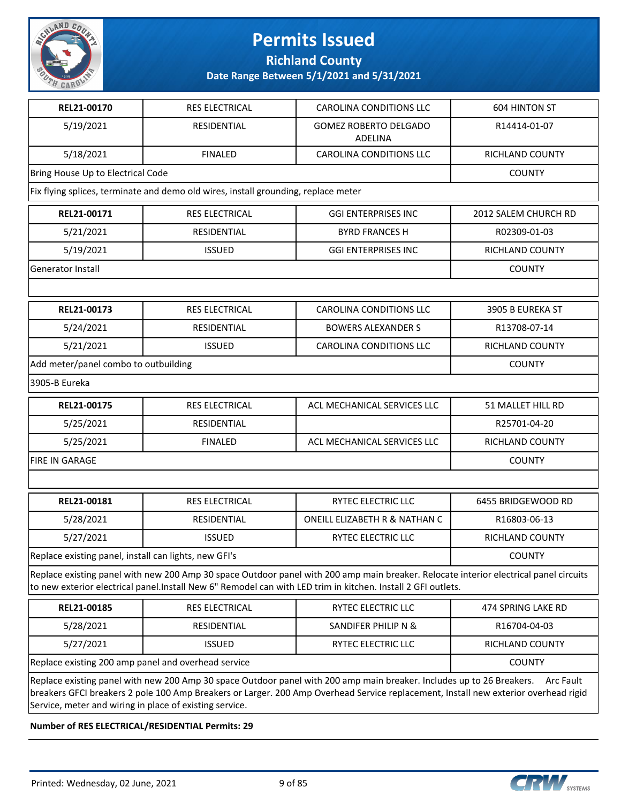

**Richland County**

**Date Range Between 5/1/2021 and 5/31/2021**

| REL21-00170                                                                                                                                                                                                                                                                                                                          | <b>RES ELECTRICAL</b>                                                                                                                                                                                                                                 | <b>CAROLINA CONDITIONS LLC</b>                 | <b>604 HINTON ST</b>   |  |  |
|--------------------------------------------------------------------------------------------------------------------------------------------------------------------------------------------------------------------------------------------------------------------------------------------------------------------------------------|-------------------------------------------------------------------------------------------------------------------------------------------------------------------------------------------------------------------------------------------------------|------------------------------------------------|------------------------|--|--|
| 5/19/2021                                                                                                                                                                                                                                                                                                                            | RESIDENTIAL                                                                                                                                                                                                                                           | <b>GOMEZ ROBERTO DELGADO</b><br><b>ADELINA</b> | R14414-01-07           |  |  |
| 5/18/2021                                                                                                                                                                                                                                                                                                                            | <b>FINALED</b>                                                                                                                                                                                                                                        | <b>CAROLINA CONDITIONS LLC</b>                 | <b>RICHLAND COUNTY</b> |  |  |
| Bring House Up to Electrical Code                                                                                                                                                                                                                                                                                                    |                                                                                                                                                                                                                                                       |                                                | <b>COUNTY</b>          |  |  |
|                                                                                                                                                                                                                                                                                                                                      | Fix flying splices, terminate and demo old wires, install grounding, replace meter                                                                                                                                                                    |                                                |                        |  |  |
| REL21-00171                                                                                                                                                                                                                                                                                                                          | RES ELECTRICAL                                                                                                                                                                                                                                        | <b>GGI ENTERPRISES INC</b>                     | 2012 SALEM CHURCH RD   |  |  |
| 5/21/2021                                                                                                                                                                                                                                                                                                                            | RESIDENTIAL                                                                                                                                                                                                                                           | <b>BYRD FRANCES H</b>                          | R02309-01-03           |  |  |
| 5/19/2021                                                                                                                                                                                                                                                                                                                            | <b>ISSUED</b>                                                                                                                                                                                                                                         | <b>GGI ENTERPRISES INC</b>                     | RICHLAND COUNTY        |  |  |
| Generator Install                                                                                                                                                                                                                                                                                                                    |                                                                                                                                                                                                                                                       |                                                | <b>COUNTY</b>          |  |  |
|                                                                                                                                                                                                                                                                                                                                      |                                                                                                                                                                                                                                                       |                                                |                        |  |  |
| REL21-00173                                                                                                                                                                                                                                                                                                                          | RES ELECTRICAL                                                                                                                                                                                                                                        | <b>CAROLINA CONDITIONS LLC</b>                 | 3905 B EUREKA ST       |  |  |
| 5/24/2021                                                                                                                                                                                                                                                                                                                            | RESIDENTIAL                                                                                                                                                                                                                                           | <b>BOWERS ALEXANDER S</b>                      | R13708-07-14           |  |  |
| 5/21/2021                                                                                                                                                                                                                                                                                                                            | <b>ISSUED</b>                                                                                                                                                                                                                                         | <b>CAROLINA CONDITIONS LLC</b>                 | <b>RICHLAND COUNTY</b> |  |  |
| Add meter/panel combo to outbuilding                                                                                                                                                                                                                                                                                                 |                                                                                                                                                                                                                                                       |                                                | <b>COUNTY</b>          |  |  |
| 3905-B Eureka                                                                                                                                                                                                                                                                                                                        |                                                                                                                                                                                                                                                       |                                                |                        |  |  |
| REL21-00175                                                                                                                                                                                                                                                                                                                          | RES ELECTRICAL                                                                                                                                                                                                                                        | ACL MECHANICAL SERVICES LLC                    | 51 MALLET HILL RD      |  |  |
| 5/25/2021                                                                                                                                                                                                                                                                                                                            | RESIDENTIAL                                                                                                                                                                                                                                           |                                                | R25701-04-20           |  |  |
| 5/25/2021                                                                                                                                                                                                                                                                                                                            | <b>FINALED</b>                                                                                                                                                                                                                                        | ACL MECHANICAL SERVICES LLC                    | RICHLAND COUNTY        |  |  |
| FIRE IN GARAGE                                                                                                                                                                                                                                                                                                                       |                                                                                                                                                                                                                                                       |                                                | <b>COUNTY</b>          |  |  |
|                                                                                                                                                                                                                                                                                                                                      |                                                                                                                                                                                                                                                       |                                                |                        |  |  |
| REL21-00181                                                                                                                                                                                                                                                                                                                          | RES ELECTRICAL                                                                                                                                                                                                                                        | RYTEC ELECTRIC LLC                             | 6455 BRIDGEWOOD RD     |  |  |
| 5/28/2021                                                                                                                                                                                                                                                                                                                            | RESIDENTIAL                                                                                                                                                                                                                                           | ONEILL ELIZABETH R & NATHAN C                  | R16803-06-13           |  |  |
| 5/27/2021                                                                                                                                                                                                                                                                                                                            | <b>ISSUED</b>                                                                                                                                                                                                                                         | RYTEC ELECTRIC LLC                             | <b>RICHLAND COUNTY</b> |  |  |
| Replace existing panel, install can lights, new GFI's                                                                                                                                                                                                                                                                                |                                                                                                                                                                                                                                                       |                                                | <b>COUNTY</b>          |  |  |
|                                                                                                                                                                                                                                                                                                                                      | Replace existing panel with new 200 Amp 30 space Outdoor panel with 200 amp main breaker. Relocate interior electrical panel circuits<br>to new exterior electrical panel.Install New 6" Remodel can with LED trim in kitchen. Install 2 GFI outlets. |                                                |                        |  |  |
| REL21-00185                                                                                                                                                                                                                                                                                                                          | RES ELECTRICAL                                                                                                                                                                                                                                        | RYTEC ELECTRIC LLC                             | 474 SPRING LAKE RD     |  |  |
| 5/28/2021                                                                                                                                                                                                                                                                                                                            | RESIDENTIAL                                                                                                                                                                                                                                           | SANDIFER PHILIP N &                            | R16704-04-03           |  |  |
| 5/27/2021                                                                                                                                                                                                                                                                                                                            | <b>ISSUED</b>                                                                                                                                                                                                                                         | RYTEC ELECTRIC LLC                             | RICHLAND COUNTY        |  |  |
| Replace existing 200 amp panel and overhead service                                                                                                                                                                                                                                                                                  | <b>COUNTY</b>                                                                                                                                                                                                                                         |                                                |                        |  |  |
| Replace existing panel with new 200 Amp 30 space Outdoor panel with 200 amp main breaker. Includes up to 26 Breakers.<br>Arc Fault<br>breakers GFCI breakers 2 pole 100 Amp Breakers or Larger. 200 Amp Overhead Service replacement, Install new exterior overhead rigid<br>Service, meter and wiring in place of existing service. |                                                                                                                                                                                                                                                       |                                                |                        |  |  |

**Number of RES ELECTRICAL/RESIDENTIAL Permits: 29**

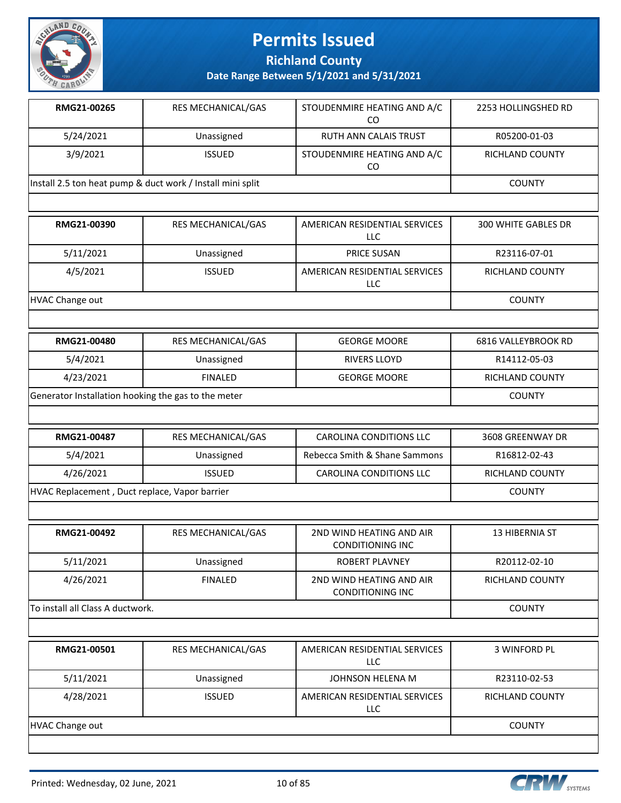

**Richland County**

| RMG21-00265                                                | <b>RES MECHANICAL/GAS</b> | STOUDENMIRE HEATING AND A/C<br>CO | 2253 HOLLINGSHED RD    |
|------------------------------------------------------------|---------------------------|-----------------------------------|------------------------|
| 5/24/2021                                                  | Unassigned                | RUTH ANN CALAIS TRUST             | R05200-01-03           |
| 3/9/2021                                                   | <b>ISSUED</b>             | STOUDENMIRE HEATING AND A/C<br>CO | <b>RICHLAND COUNTY</b> |
| Install 2.5 ton heat pump & duct work / Install mini split |                           |                                   | <b>COUNTY</b>          |
|                                                            |                           |                                   |                        |

| RMG21-00390     | <b>RES MECHANICAL/GAS</b> | AMERICAN RESIDENTIAL SERVICES<br>LLC | <b>300 WHITE GABLES DR</b> |
|-----------------|---------------------------|--------------------------------------|----------------------------|
| 5/11/2021       | Unassigned                | <b>PRICE SUSAN</b>                   | R23116-07-01               |
| 4/5/2021        | <b>ISSUED</b>             | AMERICAN RESIDENTIAL SERVICES<br>LLC | <b>RICHLAND COUNTY</b>     |
| HVAC Change out |                           |                                      | <b>COUNTY</b>              |

| <b>RMG21-00480</b>                                  | RES MECHANICAL/GAS | <b>GEORGE MOORE</b> | 6816 VALLEYBROOK RD |
|-----------------------------------------------------|--------------------|---------------------|---------------------|
| 5/4/2021                                            | Unassigned         | RIVERS LLOYD        | R14112-05-03        |
| 4/23/2021                                           | FINAL FD           | <b>GEORGE MOORE</b> | RICHLAND COUNTY     |
| Generator Installation hooking the gas to the meter |                    |                     | <b>COUNTY</b>       |

| RMG21-00487                                   | RES MECHANICAL/GAS | CAROLINA CONDITIONS LLC       | 3608 GREENWAY DR |
|-----------------------------------------------|--------------------|-------------------------------|------------------|
| 5/4/2021                                      | Unassigned         | Rebecca Smith & Shane Sammons | R16812-02-43     |
| 4/26/2021                                     | ISSUED.            | CAROLINA CONDITIONS LLC       | RICHLAND COUNTY  |
| HVAC Replacement, Duct replace, Vapor barrier |                    |                               | <b>COUNTY</b>    |

| RMG21-00492                      | <b>RES MECHANICAL/GAS</b> | 2ND WIND HEATING AND AIR<br><b>CONDITIONING INC</b> | 13 HIBERNIA ST  |
|----------------------------------|---------------------------|-----------------------------------------------------|-----------------|
| 5/11/2021                        | Unassigned                | ROBERT PLAVNEY                                      | R20112-02-10    |
| 4/26/2021                        | <b>FINALED</b>            | 2ND WIND HEATING AND AIR<br><b>CONDITIONING INC</b> | RICHLAND COUNTY |
| To install all Class A ductwork. |                           |                                                     | <b>COUNTY</b>   |

| RMG21-00501     | RES MECHANICAL/GAS | AMERICAN RESIDENTIAL SERVICES<br><b>LLC</b> | 3 WINFORD PL           |
|-----------------|--------------------|---------------------------------------------|------------------------|
| 5/11/2021       | Unassigned         | JOHNSON HELENA M                            | R23110-02-53           |
| 4/28/2021       | <b>ISSUED</b>      | AMERICAN RESIDENTIAL SERVICES<br>LLC        | <b>RICHLAND COUNTY</b> |
| HVAC Change out |                    |                                             | <b>COUNTY</b>          |

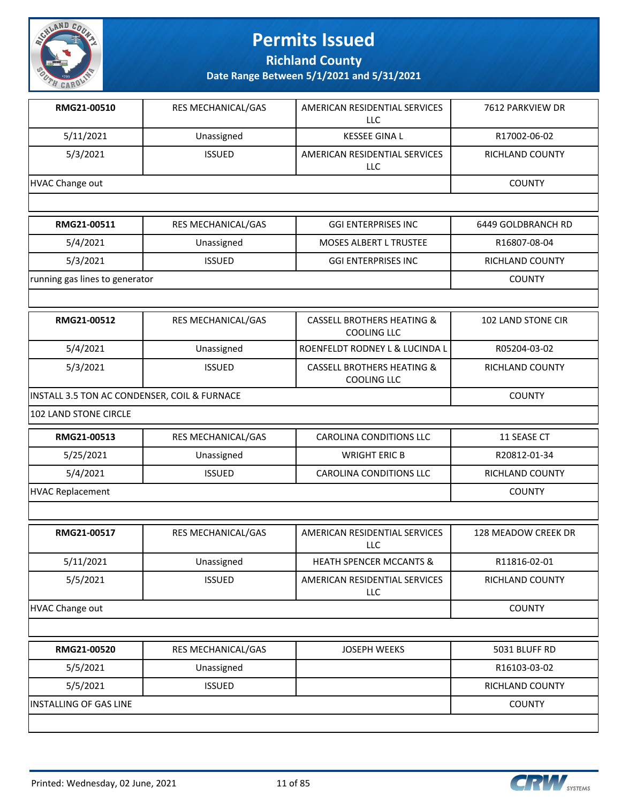

**Richland County**

**Date Range Between 5/1/2021 and 5/31/2021**

| RMG21-00510     | <b>RES MECHANICAL/GAS</b> | AMERICAN RESIDENTIAL SERVICES<br>LLC | 7612 PARKVIEW DR |
|-----------------|---------------------------|--------------------------------------|------------------|
| 5/11/2021       | Unassigned                | <b>KESSEE GINA L</b>                 | R17002-06-02     |
| 5/3/2021        | <b>ISSUED</b>             | AMERICAN RESIDENTIAL SERVICES<br>LLC | RICHLAND COUNTY  |
| HVAC Change out |                           |                                      | <b>COUNTY</b>    |
|                 |                           |                                      |                  |

| RMG21-00511                    | RES MECHANICAL/GAS | <b>GGI ENTERPRISES INC</b>    | 6449 GOLDBRANCH RD |
|--------------------------------|--------------------|-------------------------------|--------------------|
| 5/4/2021                       | Unassigned         | <b>MOSES ALBERT L TRUSTEE</b> | R16807-08-04       |
| 5/3/2021                       | <b>ISSUED</b>      | <b>GGI ENTERPRISES INC</b>    | RICHLAND COUNTY    |
| running gas lines to generator |                    |                               | COUNTY             |

| RMG21-00512                                  | <b>RES MECHANICAL/GAS</b> | <b>CASSELL BROTHERS HEATING &amp;</b><br>COOLING LLC        | 102 LAND STONE CIR     |
|----------------------------------------------|---------------------------|-------------------------------------------------------------|------------------------|
| 5/4/2021                                     | Unassigned                | l ROENFELDT RODNEY L & LUCINDA L                            | R05204-03-02           |
| 5/3/2021                                     | <b>ISSUED</b>             | <b>CASSELL BROTHERS HEATING &amp;</b><br><b>COOLING LLC</b> | <b>RICHLAND COUNTY</b> |
| INSTALL 3.5 TON AC CONDENSER, COIL & FURNACE |                           |                                                             | <b>COUNTY</b>          |

102 LAND STONE CIRCLE

| RMG21-00513             | <b>RES MECHANICAL/GAS</b> | CAROLINA CONDITIONS LLC | 11 SEASE CT            |
|-------------------------|---------------------------|-------------------------|------------------------|
| 5/25/2021               | Unassigned                | WRIGHT ERIC B           | R20812-01-34           |
| 5/4/2021                | <b>ISSUED</b>             | CAROLINA CONDITIONS LLC | <b>RICHLAND COUNTY</b> |
| <b>HVAC Replacement</b> |                           |                         | COUNTY                 |

| RMG21-00517     | <b>RES MECHANICAL/GAS</b> | AMERICAN RESIDENTIAL SERVICES<br>LLC. | 128 MEADOW CREEK DR    |
|-----------------|---------------------------|---------------------------------------|------------------------|
| 5/11/2021       | Unassigned                | <b>HEATH SPENCER MCCANTS &amp;</b>    | R11816-02-01           |
| 5/5/2021        | <b>ISSUED</b>             | AMERICAN RESIDENTIAL SERVICES<br>LLC. | <b>RICHLAND COUNTY</b> |
| HVAC Change out |                           |                                       | <b>COUNTY</b>          |
|                 |                           |                                       |                        |
| RMG21-00520     | <b>RES MECHANICAL/GAS</b> | <b>JOSEPH WEEKS</b>                   | 5031 BLUFF RD          |
| 5/5/2021        | Unassigned                |                                       | R16103-03-02           |

5/5/2021 ISSUED RICHLAND COUNTY INSTALLING OF GAS LINE COUNTY

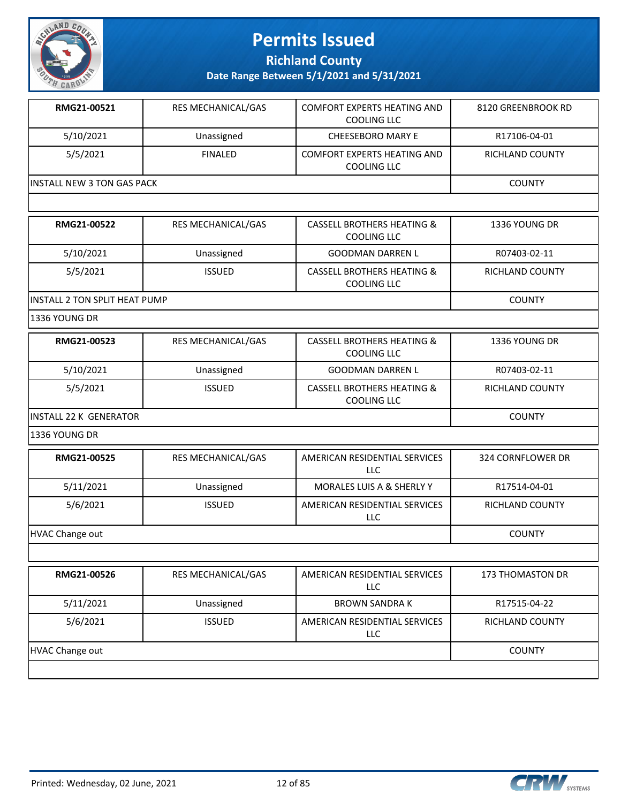

**Richland County**

**Date Range Between 5/1/2021 and 5/31/2021**

| RMG21-00521                 | <b>RES MECHANICAL/GAS</b> | <b>COMFORT EXPERTS HEATING AND</b><br>COOLING LLC | 8120 GREENBROOK RD |
|-----------------------------|---------------------------|---------------------------------------------------|--------------------|
| 5/10/2021                   | Unassigned                | <b>CHEESEBORO MARY E</b>                          | R17106-04-01       |
| 5/5/2021                    | FINAL FD                  | <b>COMFORT EXPERTS HEATING AND</b><br>COOLING LLC | RICHLAND COUNTY    |
| IINSTALL NEW 3 TON GAS PACK |                           |                                                   | <b>COUNTY</b>      |

| RMG21-00522                           | <b>RES MECHANICAL/GAS</b> | <b>CASSELL BROTHERS HEATING &amp;</b><br>COOLING LLC | 1336 YOUNG DR   |
|---------------------------------------|---------------------------|------------------------------------------------------|-----------------|
| 5/10/2021                             | Unassigned                | <b>GOODMAN DARREN L</b>                              | R07403-02-11    |
| 5/5/2021                              | <b>ISSUED</b>             | <b>CASSELL BROTHERS HEATING &amp;</b><br>COOLING LLC | RICHLAND COUNTY |
| <b>IINSTALL 2 TON SPLIT HEAT PUMP</b> |                           |                                                      | <b>COUNTY</b>   |

1336 YOUNG DR

| RMG21-00523             | <b>RES MECHANICAL/GAS</b> | CASSELL BROTHERS HEATING &<br>COOLING LLC            | 1336 YOUNG DR   |
|-------------------------|---------------------------|------------------------------------------------------|-----------------|
| 5/10/2021               | Unassigned                | <b>GOODMAN DARREN L</b>                              | R07403-02-11    |
| 5/5/2021                | <b>ISSUED</b>             | <b>CASSELL BROTHERS HEATING &amp;</b><br>COOLING LLC | RICHLAND COUNTY |
| IINSTALL 22 K GENERATOR |                           |                                                      | <b>COUNTY</b>   |

1336 YOUNG DR

| RMG21-00525     | <b>RES MECHANICAL/GAS</b> | AMERICAN RESIDENTIAL SERVICES<br>LLC | 324 CORNFLOWER DR |
|-----------------|---------------------------|--------------------------------------|-------------------|
| 5/11/2021       | Unassigned                | <b>MORALES LUIS A &amp; SHERLY Y</b> | R17514-04-01      |
| 5/6/2021        | <b>ISSUED</b>             | AMERICAN RESIDENTIAL SERVICES<br>LLC | RICHLAND COUNTY   |
| HVAC Change out |                           |                                      | <b>COUNTY</b>     |

| RMG21-00526     | <b>RES MECHANICAL/GAS</b> | AMERICAN RESIDENTIAL SERVICES<br>LLC.       | <b>173 THOMASTON DR</b> |
|-----------------|---------------------------|---------------------------------------------|-------------------------|
| 5/11/2021       | Unassigned                | <b>BROWN SANDRA K</b>                       | R17515-04-22            |
| 5/6/2021        | <b>ISSUED</b>             | AMERICAN RESIDENTIAL SERVICES<br><b>LLC</b> | <b>RICHLAND COUNTY</b>  |
| HVAC Change out |                           |                                             | <b>COUNTY</b>           |
|                 |                           |                                             |                         |

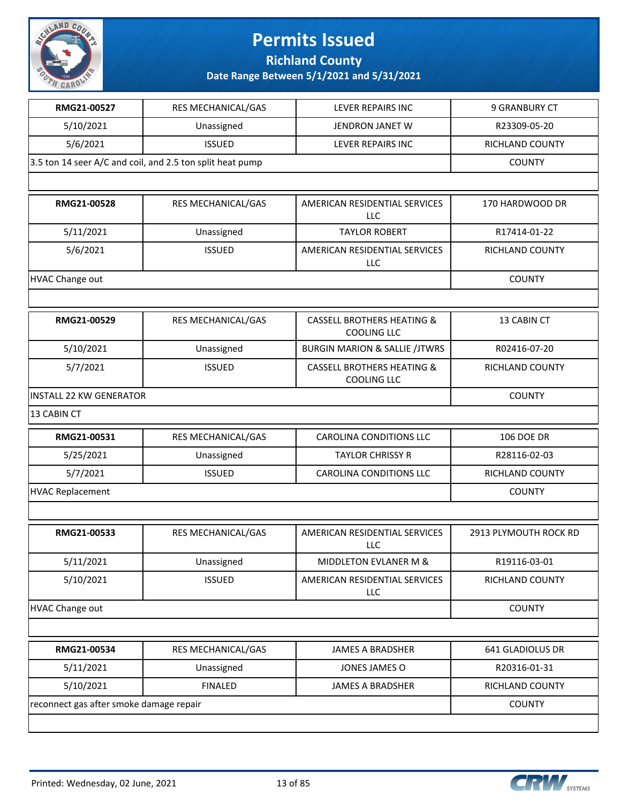

**Richland County**

| RMG21-00527                             | RES MECHANICAL/GAS                                        | LEVER REPAIRS INC                                           | 9 GRANBURY CT          |  |
|-----------------------------------------|-----------------------------------------------------------|-------------------------------------------------------------|------------------------|--|
| 5/10/2021                               | Unassigned                                                | JENDRON JANET W                                             | R23309-05-20           |  |
| 5/6/2021                                | <b>ISSUED</b>                                             | LEVER REPAIRS INC                                           | RICHLAND COUNTY        |  |
|                                         | 3.5 ton 14 seer A/C and coil, and 2.5 ton split heat pump |                                                             | <b>COUNTY</b>          |  |
|                                         |                                                           |                                                             |                        |  |
| RMG21-00528                             | RES MECHANICAL/GAS                                        | AMERICAN RESIDENTIAL SERVICES<br><b>LLC</b>                 | 170 HARDWOOD DR        |  |
| 5/11/2021                               | Unassigned                                                | <b>TAYLOR ROBERT</b>                                        | R17414-01-22           |  |
| 5/6/2021                                | <b>ISSUED</b>                                             | AMERICAN RESIDENTIAL SERVICES<br><b>LLC</b>                 | RICHLAND COUNTY        |  |
| <b>HVAC Change out</b>                  |                                                           |                                                             | <b>COUNTY</b>          |  |
|                                         |                                                           |                                                             |                        |  |
| RMG21-00529                             | RES MECHANICAL/GAS                                        | <b>CASSELL BROTHERS HEATING &amp;</b><br><b>COOLING LLC</b> | 13 CABIN CT            |  |
| 5/10/2021                               | Unassigned                                                | <b>BURGIN MARION &amp; SALLIE /JTWRS</b>                    | R02416-07-20           |  |
| 5/7/2021                                | <b>ISSUED</b>                                             | <b>CASSELL BROTHERS HEATING &amp;</b><br><b>COOLING LLC</b> | <b>RICHLAND COUNTY</b> |  |
| <b>INSTALL 22 KW GENERATOR</b>          |                                                           |                                                             | <b>COUNTY</b>          |  |
| 13 CABIN CT                             |                                                           |                                                             |                        |  |
| RMG21-00531                             | RES MECHANICAL/GAS                                        | CAROLINA CONDITIONS LLC                                     | <b>106 DOE DR</b>      |  |
| 5/25/2021                               | Unassigned                                                | <b>TAYLOR CHRISSY R</b>                                     | R28116-02-03           |  |
| 5/7/2021                                | <b>ISSUED</b>                                             | <b>CAROLINA CONDITIONS LLC</b>                              | <b>RICHLAND COUNTY</b> |  |
| <b>HVAC Replacement</b>                 | <b>COUNTY</b>                                             |                                                             |                        |  |
|                                         |                                                           |                                                             |                        |  |
| RMG21-00533                             | RES MECHANICAL/GAS                                        | AMERICAN RESIDENTIAL SERVICES<br>LLC                        | 2913 PLYMOUTH ROCK RD  |  |
| 5/11/2021                               | Unassigned                                                | MIDDLETON EVLANER M &                                       | R19116-03-01           |  |
| 5/10/2021                               | <b>ISSUED</b>                                             | AMERICAN RESIDENTIAL SERVICES<br><b>LLC</b>                 | RICHLAND COUNTY        |  |
| <b>HVAC Change out</b>                  |                                                           |                                                             | <b>COUNTY</b>          |  |
|                                         |                                                           |                                                             |                        |  |
| RMG21-00534                             | RES MECHANICAL/GAS                                        | <b>JAMES A BRADSHER</b>                                     | 641 GLADIOLUS DR       |  |
| 5/11/2021                               | Unassigned                                                | JONES JAMES O                                               | R20316-01-31           |  |
| 5/10/2021                               | <b>FINALED</b><br><b>JAMES A BRADSHER</b>                 |                                                             |                        |  |
| reconnect gas after smoke damage repair |                                                           |                                                             | <b>COUNTY</b>          |  |
|                                         |                                                           |                                                             |                        |  |

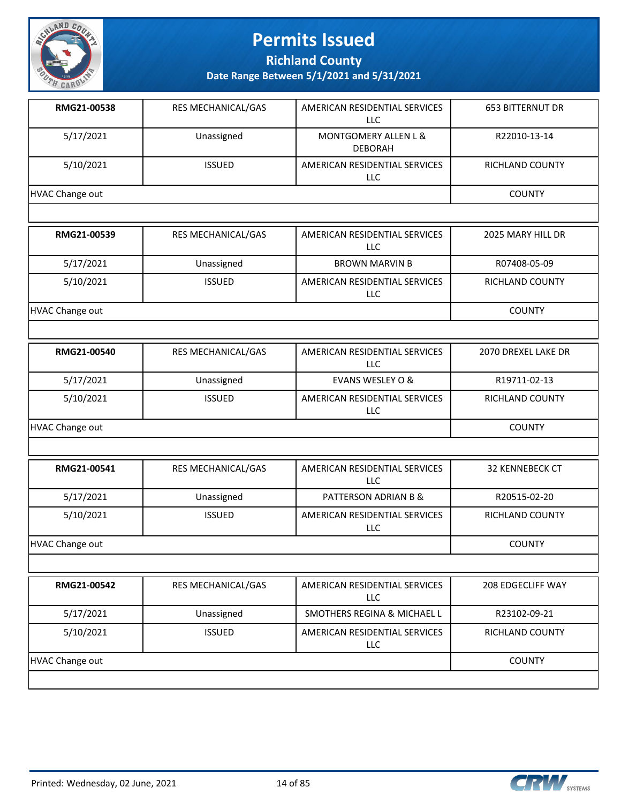

**Richland County**

**Date Range Between 5/1/2021 and 5/31/2021**

| RMG21-00538            | RES MECHANICAL/GAS | AMERICAN RESIDENTIAL SERVICES<br>LLC        | <b>653 BITTERNUT DR</b> |
|------------------------|--------------------|---------------------------------------------|-------------------------|
| 5/17/2021              | Unassigned         | MONTGOMERY ALLEN L &<br><b>DEBORAH</b>      | R22010-13-14            |
| 5/10/2021              | <b>ISSUED</b>      | AMERICAN RESIDENTIAL SERVICES<br>LLC        | RICHLAND COUNTY         |
| <b>HVAC Change out</b> |                    |                                             | <b>COUNTY</b>           |
|                        |                    |                                             |                         |
| RMG21-00539            | RES MECHANICAL/GAS | AMERICAN RESIDENTIAL SERVICES<br>LLC        | 2025 MARY HILL DR       |
| 5/17/2021              | Unassigned         | <b>BROWN MARVIN B</b>                       | R07408-05-09            |
| 5/10/2021              | <b>ISSUED</b>      | AMERICAN RESIDENTIAL SERVICES<br>LLC        | RICHLAND COUNTY         |
| <b>HVAC Change out</b> |                    |                                             | <b>COUNTY</b>           |
|                        |                    |                                             |                         |
| RMG21-00540            | RES MECHANICAL/GAS | AMERICAN RESIDENTIAL SERVICES<br><b>LLC</b> | 2070 DREXEL LAKE DR     |
| 5/17/2021              | Unassigned         | <b>EVANS WESLEY O &amp;</b>                 | R19711-02-13            |
| 5/10/2021              | <b>ISSUED</b>      | AMERICAN RESIDENTIAL SERVICES<br>LLC        | RICHLAND COUNTY         |
| <b>HVAC Change out</b> | <b>COUNTY</b>      |                                             |                         |
|                        |                    |                                             |                         |
| RMG21-00541            | RES MECHANICAL/GAS | AMERICAN RESIDENTIAL SERVICES<br>LLC        | <b>32 KENNEBECK CT</b>  |
| 5/17/2021              | Unassigned         | PATTERSON ADRIAN B &                        | R20515-02-20            |
| 5/10/2021              | <b>ISSUED</b>      | AMERICAN RESIDENTIAL SERVICES<br>LLC        | RICHLAND COUNTY         |
| HVAC Change out        | <b>COUNTY</b>      |                                             |                         |
|                        |                    |                                             |                         |
| RMG21-00542            | RES MECHANICAL/GAS | AMERICAN RESIDENTIAL SERVICES<br><b>LLC</b> | 208 EDGECLIFF WAY       |
| 5/17/2021              | Unassigned         | SMOTHERS REGINA & MICHAEL L                 | R23102-09-21            |
| 5/10/2021              | <b>ISSUED</b>      | AMERICAN RESIDENTIAL SERVICES<br><b>LLC</b> | RICHLAND COUNTY         |

HVAC Change out COUNTY

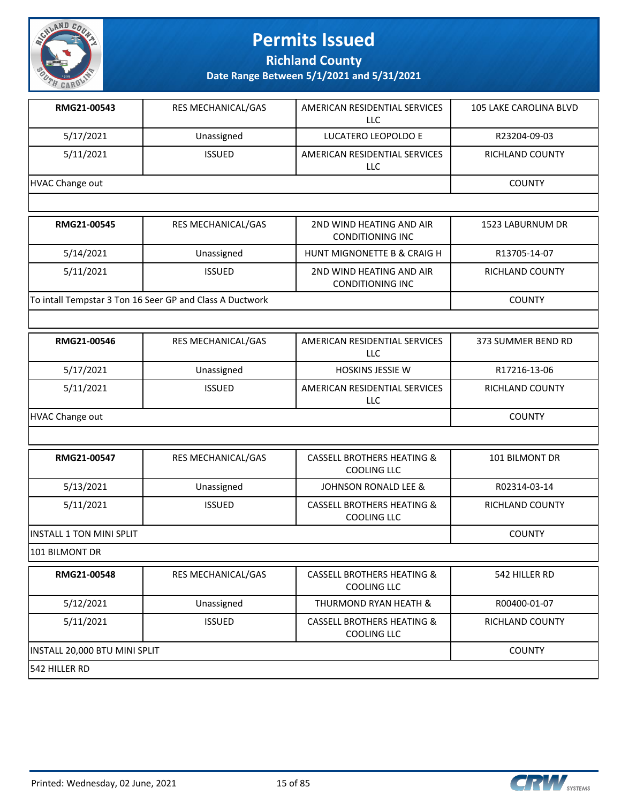

**Richland County**

**Date Range Between 5/1/2021 and 5/31/2021**

| RMG21-00543     | <b>RES MECHANICAL/GAS</b> | AMERICAN RESIDENTIAL SERVICES<br>LLC | 105 LAKE CAROLINA BLVD |
|-----------------|---------------------------|--------------------------------------|------------------------|
| 5/17/2021       | Unassigned                | LUCATERO LEOPOLDO E                  | R23204-09-03           |
| 5/11/2021       | <b>ISSUED</b>             | AMERICAN RESIDENTIAL SERVICES<br>LLC | <b>RICHLAND COUNTY</b> |
| HVAC Change out |                           |                                      | <b>COUNTY</b>          |
|                 |                           |                                      |                        |

| RMG21-00545                                              | <b>RES MECHANICAL/GAS</b> | 2ND WIND HEATING AND AIR<br>CONDITIONING INC        | 1523 LABURNUM DR       |
|----------------------------------------------------------|---------------------------|-----------------------------------------------------|------------------------|
| 5/14/2021                                                | Unassigned                | HUNT MIGNONETTE B & CRAIG H                         | R13705-14-07           |
| 5/11/2021                                                | <b>ISSUED</b>             | 2ND WIND HEATING AND AIR<br><b>CONDITIONING INC</b> | <b>RICHLAND COUNTY</b> |
| To intall Tempstar 3 Ton 16 Seer GP and Class A Ductwork |                           |                                                     | <b>COUNTY</b>          |

| RMG21-00546     | <b>RES MECHANICAL/GAS</b> | AMERICAN RESIDENTIAL SERVICES<br>LLC | 373 SUMMER BEND RD |
|-----------------|---------------------------|--------------------------------------|--------------------|
| 5/17/2021       | Unassigned                | <b>HOSKINS JESSIE W</b>              | R17216-13-06       |
| 5/11/2021       | <b>ISSUED</b>             | AMERICAN RESIDENTIAL SERVICES<br>LLC | RICHLAND COUNTY    |
| HVAC Change out |                           |                                      | <b>COUNTY</b>      |

| RMG21-00547                      | <b>RES MECHANICAL/GAS</b> | <b>CASSELL BROTHERS HEATING &amp;</b><br>COOLING LLC | 101 BILMONT DR  |
|----------------------------------|---------------------------|------------------------------------------------------|-----------------|
| 5/13/2021                        | Unassigned                | JOHNSON RONALD LEE &                                 | R02314-03-14    |
| 5/11/2021                        | <b>ISSUED</b>             | <b>CASSELL BROTHERS HEATING &amp;</b><br>COOLING LLC | RICHLAND COUNTY |
| <b>IINSTALL 1 TON MINI SPLIT</b> |                           |                                                      | <b>COUNTY</b>   |

101 BILMONT DR

| RMG21-00548                   | <b>RES MECHANICAL/GAS</b> | <b>CASSELL BROTHERS HEATING &amp;</b><br>COOLING LLC | 542 HILLER RD          |
|-------------------------------|---------------------------|------------------------------------------------------|------------------------|
| 5/12/2021                     | Unassigned                | THURMOND RYAN HEATH &                                | R00400-01-07           |
| 5/11/2021                     | <b>ISSUED</b>             | <b>CASSELL BROTHERS HEATING &amp;</b><br>COOLING LLC | <b>RICHLAND COUNTY</b> |
| INSTALL 20,000 BTU MINI SPLIT | <b>COUNTY</b>             |                                                      |                        |
| <b>1542 HILLER RD</b>         |                           |                                                      |                        |

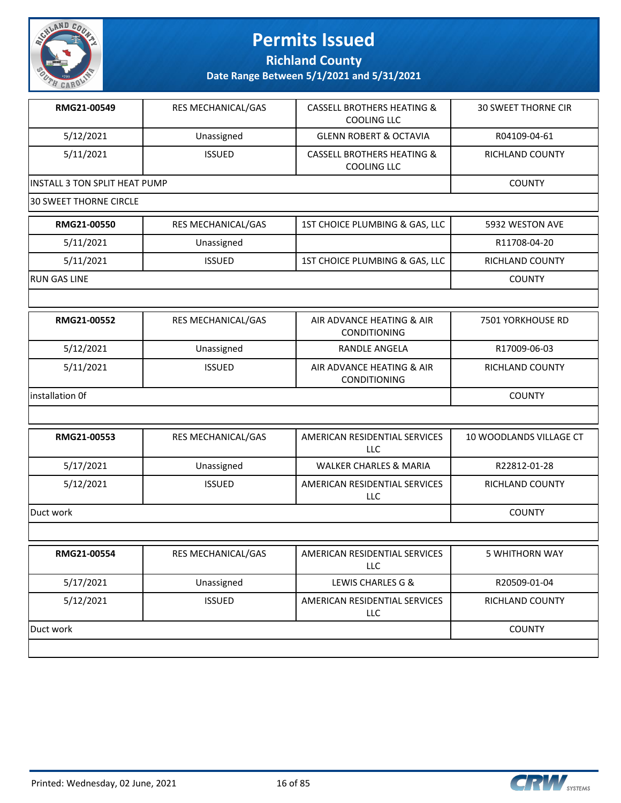

**Richland County**

**Date Range Between 5/1/2021 and 5/31/2021**

| RMG21-00549                   | <b>RES MECHANICAL/GAS</b> | <b>CASSELL BROTHERS HEATING &amp;</b><br>COOLING LLC        | <b>30 SWEET THORNE CIR</b> |
|-------------------------------|---------------------------|-------------------------------------------------------------|----------------------------|
| 5/12/2021                     | Unassigned                | <b>GLENN ROBERT &amp; OCTAVIA</b>                           | R04109-04-61               |
| 5/11/2021                     | <b>ISSUED</b>             | <b>CASSELL BROTHERS HEATING &amp;</b><br><b>COOLING LLC</b> | RICHLAND COUNTY            |
| INSTALL 3 TON SPLIT HEAT PUMP |                           |                                                             | <b>COUNTY</b>              |
|                               |                           |                                                             |                            |

30 SWEET THORNE CIRCLE

| <b>RMG21-00550</b>  | RES MECHANICAL/GAS | 1ST CHOICE PLUMBING & GAS, LLC | 5932 WESTON AVE        |
|---------------------|--------------------|--------------------------------|------------------------|
| 5/11/2021           | Unassigned         |                                | R11708-04-20           |
| 5/11/2021           | <b>ISSUED</b>      | 1ST CHOICE PLUMBING & GAS, LLC | <b>RICHLAND COUNTY</b> |
| <b>RUN GAS LINE</b> |                    |                                | <b>COUNTY</b>          |

| RMG21-00552      | <b>RES MECHANICAL/GAS</b> | AIR ADVANCE HEATING & AIR<br><b>CONDITIONING</b> | 7501 YORKHOUSE RD      |
|------------------|---------------------------|--------------------------------------------------|------------------------|
| 5/12/2021        | Unassigned                | RANDLE ANGELA                                    | R17009-06-03           |
| 5/11/2021        | <b>ISSUED</b>             | AIR ADVANCE HEATING & AIR<br><b>CONDITIONING</b> | <b>RICHLAND COUNTY</b> |
| linstallation Of |                           |                                                  | <b>COUNTY</b>          |

| RMG21-00553 | <b>RES MECHANICAL/GAS</b> | AMERICAN RESIDENTIAL SERVICES<br><b>LLC</b> | 10 WOODLANDS VILLAGE CT |
|-------------|---------------------------|---------------------------------------------|-------------------------|
| 5/17/2021   | Unassigned                | <b>WALKER CHARLES &amp; MARIA</b>           | R22812-01-28            |
| 5/12/2021   | <b>ISSUED</b>             | AMERICAN RESIDENTIAL SERVICES<br>LLC        | <b>RICHLAND COUNTY</b>  |
| Duct work   |                           |                                             | <b>COUNTY</b>           |
|             |                           |                                             |                         |

| RMG21-00554 | RES MECHANICAL/GAS | AMERICAN RESIDENTIAL SERVICES<br><b>LLC</b> | 5 WHITHORN WAY         |
|-------------|--------------------|---------------------------------------------|------------------------|
| 5/17/2021   | Unassigned         | LEWIS CHARLES G &                           | R20509-01-04           |
| 5/12/2021   | <b>ISSUED</b>      | AMERICAN RESIDENTIAL SERVICES<br><b>LLC</b> | <b>RICHLAND COUNTY</b> |
| Duct work   |                    |                                             | <b>COUNTY</b>          |
|             |                    |                                             |                        |

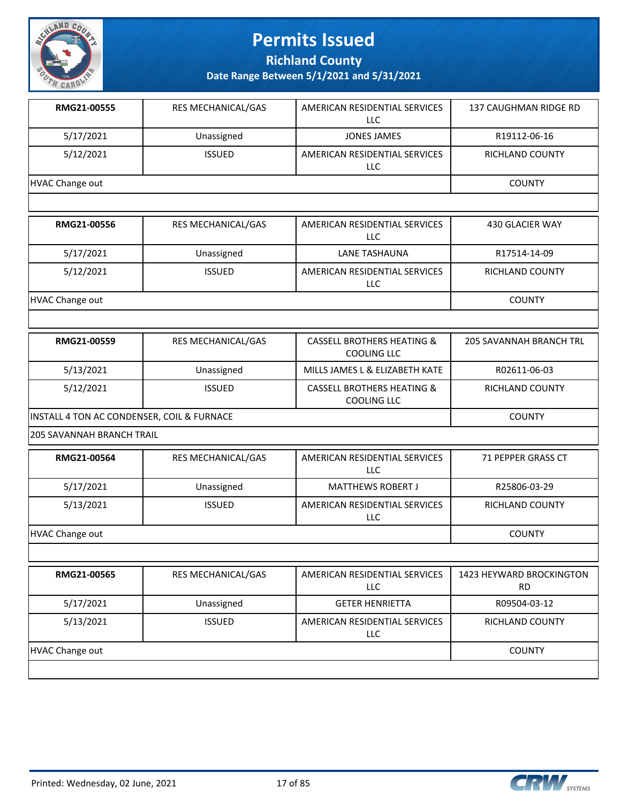

**Richland County**

| RMG21-00555                                | RES MECHANICAL/GAS | AMERICAN RESIDENTIAL SERVICES<br><b>LLC</b>                 | 137 CAUGHMAN RIDGE RD                 |
|--------------------------------------------|--------------------|-------------------------------------------------------------|---------------------------------------|
| 5/17/2021                                  | Unassigned         | <b>JONES JAMES</b>                                          | R19112-06-16                          |
| 5/12/2021                                  | <b>ISSUED</b>      | AMERICAN RESIDENTIAL SERVICES<br>LLC                        | RICHLAND COUNTY                       |
| <b>HVAC Change out</b>                     |                    |                                                             | <b>COUNTY</b>                         |
|                                            |                    |                                                             |                                       |
| RMG21-00556                                | RES MECHANICAL/GAS | AMERICAN RESIDENTIAL SERVICES<br><b>LLC</b>                 | 430 GLACIER WAY                       |
| 5/17/2021                                  | Unassigned         | <b>LANE TASHAUNA</b>                                        | R17514-14-09                          |
| 5/12/2021                                  | <b>ISSUED</b>      | AMERICAN RESIDENTIAL SERVICES<br><b>LLC</b>                 | RICHLAND COUNTY                       |
| <b>HVAC Change out</b>                     |                    |                                                             | <b>COUNTY</b>                         |
|                                            |                    |                                                             |                                       |
| RMG21-00559                                | RES MECHANICAL/GAS | <b>CASSELL BROTHERS HEATING &amp;</b><br><b>COOLING LLC</b> | <b>205 SAVANNAH BRANCH TRL</b>        |
| 5/13/2021                                  | Unassigned         | MILLS JAMES L & ELIZABETH KATE                              | R02611-06-03                          |
| 5/12/2021                                  | <b>ISSUED</b>      | <b>CASSELL BROTHERS HEATING &amp;</b><br><b>COOLING LLC</b> | RICHLAND COUNTY                       |
| INSTALL 4 TON AC CONDENSER, COIL & FURNACE | <b>COUNTY</b>      |                                                             |                                       |
| 205 SAVANNAH BRANCH TRAIL                  |                    |                                                             |                                       |
| RMG21-00564                                | RES MECHANICAL/GAS | AMERICAN RESIDENTIAL SERVICES<br><b>LLC</b>                 | 71 PEPPER GRASS CT                    |
| 5/17/2021                                  | Unassigned         | <b>MATTHEWS ROBERT J</b>                                    | R25806-03-29                          |
| 5/13/2021                                  | <b>ISSUED</b>      | AMERICAN RESIDENTIAL SERVICES<br>LLC                        | RICHLAND COUNTY                       |
| <b>HVAC Change out</b>                     |                    |                                                             | <b>COUNTY</b>                         |
|                                            |                    |                                                             |                                       |
| RMG21-00565                                | RES MECHANICAL/GAS | AMERICAN RESIDENTIAL SERVICES<br><b>LLC</b>                 | 1423 HEYWARD BROCKINGTON<br><b>RD</b> |
| 5/17/2021                                  | Unassigned         | <b>GETER HENRIETTA</b>                                      | R09504-03-12                          |
| 5/13/2021                                  | <b>ISSUED</b>      | AMERICAN RESIDENTIAL SERVICES<br>LLC                        | RICHLAND COUNTY                       |
| <b>HVAC Change out</b>                     |                    |                                                             | <b>COUNTY</b>                         |

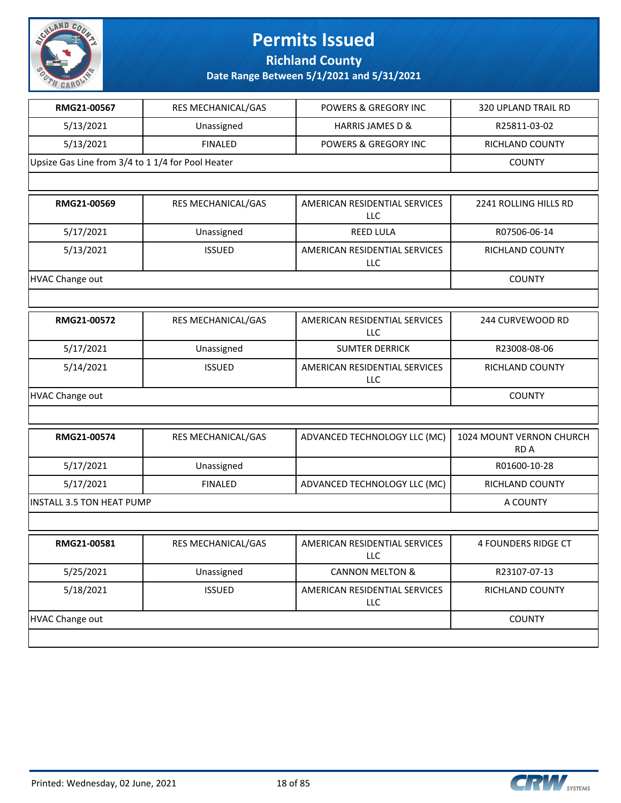

**Richland County**

| RMG21-00567                                       | RES MECHANICAL/GAS | <b>POWERS &amp; GREGORY INC</b>             | 320 UPLAND TRAIL RD              |
|---------------------------------------------------|--------------------|---------------------------------------------|----------------------------------|
| 5/13/2021                                         | Unassigned         | <b>HARRIS JAMES D &amp;</b>                 | R25811-03-02                     |
| 5/13/2021                                         | <b>FINALED</b>     | POWERS & GREGORY INC                        | RICHLAND COUNTY                  |
| Upsize Gas Line from 3/4 to 1 1/4 for Pool Heater |                    |                                             | <b>COUNTY</b>                    |
|                                                   |                    |                                             |                                  |
| RMG21-00569                                       | RES MECHANICAL/GAS | AMERICAN RESIDENTIAL SERVICES<br><b>LLC</b> | 2241 ROLLING HILLS RD            |
| 5/17/2021                                         | Unassigned         | <b>REED LULA</b>                            | R07506-06-14                     |
| 5/13/2021                                         | <b>ISSUED</b>      | AMERICAN RESIDENTIAL SERVICES<br>LLC        | RICHLAND COUNTY                  |
| <b>HVAC Change out</b>                            |                    |                                             | <b>COUNTY</b>                    |
|                                                   |                    |                                             |                                  |
| RMG21-00572                                       | RES MECHANICAL/GAS | AMERICAN RESIDENTIAL SERVICES<br><b>LLC</b> | 244 CURVEWOOD RD                 |
| 5/17/2021                                         | Unassigned         | <b>SUMTER DERRICK</b>                       | R23008-08-06                     |
| 5/14/2021                                         | <b>ISSUED</b>      | AMERICAN RESIDENTIAL SERVICES<br>LLC        | RICHLAND COUNTY                  |
| <b>HVAC Change out</b>                            | <b>COUNTY</b>      |                                             |                                  |
|                                                   |                    |                                             |                                  |
| RMG21-00574                                       | RES MECHANICAL/GAS | ADVANCED TECHNOLOGY LLC (MC)                | 1024 MOUNT VERNON CHURCH<br>RD A |
| 5/17/2021                                         | Unassigned         |                                             | R01600-10-28                     |
| 5/17/2021                                         | <b>FINALED</b>     | ADVANCED TECHNOLOGY LLC (MC)                | RICHLAND COUNTY                  |
| <b>INSTALL 3.5 TON HEAT PUMP</b>                  |                    |                                             | A COUNTY                         |
|                                                   |                    |                                             |                                  |
| RMG21-00581                                       | RES MECHANICAL/GAS | AMERICAN RESIDENTIAL SERVICES<br>LLC        | 4 FOUNDERS RIDGE CT              |
| 5/25/2021                                         | Unassigned         | <b>CANNON MELTON &amp;</b>                  | R23107-07-13                     |
| 5/18/2021                                         | <b>ISSUED</b>      | AMERICAN RESIDENTIAL SERVICES<br>LLC        | RICHLAND COUNTY                  |
| <b>HVAC Change out</b>                            | <b>COUNTY</b>      |                                             |                                  |
|                                                   |                    |                                             |                                  |

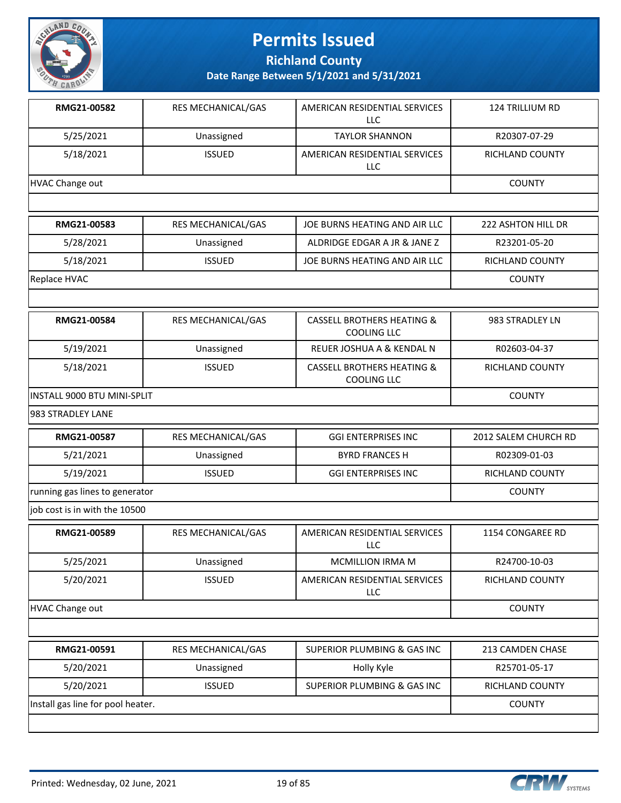

**Richland County**

| RMG21-00582                       | RES MECHANICAL/GAS | AMERICAN RESIDENTIAL SERVICES<br>LLC                        | 124 TRILLIUM RD        |
|-----------------------------------|--------------------|-------------------------------------------------------------|------------------------|
| 5/25/2021                         | Unassigned         | <b>TAYLOR SHANNON</b>                                       | R20307-07-29           |
| 5/18/2021                         | <b>ISSUED</b>      | AMERICAN RESIDENTIAL SERVICES<br>LLC                        | <b>RICHLAND COUNTY</b> |
| <b>HVAC Change out</b>            |                    |                                                             | <b>COUNTY</b>          |
|                                   |                    |                                                             |                        |
| RMG21-00583                       | RES MECHANICAL/GAS | JOE BURNS HEATING AND AIR LLC                               | 222 ASHTON HILL DR     |
| 5/28/2021                         | Unassigned         | ALDRIDGE EDGAR A JR & JANE Z                                | R23201-05-20           |
| 5/18/2021                         | <b>ISSUED</b>      | JOE BURNS HEATING AND AIR LLC                               | RICHLAND COUNTY        |
| Replace HVAC                      |                    |                                                             | <b>COUNTY</b>          |
|                                   |                    |                                                             |                        |
| RMG21-00584                       | RES MECHANICAL/GAS | <b>CASSELL BROTHERS HEATING &amp;</b><br><b>COOLING LLC</b> | 983 STRADLEY LN        |
| 5/19/2021                         | Unassigned         | REUER JOSHUA A & KENDAL N                                   | R02603-04-37           |
| 5/18/2021                         | <b>ISSUED</b>      | <b>CASSELL BROTHERS HEATING &amp;</b><br><b>COOLING LLC</b> | RICHLAND COUNTY        |
| INSTALL 9000 BTU MINI-SPLIT       |                    |                                                             | <b>COUNTY</b>          |
| 983 STRADLEY LANE                 |                    |                                                             |                        |
| RMG21-00587                       | RES MECHANICAL/GAS | <b>GGI ENTERPRISES INC</b>                                  | 2012 SALEM CHURCH RD   |
| 5/21/2021                         | Unassigned         | <b>BYRD FRANCES H</b>                                       | R02309-01-03           |
| 5/19/2021                         | <b>ISSUED</b>      | <b>GGI ENTERPRISES INC</b>                                  | RICHLAND COUNTY        |
| running gas lines to generator    |                    |                                                             | <b>COUNTY</b>          |
| job cost is in with the 10500     |                    |                                                             |                        |
| RMG21-00589                       | RES MECHANICAL/GAS | AMERICAN RESIDENTIAL SERVICES<br>LLC                        | 1154 CONGAREE RD       |
| 5/25/2021                         | Unassigned         | MCMILLION IRMA M                                            | R24700-10-03           |
| 5/20/2021                         | <b>ISSUED</b>      | AMERICAN RESIDENTIAL SERVICES<br>LLC                        | RICHLAND COUNTY        |
| <b>HVAC Change out</b>            |                    |                                                             | <b>COUNTY</b>          |
|                                   |                    |                                                             |                        |
| RMG21-00591                       | RES MECHANICAL/GAS | SUPERIOR PLUMBING & GAS INC                                 | 213 CAMDEN CHASE       |
| 5/20/2021                         | Unassigned         | Holly Kyle                                                  | R25701-05-17           |
| 5/20/2021                         | <b>ISSUED</b>      | SUPERIOR PLUMBING & GAS INC                                 | RICHLAND COUNTY        |
| Install gas line for pool heater. |                    |                                                             | <b>COUNTY</b>          |
|                                   |                    |                                                             |                        |

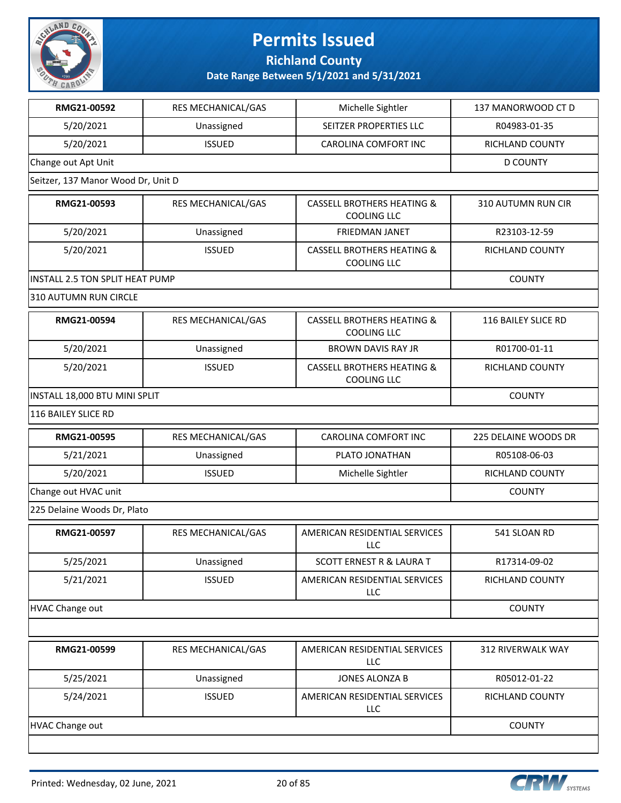

**Richland County**

| RMG21-00592                        | RES MECHANICAL/GAS | Michelle Sightler                                           | 137 MANORWOOD CT D   |
|------------------------------------|--------------------|-------------------------------------------------------------|----------------------|
| 5/20/2021                          | Unassigned         | SEITZER PROPERTIES LLC                                      | R04983-01-35         |
| 5/20/2021                          | <b>ISSUED</b>      | CAROLINA COMFORT INC                                        | RICHLAND COUNTY      |
| Change out Apt Unit                |                    |                                                             | <b>D COUNTY</b>      |
| Seitzer, 137 Manor Wood Dr, Unit D |                    |                                                             |                      |
| RMG21-00593                        | RES MECHANICAL/GAS | <b>CASSELL BROTHERS HEATING &amp;</b><br><b>COOLING LLC</b> | 310 AUTUMN RUN CIR   |
| 5/20/2021                          | Unassigned         | <b>FRIEDMAN JANET</b>                                       | R23103-12-59         |
| 5/20/2021                          | <b>ISSUED</b>      | <b>CASSELL BROTHERS HEATING &amp;</b><br><b>COOLING LLC</b> | RICHLAND COUNTY      |
| INSTALL 2.5 TON SPLIT HEAT PUMP    |                    |                                                             | <b>COUNTY</b>        |
| 310 AUTUMN RUN CIRCLE              |                    |                                                             |                      |
| RMG21-00594                        | RES MECHANICAL/GAS | <b>CASSELL BROTHERS HEATING &amp;</b><br><b>COOLING LLC</b> | 116 BAILEY SLICE RD  |
| 5/20/2021                          | Unassigned         | <b>BROWN DAVIS RAY JR</b>                                   | R01700-01-11         |
| 5/20/2021                          | <b>ISSUED</b>      | <b>CASSELL BROTHERS HEATING &amp;</b><br><b>COOLING LLC</b> | RICHLAND COUNTY      |
| INSTALL 18,000 BTU MINI SPLIT      |                    |                                                             | <b>COUNTY</b>        |
| 116 BAILEY SLICE RD                |                    |                                                             |                      |
| RMG21-00595                        | RES MECHANICAL/GAS | CAROLINA COMFORT INC                                        | 225 DELAINE WOODS DR |
| 5/21/2021                          | Unassigned         | PLATO JONATHAN                                              | R05108-06-03         |
| 5/20/2021                          | <b>ISSUED</b>      | Michelle Sightler                                           | RICHLAND COUNTY      |
| Change out HVAC unit               | <b>COUNTY</b>      |                                                             |                      |
| 225 Delaine Woods Dr, Plato        |                    |                                                             |                      |
| RMG21-00597                        | RES MECHANICAL/GAS | AMERICAN RESIDENTIAL SERVICES<br>LLC                        | 541 SLOAN RD         |
| 5/25/2021                          | Unassigned         | <b>SCOTT ERNEST R &amp; LAURA T</b>                         | R17314-09-02         |
| 5/21/2021                          | <b>ISSUED</b>      | AMERICAN RESIDENTIAL SERVICES<br><b>LLC</b>                 | RICHLAND COUNTY      |
| HVAC Change out                    |                    |                                                             | <b>COUNTY</b>        |
|                                    |                    |                                                             |                      |
| RMG21-00599                        | RES MECHANICAL/GAS | AMERICAN RESIDENTIAL SERVICES<br><b>LLC</b>                 | 312 RIVERWALK WAY    |
| 5/25/2021                          | Unassigned         | <b>JONES ALONZA B</b>                                       | R05012-01-22         |
| 5/24/2021                          | <b>ISSUED</b>      | AMERICAN RESIDENTIAL SERVICES<br>LLC                        | RICHLAND COUNTY      |
| <b>HVAC Change out</b>             |                    |                                                             | <b>COUNTY</b>        |
|                                    |                    |                                                             |                      |

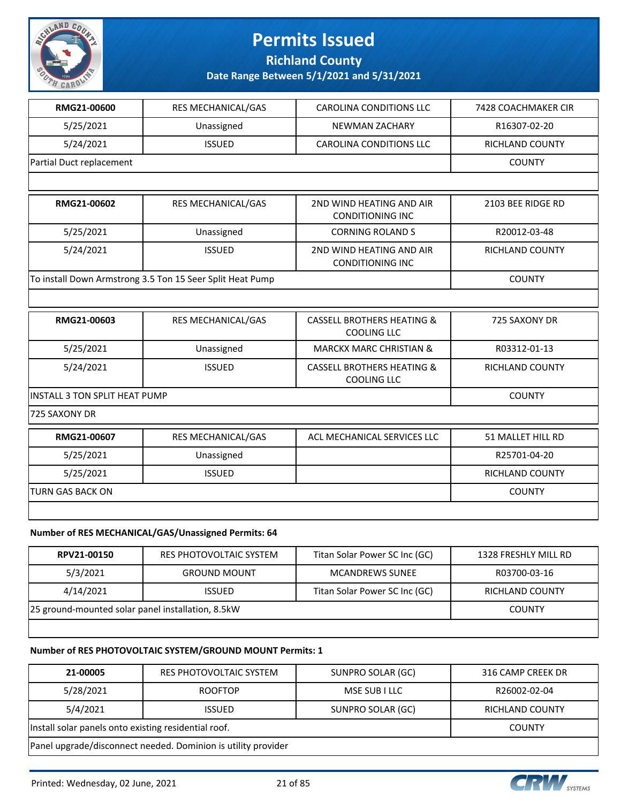

**Richland County**

**Date Range Between 5/1/2021 and 5/31/2021**

| RMG21-00600                          | RES MECHANICAL/GAS                                        | <b>CAROLINA CONDITIONS LLC</b>                              | 7428 COACHMAKER CIR    |  |  |
|--------------------------------------|-----------------------------------------------------------|-------------------------------------------------------------|------------------------|--|--|
| 5/25/2021                            | Unassigned                                                | <b>NEWMAN ZACHARY</b>                                       | R16307-02-20           |  |  |
| 5/24/2021                            | <b>ISSUED</b>                                             | <b>CAROLINA CONDITIONS LLC</b>                              | <b>RICHLAND COUNTY</b> |  |  |
| Partial Duct replacement             |                                                           |                                                             |                        |  |  |
|                                      |                                                           |                                                             |                        |  |  |
| RMG21-00602                          | RES MECHANICAL/GAS                                        | 2ND WIND HEATING AND AIR<br><b>CONDITIONING INC</b>         | 2103 BEE RIDGE RD      |  |  |
| 5/25/2021                            | Unassigned                                                | <b>CORNING ROLAND S</b>                                     | R20012-03-48           |  |  |
| 5/24/2021                            | <b>ISSUED</b>                                             | 2ND WIND HEATING AND AIR<br><b>CONDITIONING INC</b>         | RICHLAND COUNTY        |  |  |
|                                      | To install Down Armstrong 3.5 Ton 15 Seer Split Heat Pump |                                                             | <b>COUNTY</b>          |  |  |
|                                      |                                                           |                                                             |                        |  |  |
| RMG21-00603                          | RES MECHANICAL/GAS                                        | <b>CASSELL BROTHERS HEATING &amp;</b><br><b>COOLING LLC</b> | 725 SAXONY DR          |  |  |
| 5/25/2021                            | Unassigned                                                | <b>MARCKX MARC CHRISTIAN &amp;</b>                          | R03312-01-13           |  |  |
| 5/24/2021                            | <b>ISSUED</b>                                             | <b>CASSELL BROTHERS HEATING &amp;</b><br><b>COOLING LLC</b> | RICHLAND COUNTY        |  |  |
| <b>INSTALL 3 TON SPLIT HEAT PUMP</b> |                                                           |                                                             | <b>COUNTY</b>          |  |  |
| 725 SAXONY DR                        |                                                           |                                                             |                        |  |  |
| RMG21-00607                          | RES MECHANICAL/GAS                                        | ACL MECHANICAL SERVICES LLC                                 | 51 MALLET HILL RD      |  |  |
| 5/25/2021                            | Unassigned                                                |                                                             | R25701-04-20           |  |  |
| 5/25/2021                            | <b>ISSUED</b>                                             |                                                             | <b>RICHLAND COUNTY</b> |  |  |
| <b>TURN GAS BACK ON</b>              |                                                           |                                                             | <b>COUNTY</b>          |  |  |
|                                      |                                                           |                                                             |                        |  |  |
|                                      | Number of RES MECHANICAL/GAS/Unassigned Permits: 64       |                                                             |                        |  |  |
| RPV21-00150                          | RES PHOTOVOLTAIC SYSTEM                                   | Titan Solar Power SC Inc (GC)                               | 1328 FRESHLY MILL RD   |  |  |
| 5/3/2021                             | <b>GROUND MOUNT</b>                                       | <b>MCANDREWS SUNEE</b>                                      | R03700-03-16           |  |  |

4/14/2021 | ISSUED | Titan Solar Power SC Inc (GC) | RICHLAND COUNTY 25 ground-mounted solar panel installation, 8.5kW COUNTY

### **Number of RES PHOTOVOLTAIC SYSTEM/GROUND MOUNT Permits: 1**

| 21-00005                                                      | RES PHOTOVOLTAIC SYSTEM | SUNPRO SOLAR (GC) | 316 CAMP CREEK DR      |
|---------------------------------------------------------------|-------------------------|-------------------|------------------------|
| 5/28/2021                                                     | <b>ROOFTOP</b>          | MSE SUB I LLC     | R26002-02-04           |
| 5/4/2021                                                      | <b>ISSUED</b>           | SUNPRO SOLAR (GC) | <b>RICHLAND COUNTY</b> |
| Install solar panels onto existing residential roof.          |                         |                   | <b>COUNTY</b>          |
| Panel upgrade/disconnect needed. Dominion is utility provider |                         |                   |                        |

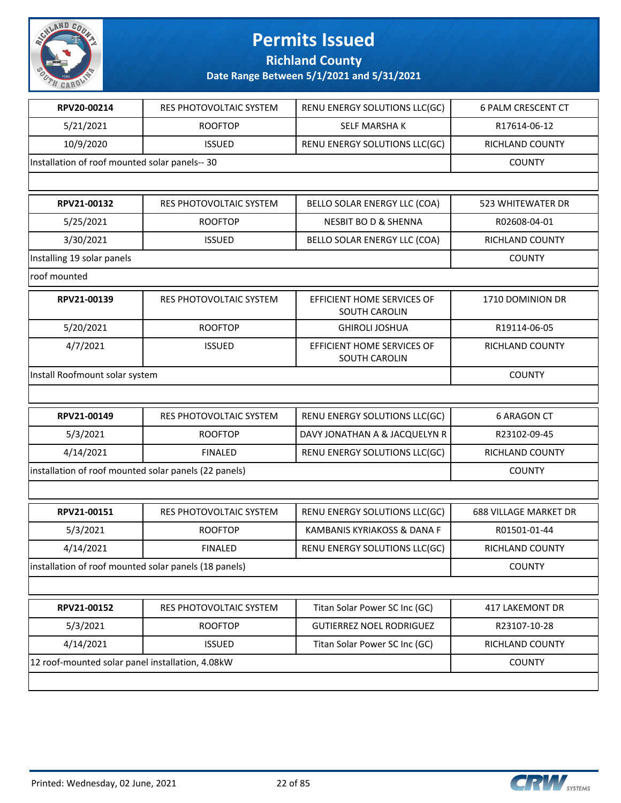

**Richland County**

| RPV20-00214                                           | RES PHOTOVOLTAIC SYSTEM | RENU ENERGY SOLUTIONS LLC(GC)               | <b>6 PALM CRESCENT CT</b>    |
|-------------------------------------------------------|-------------------------|---------------------------------------------|------------------------------|
| 5/21/2021                                             | <b>ROOFTOP</b>          | <b>SELF MARSHAK</b>                         | R17614-06-12                 |
| 10/9/2020                                             | <b>ISSUED</b>           | RENU ENERGY SOLUTIONS LLC(GC)               | RICHLAND COUNTY              |
| Installation of roof mounted solar panels-- 30        |                         |                                             | <b>COUNTY</b>                |
|                                                       |                         |                                             |                              |
| RPV21-00132                                           | RES PHOTOVOLTAIC SYSTEM | BELLO SOLAR ENERGY LLC (COA)                | <b>523 WHITEWATER DR</b>     |
| 5/25/2021                                             | <b>ROOFTOP</b>          | <b>NESBIT BO D &amp; SHENNA</b>             | R02608-04-01                 |
| 3/30/2021                                             | <b>ISSUED</b>           | BELLO SOLAR ENERGY LLC (COA)                | RICHLAND COUNTY              |
| Installing 19 solar panels                            |                         |                                             | <b>COUNTY</b>                |
| roof mounted                                          |                         |                                             |                              |
| RPV21-00139                                           | RES PHOTOVOLTAIC SYSTEM | EFFICIENT HOME SERVICES OF<br>SOUTH CAROLIN | 1710 DOMINION DR             |
| 5/20/2021                                             | <b>ROOFTOP</b>          | <b>GHIROLI JOSHUA</b>                       | R19114-06-05                 |
| 4/7/2021                                              | <b>ISSUED</b>           | EFFICIENT HOME SERVICES OF<br>SOUTH CAROLIN | <b>RICHLAND COUNTY</b>       |
| Install Roofmount solar system                        |                         |                                             | <b>COUNTY</b>                |
|                                                       |                         |                                             |                              |
| RPV21-00149                                           | RES PHOTOVOLTAIC SYSTEM | RENU ENERGY SOLUTIONS LLC(GC)               | <b>6 ARAGON CT</b>           |
| 5/3/2021                                              | <b>ROOFTOP</b>          | DAVY JONATHAN A & JACQUELYN R               | R23102-09-45                 |
| 4/14/2021                                             | <b>FINALED</b>          | RENU ENERGY SOLUTIONS LLC(GC)               | RICHLAND COUNTY              |
| installation of roof mounted solar panels (22 panels) | <b>COUNTY</b>           |                                             |                              |
|                                                       |                         |                                             |                              |
| RPV21-00151                                           | RES PHOTOVOLTAIC SYSTEM | RENU ENERGY SOLUTIONS LLC(GC)               | <b>688 VILLAGE MARKET DR</b> |
| 5/3/2021                                              | <b>ROOFTOP</b>          | KAMBANIS KYRIAKOSS & DANA F                 | R01501-01-44                 |
| 4/14/2021                                             | <b>FINALED</b>          | RENU ENERGY SOLUTIONS LLC(GC)               | RICHLAND COUNTY              |
| installation of roof mounted solar panels (18 panels) |                         |                                             | <b>COUNTY</b>                |
|                                                       |                         |                                             |                              |
| RPV21-00152                                           | RES PHOTOVOLTAIC SYSTEM | Titan Solar Power SC Inc (GC)               | 417 LAKEMONT DR              |
| 5/3/2021                                              | <b>ROOFTOP</b>          | <b>GUTIERREZ NOEL RODRIGUEZ</b>             | R23107-10-28                 |
| 4/14/2021                                             | <b>ISSUED</b>           | Titan Solar Power SC Inc (GC)               | RICHLAND COUNTY              |
| 12 roof-mounted solar panel installation, 4.08kW      |                         |                                             | <b>COUNTY</b>                |
|                                                       |                         |                                             |                              |

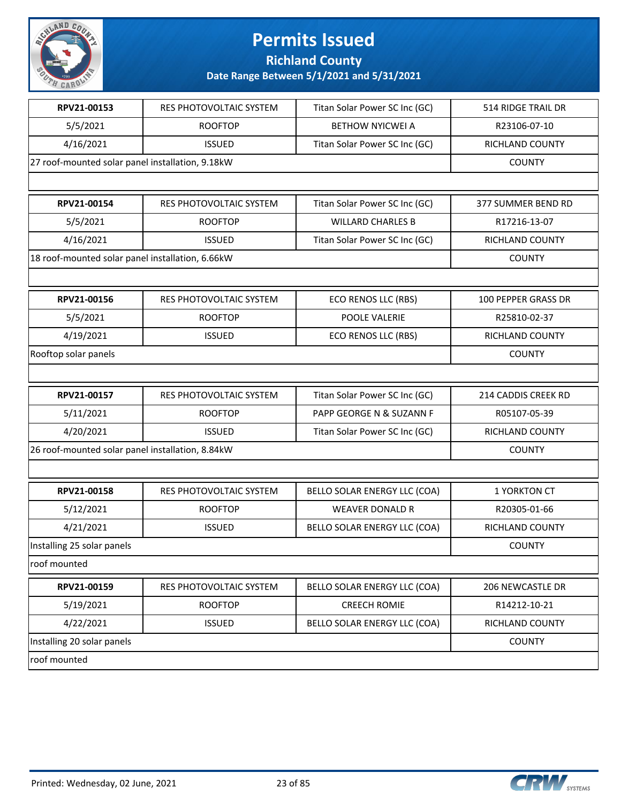

**Richland County**

| RPV21-00153                                      | RES PHOTOVOLTAIC SYSTEM        | Titan Solar Power SC Inc (GC) | 514 RIDGE TRAIL DR         |
|--------------------------------------------------|--------------------------------|-------------------------------|----------------------------|
| 5/5/2021                                         | <b>ROOFTOP</b>                 | <b>BETHOW NYICWEI A</b>       | R23106-07-10               |
| 4/16/2021                                        | <b>ISSUED</b>                  | Titan Solar Power SC Inc (GC) | RICHLAND COUNTY            |
| 27 roof-mounted solar panel installation, 9.18kW |                                |                               | <b>COUNTY</b>              |
|                                                  |                                |                               |                            |
| RPV21-00154                                      | RES PHOTOVOLTAIC SYSTEM        | Titan Solar Power SC Inc (GC) | 377 SUMMER BEND RD         |
| 5/5/2021                                         | <b>ROOFTOP</b>                 | <b>WILLARD CHARLES B</b>      | R17216-13-07               |
| 4/16/2021                                        | <b>ISSUED</b>                  | Titan Solar Power SC Inc (GC) | RICHLAND COUNTY            |
| 18 roof-mounted solar panel installation, 6.66kW |                                |                               | <b>COUNTY</b>              |
|                                                  |                                |                               |                            |
| RPV21-00156                                      | <b>RES PHOTOVOLTAIC SYSTEM</b> | ECO RENOS LLC (RBS)           | <b>100 PEPPER GRASS DR</b> |
| 5/5/2021                                         | <b>ROOFTOP</b>                 | POOLE VALERIE                 | R25810-02-37               |
| 4/19/2021                                        | <b>ISSUED</b>                  | ECO RENOS LLC (RBS)           | RICHLAND COUNTY            |
| Rooftop solar panels                             |                                |                               | <b>COUNTY</b>              |
|                                                  |                                |                               |                            |
| RPV21-00157                                      | RES PHOTOVOLTAIC SYSTEM        | Titan Solar Power SC Inc (GC) | 214 CADDIS CREEK RD        |
| 5/11/2021                                        | <b>ROOFTOP</b>                 | PAPP GEORGE N & SUZANN F      | R05107-05-39               |
| 4/20/2021                                        | <b>ISSUED</b>                  | Titan Solar Power SC Inc (GC) | RICHLAND COUNTY            |
| 26 roof-mounted solar panel installation, 8.84kW |                                |                               | <b>COUNTY</b>              |
|                                                  |                                |                               |                            |
| RPV21-00158                                      | RES PHOTOVOLTAIC SYSTEM        | BELLO SOLAR ENERGY LLC (COA)  | 1 YORKTON CT               |
| 5/12/2021                                        | <b>ROOFTOP</b>                 | <b>WEAVER DONALD R</b>        | R20305-01-66               |
| 4/21/2021                                        | <b>ISSUED</b>                  | BELLO SOLAR ENERGY LLC (COA)  | RICHLAND COUNTY            |
| Installing 25 solar panels                       |                                |                               | <b>COUNTY</b>              |
| roof mounted                                     |                                |                               |                            |
| RPV21-00159                                      | RES PHOTOVOLTAIC SYSTEM        | BELLO SOLAR ENERGY LLC (COA)  | 206 NEWCASTLE DR           |
| 5/19/2021                                        | <b>ROOFTOP</b>                 | <b>CREECH ROMIE</b>           | R14212-10-21               |
| 4/22/2021                                        | <b>ISSUED</b>                  | BELLO SOLAR ENERGY LLC (COA)  | <b>RICHLAND COUNTY</b>     |
| Installing 20 solar panels                       |                                |                               | <b>COUNTY</b>              |
| roof mounted                                     |                                |                               |                            |

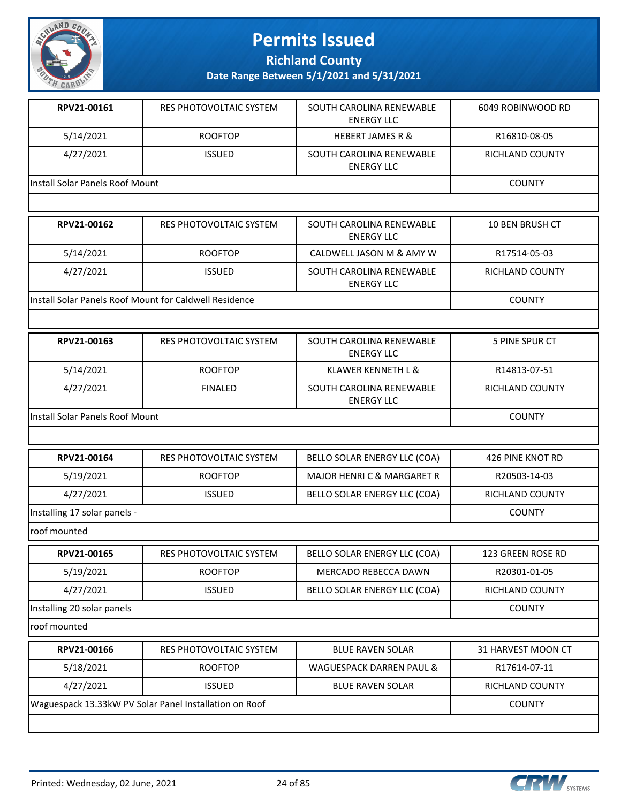

**Richland County**

**Date Range Between 5/1/2021 and 5/31/2021**

| RPV21-00161                     | RES PHOTOVOLTAIC SYSTEM | SOUTH CAROLINA RENEWABLE<br>ENERGY LLC        | 6049 ROBINWOOD RD |
|---------------------------------|-------------------------|-----------------------------------------------|-------------------|
| 5/14/2021                       | <b>ROOFTOP</b>          | <b>HEBERT JAMES R &amp;</b>                   | R16810-08-05      |
| 4/27/2021                       | <b>ISSUED</b>           | SOUTH CAROLINA RENEWABLE<br><b>ENERGY LLC</b> | RICHLAND COUNTY   |
| Install Solar Panels Roof Mount |                         |                                               | <b>COUNTY</b>     |

| RPV21-00162                                            | RES PHOTOVOLTAIC SYSTEM | SOUTH CAROLINA RENEWABLE<br>ENERGY LLC | <b>10 BEN BRUSH CT</b> |
|--------------------------------------------------------|-------------------------|----------------------------------------|------------------------|
| 5/14/2021                                              | <b>ROOFTOP</b>          | CALDWELL JASON M & AMY W               | R17514-05-03           |
| 4/27/2021                                              | ISSUED.                 | SOUTH CAROLINA RENEWABLE<br>ENERGY LLC | <b>RICHLAND COUNTY</b> |
| Install Solar Panels Roof Mount for Caldwell Residence |                         |                                        | <b>COUNTY</b>          |

| RPV21-00163                     | RES PHOTOVOLTAIC SYSTEM | SOUTH CAROLINA RENEWABLE<br>ENERGY LLC        | 5 PINE SPUR CT  |
|---------------------------------|-------------------------|-----------------------------------------------|-----------------|
| 5/14/2021                       | <b>ROOFTOP</b>          | KLAWER KENNETH L &                            | R14813-07-51    |
| 4/27/2021                       | <b>FINALED</b>          | SOUTH CAROLINA RENEWABLE<br><b>ENERGY LLC</b> | RICHLAND COUNTY |
| Install Solar Panels Roof Mount |                         |                                               | <b>COUNTY</b>   |

| RPV21-00164                  | RES PHOTOVOLTAIC SYSTEM | BELLO SOLAR ENERGY LLC (COA) | 426 PINE KNOT RD |
|------------------------------|-------------------------|------------------------------|------------------|
| 5/19/2021                    | <b>ROOFTOP</b>          | MAJOR HENRI C & MARGARET R   | R20503-14-03     |
| 4/27/2021                    | <b>ISSUED</b>           | BELLO SOLAR ENERGY LLC (COA) | RICHLAND COUNTY  |
| Installing 17 solar panels - |                         |                              | <b>COUNTY</b>    |

roof mounted

| RPV21-00165                | RES PHOTOVOLTAIC SYSTEM | BELLO SOLAR ENERGY LLC (COA) | 123 GREEN ROSE RD |
|----------------------------|-------------------------|------------------------------|-------------------|
| 5/19/2021                  | <b>ROOFTOP</b>          | MERCADO REBECCA DAWN         | R20301-01-05      |
| 4/27/2021                  | <b>ISSUED</b>           | BELLO SOLAR ENERGY LLC (COA) | RICHLAND COUNTY   |
| Installing 20 solar panels |                         |                              | <b>COUNTY</b>     |
| المصلحين بصمما كالصصما     |                         |                              |                   |

roof mounted

| RPV21-00166                                            | RES PHOTOVOLTAIC SYSTEM | <b>BLUE RAVEN SOLAR</b>  | 31 HARVEST MOON CT |
|--------------------------------------------------------|-------------------------|--------------------------|--------------------|
| 5/18/2021                                              | <b>ROOFTOP</b>          | WAGUESPACK DARREN PAUL & | R17614-07-11       |
| 4/27/2021                                              | <b>ISSUED</b>           | <b>BLUE RAVEN SOLAR</b>  | RICHLAND COUNTY    |
| Waguespack 13.33kW PV Solar Panel Installation on Roof |                         |                          | <b>COUNTY</b>      |
|                                                        |                         |                          |                    |

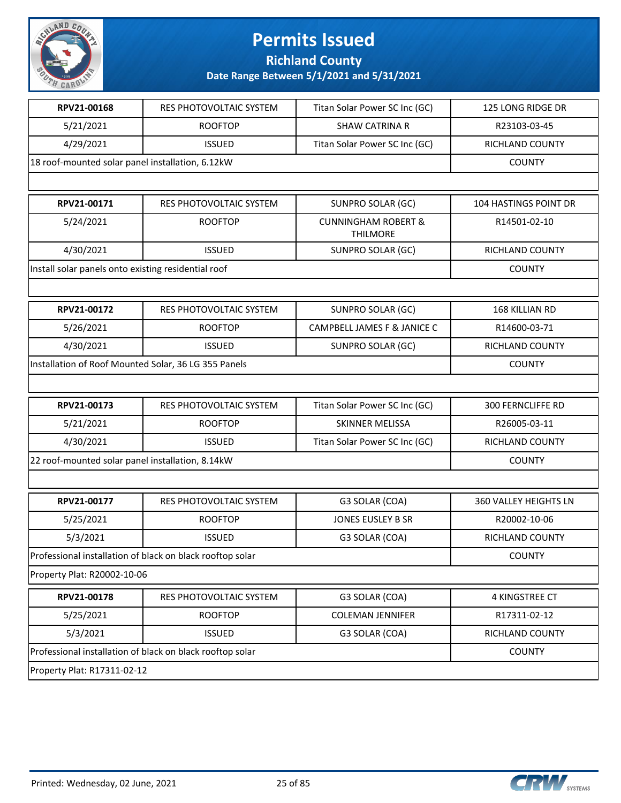

**Richland County**

| RPV21-00168                                          | RES PHOTOVOLTAIC SYSTEM                                   | Titan Solar Power SC Inc (GC)                     | 125 LONG RIDGE DR        |
|------------------------------------------------------|-----------------------------------------------------------|---------------------------------------------------|--------------------------|
| 5/21/2021                                            | <b>ROOFTOP</b>                                            | <b>SHAW CATRINA R</b>                             | R23103-03-45             |
| 4/29/2021                                            | <b>ISSUED</b>                                             | Titan Solar Power SC Inc (GC)                     | RICHLAND COUNTY          |
| 18 roof-mounted solar panel installation, 6.12kW     |                                                           |                                                   | <b>COUNTY</b>            |
|                                                      |                                                           |                                                   |                          |
| RPV21-00171                                          | RES PHOTOVOLTAIC SYSTEM                                   | SUNPRO SOLAR (GC)                                 | 104 HASTINGS POINT DR    |
| 5/24/2021                                            | <b>ROOFTOP</b>                                            | <b>CUNNINGHAM ROBERT &amp;</b><br><b>THILMORE</b> | R14501-02-10             |
| 4/30/2021                                            | <b>ISSUED</b>                                             | SUNPRO SOLAR (GC)                                 | RICHLAND COUNTY          |
| Install solar panels onto existing residential roof  |                                                           |                                                   | <b>COUNTY</b>            |
|                                                      |                                                           |                                                   |                          |
| RPV21-00172                                          | RES PHOTOVOLTAIC SYSTEM                                   | SUNPRO SOLAR (GC)                                 | 168 KILLIAN RD           |
| 5/26/2021                                            | <b>ROOFTOP</b>                                            | CAMPBELL JAMES F & JANICE C                       | R14600-03-71             |
| 4/30/2021                                            | <b>ISSUED</b>                                             | SUNPRO SOLAR (GC)                                 | RICHLAND COUNTY          |
| Installation of Roof Mounted Solar, 36 LG 355 Panels |                                                           |                                                   | <b>COUNTY</b>            |
|                                                      |                                                           |                                                   |                          |
| RPV21-00173                                          | RES PHOTOVOLTAIC SYSTEM                                   | Titan Solar Power SC Inc (GC)                     | <b>300 FERNCLIFFE RD</b> |
| 5/21/2021                                            | <b>ROOFTOP</b>                                            | SKINNER MELISSA                                   | R26005-03-11             |
| 4/30/2021                                            | <b>ISSUED</b>                                             | Titan Solar Power SC Inc (GC)                     | RICHLAND COUNTY          |
| 22 roof-mounted solar panel installation, 8.14kW     |                                                           |                                                   | <b>COUNTY</b>            |
|                                                      |                                                           |                                                   |                          |
| RPV21-00177                                          | RES PHOTOVOLTAIC SYSTEM                                   | G3 SOLAR (COA)                                    | 360 VALLEY HEIGHTS LN    |
| 5/25/2021                                            | <b>ROOFTOP</b>                                            | JONES EUSLEY B SR                                 | R20002-10-06             |
| 5/3/2021                                             | <b>ISSUED</b>                                             | G3 SOLAR (COA)                                    | RICHLAND COUNTY          |
|                                                      | Professional installation of black on black rooftop solar |                                                   | <b>COUNTY</b>            |
| Property Plat: R20002-10-06                          |                                                           |                                                   |                          |
| RPV21-00178                                          | RES PHOTOVOLTAIC SYSTEM                                   | G3 SOLAR (COA)                                    | 4 KINGSTREE CT           |
| 5/25/2021                                            | <b>ROOFTOP</b>                                            | <b>COLEMAN JENNIFER</b>                           | R17311-02-12             |
| 5/3/2021                                             | <b>ISSUED</b>                                             | G3 SOLAR (COA)                                    | RICHLAND COUNTY          |
|                                                      | Professional installation of black on black rooftop solar |                                                   | <b>COUNTY</b>            |
| Property Plat: R17311-02-12                          |                                                           |                                                   |                          |

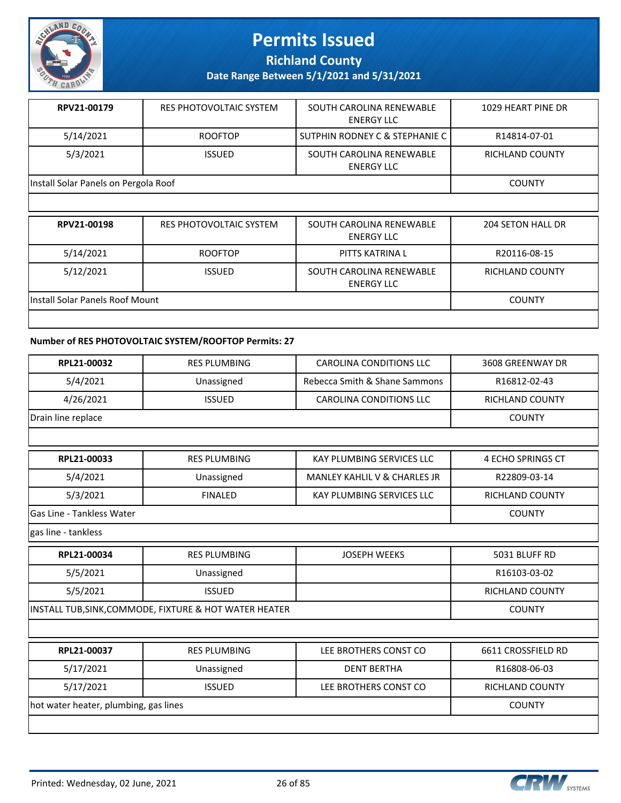

**Richland County**

**Date Range Between 5/1/2021 and 5/31/2021**

| RPV21-00179                          | RES PHOTOVOLTAIC SYSTEM | SOUTH CAROLINA RENEWABLE<br>ENERGY LLC        | 1029 HEART PINE DR |
|--------------------------------------|-------------------------|-----------------------------------------------|--------------------|
| 5/14/2021                            | <b>ROOFTOP</b>          | SUTPHIN RODNEY C & STEPHANIE C                | R14814-07-01       |
| 5/3/2021                             | <b>ISSUED</b>           | SOUTH CAROLINA RENEWABLE<br><b>ENERGY LLC</b> | RICHLAND COUNTY    |
| Install Solar Panels on Pergola Roof |                         |                                               | <b>COUNTY</b>      |

| RPV21-00198                     | RES PHOTOVOLTAIC SYSTEM | SOUTH CAROLINA RENEWABLE<br><b>ENERGY LLC</b> | 204 SETON HALL DR |
|---------------------------------|-------------------------|-----------------------------------------------|-------------------|
| 5/14/2021                       | <b>ROOFTOP</b>          | PITTS KATRINA L                               | R20116-08-15      |
| 5/12/2021                       | <b>ISSUED</b>           | SOUTH CAROLINA RENEWABLE<br><b>ENERGY LLC</b> | RICHLAND COUNTY   |
| Install Solar Panels Roof Mount |                         |                                               | <b>COUNTY</b>     |
|                                 |                         |                                               |                   |

### **Number of RES PHOTOVOLTAIC SYSTEM/ROOFTOP Permits: 27**

| RPL21-00032                           | <b>RES PLUMBING</b>                                    | <b>CAROLINA CONDITIONS LLC</b>          | 3608 GREENWAY DR         |
|---------------------------------------|--------------------------------------------------------|-----------------------------------------|--------------------------|
| 5/4/2021                              | Unassigned                                             | Rebecca Smith & Shane Sammons           | R16812-02-43             |
| 4/26/2021                             | <b>ISSUED</b>                                          | <b>CAROLINA CONDITIONS LLC</b>          | RICHLAND COUNTY          |
| Drain line replace                    |                                                        |                                         | <b>COUNTY</b>            |
|                                       |                                                        |                                         |                          |
| RPL21-00033                           | <b>RES PLUMBING</b>                                    | <b>KAY PLUMBING SERVICES LLC</b>        | <b>4 ECHO SPRINGS CT</b> |
| 5/4/2021                              | Unassigned                                             | <b>MANLEY KAHLIL V &amp; CHARLES JR</b> | R22809-03-14             |
| 5/3/2021                              | <b>FINALED</b>                                         | <b>KAY PLUMBING SERVICES LLC</b>        | <b>RICHLAND COUNTY</b>   |
| Gas Line - Tankless Water             | <b>COUNTY</b>                                          |                                         |                          |
| gas line - tankless                   |                                                        |                                         |                          |
| RPL21-00034                           | <b>RES PLUMBING</b>                                    | <b>JOSEPH WEEKS</b>                     | 5031 BLUFF RD            |
| 5/5/2021                              | Unassigned                                             |                                         | R16103-03-02             |
| 5/5/2021                              | <b>ISSUED</b>                                          |                                         | RICHLAND COUNTY          |
|                                       | INSTALL TUB, SINK, COMMODE, FIXTURE & HOT WATER HEATER |                                         | <b>COUNTY</b>            |
|                                       |                                                        |                                         |                          |
| RPL21-00037                           | <b>RES PLUMBING</b>                                    | LEE BROTHERS CONST CO                   | 6611 CROSSFIELD RD       |
| 5/17/2021                             | Unassigned                                             | <b>DENT BERTHA</b>                      | R16808-06-03             |
| 5/17/2021                             | <b>ISSUED</b>                                          | LEE BROTHERS CONST CO                   | <b>RICHLAND COUNTY</b>   |
| hot water heater, plumbing, gas lines |                                                        |                                         | <b>COUNTY</b>            |
|                                       |                                                        |                                         |                          |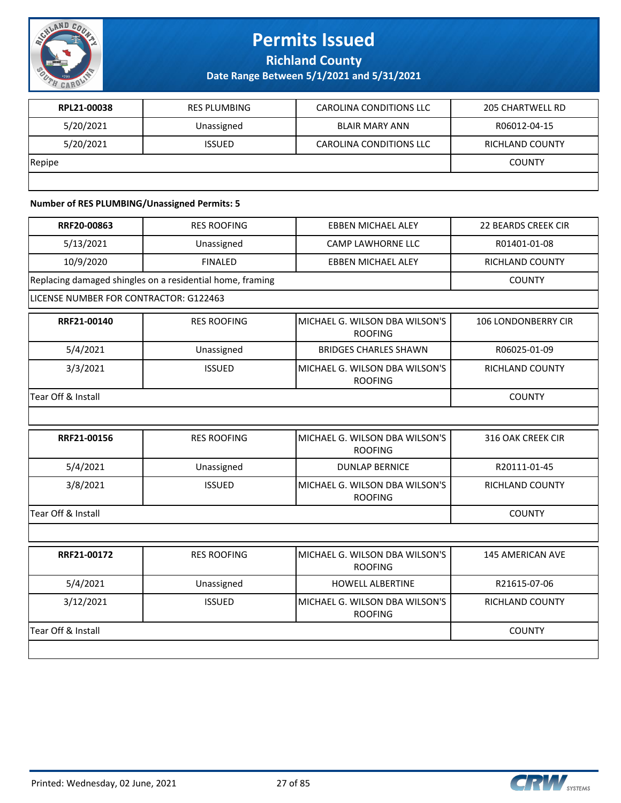

**Richland County**

**Date Range Between 5/1/2021 and 5/31/2021**

| RPL21-00038 | <b>RES PLUMBING</b> | CAROLINA CONDITIONS LLC | 205 CHARTWELL RD |
|-------------|---------------------|-------------------------|------------------|
| 5/20/2021   | Unassigned          | BLAIR MARY ANN          | R06012-04-15     |
| 5/20/2021   | <b>ISSUED</b>       | CAROLINA CONDITIONS LLC | RICHLAND COUNTY  |
| Repipe      |                     |                         | <b>COUNTY</b>    |
|             |                     |                         |                  |

#### **Number of RES PLUMBING/Unassigned Permits: 5**

| RRF20-00863                            | <b>RES ROOFING</b>                                        | <b>EBBEN MICHAEL ALEY</b>                        | <b>22 BEARDS CREEK CIR</b> |
|----------------------------------------|-----------------------------------------------------------|--------------------------------------------------|----------------------------|
| 5/13/2021                              | Unassigned                                                | <b>CAMP LAWHORNE LLC</b>                         | R01401-01-08               |
| 10/9/2020                              | <b>FINALED</b>                                            | <b>EBBEN MICHAEL ALEY</b>                        | <b>RICHLAND COUNTY</b>     |
|                                        | Replacing damaged shingles on a residential home, framing |                                                  | <b>COUNTY</b>              |
| LICENSE NUMBER FOR CONTRACTOR: G122463 |                                                           |                                                  |                            |
| RRF21-00140                            | <b>RES ROOFING</b>                                        | MICHAEL G. WILSON DBA WILSON'S<br><b>ROOFING</b> | <b>106 LONDONBERRY CIR</b> |
| 5/4/2021                               | Unassigned                                                | <b>BRIDGES CHARLES SHAWN</b>                     | R06025-01-09               |
| 3/3/2021                               | <b>ISSUED</b>                                             | MICHAEL G. WILSON DBA WILSON'S<br><b>ROOFING</b> | <b>RICHLAND COUNTY</b>     |
| Tear Off & Install                     |                                                           |                                                  | <b>COUNTY</b>              |
|                                        |                                                           |                                                  |                            |
| RRF21-00156                            | <b>RES ROOFING</b>                                        | MICHAEL G. WILSON DBA WILSON'S<br><b>ROOFING</b> | 316 OAK CREEK CIR          |
| 5/4/2021                               | Unassigned                                                | <b>DUNLAP BERNICE</b>                            | R20111-01-45               |
| 3/8/2021                               | <b>ISSUED</b>                                             | MICHAEL G. WILSON DBA WILSON'S<br><b>ROOFING</b> | <b>RICHLAND COUNTY</b>     |
| Tear Off & Install                     |                                                           |                                                  | <b>COUNTY</b>              |
|                                        |                                                           |                                                  |                            |
| RRF21-00172                            | <b>RES ROOFING</b>                                        | MICHAEL G. WILSON DBA WILSON'S<br><b>ROOFING</b> | <b>145 AMERICAN AVE</b>    |
| 5/4/2021                               | Unassigned                                                | <b>HOWELL ALBERTINE</b>                          | R21615-07-06               |
| 3/12/2021                              | <b>ISSUED</b>                                             | MICHAEL G. WILSON DBA WILSON'S<br><b>ROOFING</b> | RICHLAND COUNTY            |
| Tear Off & Install                     |                                                           |                                                  | <b>COUNTY</b>              |
|                                        |                                                           |                                                  |                            |

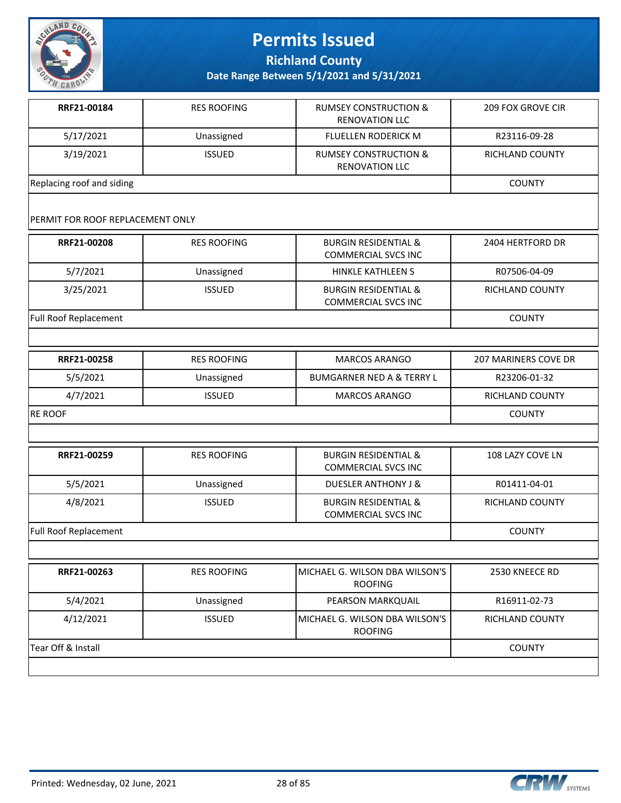

**Richland County**

**Date Range Between 5/1/2021 and 5/31/2021**

| RRF21-00184               | <b>RES ROOFING</b> | <b>RUMSEY CONSTRUCTION &amp;</b><br>RENOVATION LLC        | <b>209 FOX GROVE CIR</b> |
|---------------------------|--------------------|-----------------------------------------------------------|--------------------------|
| 5/17/2021                 | Unassigned         | <b>FLUELLEN RODERICK M</b>                                | R23116-09-28             |
| 3/19/2021                 | <b>ISSUED</b>      | <b>RUMSEY CONSTRUCTION &amp;</b><br><b>RENOVATION LLC</b> | <b>RICHLAND COUNTY</b>   |
| Replacing roof and siding |                    |                                                           | COUNTY                   |

#### PERMIT FOR ROOF REPLACEMENT ONLY

| RRF21-00208                  | <b>RES ROOFING</b> | <b>BURGIN RESIDENTIAL &amp;</b><br><b>COMMERCIAL SVCS INC</b> | 2404 HERTFORD DR       |
|------------------------------|--------------------|---------------------------------------------------------------|------------------------|
| 5/7/2021                     | Unassigned         | HINKLE KATHLEEN S                                             | R07506-04-09           |
| 3/25/2021                    | <b>ISSUED</b>      | <b>BURGIN RESIDENTIAL &amp;</b><br><b>COMMERCIAL SVCS INC</b> | <b>RICHLAND COUNTY</b> |
| <b>Full Roof Replacement</b> |                    |                                                               |                        |

| RRF21-00258     | <b>RES ROOFING</b> | <b>MARCOS ARANGO</b>                 | 207 MARINERS COVE DR |
|-----------------|--------------------|--------------------------------------|----------------------|
| 5/5/2021        | Unassigned         | <b>BUMGARNER NED A &amp; TERRY L</b> | R23206-01-32         |
| 4/7/2021        | <b>ISSUED</b>      | <b>MARCOS ARANGO</b>                 | RICHLAND COUNTY      |
| <b>IRE ROOF</b> |                    |                                      | <b>COUNTY</b>        |

| RRF21-00259           | <b>RES ROOFING</b> | <b>BURGIN RESIDENTIAL &amp;</b><br><b>COMMERCIAL SVCS INC</b> | 108 LAZY COVE LN |
|-----------------------|--------------------|---------------------------------------------------------------|------------------|
| 5/5/2021              | Unassigned         | <b>DUESLER ANTHONY J &amp;</b>                                | R01411-04-01     |
| 4/8/2021              | <b>ISSUED</b>      | <b>BURGIN RESIDENTIAL &amp;</b><br><b>COMMERCIAL SVCS INC</b> | RICHLAND COUNTY  |
| Full Roof Replacement |                    |                                                               | <b>COUNTY</b>    |

**RRF21-00263** RES ROOFING MICHAEL G. WILSON DBA WILSON'S ROOFING 2530 KNEECE RD 5/4/2021 Unassigned PEARSON MARKQUAIL R16911-02-73 4/12/2021 ISSUED MICHAEL G. WILSON DBA WILSON'S ROOFING RICHLAND COUNTY Tear Off & Install COUNTY

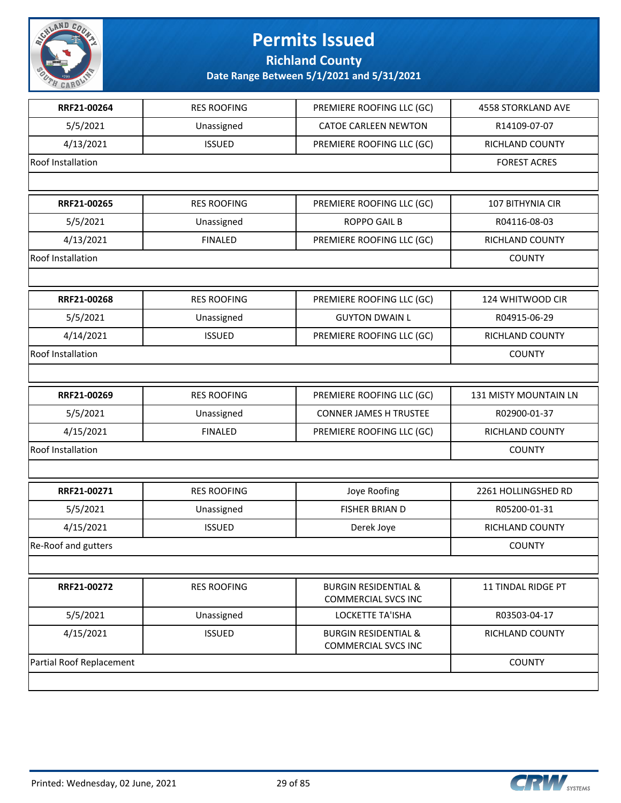

**Richland County**

| RRF21-00264              | <b>RES ROOFING</b> | PREMIERE ROOFING LLC (GC)                                     | <b>4558 STORKLAND AVE</b> |
|--------------------------|--------------------|---------------------------------------------------------------|---------------------------|
| 5/5/2021                 | Unassigned         | <b>CATOE CARLEEN NEWTON</b>                                   | R14109-07-07              |
| 4/13/2021                | <b>ISSUED</b>      | PREMIERE ROOFING LLC (GC)                                     | RICHLAND COUNTY           |
| Roof Installation        |                    |                                                               | <b>FOREST ACRES</b>       |
|                          |                    |                                                               |                           |
| RRF21-00265              | <b>RES ROOFING</b> | PREMIERE ROOFING LLC (GC)                                     | 107 BITHYNIA CIR          |
| 5/5/2021                 | Unassigned         | <b>ROPPO GAIL B</b>                                           | R04116-08-03              |
| 4/13/2021                | <b>FINALED</b>     | PREMIERE ROOFING LLC (GC)                                     | <b>RICHLAND COUNTY</b>    |
| Roof Installation        |                    |                                                               | <b>COUNTY</b>             |
|                          |                    |                                                               |                           |
| RRF21-00268              | <b>RES ROOFING</b> | PREMIERE ROOFING LLC (GC)                                     | 124 WHITWOOD CIR          |
| 5/5/2021                 | Unassigned         | <b>GUYTON DWAIN L</b>                                         | R04915-06-29              |
| 4/14/2021                | <b>ISSUED</b>      | PREMIERE ROOFING LLC (GC)                                     | RICHLAND COUNTY           |
| Roof Installation        |                    |                                                               | <b>COUNTY</b>             |
|                          |                    |                                                               |                           |
| RRF21-00269              | <b>RES ROOFING</b> | PREMIERE ROOFING LLC (GC)                                     | 131 MISTY MOUNTAIN LN     |
| 5/5/2021                 | Unassigned         | <b>CONNER JAMES H TRUSTEE</b>                                 | R02900-01-37              |
| 4/15/2021                | <b>FINALED</b>     | PREMIERE ROOFING LLC (GC)                                     | RICHLAND COUNTY           |
| Roof Installation        |                    |                                                               | <b>COUNTY</b>             |
|                          |                    |                                                               |                           |
| RRF21-00271              | <b>RES ROOFING</b> | Joye Roofing                                                  | 2261 HOLLINGSHED RD       |
| 5/5/2021                 | Unassigned         | FISHER BRIAN D                                                | R05200-01-31              |
| 4/15/2021                | <b>ISSUED</b>      | Derek Joye                                                    | RICHLAND COUNTY           |
| Re-Roof and gutters      |                    |                                                               | <b>COUNTY</b>             |
|                          |                    |                                                               |                           |
| RRF21-00272              | <b>RES ROOFING</b> | <b>BURGIN RESIDENTIAL &amp;</b><br><b>COMMERCIAL SVCS INC</b> | 11 TINDAL RIDGE PT        |
| 5/5/2021                 | Unassigned         | <b>LOCKETTE TA'ISHA</b>                                       | R03503-04-17              |
| 4/15/2021                | <b>ISSUED</b>      | <b>BURGIN RESIDENTIAL &amp;</b><br><b>COMMERCIAL SVCS INC</b> | <b>RICHLAND COUNTY</b>    |
| Partial Roof Replacement |                    |                                                               | <b>COUNTY</b>             |
|                          |                    |                                                               |                           |

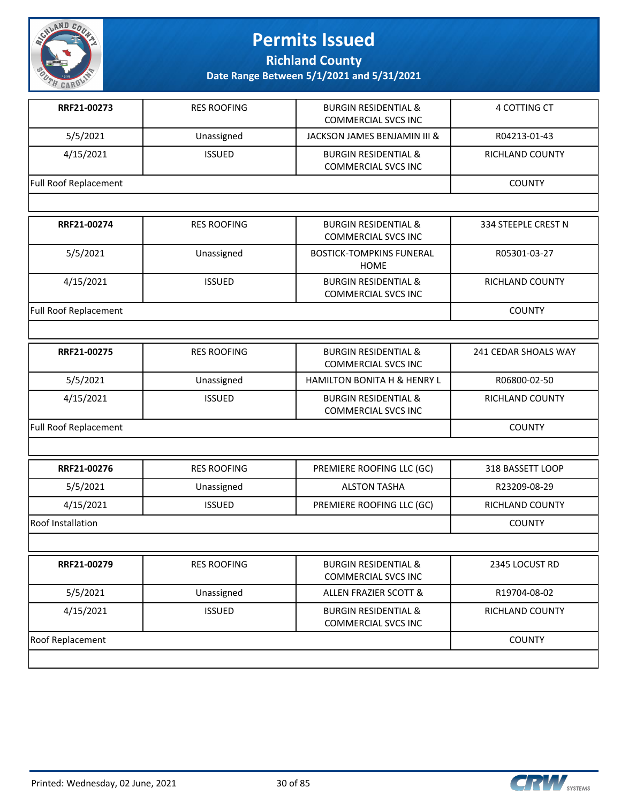

**Richland County**

| RRF21-00273                  | <b>RES ROOFING</b> | <b>BURGIN RESIDENTIAL &amp;</b><br><b>COMMERCIAL SVCS INC</b> | 4 COTTING CT           |
|------------------------------|--------------------|---------------------------------------------------------------|------------------------|
| 5/5/2021                     | Unassigned         | JACKSON JAMES BENJAMIN III &                                  | R04213-01-43           |
| 4/15/2021                    | <b>ISSUED</b>      | <b>BURGIN RESIDENTIAL &amp;</b><br><b>COMMERCIAL SVCS INC</b> | <b>RICHLAND COUNTY</b> |
| Full Roof Replacement        |                    |                                                               | <b>COUNTY</b>          |
|                              |                    |                                                               |                        |
| RRF21-00274                  | <b>RES ROOFING</b> | <b>BURGIN RESIDENTIAL &amp;</b><br><b>COMMERCIAL SVCS INC</b> | 334 STEEPLE CREST N    |
| 5/5/2021                     | Unassigned         | <b>BOSTICK-TOMPKINS FUNERAL</b><br><b>HOME</b>                | R05301-03-27           |
| 4/15/2021                    | <b>ISSUED</b>      | <b>BURGIN RESIDENTIAL &amp;</b><br><b>COMMERCIAL SVCS INC</b> | RICHLAND COUNTY        |
| <b>Full Roof Replacement</b> |                    |                                                               | <b>COUNTY</b>          |
|                              |                    |                                                               |                        |
| RRF21-00275                  | <b>RES ROOFING</b> | <b>BURGIN RESIDENTIAL &amp;</b><br><b>COMMERCIAL SVCS INC</b> | 241 CEDAR SHOALS WAY   |
| 5/5/2021                     | Unassigned         | HAMILTON BONITA H & HENRY L                                   | R06800-02-50           |
| 4/15/2021                    | <b>ISSUED</b>      | <b>BURGIN RESIDENTIAL &amp;</b><br><b>COMMERCIAL SVCS INC</b> | RICHLAND COUNTY        |
| Full Roof Replacement        |                    |                                                               | <b>COUNTY</b>          |
|                              |                    |                                                               |                        |
| RRF21-00276                  | <b>RES ROOFING</b> | PREMIERE ROOFING LLC (GC)                                     | 318 BASSETT LOOP       |
| 5/5/2021                     | Unassigned         | <b>ALSTON TASHA</b>                                           | R23209-08-29           |
| 4/15/2021                    | <b>ISSUED</b>      | PREMIERE ROOFING LLC (GC)                                     | RICHLAND COUNTY        |
| Roof Installation            |                    |                                                               | <b>COUNTY</b>          |
|                              |                    |                                                               |                        |
| RRF21-00279                  | <b>RES ROOFING</b> | <b>BURGIN RESIDENTIAL &amp;</b><br><b>COMMERCIAL SVCS INC</b> | 2345 LOCUST RD         |
| 5/5/2021                     | Unassigned         | <b>ALLEN FRAZIER SCOTT &amp;</b>                              | R19704-08-02           |
| 4/15/2021                    | <b>ISSUED</b>      | <b>BURGIN RESIDENTIAL &amp;</b><br><b>COMMERCIAL SVCS INC</b> | RICHLAND COUNTY        |
| Roof Replacement             |                    |                                                               | <b>COUNTY</b>          |
|                              |                    |                                                               |                        |

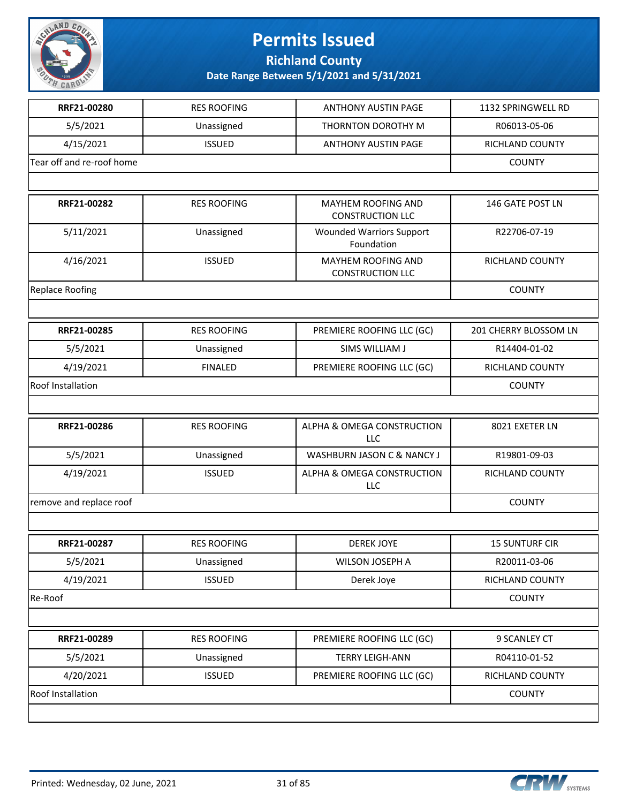

**Richland County**

| RRF21-00280               | <b>RES ROOFING</b> | <b>ANTHONY AUSTIN PAGE</b>                    | 1132 SPRINGWELL RD     |
|---------------------------|--------------------|-----------------------------------------------|------------------------|
| 5/5/2021                  | Unassigned         | THORNTON DOROTHY M                            | R06013-05-06           |
| 4/15/2021                 | <b>ISSUED</b>      | <b>ANTHONY AUSTIN PAGE</b>                    | RICHLAND COUNTY        |
| Tear off and re-roof home |                    |                                               | <b>COUNTY</b>          |
|                           |                    |                                               |                        |
| RRF21-00282               | <b>RES ROOFING</b> | MAYHEM ROOFING AND<br><b>CONSTRUCTION LLC</b> | 146 GATE POST LN       |
| 5/11/2021                 | Unassigned         | <b>Wounded Warriors Support</b><br>Foundation | R22706-07-19           |
| 4/16/2021                 | <b>ISSUED</b>      | MAYHEM ROOFING AND<br><b>CONSTRUCTION LLC</b> | RICHLAND COUNTY        |
| <b>Replace Roofing</b>    |                    |                                               | <b>COUNTY</b>          |
|                           |                    |                                               |                        |
| RRF21-00285               | <b>RES ROOFING</b> | PREMIERE ROOFING LLC (GC)                     | 201 CHERRY BLOSSOM LN  |
| 5/5/2021                  | Unassigned         | SIMS WILLIAM J                                | R14404-01-02           |
| 4/19/2021                 | <b>FINALED</b>     | PREMIERE ROOFING LLC (GC)                     | <b>RICHLAND COUNTY</b> |
| Roof Installation         |                    |                                               | <b>COUNTY</b>          |
|                           |                    |                                               |                        |
| RRF21-00286               | <b>RES ROOFING</b> | ALPHA & OMEGA CONSTRUCTION<br><b>LLC</b>      | 8021 EXETER LN         |
| 5/5/2021                  | Unassigned         | WASHBURN JASON C & NANCY J                    | R19801-09-03           |
| 4/19/2021                 | <b>ISSUED</b>      | ALPHA & OMEGA CONSTRUCTION<br>LLC             | RICHLAND COUNTY        |
| remove and replace roof   |                    |                                               | <b>COUNTY</b>          |
|                           |                    |                                               |                        |
| RRF21-00287               | <b>RES ROOFING</b> | <b>DEREK JOYE</b>                             | <b>15 SUNTURF CIR</b>  |
| 5/5/2021                  | Unassigned         | WILSON JOSEPH A                               | R20011-03-06           |
| 4/19/2021                 | <b>ISSUED</b>      | Derek Joye                                    | RICHLAND COUNTY        |
| Re-Roof                   |                    |                                               | <b>COUNTY</b>          |
|                           |                    |                                               |                        |
| RRF21-00289               | <b>RES ROOFING</b> | PREMIERE ROOFING LLC (GC)                     | 9 SCANLEY CT           |
| 5/5/2021                  | Unassigned         | <b>TERRY LEIGH-ANN</b>                        | R04110-01-52           |
| 4/20/2021                 | <b>ISSUED</b>      | PREMIERE ROOFING LLC (GC)                     | <b>RICHLAND COUNTY</b> |
| Roof Installation         |                    |                                               | <b>COUNTY</b>          |
|                           |                    |                                               |                        |
|                           |                    |                                               |                        |

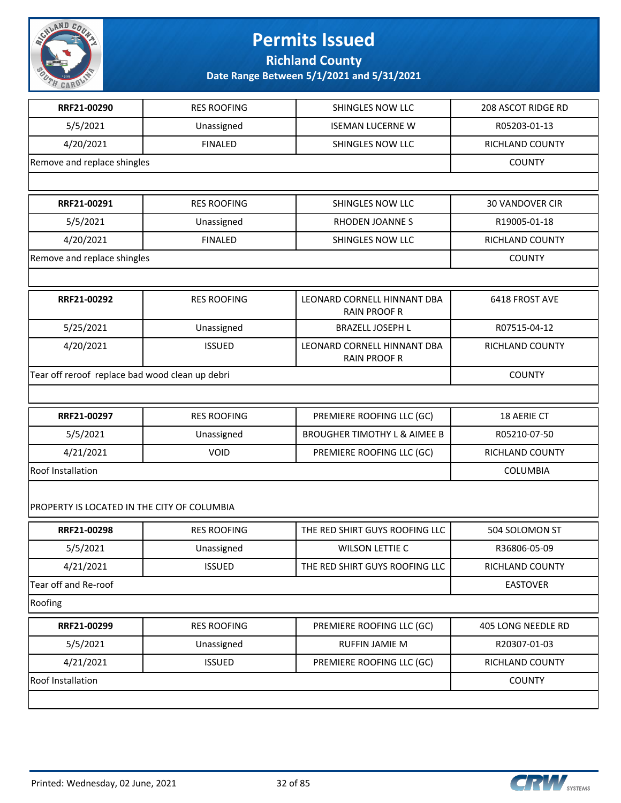

### **Permits Issued Richland County**

|                                                 | <b>RES ROOFING</b> | SHINGLES NOW LLC                                   | 208 ASCOT RIDGE RD     |
|-------------------------------------------------|--------------------|----------------------------------------------------|------------------------|
| 5/5/2021                                        | Unassigned         | <b>ISEMAN LUCERNE W</b>                            | R05203-01-13           |
| 4/20/2021                                       | <b>FINALED</b>     | SHINGLES NOW LLC                                   | RICHLAND COUNTY        |
| Remove and replace shingles                     | <b>COUNTY</b>      |                                                    |                        |
|                                                 |                    |                                                    |                        |
| RRF21-00291                                     | <b>RES ROOFING</b> | SHINGLES NOW LLC                                   | <b>30 VANDOVER CIR</b> |
| 5/5/2021                                        | Unassigned         | RHODEN JOANNES                                     | R19005-01-18           |
| 4/20/2021                                       | <b>FINALED</b>     | SHINGLES NOW LLC                                   | <b>RICHLAND COUNTY</b> |
| Remove and replace shingles                     |                    |                                                    | <b>COUNTY</b>          |
|                                                 |                    |                                                    |                        |
| RRF21-00292                                     | <b>RES ROOFING</b> | LEONARD CORNELL HINNANT DBA<br><b>RAIN PROOF R</b> | 6418 FROST AVE         |
| 5/25/2021                                       | Unassigned         | <b>BRAZELL JOSEPH L</b>                            | R07515-04-12           |
| 4/20/2021                                       | <b>ISSUED</b>      | LEONARD CORNELL HINNANT DBA<br><b>RAIN PROOF R</b> | RICHLAND COUNTY        |
| Tear off reroof replace bad wood clean up debri |                    |                                                    | <b>COUNTY</b>          |
|                                                 |                    |                                                    |                        |
| RRF21-00297                                     | <b>RES ROOFING</b> | PREMIERE ROOFING LLC (GC)                          | 18 AERIE CT            |
|                                                 |                    |                                                    |                        |
| 5/5/2021                                        | Unassigned         | <b>BROUGHER TIMOTHY L &amp; AIMEE B</b>            | R05210-07-50           |
| 4/21/2021                                       | <b>VOID</b>        | PREMIERE ROOFING LLC (GC)                          | RICHLAND COUNTY        |
| <b>Roof Installation</b>                        |                    |                                                    | COLUMBIA               |
| PROPERTY IS LOCATED IN THE CITY OF COLUMBIA     |                    |                                                    |                        |
| RRF21-00298                                     | <b>RES ROOFING</b> | THE RED SHIRT GUYS ROOFING LLC                     | 504 SOLOMON ST         |
| 5/5/2021                                        | Unassigned         | <b>WILSON LETTIE C</b>                             | R36806-05-09           |
| 4/21/2021                                       | <b>ISSUED</b>      | THE RED SHIRT GUYS ROOFING LLC                     | <b>RICHLAND COUNTY</b> |
| Tear off and Re-roof                            |                    |                                                    | <b>EASTOVER</b>        |
| Roofing                                         |                    |                                                    |                        |
| RRF21-00299                                     | <b>RES ROOFING</b> | PREMIERE ROOFING LLC (GC)                          | 405 LONG NEEDLE RD     |
| 5/5/2021                                        | Unassigned         | <b>RUFFIN JAMIE M</b>                              | R20307-01-03           |
| 4/21/2021                                       | <b>ISSUED</b>      | PREMIERE ROOFING LLC (GC)                          | RICHLAND COUNTY        |

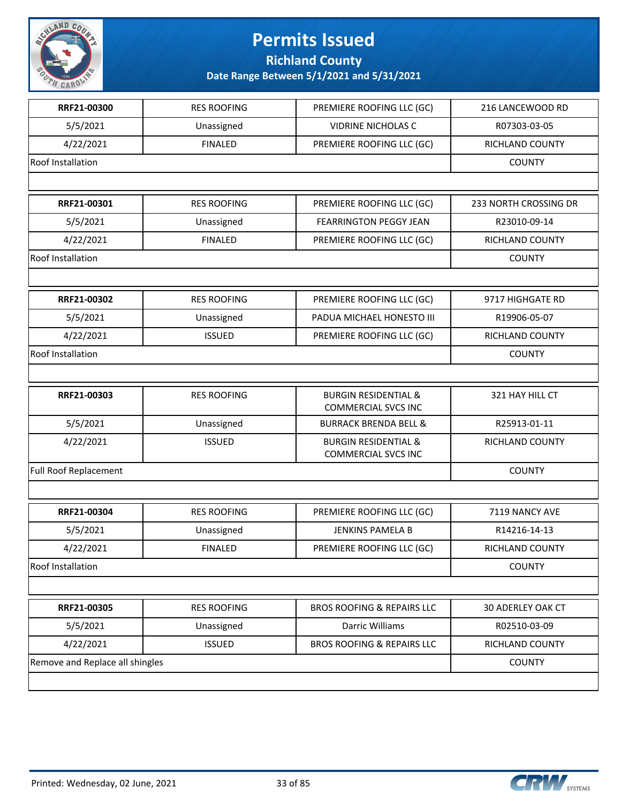

**Richland County**

| RRF21-00300                     | <b>RES ROOFING</b> | PREMIERE ROOFING LLC (GC)                                     | 216 LANCEWOOD RD       |
|---------------------------------|--------------------|---------------------------------------------------------------|------------------------|
| 5/5/2021                        | Unassigned         | <b>VIDRINE NICHOLAS C</b>                                     | R07303-03-05           |
| 4/22/2021                       | <b>FINALED</b>     | PREMIERE ROOFING LLC (GC)                                     | <b>RICHLAND COUNTY</b> |
| Roof Installation               |                    |                                                               | <b>COUNTY</b>          |
|                                 |                    |                                                               |                        |
| RRF21-00301                     | <b>RES ROOFING</b> | PREMIERE ROOFING LLC (GC)                                     | 233 NORTH CROSSING DR  |
| 5/5/2021                        | Unassigned         | <b>FEARRINGTON PEGGY JEAN</b>                                 | R23010-09-14           |
| 4/22/2021                       | <b>FINALED</b>     | PREMIERE ROOFING LLC (GC)                                     | <b>RICHLAND COUNTY</b> |
| Roof Installation               |                    |                                                               | <b>COUNTY</b>          |
|                                 |                    |                                                               |                        |
| RRF21-00302                     | <b>RES ROOFING</b> | PREMIERE ROOFING LLC (GC)                                     | 9717 HIGHGATE RD       |
| 5/5/2021                        | Unassigned         | PADUA MICHAEL HONESTO III                                     | R19906-05-07           |
| 4/22/2021                       | <b>ISSUED</b>      | PREMIERE ROOFING LLC (GC)                                     | RICHLAND COUNTY        |
| Roof Installation               |                    |                                                               | <b>COUNTY</b>          |
|                                 |                    |                                                               |                        |
| RRF21-00303                     | <b>RES ROOFING</b> | <b>BURGIN RESIDENTIAL &amp;</b><br><b>COMMERCIAL SVCS INC</b> | 321 HAY HILL CT        |
| 5/5/2021                        | Unassigned         | <b>BURRACK BRENDA BELL &amp;</b>                              | R25913-01-11           |
| 4/22/2021                       | <b>ISSUED</b>      | <b>BURGIN RESIDENTIAL &amp;</b><br><b>COMMERCIAL SVCS INC</b> | RICHLAND COUNTY        |
| <b>Full Roof Replacement</b>    |                    |                                                               | <b>COUNTY</b>          |
|                                 |                    |                                                               |                        |
| RRF21-00304                     | <b>RES ROOFING</b> | PREMIERE ROOFING LLC (GC)                                     | 7119 NANCY AVE         |
| 5/5/2021                        | Unassigned         | <b>JENKINS PAMELA B</b>                                       | R14216-14-13           |
| 4/22/2021                       | <b>FINALED</b>     | PREMIERE ROOFING LLC (GC)                                     | RICHLAND COUNTY        |
| Roof Installation               |                    |                                                               | <b>COUNTY</b>          |
|                                 |                    |                                                               |                        |
| RRF21-00305                     | <b>RES ROOFING</b> | <b>BROS ROOFING &amp; REPAIRS LLC</b>                         | 30 ADERLEY OAK CT      |
| 5/5/2021                        | Unassigned         | Darric Williams                                               | R02510-03-09           |
| 4/22/2021                       | <b>ISSUED</b>      | BROS ROOFING & REPAIRS LLC                                    | RICHLAND COUNTY        |
| Remove and Replace all shingles |                    |                                                               | <b>COUNTY</b>          |
|                                 |                    |                                                               |                        |

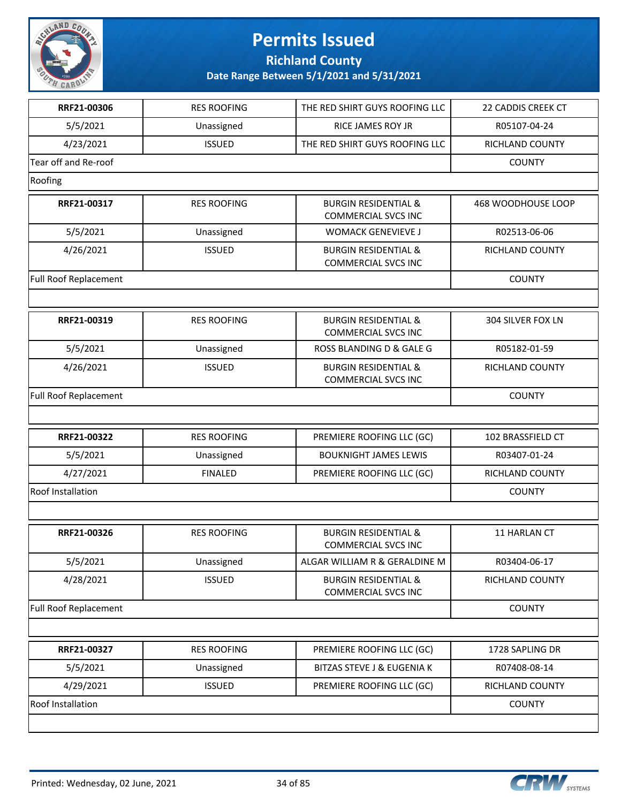

**Richland County**

| RRF21-00306                  | <b>RES ROOFING</b> | THE RED SHIRT GUYS ROOFING LLC                                | 22 CADDIS CREEK CT |
|------------------------------|--------------------|---------------------------------------------------------------|--------------------|
| 5/5/2021                     | Unassigned         | RICE JAMES ROY JR                                             | R05107-04-24       |
| 4/23/2021                    | <b>ISSUED</b>      | THE RED SHIRT GUYS ROOFING LLC                                | RICHLAND COUNTY    |
| Tear off and Re-roof         |                    |                                                               | <b>COUNTY</b>      |
| Roofing                      |                    |                                                               |                    |
| RRF21-00317                  | <b>RES ROOFING</b> | <b>BURGIN RESIDENTIAL &amp;</b><br><b>COMMERCIAL SVCS INC</b> | 468 WOODHOUSE LOOP |
| 5/5/2021                     | Unassigned         | <b>WOMACK GENEVIEVE J</b>                                     | R02513-06-06       |
| 4/26/2021                    | <b>ISSUED</b>      | <b>BURGIN RESIDENTIAL &amp;</b><br><b>COMMERCIAL SVCS INC</b> | RICHLAND COUNTY    |
| <b>Full Roof Replacement</b> |                    |                                                               | <b>COUNTY</b>      |
|                              |                    |                                                               |                    |
| RRF21-00319                  | <b>RES ROOFING</b> | <b>BURGIN RESIDENTIAL &amp;</b><br><b>COMMERCIAL SVCS INC</b> | 304 SILVER FOX LN  |
| 5/5/2021                     | Unassigned         | ROSS BLANDING D & GALE G                                      | R05182-01-59       |
| 4/26/2021                    | <b>ISSUED</b>      | <b>BURGIN RESIDENTIAL &amp;</b><br><b>COMMERCIAL SVCS INC</b> | RICHLAND COUNTY    |
| <b>Full Roof Replacement</b> |                    |                                                               | <b>COUNTY</b>      |
|                              |                    |                                                               |                    |
| RRF21-00322                  | <b>RES ROOFING</b> | PREMIERE ROOFING LLC (GC)                                     | 102 BRASSFIELD CT  |
| 5/5/2021                     | Unassigned         | <b>BOUKNIGHT JAMES LEWIS</b>                                  | R03407-01-24       |
| 4/27/2021                    | <b>FINALED</b>     | PREMIERE ROOFING LLC (GC)                                     | RICHLAND COUNTY    |
| Roof Installation            |                    |                                                               | <b>COUNTY</b>      |
|                              |                    |                                                               |                    |
| RRF21-00326                  | <b>RES ROOFING</b> | <b>BURGIN RESIDENTIAL &amp;</b><br><b>COMMERCIAL SVCS INC</b> | 11 HARLAN CT       |
| 5/5/2021                     | Unassigned         | ALGAR WILLIAM R & GERALDINE M                                 | R03404-06-17       |
| 4/28/2021                    | <b>ISSUED</b>      | <b>BURGIN RESIDENTIAL &amp;</b><br><b>COMMERCIAL SVCS INC</b> | RICHLAND COUNTY    |
| Full Roof Replacement        |                    |                                                               | <b>COUNTY</b>      |
|                              |                    |                                                               |                    |
| RRF21-00327                  | <b>RES ROOFING</b> | PREMIERE ROOFING LLC (GC)                                     | 1728 SAPLING DR    |
| 5/5/2021                     | Unassigned         | <b>BITZAS STEVE J &amp; EUGENIA K</b>                         | R07408-08-14       |
| 4/29/2021                    | <b>ISSUED</b>      | PREMIERE ROOFING LLC (GC)                                     | RICHLAND COUNTY    |
| Roof Installation            |                    |                                                               | <b>COUNTY</b>      |
|                              |                    |                                                               |                    |

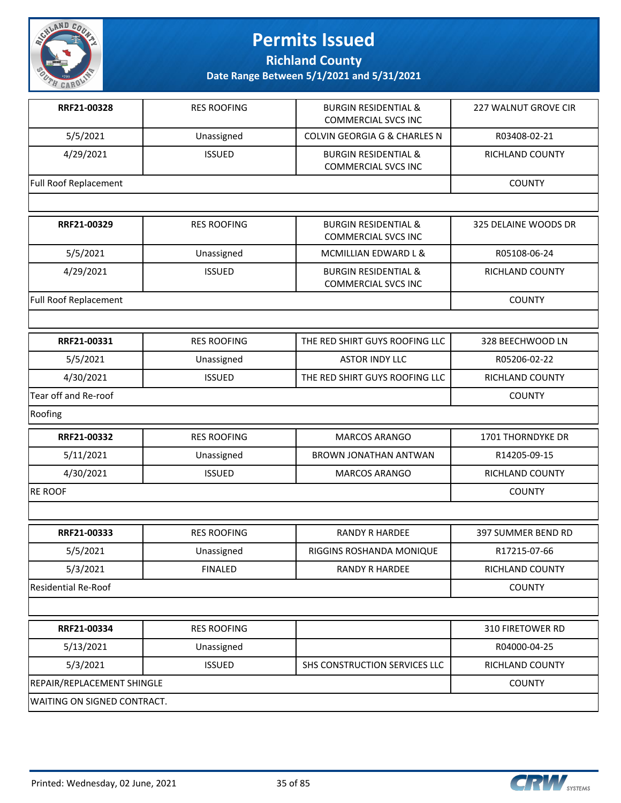

**Richland County**

| RRF21-00328                        | <b>RES ROOFING</b> | <b>BURGIN RESIDENTIAL &amp;</b><br><b>COMMERCIAL SVCS INC</b> | 227 WALNUT GROVE CIR   |
|------------------------------------|--------------------|---------------------------------------------------------------|------------------------|
| 5/5/2021                           | Unassigned         | COLVIN GEORGIA G & CHARLES N                                  | R03408-02-21           |
| 4/29/2021                          | <b>ISSUED</b>      | <b>BURGIN RESIDENTIAL &amp;</b><br><b>COMMERCIAL SVCS INC</b> | RICHLAND COUNTY        |
| Full Roof Replacement              |                    |                                                               | <b>COUNTY</b>          |
|                                    |                    |                                                               |                        |
| RRF21-00329                        | <b>RES ROOFING</b> | <b>BURGIN RESIDENTIAL &amp;</b><br><b>COMMERCIAL SVCS INC</b> | 325 DELAINE WOODS DR   |
| 5/5/2021                           | Unassigned         | MCMILLIAN EDWARD L &                                          | R05108-06-24           |
| 4/29/2021                          | <b>ISSUED</b>      | <b>BURGIN RESIDENTIAL &amp;</b><br><b>COMMERCIAL SVCS INC</b> | RICHLAND COUNTY        |
| <b>Full Roof Replacement</b>       |                    |                                                               | <b>COUNTY</b>          |
|                                    |                    |                                                               |                        |
| RRF21-00331                        | <b>RES ROOFING</b> | THE RED SHIRT GUYS ROOFING LLC                                | 328 BEECHWOOD LN       |
| 5/5/2021                           | Unassigned         | <b>ASTOR INDY LLC</b>                                         | R05206-02-22           |
| 4/30/2021                          | <b>ISSUED</b>      | THE RED SHIRT GUYS ROOFING LLC                                | RICHLAND COUNTY        |
| Tear off and Re-roof               |                    |                                                               | <b>COUNTY</b>          |
| Roofing                            |                    |                                                               |                        |
| RRF21-00332                        | <b>RES ROOFING</b> | MARCOS ARANGO                                                 | 1701 THORNDYKE DR      |
| 5/11/2021                          | Unassigned         | BROWN JONATHAN ANTWAN                                         | R14205-09-15           |
| 4/30/2021                          | <b>ISSUED</b>      | <b>MARCOS ARANGO</b>                                          | <b>RICHLAND COUNTY</b> |
| <b>RE ROOF</b>                     |                    |                                                               | <b>COUNTY</b>          |
|                                    |                    |                                                               |                        |
| RRF21-00333                        | <b>RES ROOFING</b> | <b>RANDY R HARDEE</b>                                         | 397 SUMMER BEND RD     |
| 5/5/2021                           | Unassigned         | RIGGINS ROSHANDA MONIQUE                                      | R17215-07-66           |
| 5/3/2021                           | <b>FINALED</b>     | <b>RANDY R HARDEE</b>                                         | <b>RICHLAND COUNTY</b> |
| Residential Re-Roof                |                    |                                                               | <b>COUNTY</b>          |
|                                    |                    |                                                               |                        |
| RRF21-00334                        | <b>RES ROOFING</b> |                                                               | 310 FIRETOWER RD       |
| 5/13/2021                          | Unassigned         |                                                               | R04000-04-25           |
| 5/3/2021                           | <b>ISSUED</b>      | SHS CONSTRUCTION SERVICES LLC                                 | <b>RICHLAND COUNTY</b> |
| REPAIR/REPLACEMENT SHINGLE         |                    |                                                               | <b>COUNTY</b>          |
| <b>WAITING ON SIGNED CONTRACT.</b> |                    |                                                               |                        |

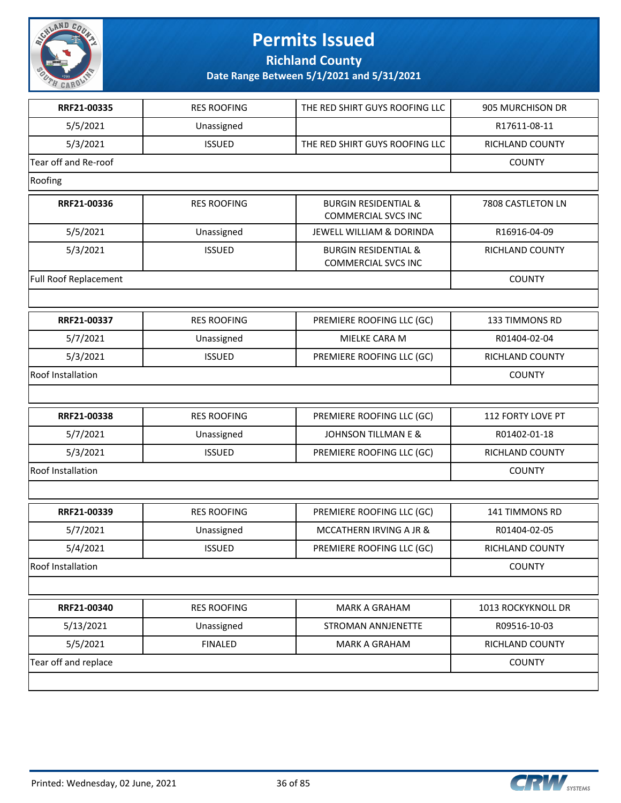

**Richland County**

| RRF21-00335                  | <b>RES ROOFING</b> | THE RED SHIRT GUYS ROOFING LLC                                | 905 MURCHISON DR   |
|------------------------------|--------------------|---------------------------------------------------------------|--------------------|
| 5/5/2021                     | Unassigned         |                                                               | R17611-08-11       |
| 5/3/2021                     | <b>ISSUED</b>      | THE RED SHIRT GUYS ROOFING LLC                                | RICHLAND COUNTY    |
| Tear off and Re-roof         |                    |                                                               | <b>COUNTY</b>      |
| Roofing                      |                    |                                                               |                    |
| RRF21-00336                  | <b>RES ROOFING</b> | <b>BURGIN RESIDENTIAL &amp;</b><br><b>COMMERCIAL SVCS INC</b> | 7808 CASTLETON LN  |
| 5/5/2021                     | Unassigned         | JEWELL WILLIAM & DORINDA                                      | R16916-04-09       |
| 5/3/2021                     | <b>ISSUED</b>      | <b>BURGIN RESIDENTIAL &amp;</b><br><b>COMMERCIAL SVCS INC</b> | RICHLAND COUNTY    |
| <b>Full Roof Replacement</b> |                    |                                                               | <b>COUNTY</b>      |
|                              |                    |                                                               |                    |
| RRF21-00337                  | <b>RES ROOFING</b> | PREMIERE ROOFING LLC (GC)                                     | 133 TIMMONS RD     |
| 5/7/2021                     | Unassigned         | MIELKE CARA M                                                 | R01404-02-04       |
| 5/3/2021                     | <b>ISSUED</b>      | PREMIERE ROOFING LLC (GC)                                     | RICHLAND COUNTY    |
| Roof Installation            |                    |                                                               | <b>COUNTY</b>      |
|                              |                    |                                                               |                    |
| RRF21-00338                  | <b>RES ROOFING</b> | PREMIERE ROOFING LLC (GC)                                     | 112 FORTY LOVE PT  |
| 5/7/2021                     | Unassigned         | <b>JOHNSON TILLMAN E &amp;</b>                                | R01402-01-18       |
| 5/3/2021                     | <b>ISSUED</b>      | PREMIERE ROOFING LLC (GC)                                     | RICHLAND COUNTY    |
| Roof Installation            |                    |                                                               | <b>COUNTY</b>      |
|                              |                    |                                                               |                    |
| RRF21-00339                  | <b>RES ROOFING</b> | PREMIERE ROOFING LLC (GC)                                     | 141 TIMMONS RD     |
| 5/7/2021                     | Unassigned         | MCCATHERN IRVING A JR &                                       | R01404-02-05       |
| 5/4/2021                     | <b>ISSUED</b>      | PREMIERE ROOFING LLC (GC)                                     | RICHLAND COUNTY    |
| Roof Installation            |                    |                                                               | <b>COUNTY</b>      |
|                              |                    |                                                               |                    |
| RRF21-00340                  | <b>RES ROOFING</b> | <b>MARK A GRAHAM</b>                                          | 1013 ROCKYKNOLL DR |
| 5/13/2021                    | Unassigned         | <b>STROMAN ANNJENETTE</b>                                     | R09516-10-03       |
| 5/5/2021                     | <b>FINALED</b>     | <b>MARK A GRAHAM</b>                                          | RICHLAND COUNTY    |
| Tear off and replace         |                    |                                                               | <b>COUNTY</b>      |
|                              |                    |                                                               |                    |

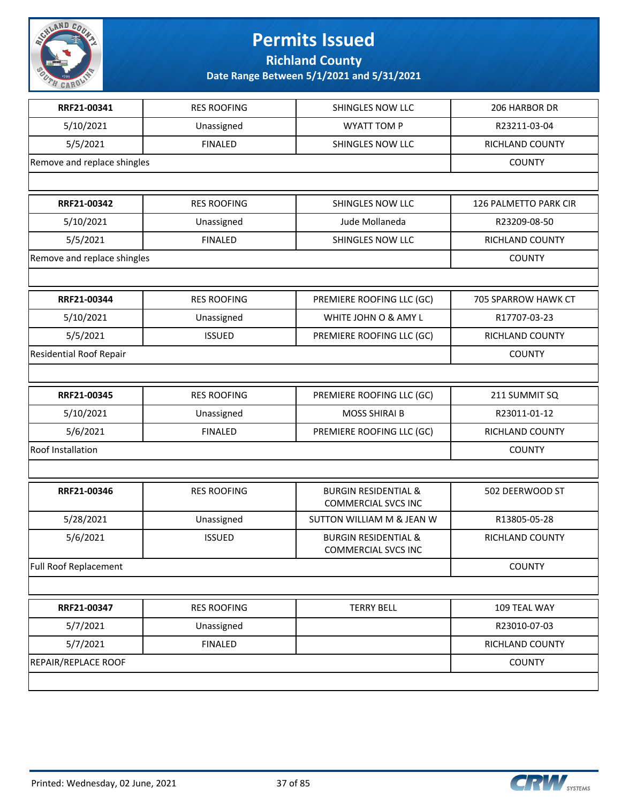

#### **Permits Issued Richland County**

| RRF21-00341                    | <b>RES ROOFING</b> | SHINGLES NOW LLC                                              | 206 HARBOR DR         |
|--------------------------------|--------------------|---------------------------------------------------------------|-----------------------|
| 5/10/2021                      | Unassigned         | <b>WYATT TOM P</b>                                            | R23211-03-04          |
| 5/5/2021                       | <b>FINALED</b>     | SHINGLES NOW LLC                                              | RICHLAND COUNTY       |
| Remove and replace shingles    |                    |                                                               | <b>COUNTY</b>         |
|                                |                    |                                                               |                       |
| RRF21-00342                    | <b>RES ROOFING</b> | SHINGLES NOW LLC                                              | 126 PALMETTO PARK CIR |
| 5/10/2021                      | Unassigned         | Jude Mollaneda                                                | R23209-08-50          |
| 5/5/2021                       | <b>FINALED</b>     | SHINGLES NOW LLC                                              | RICHLAND COUNTY       |
| Remove and replace shingles    |                    |                                                               | <b>COUNTY</b>         |
|                                |                    |                                                               |                       |
| RRF21-00344                    | <b>RES ROOFING</b> | PREMIERE ROOFING LLC (GC)                                     | 705 SPARROW HAWK CT   |
| 5/10/2021                      | Unassigned         | WHITE JOHN O & AMY L                                          | R17707-03-23          |
| 5/5/2021                       | <b>ISSUED</b>      | PREMIERE ROOFING LLC (GC)                                     | RICHLAND COUNTY       |
| <b>Residential Roof Repair</b> |                    |                                                               | <b>COUNTY</b>         |
|                                |                    |                                                               |                       |
| RRF21-00345                    | <b>RES ROOFING</b> | PREMIERE ROOFING LLC (GC)                                     | 211 SUMMIT SQ         |
| 5/10/2021                      | Unassigned         | <b>MOSS SHIRAI B</b>                                          | R23011-01-12          |
| 5/6/2021                       | <b>FINALED</b>     | PREMIERE ROOFING LLC (GC)                                     | RICHLAND COUNTY       |
| Roof Installation              |                    |                                                               | <b>COUNTY</b>         |
|                                |                    |                                                               |                       |
| RRF21-00346                    | <b>RES ROOFING</b> | <b>BURGIN RESIDENTIAL &amp;</b><br><b>COMMERCIAL SVCS INC</b> | 502 DEERWOOD ST       |
| 5/28/2021                      | Unassigned         | SUTTON WILLIAM M & JEAN W                                     | R13805-05-28          |
| 5/6/2021                       | <b>ISSUED</b>      | <b>BURGIN RESIDENTIAL &amp;</b><br><b>COMMERCIAL SVCS INC</b> | RICHLAND COUNTY       |
| <b>Full Roof Replacement</b>   |                    |                                                               | <b>COUNTY</b>         |
|                                |                    |                                                               |                       |
| RRF21-00347                    | <b>RES ROOFING</b> | <b>TERRY BELL</b>                                             | 109 TEAL WAY          |
| 5/7/2021                       | Unassigned         |                                                               | R23010-07-03          |
| 5/7/2021                       | <b>FINALED</b>     |                                                               | RICHLAND COUNTY       |
| REPAIR/REPLACE ROOF            |                    |                                                               | <b>COUNTY</b>         |
|                                |                    |                                                               |                       |

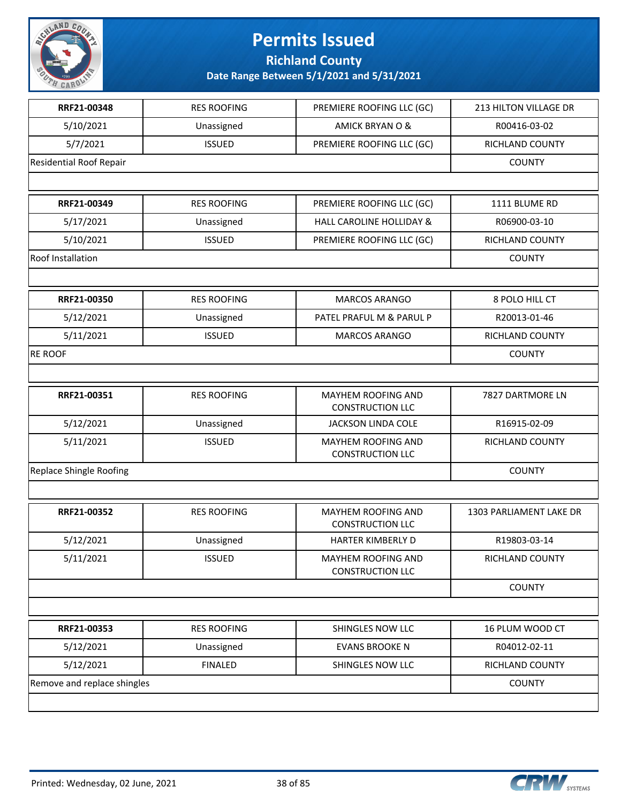

**Richland County**

| RRF21-00348                    | <b>RES ROOFING</b> | PREMIERE ROOFING LLC (GC)                     | 213 HILTON VILLAGE DR   |
|--------------------------------|--------------------|-----------------------------------------------|-------------------------|
| 5/10/2021                      | Unassigned         | AMICK BRYAN O &                               | R00416-03-02            |
| 5/7/2021                       | <b>ISSUED</b>      | PREMIERE ROOFING LLC (GC)                     | RICHLAND COUNTY         |
| <b>Residential Roof Repair</b> |                    |                                               | <b>COUNTY</b>           |
|                                |                    |                                               |                         |
| RRF21-00349                    | <b>RES ROOFING</b> | PREMIERE ROOFING LLC (GC)                     | 1111 BLUME RD           |
| 5/17/2021                      | Unassigned         | <b>HALL CAROLINE HOLLIDAY &amp;</b>           | R06900-03-10            |
| 5/10/2021                      | <b>ISSUED</b>      | PREMIERE ROOFING LLC (GC)                     | <b>RICHLAND COUNTY</b>  |
| Roof Installation              |                    |                                               | <b>COUNTY</b>           |
|                                |                    |                                               |                         |
| RRF21-00350                    | <b>RES ROOFING</b> | MARCOS ARANGO                                 | 8 POLO HILL CT          |
| 5/12/2021                      | Unassigned         | PATEL PRAFUL M & PARUL P                      | R20013-01-46            |
| 5/11/2021                      | <b>ISSUED</b>      | <b>MARCOS ARANGO</b>                          | <b>RICHLAND COUNTY</b>  |
| <b>RE ROOF</b>                 |                    |                                               | <b>COUNTY</b>           |
|                                |                    |                                               |                         |
| RRF21-00351                    | <b>RES ROOFING</b> | MAYHEM ROOFING AND<br><b>CONSTRUCTION LLC</b> | 7827 DARTMORE LN        |
| 5/12/2021                      | Unassigned         | <b>JACKSON LINDA COLE</b>                     | R16915-02-09            |
| 5/11/2021                      | <b>ISSUED</b>      | MAYHEM ROOFING AND<br><b>CONSTRUCTION LLC</b> | RICHLAND COUNTY         |
| Replace Shingle Roofing        | <b>COUNTY</b>      |                                               |                         |
|                                |                    |                                               |                         |
| RRF21-00352                    | <b>RES ROOFING</b> | MAYHEM ROOFING AND<br><b>CONSTRUCTION LLC</b> | 1303 PARLIAMENT LAKE DR |
| 5/12/2021                      | Unassigned         | HARTER KIMBERLY D                             | R19803-03-14            |
| 5/11/2021                      | <b>ISSUED</b>      | MAYHEM ROOFING AND<br><b>CONSTRUCTION LLC</b> | RICHLAND COUNTY         |
|                                |                    |                                               | <b>COUNTY</b>           |
|                                |                    |                                               |                         |
| RRF21-00353                    | <b>RES ROOFING</b> | SHINGLES NOW LLC                              | 16 PLUM WOOD CT         |
| 5/12/2021                      | Unassigned         | <b>EVANS BROOKEN</b>                          | R04012-02-11            |
| 5/12/2021                      | <b>FINALED</b>     | SHINGLES NOW LLC                              | <b>RICHLAND COUNTY</b>  |
| Remove and replace shingles    |                    |                                               | <b>COUNTY</b>           |
|                                |                    |                                               |                         |

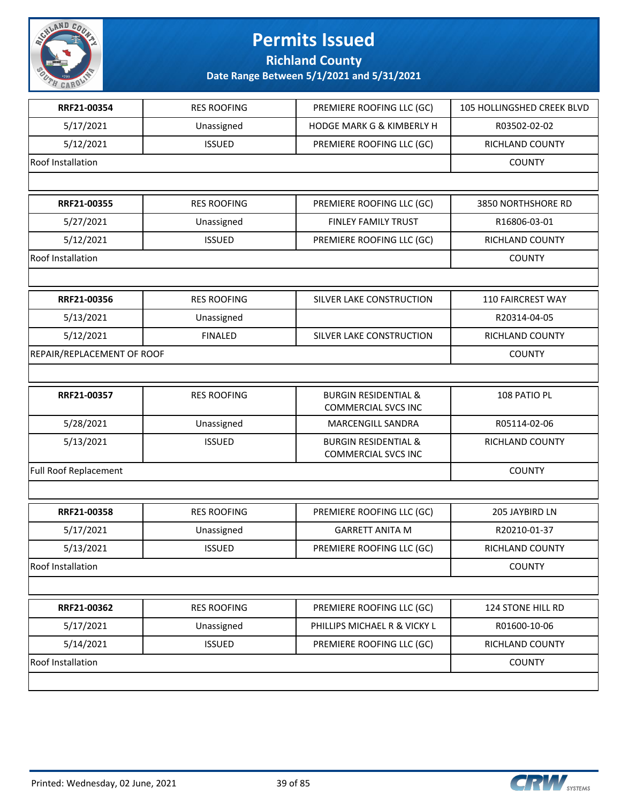

**Richland County**

| RRF21-00354                | <b>RES ROOFING</b> | PREMIERE ROOFING LLC (GC)                                     | 105 HOLLINGSHED CREEK BLVD |
|----------------------------|--------------------|---------------------------------------------------------------|----------------------------|
| 5/17/2021                  | Unassigned         | <b>HODGE MARK G &amp; KIMBERLY H</b>                          | R03502-02-02               |
| 5/12/2021                  | <b>ISSUED</b>      | PREMIERE ROOFING LLC (GC)                                     | RICHLAND COUNTY            |
| Roof Installation          |                    |                                                               | <b>COUNTY</b>              |
|                            |                    |                                                               |                            |
| RRF21-00355                | <b>RES ROOFING</b> | PREMIERE ROOFING LLC (GC)                                     | 3850 NORTHSHORE RD         |
| 5/27/2021                  | Unassigned         | <b>FINLEY FAMILY TRUST</b>                                    | R16806-03-01               |
| 5/12/2021                  | <b>ISSUED</b>      | PREMIERE ROOFING LLC (GC)                                     | <b>RICHLAND COUNTY</b>     |
| Roof Installation          |                    |                                                               | <b>COUNTY</b>              |
|                            |                    |                                                               |                            |
| RRF21-00356                | <b>RES ROOFING</b> | SILVER LAKE CONSTRUCTION                                      | 110 FAIRCREST WAY          |
| 5/13/2021                  | Unassigned         |                                                               | R20314-04-05               |
| 5/12/2021                  | <b>FINALED</b>     | SILVER LAKE CONSTRUCTION                                      | RICHLAND COUNTY            |
| REPAIR/REPLACEMENT OF ROOF |                    |                                                               | <b>COUNTY</b>              |
|                            |                    |                                                               |                            |
| RRF21-00357                | <b>RES ROOFING</b> | <b>BURGIN RESIDENTIAL &amp;</b><br><b>COMMERCIAL SVCS INC</b> | 108 PATIO PL               |
| 5/28/2021                  | Unassigned         | MARCENGILL SANDRA                                             | R05114-02-06               |
| 5/13/2021                  | <b>ISSUED</b>      | <b>BURGIN RESIDENTIAL &amp;</b><br><b>COMMERCIAL SVCS INC</b> | RICHLAND COUNTY            |
| Full Roof Replacement      | <b>COUNTY</b>      |                                                               |                            |
|                            |                    |                                                               |                            |
| RRF21-00358                | <b>RES ROOFING</b> | PREMIERE ROOFING LLC (GC)                                     | 205 JAYBIRD LN             |
| 5/17/2021                  | Unassigned         | <b>GARRETT ANITA M</b>                                        | R20210-01-37               |
| 5/13/2021                  | <b>ISSUED</b>      | PREMIERE ROOFING LLC (GC)                                     | RICHLAND COUNTY            |
| Roof Installation          |                    |                                                               | <b>COUNTY</b>              |
|                            |                    |                                                               |                            |
| RRF21-00362                | <b>RES ROOFING</b> | PREMIERE ROOFING LLC (GC)                                     | 124 STONE HILL RD          |
| 5/17/2021                  | Unassigned         | PHILLIPS MICHAEL R & VICKY L                                  | R01600-10-06               |
| 5/14/2021                  | <b>ISSUED</b>      | PREMIERE ROOFING LLC (GC)                                     | RICHLAND COUNTY            |
| Roof Installation          |                    |                                                               | <b>COUNTY</b>              |
|                            |                    |                                                               |                            |

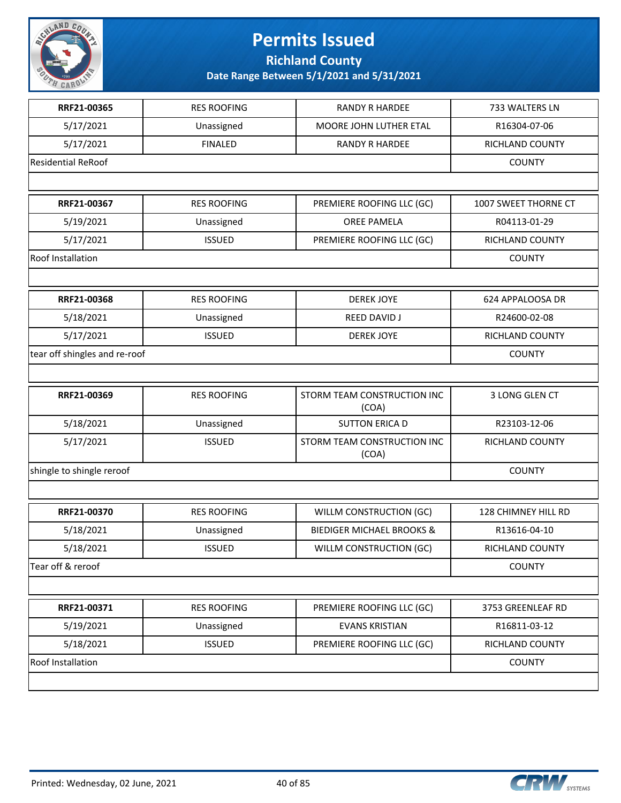

**Richland County**

| RRF21-00365                   | <b>RES ROOFING</b> | <b>RANDY R HARDEE</b>                | 733 WALTERS LN         |
|-------------------------------|--------------------|--------------------------------------|------------------------|
| 5/17/2021                     | Unassigned         | MOORE JOHN LUTHER ETAL               | R16304-07-06           |
| 5/17/2021                     | <b>FINALED</b>     | <b>RANDY R HARDEE</b>                | RICHLAND COUNTY        |
| <b>Residential ReRoof</b>     |                    |                                      | <b>COUNTY</b>          |
|                               |                    |                                      |                        |
| RRF21-00367                   | <b>RES ROOFING</b> | PREMIERE ROOFING LLC (GC)            | 1007 SWEET THORNE CT   |
| 5/19/2021                     | Unassigned         | <b>OREE PAMELA</b>                   | R04113-01-29           |
| 5/17/2021                     | <b>ISSUED</b>      | PREMIERE ROOFING LLC (GC)            | RICHLAND COUNTY        |
| Roof Installation             |                    |                                      | <b>COUNTY</b>          |
|                               |                    |                                      |                        |
| RRF21-00368                   | <b>RES ROOFING</b> | <b>DEREK JOYE</b>                    | 624 APPALOOSA DR       |
| 5/18/2021                     | Unassigned         | REED DAVID J                         | R24600-02-08           |
| 5/17/2021                     | <b>ISSUED</b>      | <b>DEREK JOYE</b>                    | <b>RICHLAND COUNTY</b> |
| tear off shingles and re-roof |                    |                                      | <b>COUNTY</b>          |
|                               |                    |                                      |                        |
| RRF21-00369                   | <b>RES ROOFING</b> | STORM TEAM CONSTRUCTION INC<br>(COA) | 3 LONG GLEN CT         |
| 5/18/2021                     | Unassigned         | <b>SUTTON ERICA D</b>                | R23103-12-06           |
| 5/17/2021                     | <b>ISSUED</b>      | STORM TEAM CONSTRUCTION INC<br>(COA) | RICHLAND COUNTY        |
| shingle to shingle reroof     |                    |                                      | <b>COUNTY</b>          |
|                               |                    |                                      |                        |
| RRF21-00370                   | <b>RES ROOFING</b> | WILLM CONSTRUCTION (GC)              | 128 CHIMNEY HILL RD    |
| 5/18/2021                     | Unassigned         | <b>BIEDIGER MICHAEL BROOKS &amp;</b> | R13616-04-10           |
| 5/18/2021                     | <b>ISSUED</b>      | WILLM CONSTRUCTION (GC)              | RICHLAND COUNTY        |
| Tear off & reroof             |                    |                                      | <b>COUNTY</b>          |
|                               |                    |                                      |                        |
| RRF21-00371                   | <b>RES ROOFING</b> | PREMIERE ROOFING LLC (GC)            | 3753 GREENLEAF RD      |
| 5/19/2021                     | Unassigned         | <b>EVANS KRISTIAN</b>                | R16811-03-12           |
| 5/18/2021                     | <b>ISSUED</b>      | PREMIERE ROOFING LLC (GC)            | RICHLAND COUNTY        |
| Roof Installation             |                    |                                      | <b>COUNTY</b>          |
|                               |                    |                                      |                        |

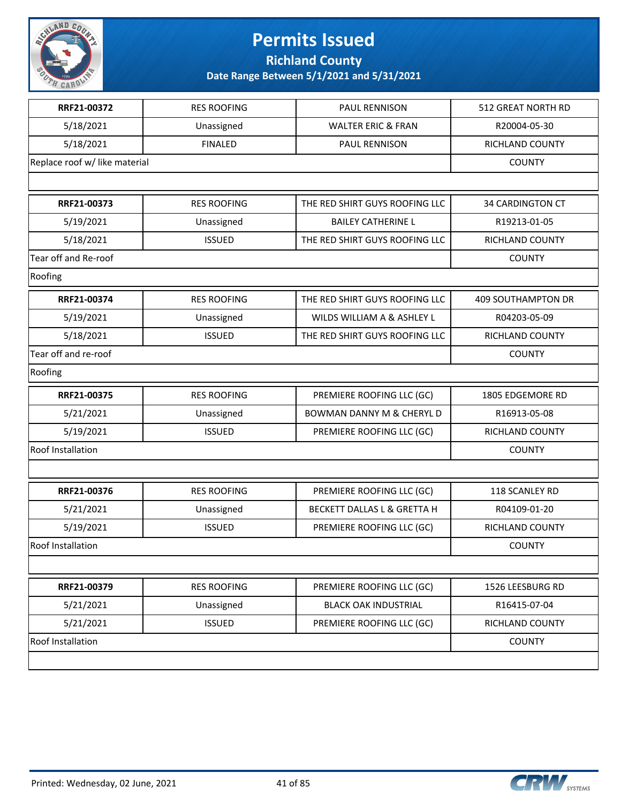

**Richland County**

| RRF21-00372                   | <b>RES ROOFING</b> | PAUL RENNISON                          | 512 GREAT NORTH RD        |
|-------------------------------|--------------------|----------------------------------------|---------------------------|
| 5/18/2021                     | Unassigned         | <b>WALTER ERIC &amp; FRAN</b>          | R20004-05-30              |
| 5/18/2021                     | <b>FINALED</b>     | PAUL RENNISON                          | RICHLAND COUNTY           |
| Replace roof w/ like material |                    |                                        | <b>COUNTY</b>             |
|                               |                    |                                        |                           |
| RRF21-00373                   | <b>RES ROOFING</b> | THE RED SHIRT GUYS ROOFING LLC         | <b>34 CARDINGTON CT</b>   |
| 5/19/2021                     | Unassigned         | <b>BAILEY CATHERINE L</b>              | R19213-01-05              |
| 5/18/2021                     | <b>ISSUED</b>      | THE RED SHIRT GUYS ROOFING LLC         | RICHLAND COUNTY           |
| Tear off and Re-roof          |                    |                                        | <b>COUNTY</b>             |
| Roofing                       |                    |                                        |                           |
| RRF21-00374                   | <b>RES ROOFING</b> | THE RED SHIRT GUYS ROOFING LLC         | <b>409 SOUTHAMPTON DR</b> |
| 5/19/2021                     | Unassigned         | WILDS WILLIAM A & ASHLEY L             | R04203-05-09              |
| 5/18/2021                     | <b>ISSUED</b>      | THE RED SHIRT GUYS ROOFING LLC         | RICHLAND COUNTY           |
| Tear off and re-roof          |                    | <b>COUNTY</b>                          |                           |
| Roofing                       |                    |                                        |                           |
| RRF21-00375                   | <b>RES ROOFING</b> | PREMIERE ROOFING LLC (GC)              | 1805 EDGEMORE RD          |
| 5/21/2021                     | Unassigned         | <b>BOWMAN DANNY M &amp; CHERYL D</b>   | R16913-05-08              |
| 5/19/2021                     | <b>ISSUED</b>      | PREMIERE ROOFING LLC (GC)              | RICHLAND COUNTY           |
| Roof Installation             |                    |                                        | <b>COUNTY</b>             |
|                               |                    |                                        |                           |
| RRF21-00376                   | <b>RES ROOFING</b> | PREMIERE ROOFING LLC (GC)              | 118 SCANLEY RD            |
| 5/21/2021                     | Unassigned         | <b>BECKETT DALLAS L &amp; GRETTA H</b> | R04109-01-20              |
| 5/19/2021                     | <b>ISSUED</b>      | PREMIERE ROOFING LLC (GC)              | RICHLAND COUNTY           |
| <b>Roof Installation</b>      |                    |                                        | <b>COUNTY</b>             |
|                               |                    |                                        |                           |
| RRF21-00379                   | <b>RES ROOFING</b> | PREMIERE ROOFING LLC (GC)              | 1526 LEESBURG RD          |
| 5/21/2021                     | Unassigned         | <b>BLACK OAK INDUSTRIAL</b>            | R16415-07-04              |
| 5/21/2021                     | <b>ISSUED</b>      | PREMIERE ROOFING LLC (GC)              | RICHLAND COUNTY           |
| <b>Roof Installation</b>      |                    |                                        | <b>COUNTY</b>             |
|                               |                    |                                        |                           |

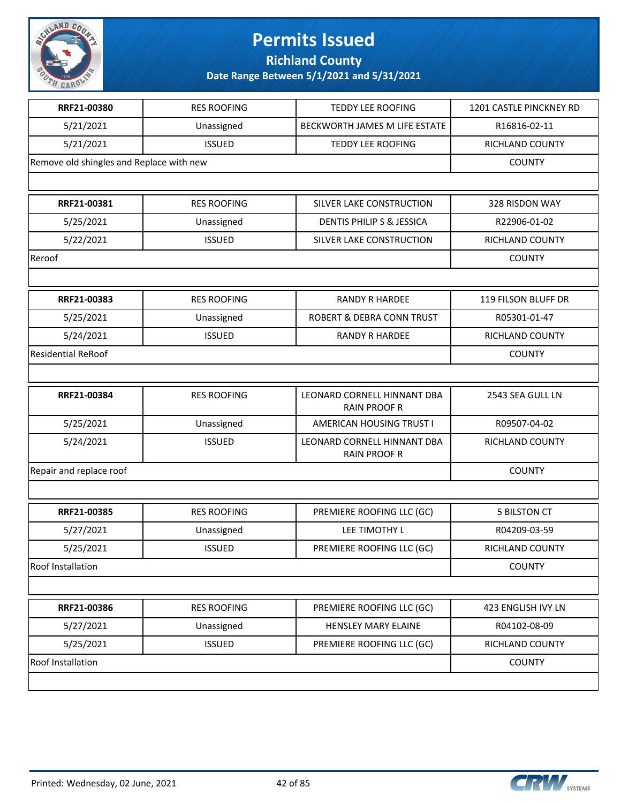

**Richland County**

| RRF21-00380                              | <b>RES ROOFING</b> | <b>TEDDY LEE ROOFING</b>                           | 1201 CASTLE PINCKNEY RD |
|------------------------------------------|--------------------|----------------------------------------------------|-------------------------|
| 5/21/2021                                | Unassigned         | BECKWORTH JAMES M LIFE ESTATE                      | R16816-02-11            |
| 5/21/2021                                | <b>ISSUED</b>      | <b>TEDDY LEE ROOFING</b>                           | RICHLAND COUNTY         |
| Remove old shingles and Replace with new |                    |                                                    | <b>COUNTY</b>           |
|                                          |                    |                                                    |                         |
| RRF21-00381                              | <b>RES ROOFING</b> | SILVER LAKE CONSTRUCTION                           | 328 RISDON WAY          |
| 5/25/2021                                | Unassigned         | DENTIS PHILIP S & JESSICA                          | R22906-01-02            |
| 5/22/2021                                | <b>ISSUED</b>      | SILVER LAKE CONSTRUCTION                           | RICHLAND COUNTY         |
| Reroof                                   |                    |                                                    | <b>COUNTY</b>           |
|                                          |                    |                                                    |                         |
| RRF21-00383                              | <b>RES ROOFING</b> | <b>RANDY R HARDEE</b>                              | 119 FILSON BLUFF DR     |
| 5/25/2021                                | Unassigned         | ROBERT & DEBRA CONN TRUST                          | R05301-01-47            |
| 5/24/2021                                | <b>ISSUED</b>      | <b>RANDY R HARDEE</b>                              | RICHLAND COUNTY         |
| <b>Residential ReRoof</b>                |                    |                                                    | <b>COUNTY</b>           |
|                                          |                    |                                                    |                         |
| RRF21-00384                              | <b>RES ROOFING</b> | LEONARD CORNELL HINNANT DBA<br><b>RAIN PROOF R</b> | 2543 SEA GULL LN        |
| 5/25/2021                                | Unassigned         | AMERICAN HOUSING TRUST I                           | R09507-04-02            |
| 5/24/2021                                | <b>ISSUED</b>      | LEONARD CORNELL HINNANT DBA<br><b>RAIN PROOF R</b> | <b>RICHLAND COUNTY</b>  |
| Repair and replace roof                  |                    |                                                    | <b>COUNTY</b>           |
|                                          |                    |                                                    |                         |
| RRF21-00385                              | <b>RES ROOFING</b> | PREMIERE ROOFING LLC (GC)                          | <b>5 BILSTON CT</b>     |
| 5/27/2021                                | Unassigned         | LEE TIMOTHY L                                      | R04209-03-59            |
| 5/25/2021                                | <b>ISSUED</b>      | PREMIERE ROOFING LLC (GC)                          | RICHLAND COUNTY         |
| Roof Installation                        |                    |                                                    | <b>COUNTY</b>           |
|                                          |                    |                                                    |                         |
| RRF21-00386                              | <b>RES ROOFING</b> | PREMIERE ROOFING LLC (GC)                          | 423 ENGLISH IVY LN      |
| 5/27/2021                                | Unassigned         | HENSLEY MARY ELAINE                                | R04102-08-09            |
| 5/25/2021                                | <b>ISSUED</b>      | PREMIERE ROOFING LLC (GC)                          | RICHLAND COUNTY         |
| <b>Roof Installation</b>                 |                    |                                                    | <b>COUNTY</b>           |
|                                          |                    |                                                    |                         |

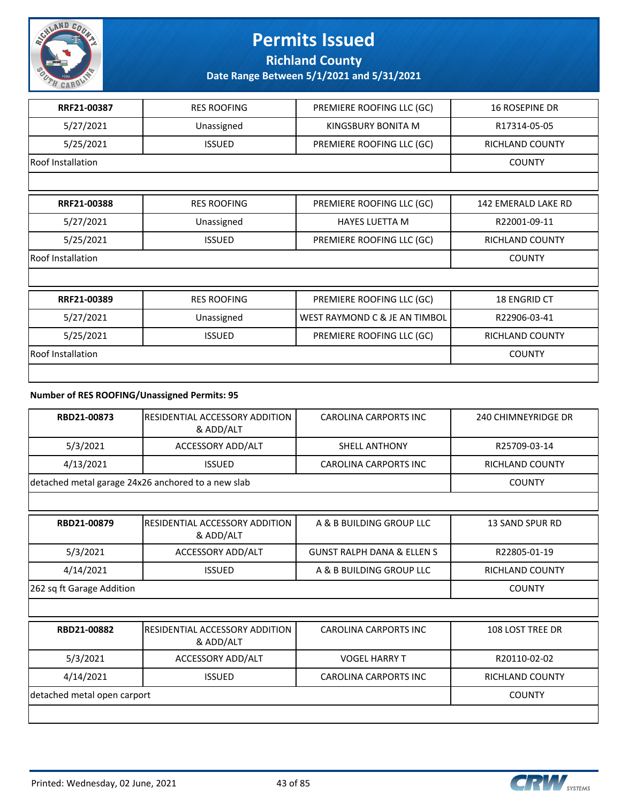

**Richland County**

**Date Range Between 5/1/2021 and 5/31/2021**

| RRF21-00387       | <b>RES ROOFING</b> | PREMIERE ROOFING LLC (GC)     | <b>16 ROSEPINE DR</b>  |
|-------------------|--------------------|-------------------------------|------------------------|
| 5/27/2021         | Unassigned         | KINGSBURY BONITA M            | R17314-05-05           |
| 5/25/2021         | <b>ISSUED</b>      | PREMIERE ROOFING LLC (GC)     | RICHLAND COUNTY        |
| Roof Installation |                    |                               | <b>COUNTY</b>          |
|                   |                    |                               |                        |
| RRF21-00388       | <b>RES ROOFING</b> | PREMIERE ROOFING LLC (GC)     | 142 EMERALD LAKE RD    |
| 5/27/2021         | Unassigned         | <b>HAYES LUETTA M</b>         | R22001-09-11           |
| 5/25/2021         | <b>ISSUED</b>      | PREMIERE ROOFING LLC (GC)     | RICHLAND COUNTY        |
| Roof Installation | <b>COUNTY</b>      |                               |                        |
|                   |                    |                               |                        |
| RRF21-00389       | <b>RES ROOFING</b> | PREMIERE ROOFING LLC (GC)     | <b>18 ENGRID CT</b>    |
| 5/27/2021         | Unassigned         | WEST RAYMOND C & JE AN TIMBOL | R22906-03-41           |
| 5/25/2021         | <b>ISSUED</b>      | PREMIERE ROOFING LLC (GC)     | <b>RICHLAND COUNTY</b> |
| Roof Installation |                    |                               | <b>COUNTY</b>          |
|                   |                    |                               |                        |

#### **Number of RES ROOFING/Unassigned Permits: 95**

| RBD21-00873               | IRESIDENTIAL ACCESSORY ADDITION<br>& ADD/ALT       | <b>CAROLINA CARPORTS INC</b>          | 240 CHIMNEYRIDGE DR    |
|---------------------------|----------------------------------------------------|---------------------------------------|------------------------|
| 5/3/2021                  | ACCESSORY ADD/ALT                                  | <b>SHELL ANTHONY</b>                  | R25709-03-14           |
| 4/13/2021                 | <b>ISSUED</b>                                      | CAROLINA CARPORTS INC                 | RICHLAND COUNTY        |
|                           | detached metal garage 24x26 anchored to a new slab |                                       | <b>COUNTY</b>          |
|                           |                                                    |                                       |                        |
| RBD21-00879               | IRESIDENTIAL ACCESSORY ADDITION<br>& ADD/ALT       | A & B BUILDING GROUP LLC              | 13 SAND SPUR RD        |
| 5/3/2021                  | ACCESSORY ADD/ALT                                  | <b>GUNST RALPH DANA &amp; ELLEN S</b> | R22805-01-19           |
| 4/14/2021                 | <b>ISSUED</b>                                      | A & B BUILDING GROUP LLC              | <b>RICHLAND COUNTY</b> |
| 262 sq ft Garage Addition |                                                    |                                       | <b>COUNTY</b>          |
|                           |                                                    |                                       |                        |
| RBD21-00882               | RESIDENTIAL ACCESSORY ADDITION                     | <b>CAROLINA CARPORTS INC</b>          | 108 LOST TREE DR       |

| RBDZI-UU88Z                 | IRESIDENTIAL ACCESSORY ADDITION<br>& ADD/ALT | CAROLINA CARPORTS INC.       | TU8 LUST TREE DR       |
|-----------------------------|----------------------------------------------|------------------------------|------------------------|
| 5/3/2021                    | ACCESSORY ADD/ALT                            | <b>VOGEL HARRY T</b>         | R20110-02-02           |
| 4/14/2021                   | <b>ISSUED</b>                                | <b>CAROLINA CARPORTS INC</b> | <b>RICHLAND COUNTY</b> |
| detached metal open carport |                                              |                              | <b>COUNTY</b>          |
|                             |                                              |                              |                        |

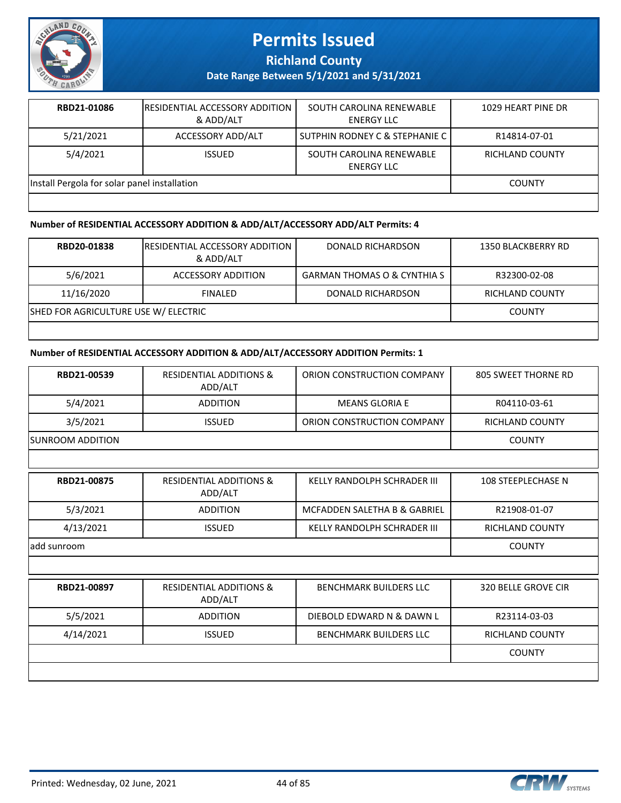

**Richland County**

**Date Range Between 5/1/2021 and 5/31/2021**

| RBD21-01086                                  | <b>IRESIDENTIAL ACCESSORY ADDITION</b><br>& ADD/ALT | SOUTH CAROLINA RENEWABLE<br>ENERGY LLC | 1029 HEART PINE DR |  |
|----------------------------------------------|-----------------------------------------------------|----------------------------------------|--------------------|--|
| 5/21/2021                                    | ACCESSORY ADD/ALT                                   | SUTPHIN RODNEY C & STEPHANIE C         | R14814-07-01       |  |
| 5/4/2021                                     | <b>ISSUED</b>                                       | SOUTH CAROLINA RENEWABLE<br>ENERGY LLC | RICHLAND COUNTY    |  |
| Install Pergola for solar panel installation |                                                     |                                        | <b>COUNTY</b>      |  |
|                                              |                                                     |                                        |                    |  |

#### **Number of RESIDENTIAL ACCESSORY ADDITION & ADD/ALT/ACCESSORY ADD/ALT Permits: 4**

| RBD20-01838                          | <b>IRESIDENTIAL ACCESSORY ADDITION</b><br>& ADD/ALT | DONALD RICHARDSON                      | 1350 BLACKBERRY RD     |
|--------------------------------------|-----------------------------------------------------|----------------------------------------|------------------------|
| 5/6/2021                             | ACCESSORY ADDITION                                  | <b>GARMAN THOMAS O &amp; CYNTHIA S</b> | R32300-02-08           |
| 11/16/2020                           | <b>FINALED</b>                                      | DONALD RICHARDSON                      | <b>RICHLAND COUNTY</b> |
| SHED FOR AGRICULTURE USE W/ ELECTRIC |                                                     |                                        | <b>COUNTY</b>          |
|                                      |                                                     |                                        |                        |

#### **Number of RESIDENTIAL ACCESSORY ADDITION & ADD/ALT/ACCESSORY ADDITION Permits: 1**

| RBD21-00539      | <b>RESIDENTIAL ADDITIONS &amp;</b><br>ADD/ALT | ORION CONSTRUCTION COMPANY         | <b>805 SWEET THORNE RD</b> |
|------------------|-----------------------------------------------|------------------------------------|----------------------------|
| 5/4/2021         | <b>ADDITION</b>                               | <b>MEANS GLORIA E</b>              | R04110-03-61               |
| 3/5/2021         | <b>ISSUED</b>                                 | ORION CONSTRUCTION COMPANY         | RICHLAND COUNTY            |
| SUNROOM ADDITION |                                               |                                    | <b>COUNTY</b>              |
|                  |                                               |                                    |                            |
| RBD21-00875      | <b>RESIDENTIAL ADDITIONS &amp;</b><br>ADD/ALT | <b>KELLY RANDOLPH SCHRADER III</b> | <b>108 STEEPLECHASE N</b>  |
| 5/3/2021         | <b>ADDITION</b>                               | MCFADDEN SALETHA B & GABRIEL       | R21908-01-07               |
| 4/13/2021        | <b>ISSUED</b>                                 | <b>KELLY RANDOLPH SCHRADER III</b> | <b>RICHLAND COUNTY</b>     |
| add sunroom      |                                               |                                    | <b>COUNTY</b>              |
|                  |                                               |                                    |                            |
| RBD21-00897      | <b>RESIDENTIAL ADDITIONS &amp;</b><br>ADD/ALT | <b>BENCHMARK BUILDERS LLC</b>      | <b>320 BELLE GROVE CIR</b> |
| 5/5/2021         | <b>ADDITION</b>                               | DIEBOLD EDWARD N & DAWN L          | R23114-03-03               |
| 4/14/2021        | <b>ISSUED</b>                                 | <b>BENCHMARK BUILDERS LLC</b>      | <b>RICHLAND COUNTY</b>     |
|                  |                                               |                                    | <b>COUNTY</b>              |
|                  |                                               |                                    |                            |

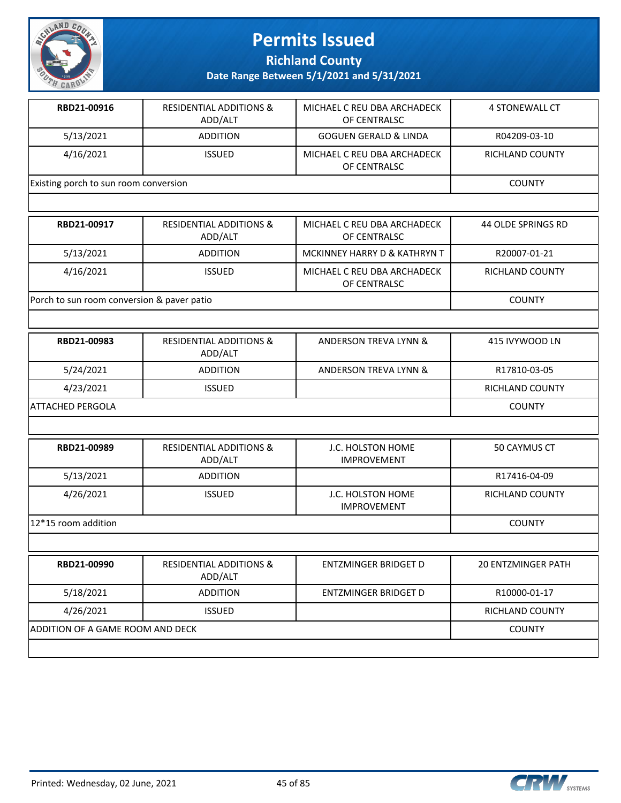

**Richland County**

| RBD21-00916                           | <b>RESIDENTIAL ADDITIONS &amp;</b><br>ADD/ALT | MICHAEL C REU DBA ARCHADECK<br>OF CENTRALSC | 4 STONEWALL CT  |
|---------------------------------------|-----------------------------------------------|---------------------------------------------|-----------------|
| 5/13/2021                             | <b>ADDITION</b>                               | <b>GOGUEN GERALD &amp; LINDA</b>            | R04209-03-10    |
| 4/16/2021                             | <b>ISSUED</b>                                 | MICHAEL C REU DBA ARCHADECK<br>OF CENTRALSC | RICHLAND COUNTY |
| Existing porch to sun room conversion |                                               |                                             | <b>COUNTY</b>   |

| RBD21-00917                                | <b>RESIDENTIAL ADDITIONS &amp;</b><br>ADD/ALT | MICHAEL C REU DBA ARCHADECK<br>OF CENTRALSC | 44 OLDE SPRINGS RD |
|--------------------------------------------|-----------------------------------------------|---------------------------------------------|--------------------|
| 5/13/2021                                  | <b>ADDITION</b>                               | MCKINNEY HARRY D & KATHRYN T                | R20007-01-21       |
| 4/16/2021                                  | <b>ISSUED</b>                                 | MICHAEL C REU DBA ARCHADECK<br>OF CENTRALSC | RICHLAND COUNTY    |
| Porch to sun room conversion & paver patio |                                               |                                             | <b>COUNTY</b>      |

| RBD21-00983       | <b>RESIDENTIAL ADDITIONS &amp;</b><br>ADD/ALT | ANDERSON TREVA LYNN & | 415 IVYWOOD LN  |
|-------------------|-----------------------------------------------|-----------------------|-----------------|
| 5/24/2021         | <b>ADDITION</b>                               | ANDERSON TREVA LYNN & | R17810-03-05    |
| 4/23/2021         | <b>ISSUED</b>                                 |                       | RICHLAND COUNTY |
| IATTACHED PERGOLA |                                               |                       | <b>COUNTY</b>   |

| RBD21-00989         | <b>RESIDENTIAL ADDITIONS &amp;</b><br>ADD/ALT | J.C. HOLSTON HOME<br><b>IMPROVEMENT</b> | 50 CAYMUS CT           |
|---------------------|-----------------------------------------------|-----------------------------------------|------------------------|
| 5/13/2021           | <b>ADDITION</b>                               |                                         | R17416-04-09           |
| 4/26/2021           | <b>ISSUED</b>                                 | J.C. HOLSTON HOME<br><b>IMPROVEMENT</b> | <b>RICHLAND COUNTY</b> |
| 12*15 room addition |                                               |                                         | <b>COUNTY</b>          |

| RBD21-00990                      | <b>RESIDENTIAL ADDITIONS &amp;</b><br>ADD/ALT | ENTZMINGER BRIDGET D | <b>20 ENTZMINGER PATH</b> |
|----------------------------------|-----------------------------------------------|----------------------|---------------------------|
| 5/18/2021                        | <b>ADDITION</b>                               | ENTZMINGER BRIDGET D | R10000-01-17              |
| 4/26/2021                        | <b>ISSUED</b>                                 |                      | <b>RICHLAND COUNTY</b>    |
| ADDITION OF A GAME ROOM AND DECK |                                               |                      | <b>COUNTY</b>             |
|                                  |                                               |                      |                           |

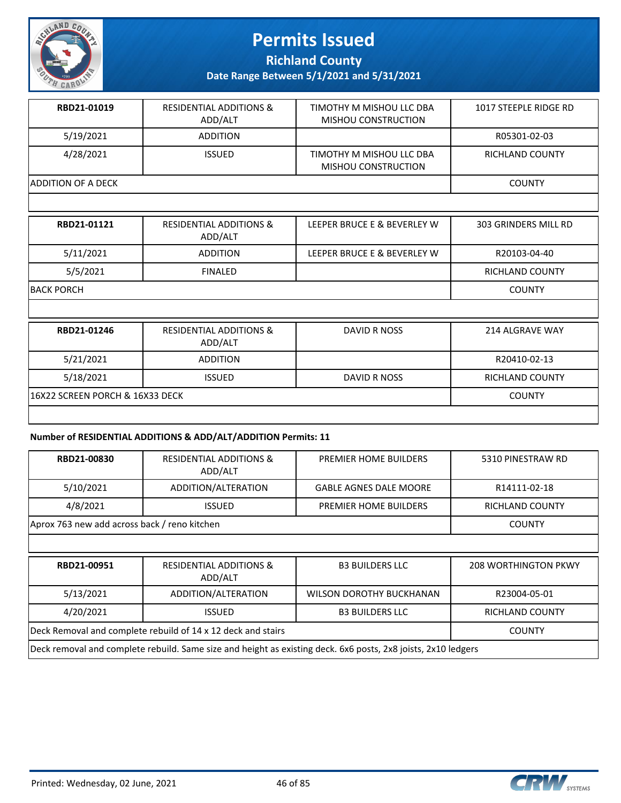

**Richland County**

**Date Range Between 5/1/2021 and 5/31/2021**

| RBD21-01019        | <b>RESIDENTIAL ADDITIONS &amp;</b><br>ADD/ALT | TIMOTHY M MISHOU LLC DBA<br>MISHOU CONSTRUCTION | 1017 STEEPLE RIDGE RD  |
|--------------------|-----------------------------------------------|-------------------------------------------------|------------------------|
| 5/19/2021          | <b>ADDITION</b>                               |                                                 | R05301-02-03           |
| 4/28/2021          | <b>ISSUED</b>                                 | TIMOTHY M MISHOU LLC DBA<br>MISHOU CONSTRUCTION | <b>RICHLAND COUNTY</b> |
| ADDITION OF A DECK |                                               |                                                 | <b>COUNTY</b>          |
|                    |                                               |                                                 |                        |

| RBD21-01121                     | <b>RESIDENTIAL ADDITIONS &amp;</b><br>ADD/ALT | LEEPER BRUCE E & BEVERLEY W | 303 GRINDERS MILL RD   |
|---------------------------------|-----------------------------------------------|-----------------------------|------------------------|
| 5/11/2021                       | <b>ADDITION</b>                               | LEEPER BRUCE E & BEVERLEY W | R20103-04-40           |
| 5/5/2021                        | <b>FINALED</b>                                |                             | <b>RICHLAND COUNTY</b> |
| <b>BACK PORCH</b>               |                                               |                             | <b>COUNTY</b>          |
|                                 |                                               |                             |                        |
| RBD21-01246                     | <b>RESIDENTIAL ADDITIONS &amp;</b><br>ADD/ALT | <b>DAVID R NOSS</b>         | 214 ALGRAVE WAY        |
| 5/21/2021                       | <b>ADDITION</b>                               |                             | R20410-02-13           |
| 5/18/2021                       | <b>ISSUED</b>                                 | DAVID R NOSS                | <b>RICHLAND COUNTY</b> |
| 16X22 SCREEN PORCH & 16X33 DECK |                                               |                             | <b>COUNTY</b>          |

#### **Number of RESIDENTIAL ADDITIONS & ADD/ALT/ADDITION Permits: 11**

| RBD21-00830 | <b>RESIDENTIAL ADDITIONS &amp;</b><br>ADD/ALT                | PREMIER HOME BUILDERS           | 5310 PINESTRAW RD           |
|-------------|--------------------------------------------------------------|---------------------------------|-----------------------------|
| 5/10/2021   | ADDITION/ALTERATION                                          | <b>GABLE AGNES DALE MOORE</b>   | R14111-02-18                |
| 4/8/2021    | <b>ISSUED</b>                                                | <b>PREMIER HOME BUILDERS</b>    | <b>RICHLAND COUNTY</b>      |
|             | Aprox 763 new add across back / reno kitchen                 |                                 |                             |
|             |                                                              |                                 |                             |
|             |                                                              |                                 |                             |
| RBD21-00951 | <b>RESIDENTIAL ADDITIONS &amp;</b><br>ADD/ALT                | <b>B3 BUILDERS LLC</b>          | <b>208 WORTHINGTON PKWY</b> |
| 5/13/2021   | ADDITION/ALTERATION                                          | <b>WILSON DOROTHY BUCKHANAN</b> | R23004-05-01                |
| 4/20/2021   | <b>ISSUED</b>                                                | <b>B3 BUILDERS LLC</b>          | <b>RICHLAND COUNTY</b>      |
|             | Deck Removal and complete rebuild of 14 x 12 deck and stairs |                                 | <b>COUNTY</b>               |



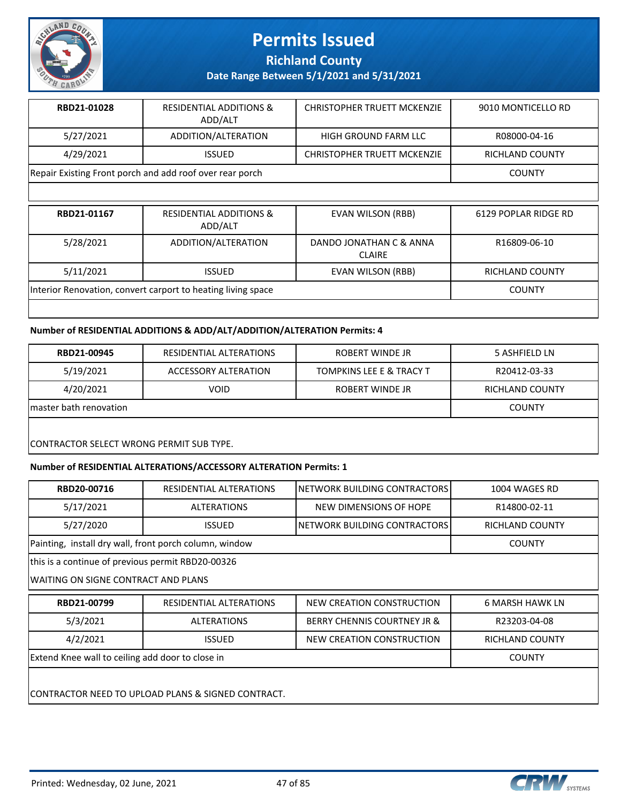

**Richland County**

**Date Range Between 5/1/2021 and 5/31/2021**

| RBD21-01028                                              | <b>RESIDENTIAL ADDITIONS &amp;</b><br>ADD/ALT | CHRISTOPHER TRUETT MCKENZIE        | 9010 MONTICELLO RD     |
|----------------------------------------------------------|-----------------------------------------------|------------------------------------|------------------------|
| 5/27/2021                                                | ADDITION/ALTERATION                           | HIGH GROUND FARM LLC               | R08000-04-16           |
| 4/29/2021                                                | <b>ISSUED</b>                                 | <b>CHRISTOPHER TRUETT MCKENZIE</b> | <b>RICHLAND COUNTY</b> |
| Repair Existing Front porch and add roof over rear porch |                                               |                                    | <b>COUNTY</b>          |

| RBD21-01167                                                  | <b>RESIDENTIAL ADDITIONS &amp;</b><br>ADD/ALT | <b>EVAN WILSON (RBB)</b>                 | 6129 POPLAR RIDGE RD   |
|--------------------------------------------------------------|-----------------------------------------------|------------------------------------------|------------------------|
| 5/28/2021                                                    | ADDITION/ALTERATION                           | DANDO JONATHAN C & ANNA<br><b>CLAIRE</b> | R16809-06-10           |
| 5/11/2021                                                    | <b>ISSUED</b>                                 | EVAN WILSON (RBB)                        | <b>RICHLAND COUNTY</b> |
| Interior Renovation, convert carport to heating living space |                                               |                                          | <b>COUNTY</b>          |
|                                                              |                                               |                                          |                        |

#### **Number of RESIDENTIAL ADDITIONS & ADD/ALT/ADDITION/ALTERATION Permits: 4**

| RBD21-00945                              | RESIDENTIAL ALTERATIONS | ROBERT WINDE JR                     | 5 ASHFIELD LN   |  |
|------------------------------------------|-------------------------|-------------------------------------|-----------------|--|
| 5/19/2021                                | ACCESSORY ALTERATION    | <b>TOMPKINS LEE E &amp; TRACY T</b> | R20412-03-33    |  |
| 4/20/2021                                | <b>VOID</b>             | ROBERT WINDE JR                     | RICHLAND COUNTY |  |
| Imaster bath renovation                  |                         |                                     | <b>COUNTY</b>   |  |
|                                          |                         |                                     |                 |  |
| CONTRACTOR SELECT WRONG PERMIT SUB TYPE. |                         |                                     |                 |  |

#### **Number of RESIDENTIAL ALTERATIONS/ACCESSORY ALTERATION Permits: 1**

| RESIDENTIAL ALTERATIONS                                           | INETWORK BUILDING CONTRACTORS | 1004 WAGES RD          |  |  |
|-------------------------------------------------------------------|-------------------------------|------------------------|--|--|
| <b>ALTERATIONS</b>                                                | NEW DIMENSIONS OF HOPE        | R14800-02-11           |  |  |
| <b>ISSUED</b>                                                     | INETWORK BUILDING CONTRACTORS | RICHLAND COUNTY        |  |  |
| Painting, install dry wall, front porch column, window            |                               | <b>COUNTY</b>          |  |  |
| this is a continue of previous permit RBD20-00326                 |                               |                        |  |  |
| WAITING ON SIGNE CONTRACT AND PLANS                               |                               |                        |  |  |
| RESIDENTIAL ALTERATIONS                                           | NEW CREATION CONSTRUCTION     | <b>6 MARSH HAWK LN</b> |  |  |
| <b>ALTERATIONS</b>                                                | BERRY CHENNIS COURTNEY JR &   | R23203-04-08           |  |  |
| 4/2/2021<br><b>ISSUED</b><br>NEW CREATION CONSTRUCTION            |                               |                        |  |  |
| Extend Knee wall to ceiling add door to close in<br><b>COUNTY</b> |                               |                        |  |  |
|                                                                   |                               |                        |  |  |
| CONTRACTOR NEED TO UPLOAD PLANS & SIGNED CONTRACT.                |                               |                        |  |  |
|                                                                   |                               |                        |  |  |

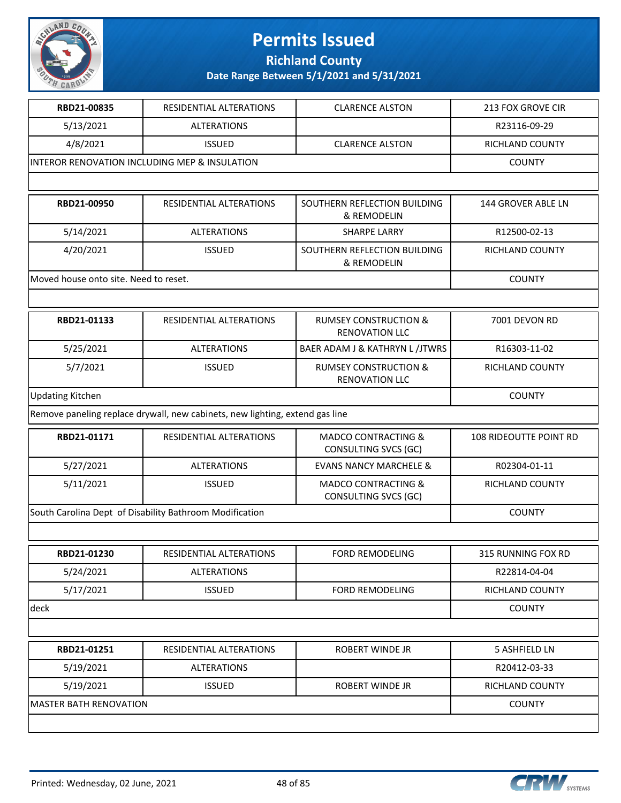

**Richland County**

| RBD21-00835                           | <b>RESIDENTIAL ALTERATIONS</b>                                               | <b>CLARENCE ALSTON</b>                                    | <b>213 FOX GROVE CIR</b>  |
|---------------------------------------|------------------------------------------------------------------------------|-----------------------------------------------------------|---------------------------|
| 5/13/2021                             | <b>ALTERATIONS</b>                                                           |                                                           | R23116-09-29              |
| 4/8/2021                              | <b>ISSUED</b>                                                                | <b>CLARENCE ALSTON</b>                                    | RICHLAND COUNTY           |
|                                       | INTEROR RENOVATION INCLUDING MEP & INSULATION                                |                                                           | <b>COUNTY</b>             |
|                                       |                                                                              |                                                           |                           |
| RBD21-00950                           | <b>RESIDENTIAL ALTERATIONS</b>                                               | SOUTHERN REFLECTION BUILDING<br>& REMODELIN               | <b>144 GROVER ABLE LN</b> |
| 5/14/2021                             | <b>ALTERATIONS</b>                                                           | <b>SHARPE LARRY</b>                                       | R12500-02-13              |
| 4/20/2021                             | <b>ISSUED</b>                                                                | SOUTHERN REFLECTION BUILDING<br>& REMODELIN               | RICHLAND COUNTY           |
| Moved house onto site. Need to reset. |                                                                              |                                                           | <b>COUNTY</b>             |
|                                       |                                                                              |                                                           |                           |
| RBD21-01133                           | RESIDENTIAL ALTERATIONS                                                      | <b>RUMSEY CONSTRUCTION &amp;</b><br><b>RENOVATION LLC</b> | 7001 DEVON RD             |
| 5/25/2021                             | <b>ALTERATIONS</b>                                                           | BAER ADAM J & KATHRYN L /JTWRS                            | R16303-11-02              |
| 5/7/2021                              | <b>ISSUED</b>                                                                | <b>RUMSEY CONSTRUCTION &amp;</b><br><b>RENOVATION LLC</b> | <b>RICHLAND COUNTY</b>    |
| <b>Updating Kitchen</b>               | <b>COUNTY</b>                                                                |                                                           |                           |
|                                       | Remove paneling replace drywall, new cabinets, new lighting, extend gas line |                                                           |                           |
| RBD21-01171                           | RESIDENTIAL ALTERATIONS                                                      | <b>MADCO CONTRACTING &amp;</b><br>CONSULTING SVCS (GC)    | 108 RIDEOUTTE POINT RD    |
| 5/27/2021                             | <b>ALTERATIONS</b>                                                           | <b>EVANS NANCY MARCHELE &amp;</b>                         | R02304-01-11              |
| 5/11/2021                             | <b>ISSUED</b>                                                                | <b>MADCO CONTRACTING &amp;</b><br>CONSULTING SVCS (GC)    | RICHLAND COUNTY           |
|                                       | South Carolina Dept of Disability Bathroom Modification                      |                                                           | <b>COUNTY</b>             |
|                                       |                                                                              |                                                           |                           |
| RBD21-01230                           | RESIDENTIAL ALTERATIONS                                                      | <b>FORD REMODELING</b>                                    | 315 RUNNING FOX RD        |
| 5/24/2021                             | <b>ALTERATIONS</b>                                                           |                                                           | R22814-04-04              |
| 5/17/2021                             | <b>ISSUED</b>                                                                | <b>FORD REMODELING</b>                                    | RICHLAND COUNTY           |
| deck                                  |                                                                              |                                                           | <b>COUNTY</b>             |
|                                       |                                                                              |                                                           |                           |
| RBD21-01251                           | RESIDENTIAL ALTERATIONS                                                      | ROBERT WINDE JR                                           | 5 ASHFIELD LN             |
| 5/19/2021                             | <b>ALTERATIONS</b>                                                           |                                                           | R20412-03-33              |
| 5/19/2021                             | <b>ISSUED</b>                                                                | ROBERT WINDE JR                                           | RICHLAND COUNTY           |
| <b>MASTER BATH RENOVATION</b>         |                                                                              |                                                           | <b>COUNTY</b>             |
|                                       |                                                                              |                                                           |                           |

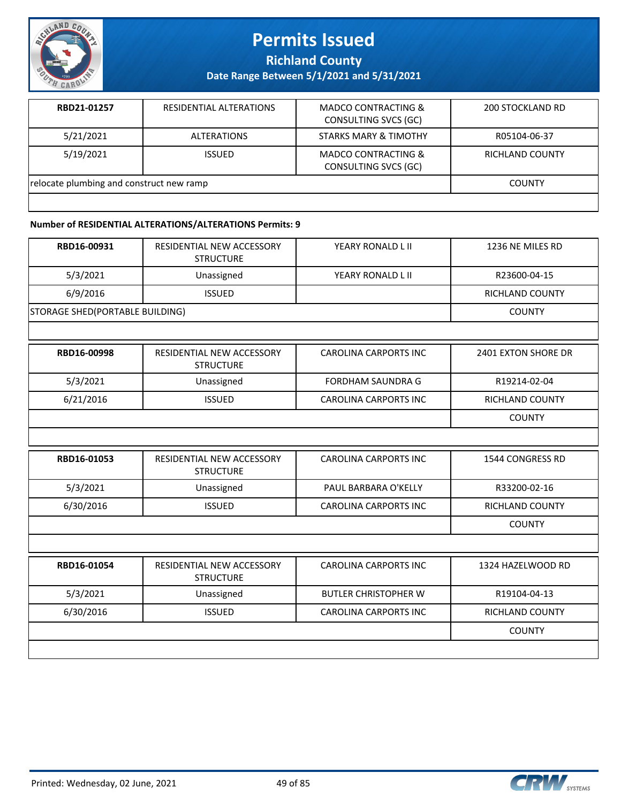

**Richland County**

**Date Range Between 5/1/2021 and 5/31/2021**

| RBD21-01257                              | <b>RESIDENTIAL ALTERATIONS</b> | <b>MADCO CONTRACTING &amp;</b><br>CONSULTING SVCS (GC) | 200 STOCKLAND RD |
|------------------------------------------|--------------------------------|--------------------------------------------------------|------------------|
| 5/21/2021                                | <b>ALTERATIONS</b>             | <b>STARKS MARY &amp; TIMOTHY</b>                       | R05104-06-37     |
| 5/19/2021                                | <b>ISSUED</b>                  | <b>MADCO CONTRACTING &amp;</b><br>CONSULTING SVCS (GC) | RICHLAND COUNTY  |
| relocate plumbing and construct new ramp |                                |                                                        | <b>COUNTY</b>    |
|                                          |                                |                                                        |                  |

#### **Number of RESIDENTIAL ALTERATIONS/ALTERATIONS Permits: 9**

| RBD16-00931                     | RESIDENTIAL NEW ACCESSORY<br><b>STRUCTURE</b> | YEARY RONALD L II | 1236 NE MILES RD       |
|---------------------------------|-----------------------------------------------|-------------------|------------------------|
| 5/3/2021                        | Unassigned                                    | YEARY RONALD L II | R23600-04-15           |
| 6/9/2016                        | <b>ISSUED</b>                                 |                   | <b>RICHLAND COUNTY</b> |
| STORAGE SHED(PORTABLE BUILDING) |                                               |                   | <b>COUNTY</b>          |

| RBD16-00998 | RESIDENTIAL NEW ACCESSORY<br><b>STRUCTURE</b> | <b>CAROLINA CARPORTS INC</b> | 2401 EXTON SHORE DR    |
|-------------|-----------------------------------------------|------------------------------|------------------------|
| 5/3/2021    | Unassigned                                    | FORDHAM SAUNDRA G            | R19214-02-04           |
| 6/21/2016   | <b>ISSUED</b>                                 | <b>CAROLINA CARPORTS INC</b> | <b>RICHLAND COUNTY</b> |
|             |                                               |                              | <b>COUNTY</b>          |

| RBD16-01053 | RESIDENTIAL NEW ACCESSORY<br><b>STRUCTURE</b> | CAROLINA CARPORTS INC | 1544 CONGRESS RD |
|-------------|-----------------------------------------------|-----------------------|------------------|
| 5/3/2021    | Unassigned                                    | PAUL BARBARA O'KELLY  | R33200-02-16     |
| 6/30/2016   | <b>ISSUED</b>                                 | CAROLINA CARPORTS INC | RICHLAND COUNTY  |
|             |                                               |                       | <b>COUNTY</b>    |

| RBD16-01054 | RESIDENTIAL NEW ACCESSORY<br><b>STRUCTURE</b> | CAROLINA CARPORTS INC        | 1324 HAZELWOOD RD      |
|-------------|-----------------------------------------------|------------------------------|------------------------|
| 5/3/2021    | Unassigned                                    | <b>BUTLER CHRISTOPHER W</b>  | R19104-04-13           |
| 6/30/2016   | <b>ISSUED</b>                                 | <b>CAROLINA CARPORTS INC</b> | <b>RICHLAND COUNTY</b> |
|             |                                               |                              | <b>COUNTY</b>          |
|             |                                               |                              |                        |

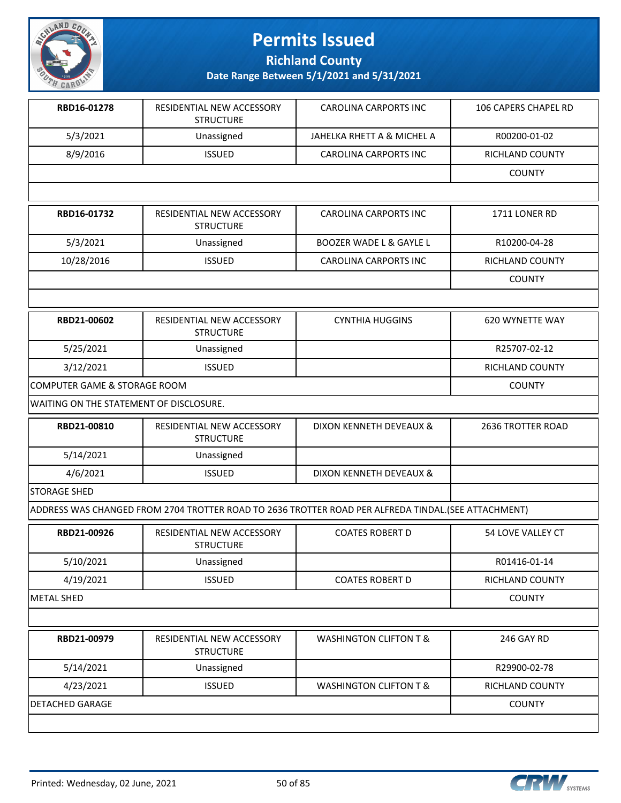

**Richland County**

| RBD16-01278                             | RESIDENTIAL NEW ACCESSORY<br><b>STRUCTURE</b> | <b>CAROLINA CARPORTS INC</b>                                                                         | 106 CAPERS CHAPEL RD |
|-----------------------------------------|-----------------------------------------------|------------------------------------------------------------------------------------------------------|----------------------|
| 5/3/2021                                | Unassigned                                    | JAHELKA RHETT A & MICHEL A                                                                           | R00200-01-02         |
| 8/9/2016                                | <b>ISSUED</b>                                 | <b>CAROLINA CARPORTS INC</b>                                                                         | RICHLAND COUNTY      |
|                                         |                                               |                                                                                                      | <b>COUNTY</b>        |
|                                         |                                               |                                                                                                      |                      |
| RBD16-01732                             | RESIDENTIAL NEW ACCESSORY<br><b>STRUCTURE</b> | <b>CAROLINA CARPORTS INC</b>                                                                         | 1711 LONER RD        |
| 5/3/2021                                | Unassigned                                    | <b>BOOZER WADE L &amp; GAYLE L</b>                                                                   | R10200-04-28         |
| 10/28/2016                              | <b>ISSUED</b>                                 | <b>CAROLINA CARPORTS INC</b>                                                                         | RICHLAND COUNTY      |
|                                         |                                               |                                                                                                      | <b>COUNTY</b>        |
|                                         |                                               |                                                                                                      |                      |
| RBD21-00602                             | RESIDENTIAL NEW ACCESSORY<br><b>STRUCTURE</b> | <b>CYNTHIA HUGGINS</b>                                                                               | 620 WYNETTE WAY      |
| 5/25/2021                               | Unassigned                                    |                                                                                                      | R25707-02-12         |
| 3/12/2021                               | <b>ISSUED</b>                                 |                                                                                                      | RICHLAND COUNTY      |
| COMPUTER GAME & STORAGE ROOM            |                                               |                                                                                                      | <b>COUNTY</b>        |
| WAITING ON THE STATEMENT OF DISCLOSURE. |                                               |                                                                                                      |                      |
| RBD21-00810                             | RESIDENTIAL NEW ACCESSORY<br><b>STRUCTURE</b> | DIXON KENNETH DEVEAUX &                                                                              | 2636 TROTTER ROAD    |
| 5/14/2021                               | Unassigned                                    |                                                                                                      |                      |
| 4/6/2021                                | <b>ISSUED</b>                                 | DIXON KENNETH DEVEAUX &                                                                              |                      |
| <b>STORAGE SHED</b>                     |                                               |                                                                                                      |                      |
|                                         |                                               | ADDRESS WAS CHANGED FROM 2704 TROTTER ROAD TO 2636 TROTTER ROAD PER ALFREDA TINDAL. (SEE ATTACHMENT) |                      |
| RBD21-00926                             | RESIDENTIAL NEW ACCESSORY<br><b>STRUCTURE</b> | <b>COATES ROBERT D</b>                                                                               | 54 LOVE VALLEY CT    |
| 5/10/2021                               | Unassigned                                    |                                                                                                      | R01416-01-14         |
| 4/19/2021                               | <b>ISSUED</b>                                 | <b>COATES ROBERT D</b>                                                                               | RICHLAND COUNTY      |
| <b>METAL SHED</b>                       |                                               |                                                                                                      | <b>COUNTY</b>        |
|                                         |                                               |                                                                                                      |                      |
| RBD21-00979                             | RESIDENTIAL NEW ACCESSORY<br><b>STRUCTURE</b> | <b>WASHINGTON CLIFTON T &amp;</b>                                                                    | 246 GAY RD           |
| 5/14/2021                               | Unassigned                                    |                                                                                                      | R29900-02-78         |
| 4/23/2021                               | <b>ISSUED</b>                                 | <b>WASHINGTON CLIFTON T &amp;</b>                                                                    | RICHLAND COUNTY      |
| <b>DETACHED GARAGE</b>                  |                                               |                                                                                                      | <b>COUNTY</b>        |
|                                         |                                               |                                                                                                      |                      |

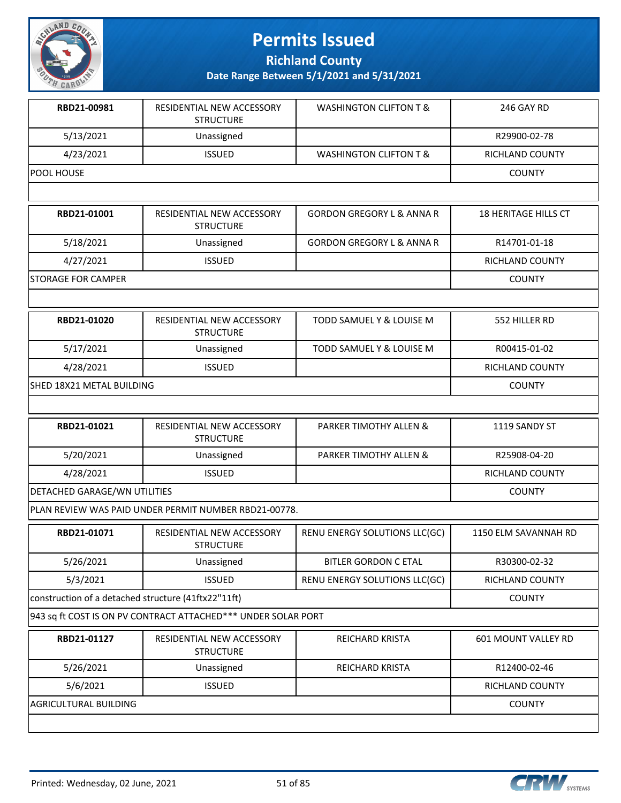

**Richland County**

| RBD21-00981                                         | RESIDENTIAL NEW ACCESSORY<br><b>STRUCTURE</b>                 | <b>WASHINGTON CLIFTON T &amp;</b>    | 246 GAY RD                  |
|-----------------------------------------------------|---------------------------------------------------------------|--------------------------------------|-----------------------------|
| 5/13/2021                                           | Unassigned                                                    |                                      | R29900-02-78                |
| 4/23/2021                                           | <b>ISSUED</b>                                                 | <b>WASHINGTON CLIFTON T &amp;</b>    | RICHLAND COUNTY             |
| POOL HOUSE                                          |                                                               |                                      | <b>COUNTY</b>               |
|                                                     |                                                               |                                      |                             |
| RBD21-01001                                         | RESIDENTIAL NEW ACCESSORY<br><b>STRUCTURE</b>                 | <b>GORDON GREGORY L &amp; ANNA R</b> | <b>18 HERITAGE HILLS CT</b> |
| 5/18/2021                                           | Unassigned                                                    | <b>GORDON GREGORY L &amp; ANNA R</b> | R14701-01-18                |
| 4/27/2021                                           | <b>ISSUED</b>                                                 |                                      | RICHLAND COUNTY             |
| STORAGE FOR CAMPER                                  |                                                               |                                      | <b>COUNTY</b>               |
|                                                     |                                                               |                                      |                             |
| RBD21-01020                                         | RESIDENTIAL NEW ACCESSORY<br><b>STRUCTURE</b>                 | <b>TODD SAMUEL Y &amp; LOUISE M</b>  | 552 HILLER RD               |
| 5/17/2021                                           | Unassigned                                                    | TODD SAMUEL Y & LOUISE M             | R00415-01-02                |
| 4/28/2021                                           | <b>ISSUED</b>                                                 |                                      | RICHLAND COUNTY             |
| SHED 18X21 METAL BUILDING                           |                                                               |                                      | <b>COUNTY</b>               |
|                                                     |                                                               |                                      |                             |
| RBD21-01021                                         | RESIDENTIAL NEW ACCESSORY<br><b>STRUCTURE</b>                 | PARKER TIMOTHY ALLEN &               | 1119 SANDY ST               |
| 5/20/2021                                           | Unassigned                                                    | PARKER TIMOTHY ALLEN &               | R25908-04-20                |
| 4/28/2021                                           | <b>ISSUED</b>                                                 |                                      | RICHLAND COUNTY             |
| DETACHED GARAGE/WN UTILITIES                        |                                                               |                                      | <b>COUNTY</b>               |
|                                                     | PLAN REVIEW WAS PAID UNDER PERMIT NUMBER RBD21-00778.         |                                      |                             |
| RBD21-01071                                         | RESIDENTIAL NEW ACCESSORY<br><b>STRUCTURE</b>                 | RENU ENERGY SOLUTIONS LLC(GC)        | 1150 ELM SAVANNAH RD        |
| 5/26/2021                                           | Unassigned                                                    | <b>BITLER GORDON C ETAL</b>          | R30300-02-32                |
| 5/3/2021                                            | <b>ISSUED</b>                                                 | RENU ENERGY SOLUTIONS LLC(GC)        | RICHLAND COUNTY             |
| construction of a detached structure (41ftx22"11ft) |                                                               |                                      | <b>COUNTY</b>               |
|                                                     | 943 sq ft COST IS ON PV CONTRACT ATTACHED*** UNDER SOLAR PORT |                                      |                             |
| RBD21-01127                                         | RESIDENTIAL NEW ACCESSORY<br><b>STRUCTURE</b>                 | REICHARD KRISTA                      | 601 MOUNT VALLEY RD         |
| 5/26/2021                                           | Unassigned                                                    | <b>REICHARD KRISTA</b>               | R12400-02-46                |
| 5/6/2021                                            | <b>ISSUED</b>                                                 |                                      | RICHLAND COUNTY             |
| AGRICULTURAL BUILDING                               |                                                               |                                      | <b>COUNTY</b>               |
|                                                     |                                                               |                                      |                             |

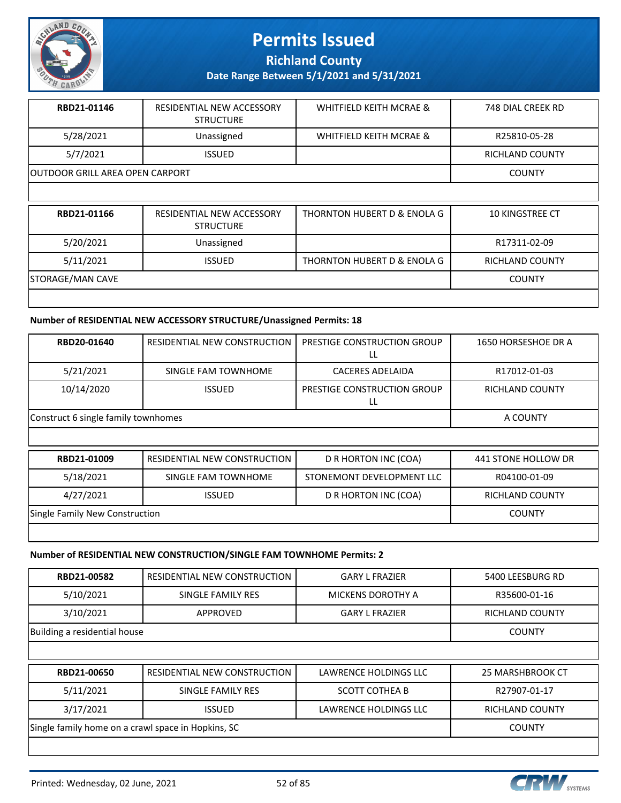

**Richland County**

**Date Range Between 5/1/2021 and 5/31/2021**

| RBD21-01146                            | <b>RESIDENTIAL NEW ACCESSORY</b><br><b>STRUCTURE</b> | WHITFIELD KEITH MCRAE & | 748 DIAL CREEK RD |
|----------------------------------------|------------------------------------------------------|-------------------------|-------------------|
| 5/28/2021                              | Unassigned                                           | WHITFIELD KEITH MCRAE & | R25810-05-28      |
| 5/7/2021                               | <b>ISSUED</b>                                        |                         | RICHLAND COUNTY   |
| <b>OUTDOOR GRILL AREA OPEN CARPORT</b> |                                                      |                         | <b>COUNTY</b>     |
|                                        |                                                      |                         |                   |

| RBD21-01166      | <b>RESIDENTIAL NEW ACCESSORY</b><br><b>STRUCTURE</b> | THORNTON HUBERT D & ENOLA G | <b>10 KINGSTREE CT</b> |
|------------------|------------------------------------------------------|-----------------------------|------------------------|
| 5/20/2021        | Unassigned                                           |                             | R17311-02-09           |
| 5/11/2021        | <b>ISSUED</b>                                        | THORNTON HUBERT D & ENOLA G | <b>RICHLAND COUNTY</b> |
| STORAGE/MAN CAVE |                                                      |                             | <b>COUNTY</b>          |
|                  |                                                      |                             |                        |

#### **Number of RESIDENTIAL NEW ACCESSORY STRUCTURE/Unassigned Permits: 18**

| RBD20-01640                         | RESIDENTIAL NEW CONSTRUCTION | PRESTIGE CONSTRUCTION GROUP       | 1650 HORSESHOE DR A    |
|-------------------------------------|------------------------------|-----------------------------------|------------------------|
| 5/21/2021                           | SINGLE FAM TOWNHOME          | CACERES ADELAIDA                  | R17012-01-03           |
| 10/14/2020                          | <b>ISSUED</b>                | PRESTIGE CONSTRUCTION GROUP<br>LL | <b>RICHLAND COUNTY</b> |
| Construct 6 single family townhomes | A COUNTY                     |                                   |                        |
|                                     |                              |                                   |                        |
| RBD21-01009                         | RESIDENTIAL NEW CONSTRUCTION | D R HORTON INC (COA)              | 441 STONE HOLLOW DR    |
| 5/18/2021                           | SINGLE FAM TOWNHOME          | STONEMONT DEVELOPMENT LLC         | R04100-01-09           |

4/27/2021 | ISSUED | DR HORTON INC (COA) | RICHLAND COUNTY

Single Family New Construction **COUNTY COUNTY** 

#### **Number of RESIDENTIAL NEW CONSTRUCTION/SINGLE FAM TOWNHOME Permits: 2**

| RBD21-00582                                        | RESIDENTIAL NEW CONSTRUCTION | <b>GARY L FRAZIER</b>    | 5400 LEESBURG RD       |
|----------------------------------------------------|------------------------------|--------------------------|------------------------|
| 5/10/2021                                          | SINGLE FAMILY RES            | <b>MICKENS DOROTHY A</b> | R35600-01-16           |
| 3/10/2021                                          | APPROVED                     | <b>GARY L FRAZIER</b>    | <b>RICHLAND COUNTY</b> |
| Building a residential house                       |                              |                          | <b>COUNTY</b>          |
|                                                    |                              |                          |                        |
| RBD21-00650                                        | RESIDENTIAL NEW CONSTRUCTION | LAWRENCE HOLDINGS LLC    | 25 MARSHBROOK CT       |
| 5/11/2021                                          | SINGLE FAMILY RES            | <b>SCOTT COTHEA B</b>    | R27907-01-17           |
| 3/17/2021                                          | <b>ISSUED</b>                | LAWRENCE HOLDINGS LLC    | <b>RICHLAND COUNTY</b> |
| Single family home on a crawl space in Hopkins, SC |                              |                          | <b>COUNTY</b>          |
|                                                    |                              |                          |                        |

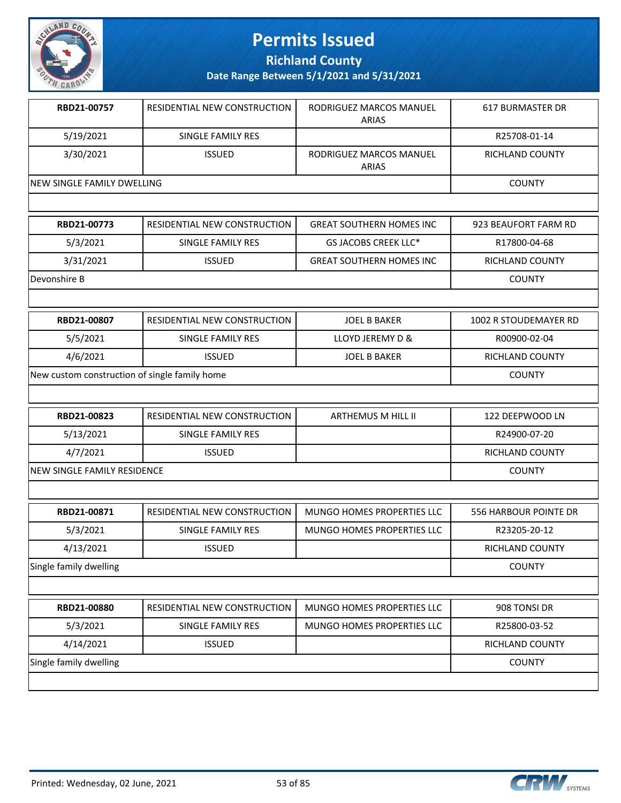

**Richland County**

| RBD21-00757                                   | RESIDENTIAL NEW CONSTRUCTION        | RODRIGUEZ MARCOS MANUEL<br><b>ARIAS</b> | <b>617 BURMASTER DR</b> |
|-----------------------------------------------|-------------------------------------|-----------------------------------------|-------------------------|
| 5/19/2021                                     | <b>SINGLE FAMILY RES</b>            |                                         | R25708-01-14            |
| 3/30/2021                                     | <b>ISSUED</b>                       | RODRIGUEZ MARCOS MANUEL<br><b>ARIAS</b> | <b>RICHLAND COUNTY</b>  |
| NEW SINGLE FAMILY DWELLING                    |                                     |                                         | <b>COUNTY</b>           |
|                                               |                                     |                                         |                         |
| RBD21-00773                                   | RESIDENTIAL NEW CONSTRUCTION        | <b>GREAT SOUTHERN HOMES INC</b>         | 923 BEAUFORT FARM RD    |
| 5/3/2021                                      | <b>SINGLE FAMILY RES</b>            | GS JACOBS CREEK LLC*                    | R17800-04-68            |
| 3/31/2021                                     | <b>ISSUED</b>                       | <b>GREAT SOUTHERN HOMES INC</b>         | <b>RICHLAND COUNTY</b>  |
| Devonshire B                                  |                                     |                                         | <b>COUNTY</b>           |
|                                               |                                     |                                         |                         |
| RBD21-00807                                   | RESIDENTIAL NEW CONSTRUCTION        | <b>JOEL B BAKER</b>                     | 1002 R STOUDEMAYER RD   |
| 5/5/2021                                      | <b>SINGLE FAMILY RES</b>            | LLOYD JEREMY D &                        | R00900-02-04            |
| 4/6/2021                                      | <b>ISSUED</b>                       | <b>JOEL B BAKER</b>                     | RICHLAND COUNTY         |
| New custom construction of single family home |                                     |                                         | <b>COUNTY</b>           |
|                                               |                                     |                                         |                         |
| RBD21-00823                                   | <b>RESIDENTIAL NEW CONSTRUCTION</b> | <b>ARTHEMUS M HILL II</b>               | 122 DEEPWOOD LN         |
| 5/13/2021                                     | <b>SINGLE FAMILY RES</b>            |                                         | R24900-07-20            |
| 4/7/2021                                      | <b>ISSUED</b>                       |                                         | <b>RICHLAND COUNTY</b>  |
| NEW SINGLE FAMILY RESIDENCE                   |                                     |                                         | <b>COUNTY</b>           |
|                                               |                                     |                                         |                         |
| RBD21-00871                                   | RESIDENTIAL NEW CONSTRUCTION        | MUNGO HOMES PROPERTIES LLC              | 556 HARBOUR POINTE DR   |
| 5/3/2021                                      | <b>SINGLE FAMILY RES</b>            | <b>MUNGO HOMES PROPERTIES LLC</b>       | R23205-20-12            |
| 4/13/2021                                     | <b>ISSUED</b>                       |                                         | RICHLAND COUNTY         |
| Single family dwelling                        |                                     |                                         | <b>COUNTY</b>           |
|                                               |                                     |                                         |                         |

| <b>RBD21-00880</b>     | RESIDENTIAL NEW CONSTRUCTION | MUNGO HOMES PROPERTIES LLC | 908 TONSI DR    |
|------------------------|------------------------------|----------------------------|-----------------|
| 5/3/2021               | SINGLE FAMILY RES            | MUNGO HOMES PROPERTIES LLC | R25800-03-52    |
| 4/14/2021              | <b>ISSUED</b>                |                            | RICHLAND COUNTY |
| Single family dwelling |                              |                            | <b>COUNTY</b>   |
|                        |                              |                            |                 |

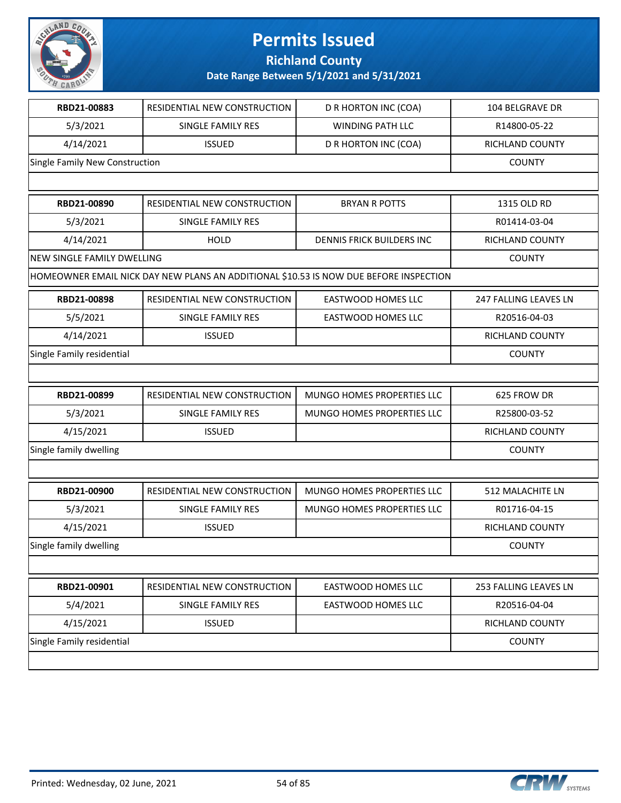

**Richland County**

| RBD21-00883                       | RESIDENTIAL NEW CONSTRUCTION                                                          | D R HORTON INC (COA)       | <b>104 BELGRAVE DR</b> |
|-----------------------------------|---------------------------------------------------------------------------------------|----------------------------|------------------------|
| 5/3/2021                          | SINGLE FAMILY RES                                                                     | <b>WINDING PATH LLC</b>    | R14800-05-22           |
| 4/14/2021                         | <b>ISSUED</b>                                                                         | D R HORTON INC (COA)       | RICHLAND COUNTY        |
| Single Family New Construction    |                                                                                       |                            | <b>COUNTY</b>          |
|                                   |                                                                                       |                            |                        |
| RBD21-00890                       | RESIDENTIAL NEW CONSTRUCTION                                                          | <b>BRYAN R POTTS</b>       | 1315 OLD RD            |
| 5/3/2021                          | SINGLE FAMILY RES                                                                     |                            | R01414-03-04           |
| 4/14/2021                         | <b>HOLD</b>                                                                           | DENNIS FRICK BUILDERS INC  | RICHLAND COUNTY        |
| <b>NEW SINGLE FAMILY DWELLING</b> |                                                                                       |                            | <b>COUNTY</b>          |
|                                   | HOMEOWNER EMAIL NICK DAY NEW PLANS AN ADDITIONAL \$10.53 IS NOW DUE BEFORE INSPECTION |                            |                        |
| RBD21-00898                       | RESIDENTIAL NEW CONSTRUCTION                                                          | <b>EASTWOOD HOMES LLC</b>  | 247 FALLING LEAVES LN  |
| 5/5/2021                          | SINGLE FAMILY RES                                                                     | EASTWOOD HOMES LLC         | R20516-04-03           |
| 4/14/2021                         | <b>ISSUED</b>                                                                         |                            | RICHLAND COUNTY        |
| Single Family residential         |                                                                                       |                            | <b>COUNTY</b>          |
|                                   |                                                                                       |                            |                        |
| RBD21-00899                       | RESIDENTIAL NEW CONSTRUCTION                                                          | MUNGO HOMES PROPERTIES LLC | 625 FROW DR            |
| 5/3/2021                          | SINGLE FAMILY RES                                                                     | MUNGO HOMES PROPERTIES LLC | R25800-03-52           |
| 4/15/2021                         | <b>ISSUED</b>                                                                         |                            | RICHLAND COUNTY        |
| Single family dwelling            |                                                                                       |                            | <b>COUNTY</b>          |
|                                   |                                                                                       |                            |                        |
| RBD21-00900                       | RESIDENTIAL NEW CONSTRUCTION                                                          | MUNGO HOMES PROPERTIES LLC | 512 MALACHITE LN       |
| 5/3/2021                          | SINGLE FAMILY RES                                                                     | MUNGO HOMES PROPERTIES LLC | R01716-04-15           |
| 4/15/2021                         | <b>ISSUED</b>                                                                         |                            | <b>RICHLAND COUNTY</b> |
| Single family dwelling            |                                                                                       |                            | <b>COUNTY</b>          |
|                                   |                                                                                       |                            |                        |
| RBD21-00901                       | RESIDENTIAL NEW CONSTRUCTION                                                          | <b>EASTWOOD HOMES LLC</b>  | 253 FALLING LEAVES LN  |
| 5/4/2021                          | SINGLE FAMILY RES                                                                     | EASTWOOD HOMES LLC         | R20516-04-04           |
| 4/15/2021                         | <b>ISSUED</b>                                                                         |                            | <b>RICHLAND COUNTY</b> |
| Single Family residential         |                                                                                       |                            | <b>COUNTY</b>          |
|                                   |                                                                                       |                            |                        |

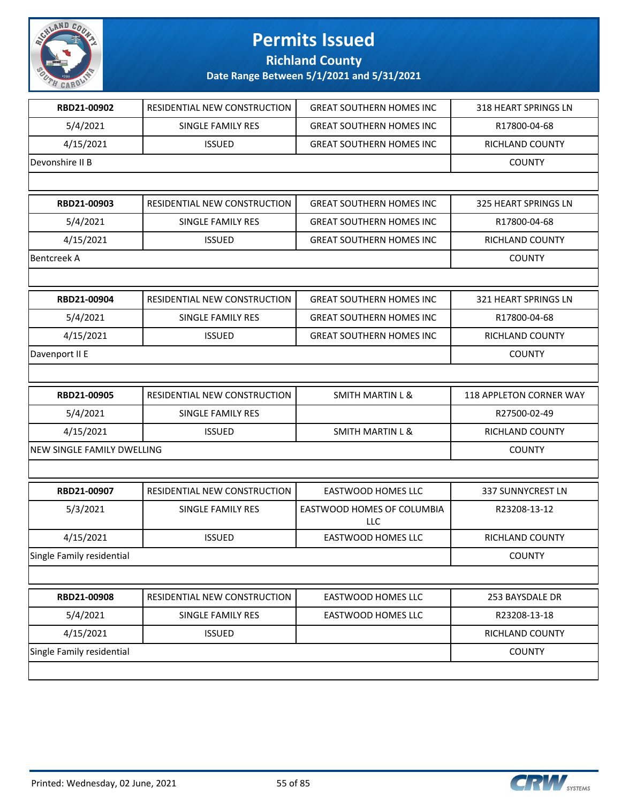

#### **Richland County**

| RBD21-00902                | RESIDENTIAL NEW CONSTRUCTION | <b>GREAT SOUTHERN HOMES INC</b>   | 318 HEART SPRINGS LN    |
|----------------------------|------------------------------|-----------------------------------|-------------------------|
| 5/4/2021                   | <b>SINGLE FAMILY RES</b>     | <b>GREAT SOUTHERN HOMES INC</b>   | R17800-04-68            |
| 4/15/2021                  | <b>ISSUED</b>                | <b>GREAT SOUTHERN HOMES INC</b>   | RICHLAND COUNTY         |
| Devonshire II B            |                              |                                   | <b>COUNTY</b>           |
|                            |                              |                                   |                         |
| RBD21-00903                | RESIDENTIAL NEW CONSTRUCTION | <b>GREAT SOUTHERN HOMES INC</b>   | 325 HEART SPRINGS LN    |
| 5/4/2021                   | SINGLE FAMILY RES            | <b>GREAT SOUTHERN HOMES INC</b>   | R17800-04-68            |
| 4/15/2021                  | <b>ISSUED</b>                | <b>GREAT SOUTHERN HOMES INC</b>   | RICHLAND COUNTY         |
| <b>Bentcreek A</b>         |                              |                                   | <b>COUNTY</b>           |
|                            |                              |                                   |                         |
| RBD21-00904                | RESIDENTIAL NEW CONSTRUCTION | <b>GREAT SOUTHERN HOMES INC</b>   | 321 HEART SPRINGS LN    |
| 5/4/2021                   | <b>SINGLE FAMILY RES</b>     | <b>GREAT SOUTHERN HOMES INC.</b>  | R17800-04-68            |
| 4/15/2021                  | <b>ISSUED</b>                | <b>GREAT SOUTHERN HOMES INC</b>   | RICHLAND COUNTY         |
| Davenport II E             |                              |                                   | <b>COUNTY</b>           |
|                            |                              |                                   |                         |
| RBD21-00905                | RESIDENTIAL NEW CONSTRUCTION | <b>SMITH MARTIN L &amp;</b>       | 118 APPLETON CORNER WAY |
| 5/4/2021                   | SINGLE FAMILY RES            |                                   | R27500-02-49            |
| 4/15/2021                  | <b>ISSUED</b>                | <b>SMITH MARTIN L &amp;</b>       | RICHLAND COUNTY         |
| NEW SINGLE FAMILY DWELLING |                              |                                   | <b>COUNTY</b>           |
|                            |                              |                                   |                         |
| RBD21-00907                | RESIDENTIAL NEW CONSTRUCTION | <b>EASTWOOD HOMES LLC</b>         | 337 SUNNYCREST LN       |
| 5/3/2021                   | SINGLE FAMILY RES            | EASTWOOD HOMES OF COLUMBIA<br>LLC | R23208-13-12            |
| 4/15/2021                  | <b>ISSUED</b>                | <b>EASTWOOD HOMES LLC</b>         | RICHLAND COUNTY         |
| Single Family residential  |                              |                                   | <b>COUNTY</b>           |
|                            |                              |                                   |                         |
| RBD21-00908                | RESIDENTIAL NEW CONSTRUCTION | <b>EASTWOOD HOMES LLC</b>         | 253 BAYSDALE DR         |
|                            |                              |                                   |                         |
| 5/4/2021                   | SINGLE FAMILY RES            | <b>EASTWOOD HOMES LLC</b>         | R23208-13-18            |
| 4/15/2021                  | <b>ISSUED</b>                |                                   | RICHLAND COUNTY         |
| Single Family residential  |                              |                                   | <b>COUNTY</b>           |

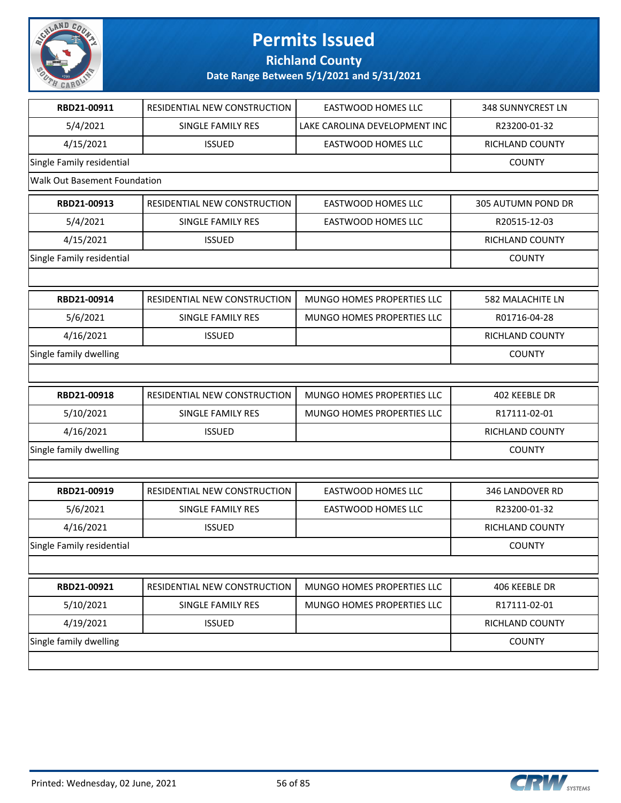

**Richland County**

| RBD21-00911                         | RESIDENTIAL NEW CONSTRUCTION | <b>EASTWOOD HOMES LLC</b>     | <b>348 SUNNYCREST LN</b> |
|-------------------------------------|------------------------------|-------------------------------|--------------------------|
| 5/4/2021                            | SINGLE FAMILY RES            | LAKE CAROLINA DEVELOPMENT INC | R23200-01-32             |
| 4/15/2021                           | <b>ISSUED</b>                | <b>EASTWOOD HOMES LLC</b>     | RICHLAND COUNTY          |
| Single Family residential           |                              |                               | <b>COUNTY</b>            |
| <b>Walk Out Basement Foundation</b> |                              |                               |                          |
| RBD21-00913                         | RESIDENTIAL NEW CONSTRUCTION | <b>EASTWOOD HOMES LLC</b>     | 305 AUTUMN POND DR       |
| 5/4/2021                            | SINGLE FAMILY RES            | <b>EASTWOOD HOMES LLC</b>     | R20515-12-03             |
| 4/15/2021                           | <b>ISSUED</b>                |                               | RICHLAND COUNTY          |
| Single Family residential           |                              |                               | <b>COUNTY</b>            |
|                                     |                              |                               |                          |
| RBD21-00914                         | RESIDENTIAL NEW CONSTRUCTION | MUNGO HOMES PROPERTIES LLC    | 582 MALACHITE LN         |
| 5/6/2021                            | SINGLE FAMILY RES            | MUNGO HOMES PROPERTIES LLC    | R01716-04-28             |
| 4/16/2021                           | <b>ISSUED</b>                |                               | RICHLAND COUNTY          |
| Single family dwelling              |                              |                               | <b>COUNTY</b>            |
|                                     |                              |                               |                          |
| RBD21-00918                         | RESIDENTIAL NEW CONSTRUCTION | MUNGO HOMES PROPERTIES LLC    | 402 KEEBLE DR            |
| 5/10/2021                           | SINGLE FAMILY RES            | MUNGO HOMES PROPERTIES LLC    | R17111-02-01             |
| 4/16/2021                           | <b>ISSUED</b>                |                               | RICHLAND COUNTY          |
| Single family dwelling              |                              |                               | <b>COUNTY</b>            |
|                                     |                              |                               |                          |
| RBD21-00919                         | RESIDENTIAL NEW CONSTRUCTION | <b>EASTWOOD HOMES LLC</b>     | 346 LANDOVER RD          |
| 5/6/2021                            | <b>SINGLE FAMILY RES</b>     | <b>EASTWOOD HOMES LLC</b>     | R23200-01-32             |
| 4/16/2021                           | <b>ISSUED</b>                |                               | RICHLAND COUNTY          |
| Single Family residential           |                              |                               | <b>COUNTY</b>            |
|                                     |                              |                               |                          |
| RBD21-00921                         | RESIDENTIAL NEW CONSTRUCTION | MUNGO HOMES PROPERTIES LLC    | 406 KEEBLE DR            |
| 5/10/2021                           | SINGLE FAMILY RES            | MUNGO HOMES PROPERTIES LLC    | R17111-02-01             |
| 4/19/2021                           | <b>ISSUED</b>                |                               | RICHLAND COUNTY          |
| Single family dwelling              |                              |                               | <b>COUNTY</b>            |
|                                     |                              |                               |                          |

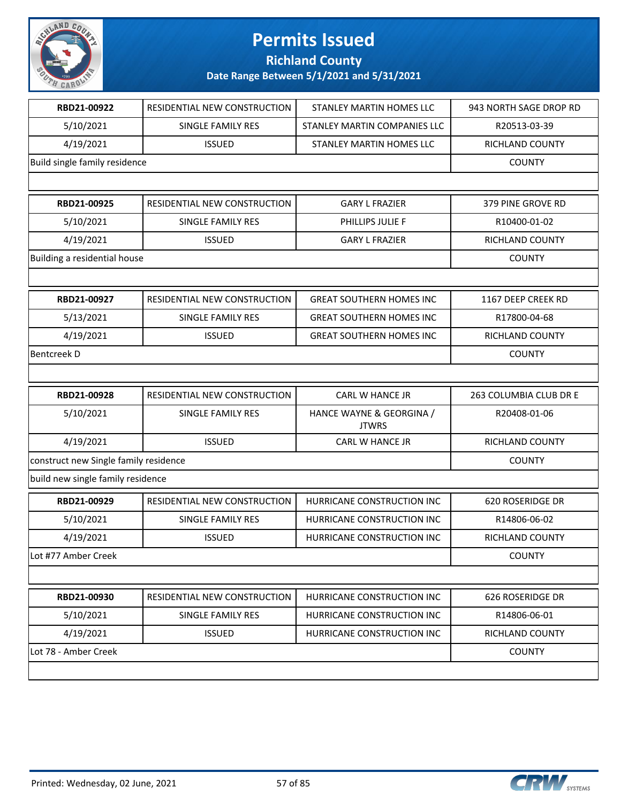

**Richland County**

| RBD21-00922                           | RESIDENTIAL NEW CONSTRUCTION | <b>STANLEY MARTIN HOMES LLC</b>          | 943 NORTH SAGE DROP RD |
|---------------------------------------|------------------------------|------------------------------------------|------------------------|
| 5/10/2021                             | SINGLE FAMILY RES            | STANLEY MARTIN COMPANIES LLC             | R20513-03-39           |
| 4/19/2021                             | <b>ISSUED</b>                | STANLEY MARTIN HOMES LLC                 | RICHLAND COUNTY        |
| Build single family residence         |                              |                                          | <b>COUNTY</b>          |
|                                       |                              |                                          |                        |
| RBD21-00925                           | RESIDENTIAL NEW CONSTRUCTION | <b>GARY L FRAZIER</b>                    | 379 PINE GROVE RD      |
| 5/10/2021                             | <b>SINGLE FAMILY RES</b>     | PHILLIPS JULIE F                         | R10400-01-02           |
| 4/19/2021                             | <b>ISSUED</b>                | <b>GARY L FRAZIER</b>                    | <b>RICHLAND COUNTY</b> |
| Building a residential house          |                              |                                          | <b>COUNTY</b>          |
|                                       |                              |                                          |                        |
| RBD21-00927                           | RESIDENTIAL NEW CONSTRUCTION | <b>GREAT SOUTHERN HOMES INC</b>          | 1167 DEEP CREEK RD     |
| 5/13/2021                             | SINGLE FAMILY RES            | <b>GREAT SOUTHERN HOMES INC</b>          | R17800-04-68           |
| 4/19/2021                             | <b>ISSUED</b>                | <b>GREAT SOUTHERN HOMES INC</b>          | RICHLAND COUNTY        |
| <b>Bentcreek D</b>                    |                              |                                          | <b>COUNTY</b>          |
|                                       |                              |                                          |                        |
| RBD21-00928                           | RESIDENTIAL NEW CONSTRUCTION | CARL W HANCE JR                          | 263 COLUMBIA CLUB DR E |
| 5/10/2021                             | SINGLE FAMILY RES            | HANCE WAYNE & GEORGINA /<br><b>JTWRS</b> | R20408-01-06           |
| 4/19/2021                             | <b>ISSUED</b>                | CARL W HANCE JR                          | RICHLAND COUNTY        |
| construct new Single family residence |                              |                                          | <b>COUNTY</b>          |
| build new single family residence     |                              |                                          |                        |
| RBD21-00929                           | RESIDENTIAL NEW CONSTRUCTION | HURRICANE CONSTRUCTION INC               | 620 ROSERIDGE DR       |
| 5/10/2021                             | SINGLE FAMILY RES            | HURRICANE CONSTRUCTION INC               | R14806-06-02           |
| 4/19/2021                             | <b>ISSUED</b>                | HURRICANE CONSTRUCTION INC               | RICHLAND COUNTY        |
| Lot #77 Amber Creek                   |                              |                                          | <b>COUNTY</b>          |
|                                       |                              |                                          |                        |
| RBD21-00930                           | RESIDENTIAL NEW CONSTRUCTION | HURRICANE CONSTRUCTION INC               | 626 ROSERIDGE DR       |
| 5/10/2021                             | SINGLE FAMILY RES            | HURRICANE CONSTRUCTION INC               | R14806-06-01           |
| 4/19/2021                             | <b>ISSUED</b>                | HURRICANE CONSTRUCTION INC               | RICHLAND COUNTY        |
| Lot 78 - Amber Creek                  |                              |                                          | <b>COUNTY</b>          |
|                                       |                              |                                          |                        |

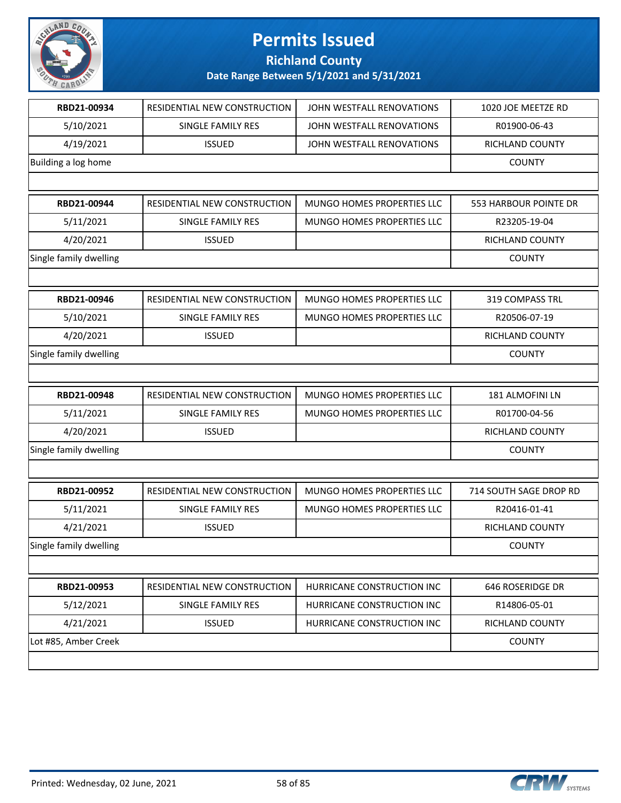

#### **Richland County**

| RBD21-00934            | RESIDENTIAL NEW CONSTRUCTION | JOHN WESTFALL RENOVATIONS  | 1020 JOE MEETZE RD     |
|------------------------|------------------------------|----------------------------|------------------------|
| 5/10/2021              | <b>SINGLE FAMILY RES</b>     | JOHN WESTFALL RENOVATIONS  | R01900-06-43           |
| 4/19/2021              | <b>ISSUED</b>                | JOHN WESTFALL RENOVATIONS  | RICHLAND COUNTY        |
| Building a log home    |                              |                            | <b>COUNTY</b>          |
|                        |                              |                            |                        |
| RBD21-00944            | RESIDENTIAL NEW CONSTRUCTION | MUNGO HOMES PROPERTIES LLC | 553 HARBOUR POINTE DR  |
| 5/11/2021              | <b>SINGLE FAMILY RES</b>     | MUNGO HOMES PROPERTIES LLC | R23205-19-04           |
| 4/20/2021              | <b>ISSUED</b>                |                            | RICHLAND COUNTY        |
| Single family dwelling |                              |                            | <b>COUNTY</b>          |
|                        |                              |                            |                        |
| RBD21-00946            | RESIDENTIAL NEW CONSTRUCTION | MUNGO HOMES PROPERTIES LLC | 319 COMPASS TRL        |
| 5/10/2021              | SINGLE FAMILY RES            | MUNGO HOMES PROPERTIES LLC | R20506-07-19           |
| 4/20/2021              | <b>ISSUED</b>                |                            | <b>RICHLAND COUNTY</b> |
| Single family dwelling |                              |                            | <b>COUNTY</b>          |
|                        |                              |                            |                        |
| RBD21-00948            | RESIDENTIAL NEW CONSTRUCTION | MUNGO HOMES PROPERTIES LLC | 181 ALMOFINI LN        |
| 5/11/2021              | SINGLE FAMILY RES            | MUNGO HOMES PROPERTIES LLC | R01700-04-56           |
| 4/20/2021              | <b>ISSUED</b>                |                            | RICHLAND COUNTY        |
| Single family dwelling |                              |                            | <b>COUNTY</b>          |
|                        |                              |                            |                        |
| RBD21-00952            | RESIDENTIAL NEW CONSTRUCTION | MUNGO HOMES PROPERTIES LLC | 714 SOUTH SAGE DROP RD |
| 5/11/2021              | SINGLE FAMILY RES            | MUNGO HOMES PROPERTIES LLC | R20416-01-41           |
| 4/21/2021              | <b>ISSUED</b>                |                            | <b>RICHLAND COUNTY</b> |
| Single family dwelling |                              |                            | <b>COUNTY</b>          |
|                        |                              |                            |                        |
| RBD21-00953            | RESIDENTIAL NEW CONSTRUCTION | HURRICANE CONSTRUCTION INC | 646 ROSERIDGE DR       |
| 5/12/2021              | SINGLE FAMILY RES            | HURRICANE CONSTRUCTION INC | R14806-05-01           |
| 4/21/2021              | <b>ISSUED</b>                | HURRICANE CONSTRUCTION INC | RICHLAND COUNTY        |
| Lot #85, Amber Creek   |                              |                            | <b>COUNTY</b>          |
|                        |                              |                            |                        |

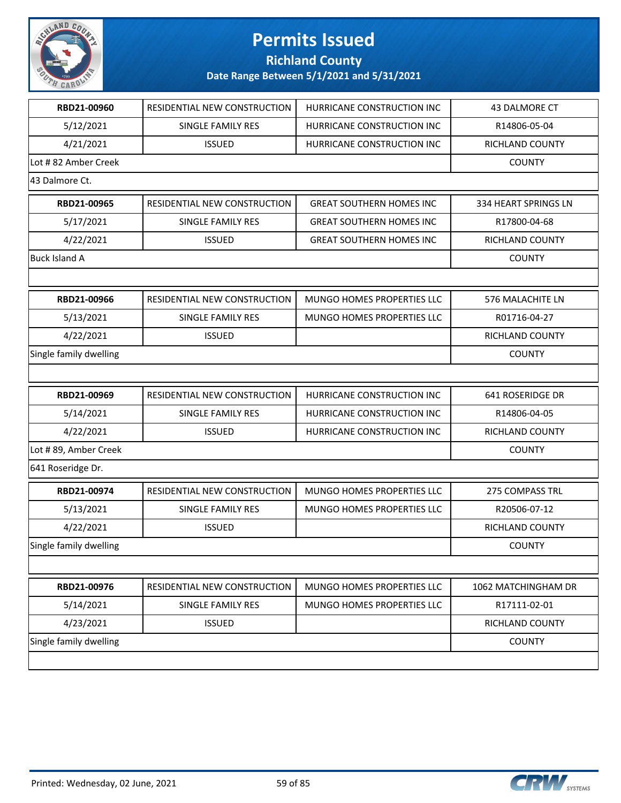

**Richland County**

| RBD21-00960            | RESIDENTIAL NEW CONSTRUCTION | HURRICANE CONSTRUCTION INC      | 43 DALMORE CT        |
|------------------------|------------------------------|---------------------------------|----------------------|
| 5/12/2021              | SINGLE FAMILY RES            | HURRICANE CONSTRUCTION INC      | R14806-05-04         |
| 4/21/2021              | <b>ISSUED</b>                | HURRICANE CONSTRUCTION INC      | RICHLAND COUNTY      |
| Lot #82 Amber Creek    |                              |                                 | <b>COUNTY</b>        |
| 43 Dalmore Ct.         |                              |                                 |                      |
| RBD21-00965            | RESIDENTIAL NEW CONSTRUCTION | <b>GREAT SOUTHERN HOMES INC</b> | 334 HEART SPRINGS LN |
| 5/17/2021              | SINGLE FAMILY RES            | <b>GREAT SOUTHERN HOMES INC</b> | R17800-04-68         |
| 4/22/2021              | <b>ISSUED</b>                | <b>GREAT SOUTHERN HOMES INC</b> | RICHLAND COUNTY      |
| <b>Buck Island A</b>   |                              |                                 | <b>COUNTY</b>        |
|                        |                              |                                 |                      |
| RBD21-00966            | RESIDENTIAL NEW CONSTRUCTION | MUNGO HOMES PROPERTIES LLC      | 576 MALACHITE LN     |
| 5/13/2021              | <b>SINGLE FAMILY RES</b>     | MUNGO HOMES PROPERTIES LLC      | R01716-04-27         |
| 4/22/2021              | <b>ISSUED</b>                |                                 | RICHLAND COUNTY      |
| Single family dwelling |                              |                                 | <b>COUNTY</b>        |
|                        |                              |                                 |                      |
| RBD21-00969            | RESIDENTIAL NEW CONSTRUCTION | HURRICANE CONSTRUCTION INC      | 641 ROSERIDGE DR     |
| 5/14/2021              | SINGLE FAMILY RES            | HURRICANE CONSTRUCTION INC      | R14806-04-05         |
| 4/22/2021              | <b>ISSUED</b>                | HURRICANE CONSTRUCTION INC      | RICHLAND COUNTY      |
| Lot #89, Amber Creek   |                              |                                 | <b>COUNTY</b>        |
| 641 Roseridge Dr.      |                              |                                 |                      |
| RBD21-00974            | RESIDENTIAL NEW CONSTRUCTION | MUNGO HOMES PROPERTIES LLC      | 275 COMPASS TRL      |
| 5/13/2021              | SINGLE FAMILY RES            | MUNGO HOMES PROPERTIES LLC      | R20506-07-12         |
| 4/22/2021              | <b>ISSUED</b>                |                                 | RICHLAND COUNTY      |
| Single family dwelling |                              |                                 | <b>COUNTY</b>        |
|                        |                              |                                 |                      |
| RBD21-00976            | RESIDENTIAL NEW CONSTRUCTION | MUNGO HOMES PROPERTIES LLC      | 1062 MATCHINGHAM DR  |
| 5/14/2021              | <b>SINGLE FAMILY RES</b>     | MUNGO HOMES PROPERTIES LLC      | R17111-02-01         |
| 4/23/2021              | <b>ISSUED</b>                |                                 | RICHLAND COUNTY      |
| Single family dwelling |                              |                                 | <b>COUNTY</b>        |
|                        |                              |                                 |                      |
|                        |                              |                                 |                      |

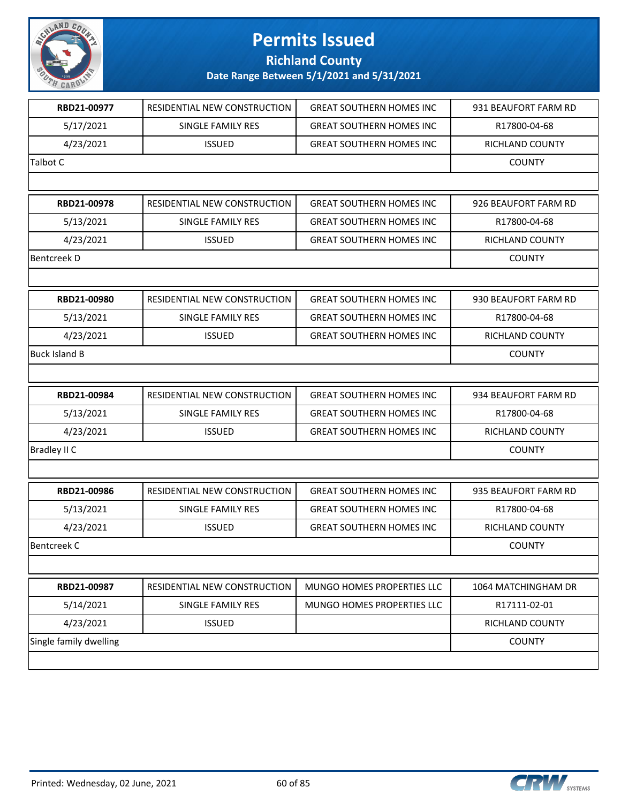

#### **Richland County**

| RBD21-00977            | RESIDENTIAL NEW CONSTRUCTION | <b>GREAT SOUTHERN HOMES INC</b>  | 931 BEAUFORT FARM RD |
|------------------------|------------------------------|----------------------------------|----------------------|
| 5/17/2021              | SINGLE FAMILY RES            | <b>GREAT SOUTHERN HOMES INC</b>  | R17800-04-68         |
| 4/23/2021              | <b>ISSUED</b>                | <b>GREAT SOUTHERN HOMES INC</b>  | RICHLAND COUNTY      |
| <b>Talbot C</b>        |                              |                                  | <b>COUNTY</b>        |
|                        |                              |                                  |                      |
| RBD21-00978            | RESIDENTIAL NEW CONSTRUCTION | <b>GREAT SOUTHERN HOMES INC</b>  | 926 BEAUFORT FARM RD |
| 5/13/2021              | SINGLE FAMILY RES            | <b>GREAT SOUTHERN HOMES INC</b>  | R17800-04-68         |
| 4/23/2021              | <b>ISSUED</b>                | <b>GREAT SOUTHERN HOMES INC</b>  | RICHLAND COUNTY      |
| <b>Bentcreek D</b>     |                              |                                  | <b>COUNTY</b>        |
|                        |                              |                                  |                      |
| RBD21-00980            | RESIDENTIAL NEW CONSTRUCTION | <b>GREAT SOUTHERN HOMES INC</b>  | 930 BEAUFORT FARM RD |
| 5/13/2021              | <b>SINGLE FAMILY RES</b>     | <b>GREAT SOUTHERN HOMES INC.</b> | R17800-04-68         |
| 4/23/2021              | <b>ISSUED</b>                | <b>GREAT SOUTHERN HOMES INC</b>  | RICHLAND COUNTY      |
| Buck Island B          |                              |                                  | <b>COUNTY</b>        |
|                        |                              |                                  |                      |
| RBD21-00984            | RESIDENTIAL NEW CONSTRUCTION | <b>GREAT SOUTHERN HOMES INC</b>  | 934 BEAUFORT FARM RD |
| 5/13/2021              | SINGLE FAMILY RES            | <b>GREAT SOUTHERN HOMES INC</b>  | R17800-04-68         |
| 4/23/2021              | <b>ISSUED</b>                | <b>GREAT SOUTHERN HOMES INC</b>  | RICHLAND COUNTY      |
| <b>Bradley II C</b>    |                              |                                  | <b>COUNTY</b>        |
|                        |                              |                                  |                      |
| RBD21-00986            | RESIDENTIAL NEW CONSTRUCTION | <b>GREAT SOUTHERN HOMES INC</b>  | 935 BEAUFORT FARM RD |
| 5/13/2021              | SINGLE FAMILY RES            | <b>GREAT SOUTHERN HOMES INC</b>  | R17800-04-68         |
| 4/23/2021              | <b>ISSUED</b>                | <b>GREAT SOUTHERN HOMES INC</b>  | RICHLAND COUNTY      |
| Bentcreek C            |                              |                                  | <b>COUNTY</b>        |
|                        |                              |                                  |                      |
| RBD21-00987            | RESIDENTIAL NEW CONSTRUCTION | MUNGO HOMES PROPERTIES LLC       | 1064 MATCHINGHAM DR  |
| 5/14/2021              | SINGLE FAMILY RES            | MUNGO HOMES PROPERTIES LLC       | R17111-02-01         |
| 4/23/2021              | <b>ISSUED</b>                |                                  | RICHLAND COUNTY      |
| Single family dwelling |                              |                                  | <b>COUNTY</b>        |
|                        |                              |                                  |                      |
|                        |                              |                                  |                      |

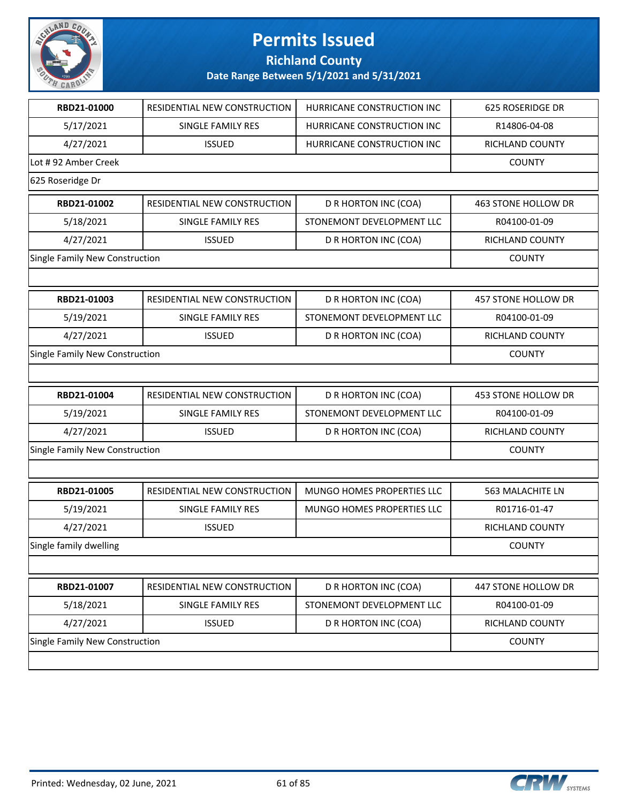

**Richland County**

| RBD21-01000                    | RESIDENTIAL NEW CONSTRUCTION   | HURRICANE CONSTRUCTION INC | <b>625 ROSERIDGE DR</b> |
|--------------------------------|--------------------------------|----------------------------|-------------------------|
| 5/17/2021                      | SINGLE FAMILY RES              | HURRICANE CONSTRUCTION INC | R14806-04-08            |
| 4/27/2021                      | <b>ISSUED</b>                  | HURRICANE CONSTRUCTION INC | RICHLAND COUNTY         |
| Lot #92 Amber Creek            |                                |                            | <b>COUNTY</b>           |
| 625 Roseridge Dr               |                                |                            |                         |
| RBD21-01002                    | RESIDENTIAL NEW CONSTRUCTION   | D R HORTON INC (COA)       | 463 STONE HOLLOW DR     |
| 5/18/2021                      | SINGLE FAMILY RES              | STONEMONT DEVELOPMENT LLC  | R04100-01-09            |
| 4/27/2021                      | <b>ISSUED</b>                  | D R HORTON INC (COA)       | RICHLAND COUNTY         |
| Single Family New Construction |                                |                            | <b>COUNTY</b>           |
|                                |                                |                            |                         |
| RBD21-01003                    | RESIDENTIAL NEW CONSTRUCTION   | D R HORTON INC (COA)       | 457 STONE HOLLOW DR     |
| 5/19/2021                      | SINGLE FAMILY RES              | STONEMONT DEVELOPMENT LLC  | R04100-01-09            |
| 4/27/2021                      | <b>ISSUED</b>                  | D R HORTON INC (COA)       | RICHLAND COUNTY         |
| Single Family New Construction |                                |                            | <b>COUNTY</b>           |
|                                |                                |                            |                         |
| RBD21-01004                    | RESIDENTIAL NEW CONSTRUCTION   | D R HORTON INC (COA)       | 453 STONE HOLLOW DR     |
| 5/19/2021                      | SINGLE FAMILY RES              | STONEMONT DEVELOPMENT LLC  | R04100-01-09            |
| 4/27/2021                      | <b>ISSUED</b>                  | D R HORTON INC (COA)       | RICHLAND COUNTY         |
| Single Family New Construction |                                |                            | <b>COUNTY</b>           |
|                                |                                |                            |                         |
| RBD21-01005                    | RESIDENTIAL NEW CONSTRUCTION   | MUNGO HOMES PROPERTIES LLC | 563 MALACHITE LN        |
| 5/19/2021                      | <b>SINGLE FAMILY RES</b>       | MUNGO HOMES PROPERTIES LLC | R01716-01-47            |
| 4/27/2021                      | <b>ISSUED</b>                  |                            | RICHLAND COUNTY         |
| Single family dwelling         |                                |                            | <b>COUNTY</b>           |
|                                |                                |                            |                         |
| RBD21-01007                    | RESIDENTIAL NEW CONSTRUCTION   | D R HORTON INC (COA)       | 447 STONE HOLLOW DR     |
| 5/18/2021                      | SINGLE FAMILY RES              | STONEMONT DEVELOPMENT LLC  | R04100-01-09            |
| 4/27/2021                      | <b>ISSUED</b>                  | D R HORTON INC (COA)       | RICHLAND COUNTY         |
|                                | Single Family New Construction |                            |                         |
|                                |                                |                            |                         |

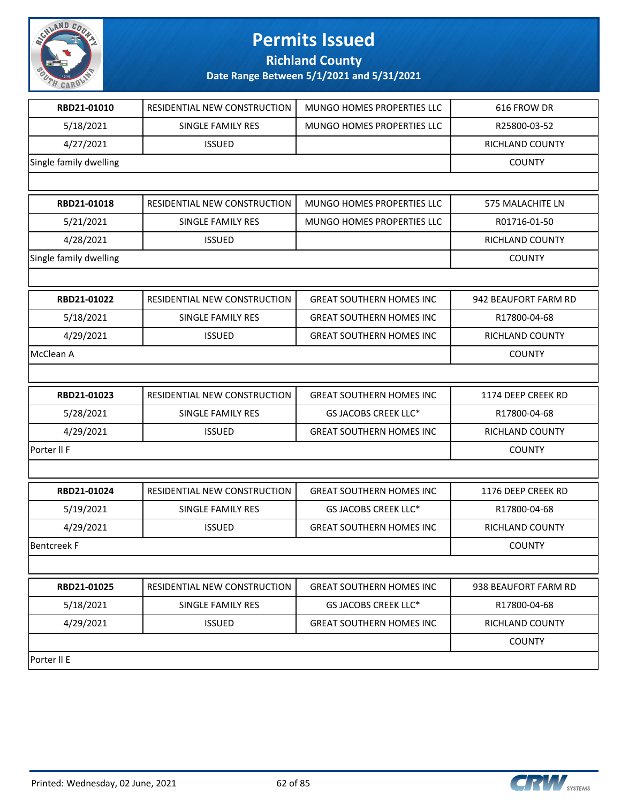

**Richland County**

| RBD21-01010            | RESIDENTIAL NEW CONSTRUCTION | MUNGO HOMES PROPERTIES LLC      | 616 FROW DR          |
|------------------------|------------------------------|---------------------------------|----------------------|
| 5/18/2021              | SINGLE FAMILY RES            | MUNGO HOMES PROPERTIES LLC      | R25800-03-52         |
| 4/27/2021              | <b>ISSUED</b>                |                                 | RICHLAND COUNTY      |
| Single family dwelling |                              |                                 | <b>COUNTY</b>        |
|                        |                              |                                 |                      |
| RBD21-01018            | RESIDENTIAL NEW CONSTRUCTION | MUNGO HOMES PROPERTIES LLC      | 575 MALACHITE LN     |
| 5/21/2021              | SINGLE FAMILY RES            | MUNGO HOMES PROPERTIES LLC      | R01716-01-50         |
| 4/28/2021              | <b>ISSUED</b>                |                                 | RICHLAND COUNTY      |
| Single family dwelling |                              |                                 | <b>COUNTY</b>        |
|                        |                              |                                 |                      |
| RBD21-01022            | RESIDENTIAL NEW CONSTRUCTION | <b>GREAT SOUTHERN HOMES INC</b> | 942 BEAUFORT FARM RD |
| 5/18/2021              | SINGLE FAMILY RES            | <b>GREAT SOUTHERN HOMES INC</b> | R17800-04-68         |
| 4/29/2021              | <b>ISSUED</b>                | <b>GREAT SOUTHERN HOMES INC</b> | RICHLAND COUNTY      |
| McClean A              |                              |                                 | <b>COUNTY</b>        |
|                        |                              |                                 |                      |
| RBD21-01023            | RESIDENTIAL NEW CONSTRUCTION | <b>GREAT SOUTHERN HOMES INC</b> | 1174 DEEP CREEK RD   |
| 5/28/2021              | SINGLE FAMILY RES            | GS JACOBS CREEK LLC*            | R17800-04-68         |
| 4/29/2021              | <b>ISSUED</b>                | <b>GREAT SOUTHERN HOMES INC</b> | RICHLAND COUNTY      |
| Porter II F            |                              |                                 | <b>COUNTY</b>        |
|                        |                              |                                 |                      |
| RBD21-01024            | RESIDENTIAL NEW CONSTRUCTION | <b>GREAT SOUTHERN HOMES INC</b> | 1176 DEEP CREEK RD   |
| 5/19/2021              | SINGLE FAMILY RES            | GS JACOBS CREEK LLC*            | R17800-04-68         |
| 4/29/2021              | <b>ISSUED</b>                | <b>GREAT SOUTHERN HOMES INC</b> | RICHLAND COUNTY      |
| <b>Bentcreek F</b>     |                              |                                 | <b>COUNTY</b>        |
|                        |                              |                                 |                      |
| RBD21-01025            | RESIDENTIAL NEW CONSTRUCTION | <b>GREAT SOUTHERN HOMES INC</b> | 938 BEAUFORT FARM RD |
| 5/18/2021              | SINGLE FAMILY RES            | <b>GS JACOBS CREEK LLC*</b>     | R17800-04-68         |
| 4/29/2021              | <b>ISSUED</b>                | <b>GREAT SOUTHERN HOMES INC</b> | RICHLAND COUNTY      |
|                        |                              |                                 | <b>COUNTY</b>        |
| Porter II E            |                              |                                 |                      |

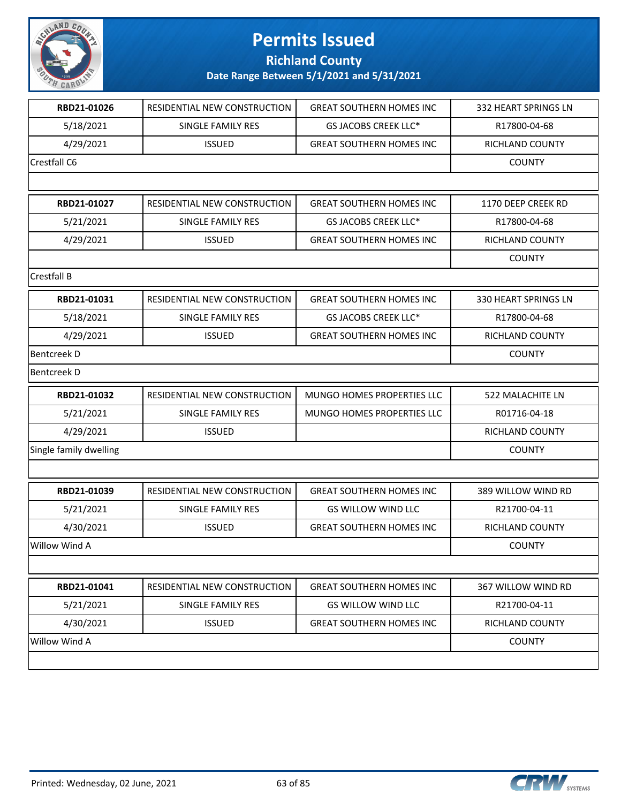

**Richland County**

| RBD21-01026            | <b>RESIDENTIAL NEW CONSTRUCTION</b> | <b>GREAT SOUTHERN HOMES INC</b> | 332 HEART SPRINGS LN   |
|------------------------|-------------------------------------|---------------------------------|------------------------|
| 5/18/2021              | SINGLE FAMILY RES                   | GS JACOBS CREEK LLC*            | R17800-04-68           |
| 4/29/2021              | <b>ISSUED</b>                       | <b>GREAT SOUTHERN HOMES INC</b> | <b>RICHLAND COUNTY</b> |
| Crestfall C6           |                                     |                                 | <b>COUNTY</b>          |
|                        |                                     |                                 |                        |
| RBD21-01027            | RESIDENTIAL NEW CONSTRUCTION        | <b>GREAT SOUTHERN HOMES INC</b> | 1170 DEEP CREEK RD     |
| 5/21/2021              | SINGLE FAMILY RES                   | GS JACOBS CREEK LLC*            | R17800-04-68           |
| 4/29/2021              | <b>ISSUED</b>                       | <b>GREAT SOUTHERN HOMES INC</b> | <b>RICHLAND COUNTY</b> |
|                        |                                     |                                 | <b>COUNTY</b>          |
| Crestfall B            |                                     |                                 |                        |
| RBD21-01031            | RESIDENTIAL NEW CONSTRUCTION        | <b>GREAT SOUTHERN HOMES INC</b> | 330 HEART SPRINGS LN   |
| 5/18/2021              | SINGLE FAMILY RES                   | GS JACOBS CREEK LLC*            | R17800-04-68           |
| 4/29/2021              | <b>ISSUED</b>                       | <b>GREAT SOUTHERN HOMES INC</b> | RICHLAND COUNTY        |
| Bentcreek D            |                                     |                                 | <b>COUNTY</b>          |
| <b>Bentcreek D</b>     |                                     |                                 |                        |
| RBD21-01032            | RESIDENTIAL NEW CONSTRUCTION        | MUNGO HOMES PROPERTIES LLC      | 522 MALACHITE LN       |
| 5/21/2021              | SINGLE FAMILY RES                   | MUNGO HOMES PROPERTIES LLC      | R01716-04-18           |
| 4/29/2021              | <b>ISSUED</b>                       |                                 | RICHLAND COUNTY        |
| Single family dwelling |                                     |                                 | <b>COUNTY</b>          |
|                        |                                     |                                 |                        |
| RBD21-01039            | RESIDENTIAL NEW CONSTRUCTION        | <b>GREAT SOUTHERN HOMES INC</b> | 389 WILLOW WIND RD     |
| 5/21/2021              | SINGLE FAMILY RES                   | <b>GS WILLOW WIND LLC</b>       | R21700-04-11           |
| 4/30/2021              | <b>ISSUED</b>                       | <b>GREAT SOUTHERN HOMES INC</b> | <b>RICHLAND COUNTY</b> |
| Willow Wind A          |                                     |                                 | <b>COUNTY</b>          |
|                        |                                     |                                 |                        |
| RBD21-01041            | RESIDENTIAL NEW CONSTRUCTION        | <b>GREAT SOUTHERN HOMES INC</b> | 367 WILLOW WIND RD     |
| 5/21/2021              | SINGLE FAMILY RES                   | <b>GS WILLOW WIND LLC</b>       | R21700-04-11           |
| 4/30/2021              | <b>ISSUED</b>                       | <b>GREAT SOUTHERN HOMES INC</b> | <b>RICHLAND COUNTY</b> |
| Willow Wind A          |                                     |                                 | <b>COUNTY</b>          |
|                        |                                     |                                 |                        |
|                        |                                     |                                 |                        |

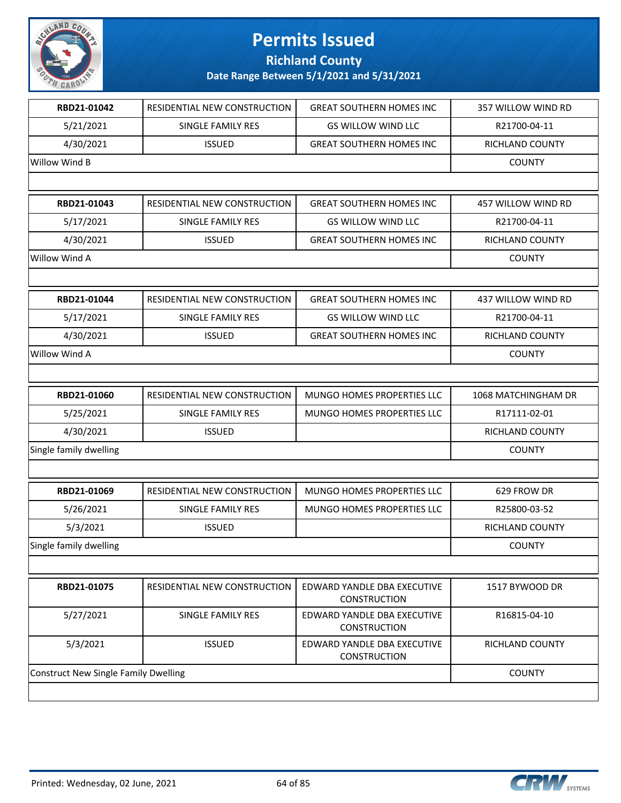

**Richland County**

| RBD21-01042                                 | RESIDENTIAL NEW CONSTRUCTION | <b>GREAT SOUTHERN HOMES INC</b>                    | 357 WILLOW WIND RD     |
|---------------------------------------------|------------------------------|----------------------------------------------------|------------------------|
| 5/21/2021                                   | SINGLE FAMILY RES            | <b>GS WILLOW WIND LLC</b>                          | R21700-04-11           |
| 4/30/2021                                   | <b>ISSUED</b>                | <b>GREAT SOUTHERN HOMES INC</b>                    | RICHLAND COUNTY        |
| Willow Wind B                               |                              |                                                    | <b>COUNTY</b>          |
|                                             |                              |                                                    |                        |
| RBD21-01043                                 | RESIDENTIAL NEW CONSTRUCTION | <b>GREAT SOUTHERN HOMES INC</b>                    | 457 WILLOW WIND RD     |
| 5/17/2021                                   | SINGLE FAMILY RES            | <b>GS WILLOW WIND LLC</b>                          | R21700-04-11           |
| 4/30/2021                                   | <b>ISSUED</b>                | <b>GREAT SOUTHERN HOMES INC</b>                    | <b>RICHLAND COUNTY</b> |
| Willow Wind A                               |                              |                                                    | <b>COUNTY</b>          |
|                                             |                              |                                                    |                        |
| RBD21-01044                                 | RESIDENTIAL NEW CONSTRUCTION | <b>GREAT SOUTHERN HOMES INC</b>                    | 437 WILLOW WIND RD     |
| 5/17/2021                                   | SINGLE FAMILY RES            | <b>GS WILLOW WIND LLC</b>                          | R21700-04-11           |
| 4/30/2021                                   | <b>ISSUED</b>                | <b>GREAT SOUTHERN HOMES INC</b>                    | <b>RICHLAND COUNTY</b> |
| Willow Wind A                               |                              |                                                    | <b>COUNTY</b>          |
|                                             |                              |                                                    |                        |
| RBD21-01060                                 | RESIDENTIAL NEW CONSTRUCTION | MUNGO HOMES PROPERTIES LLC                         | 1068 MATCHINGHAM DR    |
| 5/25/2021                                   | SINGLE FAMILY RES            | <b>MUNGO HOMES PROPERTIES LLC</b>                  | R17111-02-01           |
| 4/30/2021                                   | <b>ISSUED</b>                |                                                    | RICHLAND COUNTY        |
| Single family dwelling                      |                              |                                                    | <b>COUNTY</b>          |
|                                             |                              |                                                    |                        |
| RBD21-01069                                 | RESIDENTIAL NEW CONSTRUCTION | MUNGO HOMES PROPERTIES LLC                         | 629 FROW DR            |
| 5/26/2021                                   | SINGLE FAMILY RES            | MUNGO HOMES PROPERTIES LLC                         | R25800-03-52           |
| 5/3/2021                                    | <b>ISSUED</b>                |                                                    | <b>RICHLAND COUNTY</b> |
| Single family dwelling                      |                              |                                                    | <b>COUNTY</b>          |
|                                             |                              |                                                    |                        |
| RBD21-01075                                 | RESIDENTIAL NEW CONSTRUCTION | EDWARD YANDLE DBA EXECUTIVE<br><b>CONSTRUCTION</b> | 1517 BYWOOD DR         |
| 5/27/2021                                   | SINGLE FAMILY RES            | EDWARD YANDLE DBA EXECUTIVE<br><b>CONSTRUCTION</b> | R16815-04-10           |
| 5/3/2021                                    | <b>ISSUED</b>                | EDWARD YANDLE DBA EXECUTIVE<br><b>CONSTRUCTION</b> | RICHLAND COUNTY        |
| <b>Construct New Single Family Dwelling</b> |                              |                                                    | <b>COUNTY</b>          |
|                                             |                              |                                                    |                        |

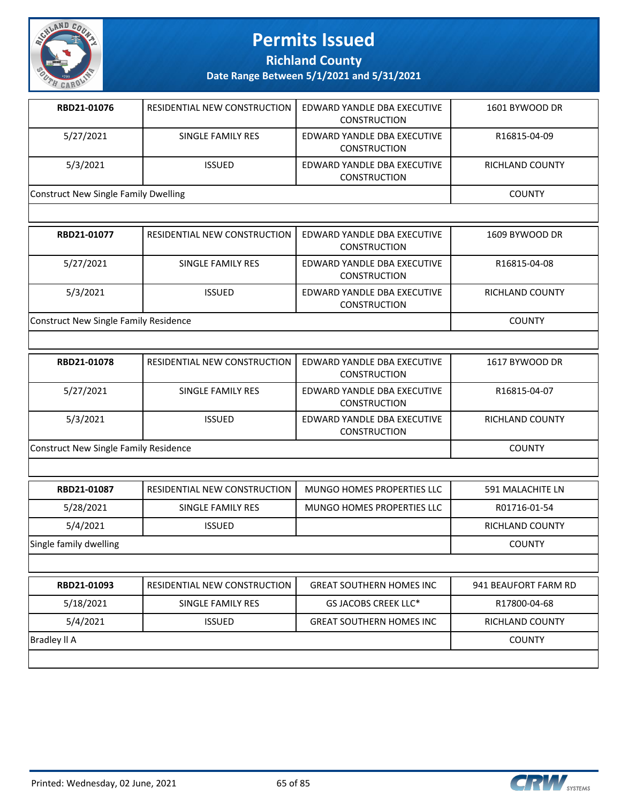

**Richland County**

**Date Range Between 5/1/2021 and 5/31/2021**

| RBD21-01076                          | RESIDENTIAL NEW CONSTRUCTION | EDWARD YANDLE DBA EXECUTIVE<br><b>CONSTRUCTION</b> | 1601 BYWOOD DR  |
|--------------------------------------|------------------------------|----------------------------------------------------|-----------------|
| 5/27/2021                            | SINGLE FAMILY RES            | EDWARD YANDLE DBA EXECUTIVE<br><b>CONSTRUCTION</b> | R16815-04-09    |
| 5/3/2021                             | <b>ISSUED</b>                | EDWARD YANDLE DBA EXECUTIVE<br><b>CONSTRUCTION</b> | RICHLAND COUNTY |
| Construct New Single Family Dwelling |                              |                                                    | <b>COUNTY</b>   |
|                                      |                              |                                                    |                 |

| RBD21-01077                           | RESIDENTIAL NEW CONSTRUCTION | EDWARD YANDLE DBA EXECUTIVE<br><b>CONSTRUCTION</b> | 1609 BYWOOD DR  |
|---------------------------------------|------------------------------|----------------------------------------------------|-----------------|
| 5/27/2021                             | SINGLE FAMILY RES            | EDWARD YANDLE DBA EXECUTIVE<br><b>CONSTRUCTION</b> | R16815-04-08    |
| 5/3/2021                              | <b>ISSUED</b>                | EDWARD YANDLE DBA EXECUTIVE<br><b>CONSTRUCTION</b> | RICHLAND COUNTY |
| Construct New Single Family Residence |                              |                                                    | <b>COUNTY</b>   |

| RBD21-01078                           | RESIDENTIAL NEW CONSTRUCTION | EDWARD YANDLE DBA EXECUTIVE<br><b>CONSTRUCTION</b> | 1617 BYWOOD DR  |
|---------------------------------------|------------------------------|----------------------------------------------------|-----------------|
| 5/27/2021                             | SINGLE FAMILY RES            | EDWARD YANDLE DBA EXECUTIVE<br><b>CONSTRUCTION</b> | R16815-04-07    |
| 5/3/2021                              | <b>ISSUED</b>                | EDWARD YANDLE DBA EXECUTIVE<br><b>CONSTRUCTION</b> | RICHLAND COUNTY |
| Construct New Single Family Residence |                              |                                                    | <b>COUNTY</b>   |

| RBD21-01087            | RESIDENTIAL NEW CONSTRUCTION | MUNGO HOMES PROPERTIES LLC      | 591 MALACHITE LN     |  |
|------------------------|------------------------------|---------------------------------|----------------------|--|
| 5/28/2021              | SINGLE FAMILY RES            | MUNGO HOMES PROPERTIES LLC      | R01716-01-54         |  |
| 5/4/2021               | <b>ISSUED</b>                |                                 | RICHLAND COUNTY      |  |
| Single family dwelling |                              |                                 | <b>COUNTY</b>        |  |
|                        |                              |                                 |                      |  |
| RBD21-01093            | RESIDENTIAL NEW CONSTRUCTION | <b>GREAT SOUTHERN HOMES INC</b> | 941 BEAUFORT FARM RD |  |
| 5/18/2021              | SINGLE FAMILY RES            | GS JACOBS CREEK LLC*            | R17800-04-68         |  |

5/4/2021 | ISSUED GREAT SOUTHERN HOMES INC | RICHLAND COUNTY

Bradley ll A COUNTY

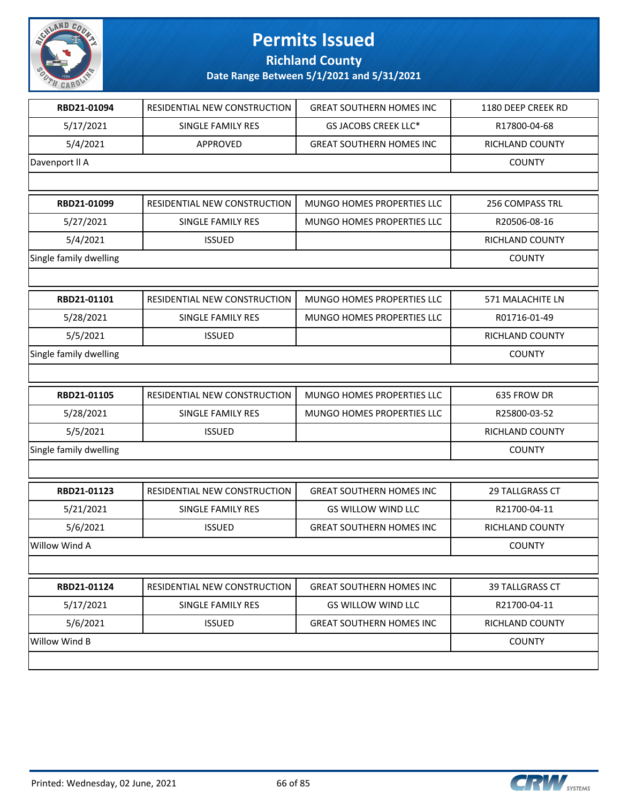

**Richland County**

| RBD21-01094            | RESIDENTIAL NEW CONSTRUCTION | <b>GREAT SOUTHERN HOMES INC</b> | 1180 DEEP CREEK RD |
|------------------------|------------------------------|---------------------------------|--------------------|
| 5/17/2021              | SINGLE FAMILY RES            | GS JACOBS CREEK LLC*            | R17800-04-68       |
| 5/4/2021               | APPROVED                     | <b>GREAT SOUTHERN HOMES INC</b> | RICHLAND COUNTY    |
| Davenport II A         |                              |                                 | <b>COUNTY</b>      |
|                        |                              |                                 |                    |
| RBD21-01099            | RESIDENTIAL NEW CONSTRUCTION | MUNGO HOMES PROPERTIES LLC      | 256 COMPASS TRL    |
| 5/27/2021              | SINGLE FAMILY RES            | MUNGO HOMES PROPERTIES LLC      | R20506-08-16       |
| 5/4/2021               | <b>ISSUED</b>                |                                 | RICHLAND COUNTY    |
| Single family dwelling |                              |                                 | <b>COUNTY</b>      |
|                        |                              |                                 |                    |
| RBD21-01101            | RESIDENTIAL NEW CONSTRUCTION | MUNGO HOMES PROPERTIES LLC      | 571 MALACHITE LN   |
| 5/28/2021              | SINGLE FAMILY RES            | MUNGO HOMES PROPERTIES LLC      | R01716-01-49       |
| 5/5/2021               | <b>ISSUED</b>                |                                 | RICHLAND COUNTY    |
| Single family dwelling |                              |                                 | <b>COUNTY</b>      |
|                        |                              |                                 |                    |
| RBD21-01105            | RESIDENTIAL NEW CONSTRUCTION | MUNGO HOMES PROPERTIES LLC      | 635 FROW DR        |
| 5/28/2021              | SINGLE FAMILY RES            | MUNGO HOMES PROPERTIES LLC      | R25800-03-52       |
| 5/5/2021               | <b>ISSUED</b>                |                                 | RICHLAND COUNTY    |
| Single family dwelling |                              |                                 | <b>COUNTY</b>      |
|                        |                              |                                 |                    |
| RBD21-01123            | RESIDENTIAL NEW CONSTRUCTION | <b>GREAT SOUTHERN HOMES INC</b> | 29 TALLGRASS CT    |
| 5/21/2021              | <b>SINGLE FAMILY RES</b>     | <b>GS WILLOW WIND LLC</b>       | R21700-04-11       |
| 5/6/2021               | <b>ISSUED</b>                | <b>GREAT SOUTHERN HOMES INC</b> | RICHLAND COUNTY    |
| Willow Wind A          |                              |                                 | <b>COUNTY</b>      |
|                        |                              |                                 |                    |
| RBD21-01124            | RESIDENTIAL NEW CONSTRUCTION | <b>GREAT SOUTHERN HOMES INC</b> | 39 TALLGRASS CT    |
| 5/17/2021              | SINGLE FAMILY RES            | <b>GS WILLOW WIND LLC</b>       | R21700-04-11       |
| 5/6/2021               | <b>ISSUED</b>                | <b>GREAT SOUTHERN HOMES INC</b> | RICHLAND COUNTY    |
| Willow Wind B          |                              |                                 | <b>COUNTY</b>      |
|                        |                              |                                 |                    |
|                        |                              |                                 |                    |

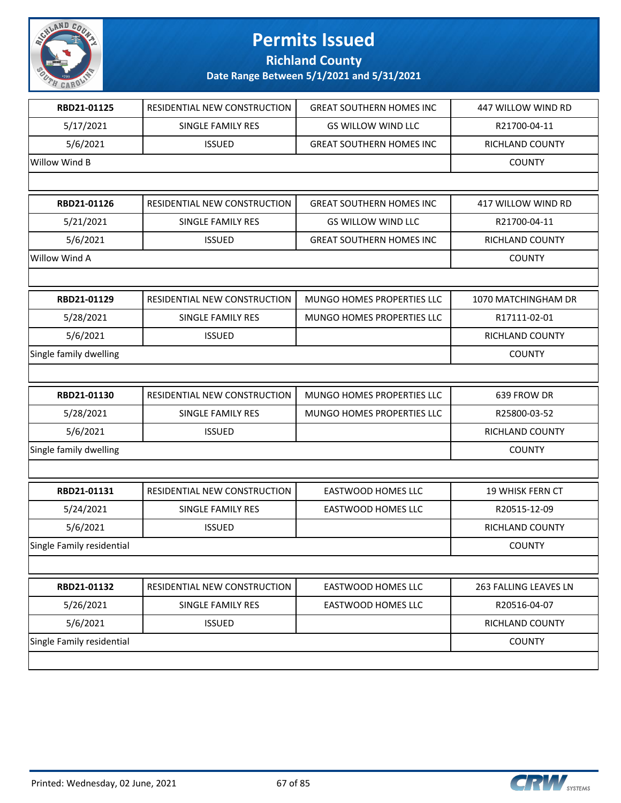

**Richland County**

| RBD21-01125               | RESIDENTIAL NEW CONSTRUCTION | <b>GREAT SOUTHERN HOMES INC</b> | 447 WILLOW WIND RD      |
|---------------------------|------------------------------|---------------------------------|-------------------------|
| 5/17/2021                 | SINGLE FAMILY RES            | <b>GS WILLOW WIND LLC</b>       | R21700-04-11            |
| 5/6/2021                  | <b>ISSUED</b>                | <b>GREAT SOUTHERN HOMES INC</b> | RICHLAND COUNTY         |
| Willow Wind B             |                              |                                 | <b>COUNTY</b>           |
|                           |                              |                                 |                         |
| RBD21-01126               | RESIDENTIAL NEW CONSTRUCTION | <b>GREAT SOUTHERN HOMES INC</b> | 417 WILLOW WIND RD      |
| 5/21/2021                 | SINGLE FAMILY RES            | <b>GS WILLOW WIND LLC</b>       | R21700-04-11            |
| 5/6/2021                  | <b>ISSUED</b>                | <b>GREAT SOUTHERN HOMES INC</b> | RICHLAND COUNTY         |
| Willow Wind A             |                              |                                 | <b>COUNTY</b>           |
|                           |                              |                                 |                         |
| RBD21-01129               | RESIDENTIAL NEW CONSTRUCTION | MUNGO HOMES PROPERTIES LLC      | 1070 MATCHINGHAM DR     |
| 5/28/2021                 | SINGLE FAMILY RES            | MUNGO HOMES PROPERTIES LLC      | R17111-02-01            |
| 5/6/2021                  | <b>ISSUED</b>                |                                 | RICHLAND COUNTY         |
| Single family dwelling    |                              |                                 | <b>COUNTY</b>           |
|                           |                              |                                 |                         |
| RBD21-01130               | RESIDENTIAL NEW CONSTRUCTION | MUNGO HOMES PROPERTIES LLC      | 639 FROW DR             |
| 5/28/2021                 | SINGLE FAMILY RES            | MUNGO HOMES PROPERTIES LLC      | R25800-03-52            |
| 5/6/2021                  | <b>ISSUED</b>                |                                 | RICHLAND COUNTY         |
| Single family dwelling    |                              |                                 | <b>COUNTY</b>           |
|                           |                              |                                 |                         |
| RBD21-01131               | RESIDENTIAL NEW CONSTRUCTION | <b>EASTWOOD HOMES LLC</b>       | <b>19 WHISK FERN CT</b> |
| 5/24/2021                 | SINGLE FAMILY RES            | <b>EASTWOOD HOMES LLC</b>       | R20515-12-09            |
| 5/6/2021                  | <b>ISSUED</b>                |                                 | RICHLAND COUNTY         |
| Single Family residential |                              |                                 | <b>COUNTY</b>           |
|                           |                              |                                 |                         |
| RBD21-01132               | RESIDENTIAL NEW CONSTRUCTION | EASTWOOD HOMES LLC              | 263 FALLING LEAVES LN   |
| 5/26/2021                 | SINGLE FAMILY RES            | EASTWOOD HOMES LLC              | R20516-04-07            |
| 5/6/2021                  | <b>ISSUED</b>                |                                 | RICHLAND COUNTY         |
| Single Family residential |                              |                                 | <b>COUNTY</b>           |
|                           |                              |                                 |                         |

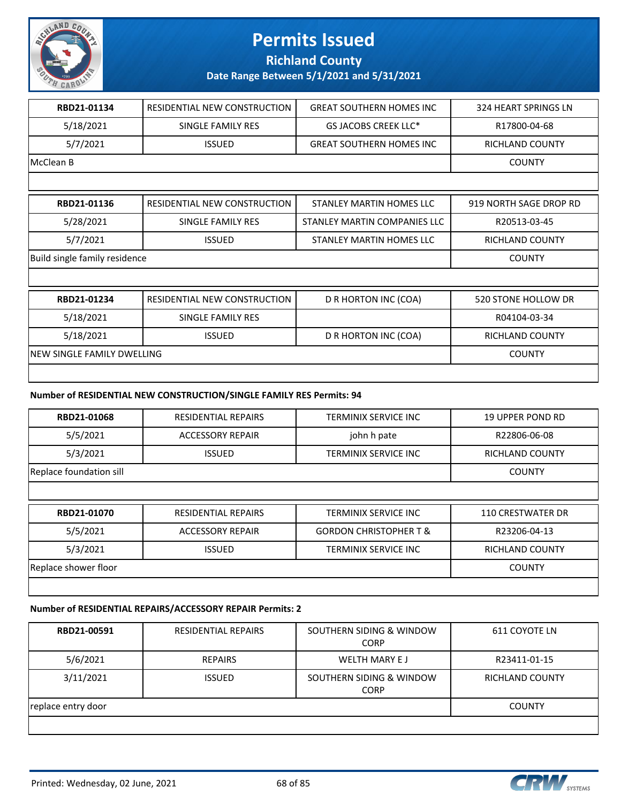

**Richland County**

**Date Range Between 5/1/2021 and 5/31/2021**

| RBD21-01134                   | RESIDENTIAL NEW CONSTRUCTION      | <b>GREAT SOUTHERN HOMES INC</b> | 324 HEART SPRINGS LN   |
|-------------------------------|-----------------------------------|---------------------------------|------------------------|
| 5/18/2021                     | SINGLE FAMILY RES                 | GS JACOBS CREEK LLC*            | R17800-04-68           |
| 5/7/2021                      | <b>ISSUED</b>                     | <b>GREAT SOUTHERN HOMES INC</b> | <b>RICHLAND COUNTY</b> |
| McClean B                     |                                   |                                 | <b>COUNTY</b>          |
|                               |                                   |                                 |                        |
| RBD21-01136                   | RESIDENTIAL NEW CONSTRUCTION      | STANLEY MARTIN HOMES LLC        | 919 NORTH SAGE DROP RD |
| 5/28/2021                     | SINGLE FAMILY RES                 | STANLEY MARTIN COMPANIES LLC    | R20513-03-45           |
| 5/7/2021                      | <b>ISSUED</b>                     | STANLEY MARTIN HOMES LLC        | RICHLAND COUNTY        |
| Build single family residence |                                   |                                 | <b>COUNTY</b>          |
|                               |                                   |                                 |                        |
| RBD21-01234                   | RESIDENTIAL NEW CONSTRUCTION      | D R HORTON INC (COA)            | 520 STONE HOLLOW DR    |
| 5/18/2021                     | SINGLE FAMILY RES                 |                                 | R04104-03-34           |
| 5/18/2021                     | <b>ISSUED</b>                     | D R HORTON INC (COA)            | <b>RICHLAND COUNTY</b> |
|                               | <b>NEW SINGLE FAMILY DWELLING</b> |                                 |                        |
|                               |                                   |                                 |                        |

#### **Number of RESIDENTIAL NEW CONSTRUCTION/SINGLE FAMILY RES Permits: 94**

| RBD21-01068             | RESIDENTIAL REPAIRS        | <b>TERMINIX SERVICE INC</b>       | <b>19 UPPER POND RD</b>  |
|-------------------------|----------------------------|-----------------------------------|--------------------------|
| 5/5/2021                | <b>ACCESSORY REPAIR</b>    | john h pate                       | R22806-06-08             |
| 5/3/2021                | <b>ISSUED</b>              | <b>TERMINIX SERVICE INC</b>       | <b>RICHLAND COUNTY</b>   |
| Replace foundation sill |                            |                                   | <b>COUNTY</b>            |
|                         |                            |                                   |                          |
| RBD21-01070             | <b>RESIDENTIAL REPAIRS</b> | <b>TERMINIX SERVICE INC</b>       | <b>110 CRESTWATER DR</b> |
| 5/5/2021                | <b>ACCESSORY REPAIR</b>    | <b>GORDON CHRISTOPHER T &amp;</b> | R23206-04-13             |
| 5/3/2021                | <b>ISSUED</b>              | TERMINIX SERVICE INC              | <b>RICHLAND COUNTY</b>   |
| Replace shower floor    |                            |                                   | <b>COUNTY</b>            |
|                         |                            |                                   |                          |

#### **Number of RESIDENTIAL REPAIRS/ACCESSORY REPAIR Permits: 2**

| RBD21-00591        | <b>RESIDENTIAL REPAIRS</b> | SOUTHERN SIDING & WINDOW<br><b>CORP</b> | 611 COYOTE LN   |
|--------------------|----------------------------|-----------------------------------------|-----------------|
| 5/6/2021           | <b>REPAIRS</b>             | WELTH MARY E J                          | R23411-01-15    |
| 3/11/2021          | <b>ISSUED</b>              | SOUTHERN SIDING & WINDOW<br><b>CORP</b> | RICHLAND COUNTY |
| replace entry door |                            |                                         | <b>COUNTY</b>   |
|                    |                            |                                         |                 |

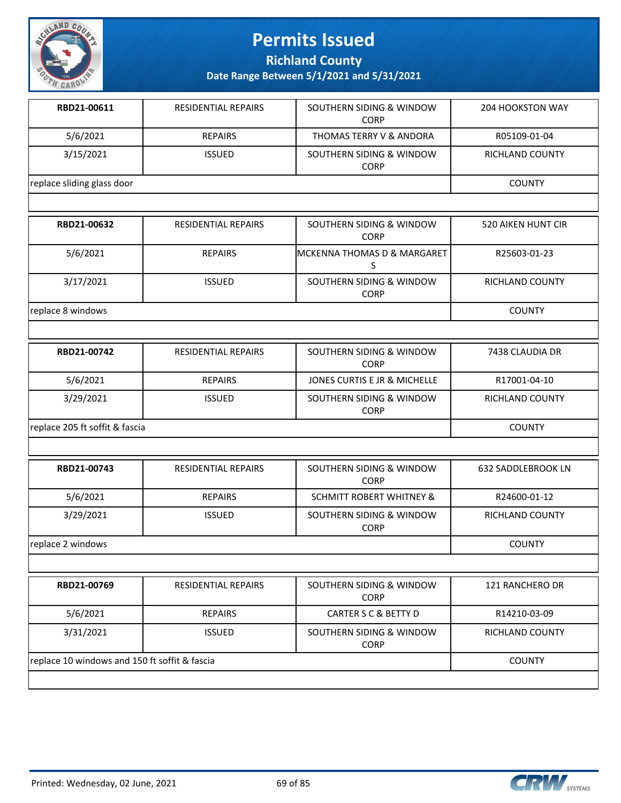

**Richland County**

| RBD21-00611                | <b>RESIDENTIAL REPAIRS</b> | SOUTHERN SIDING & WINDOW<br><b>CORP</b> | <b>204 HOOKSTON WAY</b> |
|----------------------------|----------------------------|-----------------------------------------|-------------------------|
| 5/6/2021                   | <b>REPAIRS</b>             | THOMAS TERRY V & ANDORA                 | R05109-01-04            |
| 3/15/2021                  | <b>ISSUED</b>              | SOUTHERN SIDING & WINDOW<br><b>CORP</b> | <b>RICHLAND COUNTY</b>  |
| replace sliding glass door |                            |                                         | <b>COUNTY</b>           |
|                            |                            |                                         |                         |

| RBD21-00632       | RESIDENTIAL REPAIRS | SOUTHERN SIDING & WINDOW<br><b>CORP</b> | 520 AIKEN HUNT CIR     |
|-------------------|---------------------|-----------------------------------------|------------------------|
| 5/6/2021          | <b>REPAIRS</b>      | <b>IMCKENNA THOMAS D &amp; MARGARET</b> | R25603-01-23           |
| 3/17/2021         | <b>ISSUED</b>       | SOUTHERN SIDING & WINDOW<br><b>CORP</b> | <b>RICHLAND COUNTY</b> |
| replace 8 windows |                     |                                         | <b>COUNTY</b>          |

| RBD21-00742                    | <b>RESIDENTIAL REPAIRS</b> | SOUTHERN SIDING & WINDOW<br><b>CORP</b> | 7438 CLAUDIA DR |
|--------------------------------|----------------------------|-----------------------------------------|-----------------|
| 5/6/2021                       | <b>REPAIRS</b>             | JONES CURTIS E JR & MICHELLE            | R17001-04-10    |
| 3/29/2021                      | <b>ISSUED</b>              | SOUTHERN SIDING & WINDOW<br><b>CORP</b> | RICHLAND COUNTY |
| replace 205 ft soffit & fascia |                            |                                         | <b>COUNTY</b>   |

| RBD21-00743       | <b>RESIDENTIAL REPAIRS</b> | SOUTHERN SIDING & WINDOW<br><b>CORP</b> | <b>632 SADDLEBROOK LN</b> |
|-------------------|----------------------------|-----------------------------------------|---------------------------|
| 5/6/2021          | <b>REPAIRS</b>             | <b>SCHMITT ROBERT WHITNEY &amp;</b>     | R24600-01-12              |
| 3/29/2021         | <b>ISSUED</b>              | SOUTHERN SIDING & WINDOW<br><b>CORP</b> | <b>RICHLAND COUNTY</b>    |
| replace 2 windows |                            |                                         | <b>COUNTY</b>             |
|                   |                            |                                         |                           |
| RBD21-00769       | <b>RESIDENTIAL REPAIRS</b> | SOUTHERN SIDING & WINDOW<br>$\sim$      | <b>121 RANCHERO DR</b>    |

|                                               |                | <b>CORP</b>                             |                        |
|-----------------------------------------------|----------------|-----------------------------------------|------------------------|
| 5/6/2021                                      | <b>REPAIRS</b> | CARTER S C & BETTY D                    | R14210-03-09           |
| 3/31/2021                                     | <b>ISSUED</b>  | SOUTHERN SIDING & WINDOW<br><b>CORP</b> | <b>RICHLAND COUNTY</b> |
| replace 10 windows and 150 ft soffit & fascia |                |                                         | <b>COUNTY</b>          |
|                                               |                |                                         |                        |

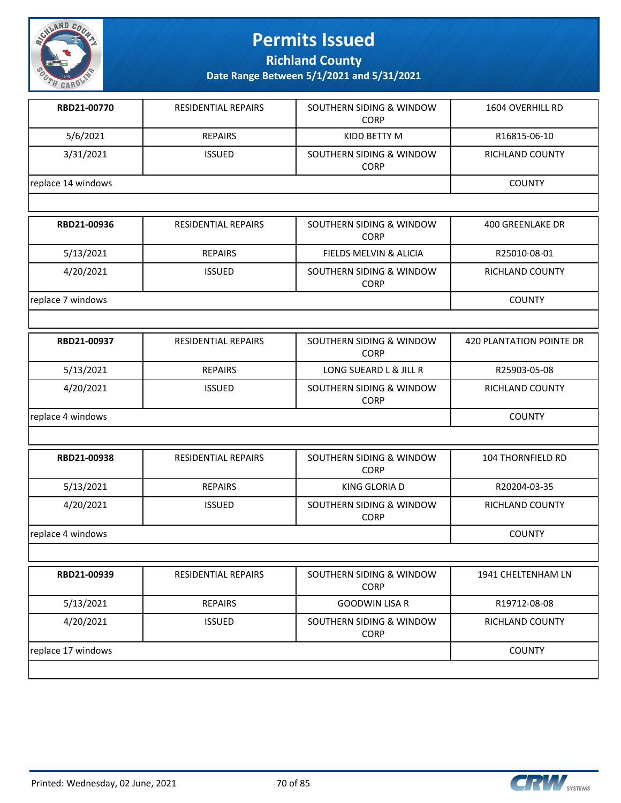

**Richland County**

| RBD21-00770        | <b>RESIDENTIAL REPAIRS</b> | SOUTHERN SIDING & WINDOW<br><b>CORP</b> | 1604 OVERHILL RD                |
|--------------------|----------------------------|-----------------------------------------|---------------------------------|
| 5/6/2021           | <b>REPAIRS</b>             | KIDD BETTY M                            | R16815-06-10                    |
| 3/31/2021          | <b>ISSUED</b>              | SOUTHERN SIDING & WINDOW<br><b>CORP</b> | RICHLAND COUNTY                 |
| replace 14 windows |                            |                                         | <b>COUNTY</b>                   |
|                    |                            |                                         |                                 |
| RBD21-00936        | <b>RESIDENTIAL REPAIRS</b> | SOUTHERN SIDING & WINDOW<br><b>CORP</b> | <b>400 GREENLAKE DR</b>         |
| 5/13/2021          | <b>REPAIRS</b>             | FIELDS MELVIN & ALICIA                  | R25010-08-01                    |
| 4/20/2021          | <b>ISSUED</b>              | SOUTHERN SIDING & WINDOW<br><b>CORP</b> | RICHLAND COUNTY                 |
| replace 7 windows  |                            |                                         | <b>COUNTY</b>                   |
|                    |                            |                                         |                                 |
| RBD21-00937        | RESIDENTIAL REPAIRS        | SOUTHERN SIDING & WINDOW<br><b>CORP</b> | <b>420 PLANTATION POINTE DR</b> |
| 5/13/2021          | <b>REPAIRS</b>             | LONG SUEARD L & JILL R                  | R25903-05-08                    |
| 4/20/2021          | <b>ISSUED</b>              | SOUTHERN SIDING & WINDOW<br><b>CORP</b> | RICHLAND COUNTY                 |
| replace 4 windows  |                            |                                         | <b>COUNTY</b>                   |
|                    |                            |                                         |                                 |
| RBD21-00938        | RESIDENTIAL REPAIRS        | SOUTHERN SIDING & WINDOW<br><b>CORP</b> | 104 THORNFIELD RD               |
| 5/13/2021          | <b>REPAIRS</b>             | KING GLORIA D                           | R20204-03-35                    |
| 4/20/2021          | <b>ISSUED</b>              | SOUTHERN SIDING & WINDOW<br><b>CORP</b> | RICHLAND COUNTY                 |
| replace 4 windows  |                            |                                         | <b>COUNTY</b>                   |
|                    |                            |                                         |                                 |
| RBD21-00939        | <b>RESIDENTIAL REPAIRS</b> | SOUTHERN SIDING & WINDOW<br><b>CORP</b> | 1941 CHELTENHAM LN              |
| 5/13/2021          | <b>REPAIRS</b>             | <b>GOODWIN LISA R</b>                   | R19712-08-08                    |
| 4/20/2021          | <b>ISSUED</b>              | SOUTHERN SIDING & WINDOW<br><b>CORP</b> | RICHLAND COUNTY                 |
| replace 17 windows | <b>COUNTY</b>              |                                         |                                 |
|                    |                            |                                         |                                 |

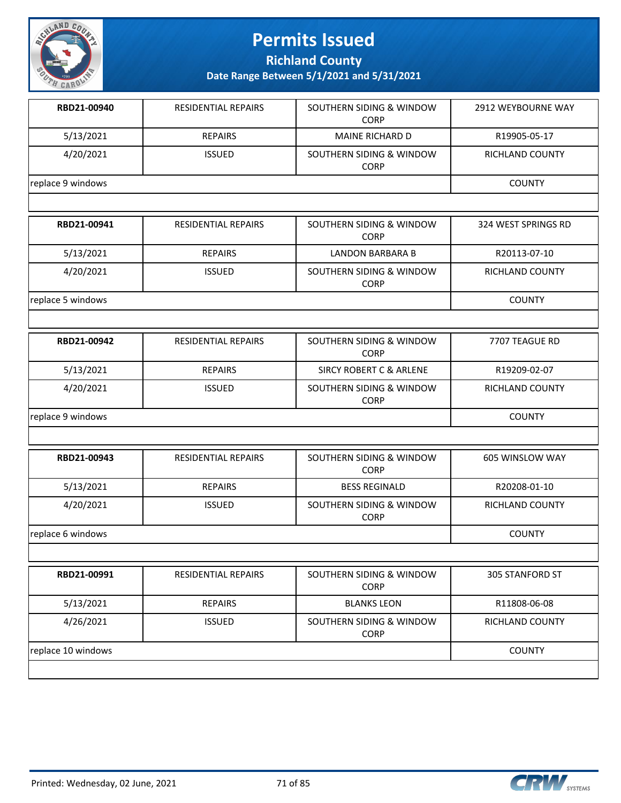

**Richland County**

| RBD21-00940        | RESIDENTIAL REPAIRS        | SOUTHERN SIDING & WINDOW<br><b>CORP</b>            | 2912 WEYBOURNE WAY     |
|--------------------|----------------------------|----------------------------------------------------|------------------------|
| 5/13/2021          | <b>REPAIRS</b>             | <b>MAINE RICHARD D</b>                             | R19905-05-17           |
| 4/20/2021          | <b>ISSUED</b>              | SOUTHERN SIDING & WINDOW<br><b>CORP</b>            | <b>RICHLAND COUNTY</b> |
| replace 9 windows  |                            |                                                    | <b>COUNTY</b>          |
|                    |                            |                                                    |                        |
| RBD21-00941        | RESIDENTIAL REPAIRS        | SOUTHERN SIDING & WINDOW<br><b>CORP</b>            | 324 WEST SPRINGS RD    |
| 5/13/2021          | <b>REPAIRS</b>             | <b>LANDON BARBARA B</b>                            | R20113-07-10           |
| 4/20/2021          | <b>ISSUED</b>              | SOUTHERN SIDING & WINDOW<br><b>CORP</b>            | <b>RICHLAND COUNTY</b> |
| replace 5 windows  |                            |                                                    | <b>COUNTY</b>          |
|                    |                            |                                                    |                        |
| RBD21-00942        | RESIDENTIAL REPAIRS        | SOUTHERN SIDING & WINDOW<br><b>CORP</b>            | 7707 TEAGUE RD         |
| 5/13/2021          | <b>REPAIRS</b>             | <b>SIRCY ROBERT C &amp; ARLENE</b>                 | R19209-02-07           |
| 4/20/2021          | <b>ISSUED</b>              | <b>SOUTHERN SIDING &amp; WINDOW</b><br><b>CORP</b> | <b>RICHLAND COUNTY</b> |
| replace 9 windows  |                            |                                                    | <b>COUNTY</b>          |
|                    |                            |                                                    |                        |
| RBD21-00943        | <b>RESIDENTIAL REPAIRS</b> | SOUTHERN SIDING & WINDOW<br><b>CORP</b>            | 605 WINSLOW WAY        |
| 5/13/2021          | <b>REPAIRS</b>             | <b>BESS REGINALD</b>                               | R20208-01-10           |
| 4/20/2021          | <b>ISSUED</b>              | SOUTHERN SIDING & WINDOW<br><b>CORP</b>            | <b>RICHLAND COUNTY</b> |
| replace 6 windows  |                            |                                                    | <b>COUNTY</b>          |
|                    |                            |                                                    |                        |
| RBD21-00991        | RESIDENTIAL REPAIRS        | SOUTHERN SIDING & WINDOW<br><b>CORP</b>            | <b>305 STANFORD ST</b> |
| 5/13/2021          | <b>REPAIRS</b>             | <b>BLANKS LEON</b>                                 | R11808-06-08           |
| 4/26/2021          | <b>ISSUED</b>              | SOUTHERN SIDING & WINDOW<br><b>CORP</b>            | <b>RICHLAND COUNTY</b> |
| replace 10 windows |                            |                                                    | <b>COUNTY</b>          |
|                    |                            |                                                    |                        |

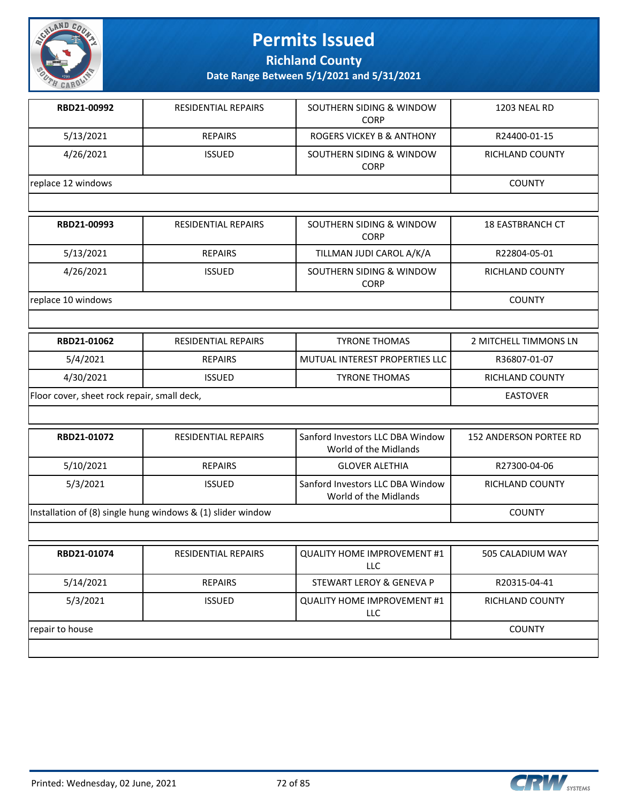

**Richland County**

| RBD21-00992        | <b>RESIDENTIAL REPAIRS</b> | SOUTHERN SIDING & WINDOW<br><b>CORP</b> | 1203 NEAL RD    |
|--------------------|----------------------------|-----------------------------------------|-----------------|
| 5/13/2021          | <b>REPAIRS</b>             | ROGERS VICKEY B & ANTHONY               | R24400-01-15    |
| 4/26/2021          | <b>ISSUED</b>              | SOUTHERN SIDING & WINDOW<br><b>CORP</b> | RICHLAND COUNTY |
| replace 12 windows | <b>COUNTY</b>              |                                         |                 |
|                    |                            |                                         |                 |

| RBD21-00993        | <b>RESIDENTIAL REPAIRS</b> | SOUTHERN SIDING & WINDOW<br><b>CORP</b> | <b>18 EASTBRANCH CT</b> |
|--------------------|----------------------------|-----------------------------------------|-------------------------|
| 5/13/2021          | <b>REPAIRS</b>             | TILLMAN JUDI CAROL A/K/A                | R22804-05-01            |
| 4/26/2021          | <b>ISSUED</b>              | SOUTHERN SIDING & WINDOW<br><b>CORP</b> | RICHLAND COUNTY         |
| replace 10 windows | <b>COUNTY</b>              |                                         |                         |

| RBD21-01062                                 | RESIDENTIAL REPAIRS | <b>TYRONE THOMAS</b>               | 2 MITCHELL TIMMONS LN |
|---------------------------------------------|---------------------|------------------------------------|-----------------------|
| 5/4/2021                                    | <b>REPAIRS</b>      | l MUTUAL INTEREST PROPERTIES LLC l | R36807-01-07          |
| 4/30/2021                                   | <b>ISSUED</b>       | <b>TYRONE THOMAS</b>               | RICHLAND COUNTY       |
| Floor cover, sheet rock repair, small deck, |                     |                                    | EASTOVER              |

| RBD21-01072                                                 | <b>RESIDENTIAL REPAIRS</b> | Sanford Investors LLC DBA Window                          | 152 ANDERSON PORTEE RD |  |
|-------------------------------------------------------------|----------------------------|-----------------------------------------------------------|------------------------|--|
|                                                             |                            | World of the Midlands                                     |                        |  |
| 5/10/2021                                                   | <b>REPAIRS</b>             | <b>GLOVER ALETHIA</b>                                     | R27300-04-06           |  |
| 5/3/2021                                                    | <b>ISSUED</b>              | Sanford Investors LLC DBA Window<br>World of the Midlands | RICHLAND COUNTY        |  |
| Installation of (8) single hung windows & (1) slider window |                            |                                                           | <b>COUNTY</b>          |  |

| RBD21-01074     | <b>RESIDENTIAL REPAIRS</b> | <b>QUALITY HOME IMPROVEMENT #1</b><br>LLC.       | 505 CALADIUM WAY       |
|-----------------|----------------------------|--------------------------------------------------|------------------------|
| 5/14/2021       | <b>REPAIRS</b>             | STEWART LEROY & GENEVA P                         | R20315-04-41           |
| 5/3/2021        | <b>ISSUED</b>              | <b>QUALITY HOME IMPROVEMENT #1</b><br><b>LLC</b> | <b>RICHLAND COUNTY</b> |
| repair to house | <b>COUNTY</b>              |                                                  |                        |
|                 |                            |                                                  |                        |

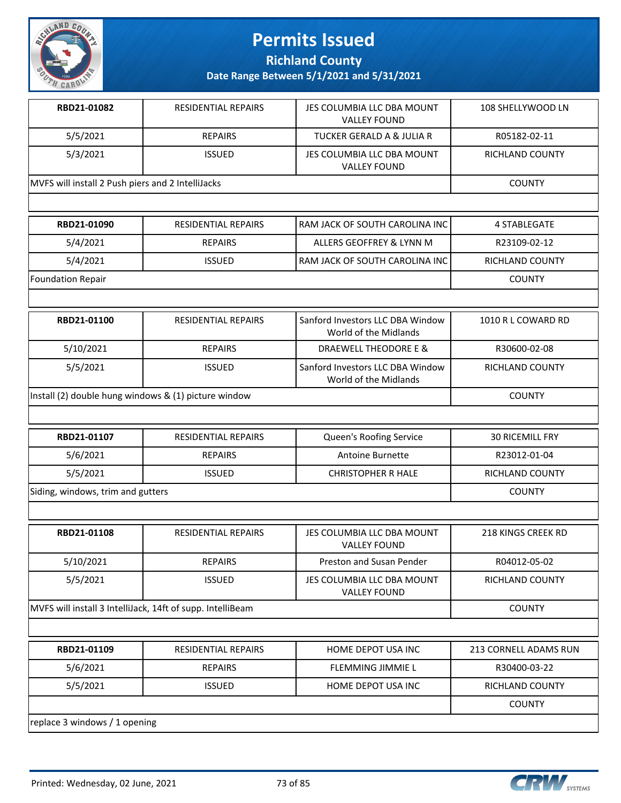

**Richland County**

**Date Range Between 5/1/2021 and 5/31/2021**

| RBD21-01082                                       | <b>RESIDENTIAL REPAIRS</b> | JES COLUMBIA LLC DBA MOUNT<br><b>VALLEY FOUND</b> | 108 SHELLYWOOD LN |
|---------------------------------------------------|----------------------------|---------------------------------------------------|-------------------|
| 5/5/2021                                          | <b>REPAIRS</b>             | TUCKER GERALD A & JULIA R                         | R05182-02-11      |
| 5/3/2021                                          | <b>ISSUED</b>              | JES COLUMBIA LLC DBA MOUNT<br><b>VALLEY FOUND</b> | RICHLAND COUNTY   |
| MVFS will install 2 Push piers and 2 IntelliJacks |                            |                                                   | <b>COUNTY</b>     |
|                                                   |                            |                                                   |                   |

| RBD21-01090              | RESIDENTIAL REPAIRS | I RAM JACK OF SOUTH CAROLINA INC I | 4 STABLEGATE    |
|--------------------------|---------------------|------------------------------------|-----------------|
| 5/4/2021                 | <b>REPAIRS</b>      | ALLERS GEOFFREY & LYNN M           | R23109-02-12    |
| 5/4/2021                 | <b>ISSUED</b>       | l RAM JACK OF SOUTH CAROLINA INC l | RICHLAND COUNTY |
| <b>Foundation Repair</b> |                     |                                    | <b>COUNTY</b>   |

| RBD21-01100                                          | <b>RESIDENTIAL REPAIRS</b> | Sanford Investors LLC DBA Window<br>World of the Midlands | 1010 R L COWARD RD |
|------------------------------------------------------|----------------------------|-----------------------------------------------------------|--------------------|
| 5/10/2021                                            | <b>REPAIRS</b>             | DRAEWELL THEODORE E &                                     | R30600-02-08       |
| 5/5/2021                                             | <b>ISSUED</b>              | Sanford Investors LLC DBA Window<br>World of the Midlands | RICHLAND COUNTY    |
| Install (2) double hung windows & (1) picture window |                            |                                                           | <b>COUNTY</b>      |

| RBD21-01107                       | <b>RESIDENTIAL REPAIRS</b> | Queen's Roofing Service   | <b>30 RICEMILL FRY</b> |
|-----------------------------------|----------------------------|---------------------------|------------------------|
| 5/6/2021                          | <b>REPAIRS</b>             | Antoine Burnette          | R23012-01-04           |
| 5/5/2021                          | <b>ISSUED</b>              | <b>CHRISTOPHER R HALE</b> | RICHLAND COUNTY        |
| Siding, windows, trim and gutters |                            |                           | <b>COUNTY</b>          |

| RBD21-01108                                                | <b>RESIDENTIAL REPAIRS</b> | JES COLUMBIA LLC DBA MOUNT<br><b>VALLEY FOUND</b> | <b>218 KINGS CREEK RD</b> |
|------------------------------------------------------------|----------------------------|---------------------------------------------------|---------------------------|
| 5/10/2021                                                  | <b>REPAIRS</b>             | Preston and Susan Pender                          | R04012-05-02              |
| 5/5/2021                                                   | <b>ISSUED</b>              | JES COLUMBIA LLC DBA MOUNT<br><b>VALLEY FOUND</b> | RICHLAND COUNTY           |
| MVFS will install 3 IntelliJack, 14ft of supp. IntelliBeam |                            |                                                   | <b>COUNTY</b>             |
|                                                            |                            |                                                   |                           |
| RBD21-01109                                                | <b>RESIDENTIAL REPAIRS</b> | HOME DEPOT USA INC                                | 213 CORNELL ADAMS RUN     |
| 5/6/2021                                                   | <b>REPAIRS</b>             | <b>FLEMMING JIMMIE L</b>                          | R30400-03-22              |
| 5/5/2021                                                   | <b>ISSUED</b>              | HOME DEPOT USA INC                                | <b>RICHLAND COUNTY</b>    |
|                                                            |                            |                                                   | <b>COUNTY</b>             |

replace 3 windows / 1 opening

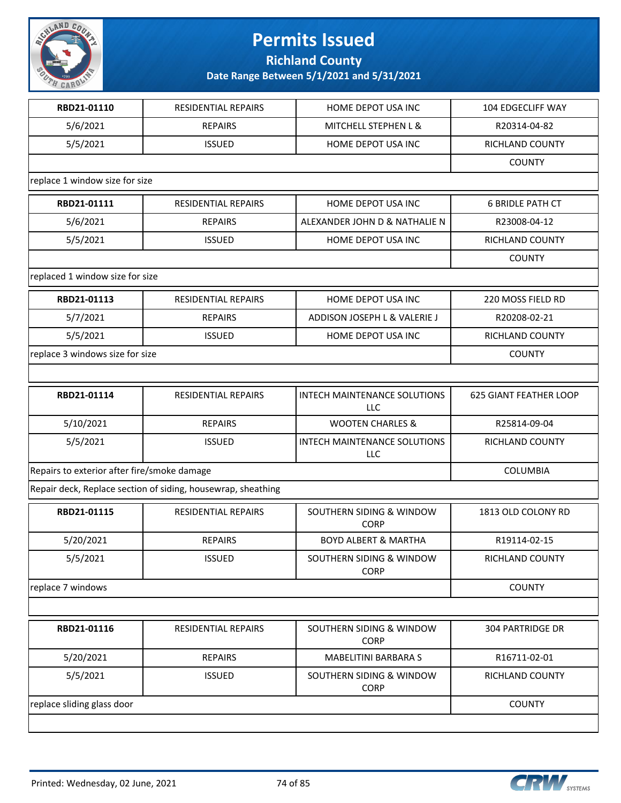

**Richland County**

| RBD21-01110                                 | <b>RESIDENTIAL REPAIRS</b>                                   | HOME DEPOT USA INC                         | 104 EDGECLIFF WAY             |
|---------------------------------------------|--------------------------------------------------------------|--------------------------------------------|-------------------------------|
| 5/6/2021                                    | <b>REPAIRS</b>                                               | MITCHELL STEPHEN L &                       | R20314-04-82                  |
| 5/5/2021                                    | <b>ISSUED</b>                                                | HOME DEPOT USA INC                         | RICHLAND COUNTY               |
|                                             |                                                              |                                            | <b>COUNTY</b>                 |
| replace 1 window size for size              |                                                              |                                            |                               |
| RBD21-01111                                 | <b>RESIDENTIAL REPAIRS</b>                                   | HOME DEPOT USA INC                         | <b>6 BRIDLE PATH CT</b>       |
| 5/6/2021                                    | <b>REPAIRS</b>                                               | ALEXANDER JOHN D & NATHALIE N              | R23008-04-12                  |
| 5/5/2021                                    | <b>ISSUED</b>                                                | HOME DEPOT USA INC                         | RICHLAND COUNTY               |
|                                             |                                                              |                                            | <b>COUNTY</b>                 |
| replaced 1 window size for size             |                                                              |                                            |                               |
| RBD21-01113                                 | RESIDENTIAL REPAIRS                                          | HOME DEPOT USA INC                         | 220 MOSS FIELD RD             |
| 5/7/2021                                    | <b>REPAIRS</b>                                               | ADDISON JOSEPH L & VALERIE J               | R20208-02-21                  |
| 5/5/2021                                    | <b>ISSUED</b>                                                | HOME DEPOT USA INC                         | <b>RICHLAND COUNTY</b>        |
| replace 3 windows size for size             |                                                              | <b>COUNTY</b>                              |                               |
|                                             |                                                              |                                            |                               |
| RBD21-01114                                 | RESIDENTIAL REPAIRS                                          | INTECH MAINTENANCE SOLUTIONS<br><b>LLC</b> | <b>625 GIANT FEATHER LOOP</b> |
| 5/10/2021                                   | <b>REPAIRS</b>                                               | <b>WOOTEN CHARLES &amp;</b>                | R25814-09-04                  |
| 5/5/2021                                    | <b>ISSUED</b>                                                | INTECH MAINTENANCE SOLUTIONS<br>LLC        | RICHLAND COUNTY               |
| Repairs to exterior after fire/smoke damage | COLUMBIA                                                     |                                            |                               |
|                                             | Repair deck, Replace section of siding, housewrap, sheathing |                                            |                               |
| RBD21-01115                                 | RESIDENTIAL REPAIRS                                          | SOUTHERN SIDING & WINDOW<br><b>CORP</b>    | 1813 OLD COLONY RD            |
| 5/20/2021                                   | <b>REPAIRS</b>                                               | <b>BOYD ALBERT &amp; MARTHA</b>            | R19114-02-15                  |
| 5/5/2021                                    | <b>ISSUED</b>                                                | SOUTHERN SIDING & WINDOW<br><b>CORP</b>    | RICHLAND COUNTY               |
| replace 7 windows                           |                                                              |                                            | <b>COUNTY</b>                 |
|                                             |                                                              |                                            |                               |
| RBD21-01116                                 | <b>RESIDENTIAL REPAIRS</b>                                   | SOUTHERN SIDING & WINDOW<br><b>CORP</b>    | <b>304 PARTRIDGE DR</b>       |
| 5/20/2021                                   | <b>REPAIRS</b>                                               | <b>MABELITINI BARBARA S</b>                | R16711-02-01                  |
| 5/5/2021                                    | <b>ISSUED</b>                                                | SOUTHERN SIDING & WINDOW<br><b>CORP</b>    | RICHLAND COUNTY               |
| replace sliding glass door                  |                                                              |                                            | <b>COUNTY</b>                 |
|                                             |                                                              |                                            |                               |

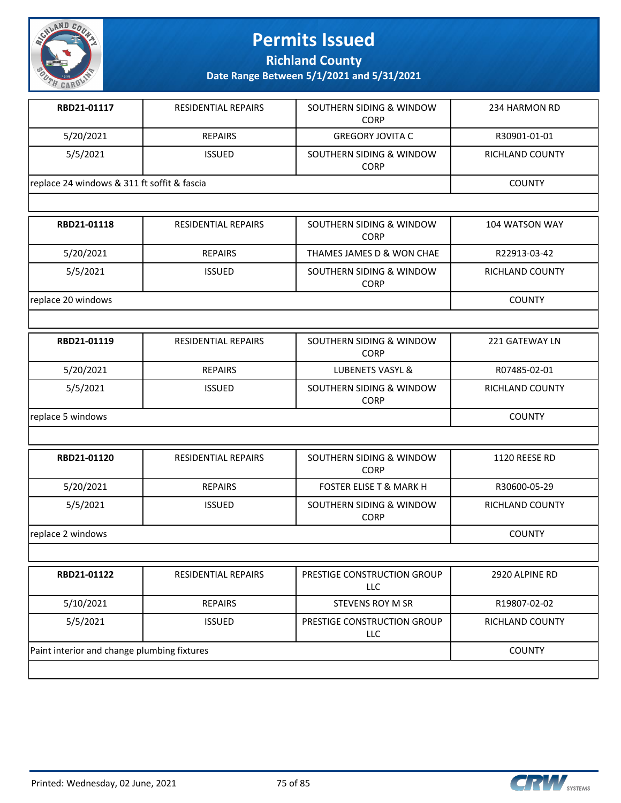

**Richland County**

| RBD21-01117                                 | <b>RESIDENTIAL REPAIRS</b> | SOUTHERN SIDING & WINDOW<br><b>CORP</b> | 234 HARMON RD   |
|---------------------------------------------|----------------------------|-----------------------------------------|-----------------|
| 5/20/2021                                   | <b>REPAIRS</b>             | <b>GREGORY JOVITA C</b>                 | R30901-01-01    |
| 5/5/2021                                    | <b>ISSUED</b>              | SOUTHERN SIDING & WINDOW<br><b>CORP</b> | RICHLAND COUNTY |
| replace 24 windows & 311 ft soffit & fascia |                            |                                         | <b>COUNTY</b>   |
|                                             |                            |                                         |                 |

| RBD21-01118        | RESIDENTIAL REPAIRS | SOUTHERN SIDING & WINDOW<br><b>CORP</b> | 104 WATSON WAY  |
|--------------------|---------------------|-----------------------------------------|-----------------|
| 5/20/2021          | <b>REPAIRS</b>      | THAMES JAMES D & WON CHAE               | R22913-03-42    |
| 5/5/2021           | <b>ISSUED</b>       | SOUTHERN SIDING & WINDOW<br><b>CORP</b> | RICHLAND COUNTY |
| replace 20 windows | <b>COUNTY</b>       |                                         |                 |

| RBD21-01119       | <b>RESIDENTIAL REPAIRS</b> | SOUTHERN SIDING & WINDOW<br><b>CORP</b> | 221 GATEWAY LN  |
|-------------------|----------------------------|-----------------------------------------|-----------------|
| 5/20/2021         | <b>REPAIRS</b>             | LUBENETS VASYL &                        | R07485-02-01    |
| 5/5/2021          | <b>ISSUED</b>              | SOUTHERN SIDING & WINDOW<br><b>CORP</b> | RICHLAND COUNTY |
| replace 5 windows |                            |                                         | <b>COUNTY</b>   |

| RBD21-01120       | <b>RESIDENTIAL REPAIRS</b> | SOUTHERN SIDING & WINDOW<br><b>CORP</b> | 1120 REESE RD          |
|-------------------|----------------------------|-----------------------------------------|------------------------|
| 5/20/2021         | <b>REPAIRS</b>             | <b>FOSTER ELISE T &amp; MARK H</b>      | R30600-05-29           |
| 5/5/2021          | <b>ISSUED</b>              | SOUTHERN SIDING & WINDOW<br><b>CORP</b> | <b>RICHLAND COUNTY</b> |
| replace 2 windows |                            |                                         | <b>COUNTY</b>          |

| RBD21-01122                                 | <b>RESIDENTIAL REPAIRS</b> | PRESTIGE CONSTRUCTION GROUP<br><b>LLC</b> | 2920 ALPINE RD  |
|---------------------------------------------|----------------------------|-------------------------------------------|-----------------|
| 5/10/2021                                   | <b>REPAIRS</b>             | STEVENS ROY M SR                          | R19807-02-02    |
| 5/5/2021                                    | <b>ISSUED</b>              | PRESTIGE CONSTRUCTION GROUP<br>LLC        | RICHLAND COUNTY |
| Paint interior and change plumbing fixtures |                            |                                           | <b>COUNTY</b>   |
|                                             |                            |                                           |                 |

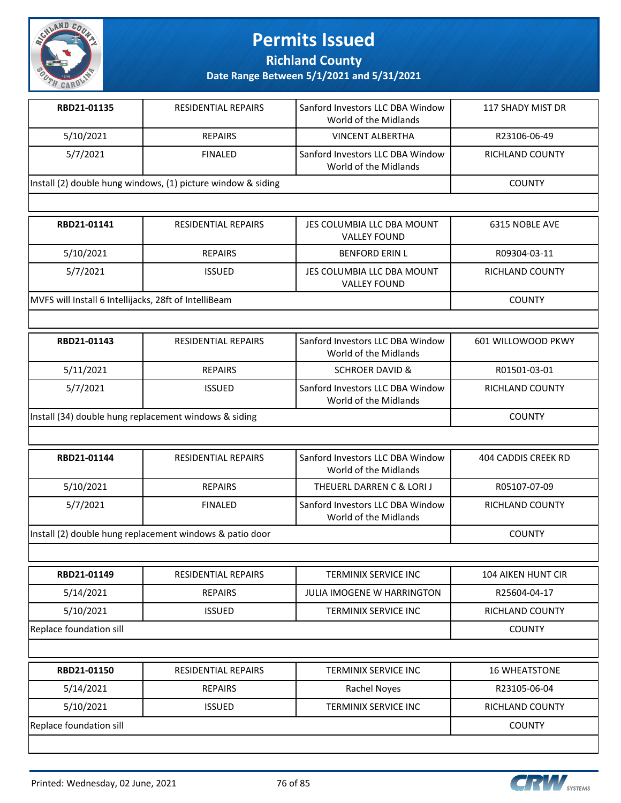

**Richland County**

| RBD21-01135                                                  | <b>RESIDENTIAL REPAIRS</b> | <b>Sanford Investors LLC DBA Window</b><br>World of the Midlands | 117 SHADY MIST DR      |
|--------------------------------------------------------------|----------------------------|------------------------------------------------------------------|------------------------|
| 5/10/2021                                                    | <b>REPAIRS</b>             | <b>VINCENT ALBERTHA</b>                                          | R23106-06-49           |
| 5/7/2021                                                     | <b>FINALED</b>             | Sanford Investors LLC DBA Window<br>World of the Midlands        | <b>RICHLAND COUNTY</b> |
| Install (2) double hung windows, (1) picture window & siding |                            |                                                                  | <b>COUNTY</b>          |

| RBD21-01141                                           | <b>RESIDENTIAL REPAIRS</b> | JES COLUMBIA LLC DBA MOUNT<br><b>VALLEY FOUND</b> | 6315 NOBLE AVE         |
|-------------------------------------------------------|----------------------------|---------------------------------------------------|------------------------|
| 5/10/2021                                             | <b>REPAIRS</b>             | <b>BENFORD ERIN L</b>                             | R09304-03-11           |
| 5/7/2021                                              | ISSUED.                    | JES COLUMBIA LLC DBA MOUNT<br><b>VALLEY FOUND</b> | <b>RICHLAND COUNTY</b> |
| MVFS will Install 6 Intellijacks, 28ft of IntelliBeam |                            |                                                   | <b>COUNTY</b>          |

| RBD21-01143                                           | RESIDENTIAL REPAIRS | Sanford Investors LLC DBA Window<br>World of the Midlands | 601 WILLOWOOD PKWY |
|-------------------------------------------------------|---------------------|-----------------------------------------------------------|--------------------|
| 5/11/2021                                             | <b>REPAIRS</b>      | <b>SCHROER DAVID &amp;</b>                                | R01501-03-01       |
| 5/7/2021                                              | <b>ISSUED</b>       | Sanford Investors LLC DBA Window<br>World of the Midlands | RICHLAND COUNTY    |
| Install (34) double hung replacement windows & siding |                     |                                                           | <b>COUNTY</b>      |

| RBD21-01144                                              | <b>RESIDENTIAL REPAIRS</b> | Sanford Investors LLC DBA Window<br>World of the Midlands | 404 CADDIS CREEK RD |
|----------------------------------------------------------|----------------------------|-----------------------------------------------------------|---------------------|
| 5/10/2021                                                | <b>REPAIRS</b>             | THEUERL DARREN C & LORI J                                 | R05107-07-09        |
| 5/7/2021                                                 | <b>FINALED</b>             | Sanford Investors LLC DBA Window<br>World of the Midlands | RICHLAND COUNTY     |
| Install (2) double hung replacement windows & patio door |                            |                                                           | <b>COUNTY</b>       |

| RBD21-01149             | <b>RESIDENTIAL REPAIRS</b> | TERMINIX SERVICE INC        | <b>104 AIKEN HUNT CIR</b> |  |
|-------------------------|----------------------------|-----------------------------|---------------------------|--|
| 5/14/2021               | <b>REPAIRS</b>             | JULIA IMOGENE W HARRINGTON  | R25604-04-17              |  |
| 5/10/2021               | <b>ISSUED</b>              | TERMINIX SERVICE INC        | <b>RICHLAND COUNTY</b>    |  |
| Replace foundation sill |                            |                             |                           |  |
|                         |                            |                             |                           |  |
| RBD21-01150             | <b>RESIDENTIAL REPAIRS</b> | <b>TERMINIX SERVICE INC</b> | <b>16 WHEATSTONE</b>      |  |
| 5/14/2021               | <b>REPAIRS</b>             | <b>Rachel Noyes</b>         | R23105-06-04              |  |
| 5/10/2021               | <b>ISSUED</b>              | <b>TERMINIX SERVICE INC</b> | <b>RICHLAND COUNTY</b>    |  |
| Replace foundation sill |                            |                             | <b>COUNTY</b>             |  |

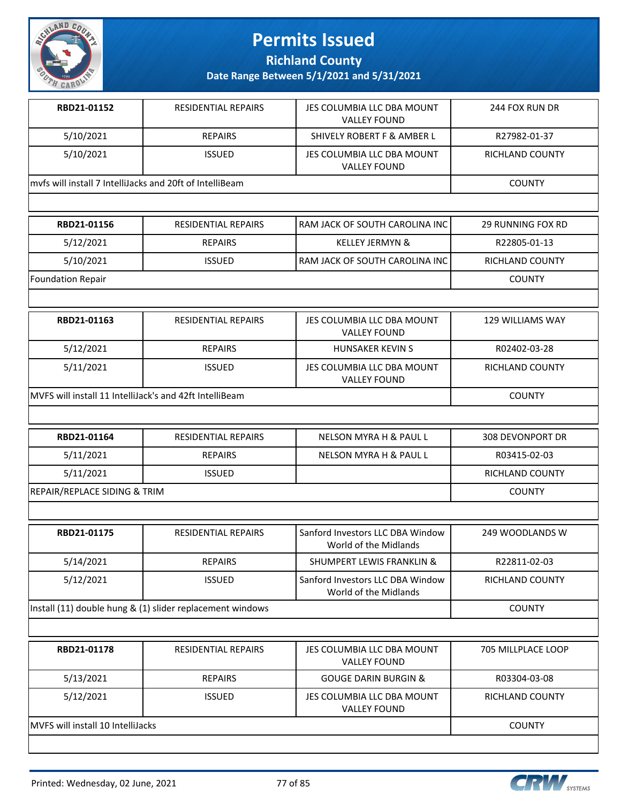

**Richland County**

| RBD21-01152                                              | <b>RESIDENTIAL REPAIRS</b> | JES COLUMBIA LLC DBA MOUNT<br><b>VALLEY FOUND</b> | 244 FOX RUN DR  |
|----------------------------------------------------------|----------------------------|---------------------------------------------------|-----------------|
| 5/10/2021                                                | <b>REPAIRS</b>             | SHIVELY ROBERT F & AMBER L                        | R27982-01-37    |
| 5/10/2021                                                | <b>ISSUED</b>              | JES COLUMBIA LLC DBA MOUNT<br><b>VALLEY FOUND</b> | RICHLAND COUNTY |
| myfs will install 7 IntelliJacks and 20ft of IntelliBeam |                            |                                                   | <b>COUNTY</b>   |
|                                                          |                            |                                                   |                 |

| RBD21-01156              | RESIDENTIAL REPAIRS | <b>I RAM JACK OF SOUTH CAROLINA INC I</b> | 29 RUNNING FOX RD |
|--------------------------|---------------------|-------------------------------------------|-------------------|
| 5/12/2021                | <b>REPAIRS</b>      | <b>KELLEY JERMYN &amp;</b>                | R22805-01-13      |
| 5/10/2021                | <b>ISSUED</b>       | <b>I RAM JACK OF SOUTH CAROLINA INC I</b> | RICHLAND COUNTY   |
| <b>Foundation Repair</b> |                     |                                           | <b>COUNTY</b>     |

| RBD21-01163                                              | <b>RESIDENTIAL REPAIRS</b> | JES COLUMBIA LLC DBA MOUNT<br><b>VALLEY FOUND</b> | 129 WILLIAMS WAY |
|----------------------------------------------------------|----------------------------|---------------------------------------------------|------------------|
| 5/12/2021                                                | <b>REPAIRS</b>             | HUNSAKER KEVIN S                                  | R02402-03-28     |
| 5/11/2021                                                | <b>ISSUED</b>              | JES COLUMBIA LLC DBA MOUNT<br><b>VALLEY FOUND</b> | RICHLAND COUNTY  |
| IMVFS will install 11 IntelliJack's and 42ft IntelliBeam |                            |                                                   | <b>COUNTY</b>    |

| RBD21-01164                             | RESIDENTIAL REPAIRS | NELSON MYRA H & PAUL L | 308 DEVONPORT DR       |
|-----------------------------------------|---------------------|------------------------|------------------------|
| 5/11/2021                               | <b>REPAIRS</b>      | NELSON MYRA H & PAUL L | R03415-02-03           |
| 5/11/2021                               | <b>ISSUED</b>       |                        | <b>RICHLAND COUNTY</b> |
| <b>REPAIR/REPLACE SIDING &amp; TRIM</b> |                     |                        | <b>COUNTY</b>          |

| <b>RESIDENTIAL REPAIRS</b>                                | Sanford Investors LLC DBA Window<br>World of the Midlands | 249 WOODLANDS W |
|-----------------------------------------------------------|-----------------------------------------------------------|-----------------|
| <b>REPAIRS</b>                                            | <b>SHUMPERT LEWIS FRANKLIN &amp;</b>                      | R22811-02-03    |
| <b>ISSUED</b>                                             | Sanford Investors LLC DBA Window<br>World of the Midlands | RICHLAND COUNTY |
| Install (11) double hung & (1) slider replacement windows |                                                           |                 |
|                                                           |                                                           |                 |

| RBD21-01178                               | <b>RESIDENTIAL REPAIRS</b> | JES COLUMBIA LLC DBA MOUNT<br><b>VALLEY FOUND</b> | 705 MILLPLACE LOOP |
|-------------------------------------------|----------------------------|---------------------------------------------------|--------------------|
| 5/13/2021                                 | <b>REPAIRS</b>             | <b>GOUGE DARIN BURGIN &amp;</b>                   | R03304-03-08       |
| 5/12/2021                                 | <b>ISSUED</b>              | JES COLUMBIA LLC DBA MOUNT<br><b>VALLEY FOUND</b> | RICHLAND COUNTY    |
| <b>IMVES will install 10 IntelliJacks</b> |                            |                                                   | <b>COUNTY</b>      |

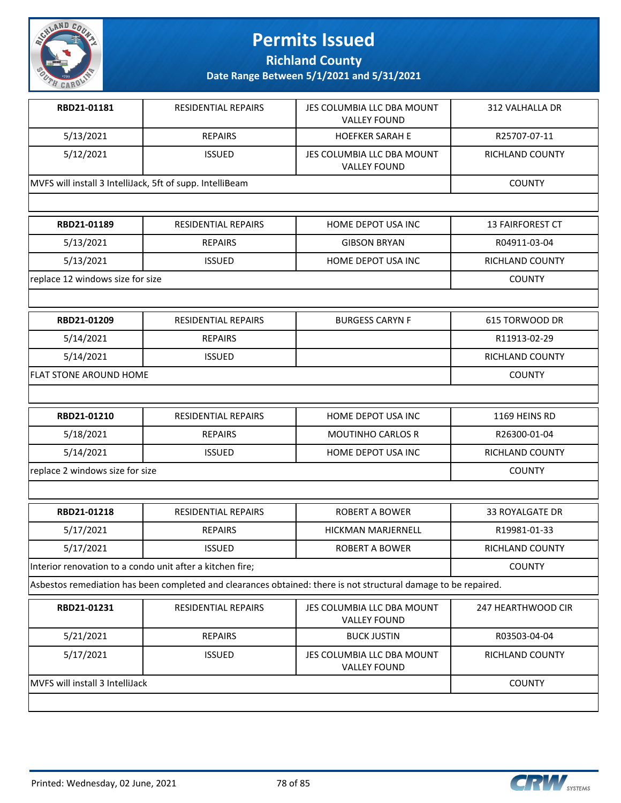

**Richland County**

**Date Range Between 5/1/2021 and 5/31/2021**

| RBD21-01181                                               | <b>RESIDENTIAL REPAIRS</b> | JES COLUMBIA LLC DBA MOUNT<br><b>VALLEY FOUND</b> | 312 VALHALLA DR        |
|-----------------------------------------------------------|----------------------------|---------------------------------------------------|------------------------|
| 5/13/2021                                                 | <b>REPAIRS</b>             | <b>HOEFKER SARAH E</b>                            | R25707-07-11           |
| 5/12/2021                                                 | <b>ISSUED</b>              | JES COLUMBIA LLC DBA MOUNT<br><b>VALLEY FOUND</b> | <b>RICHLAND COUNTY</b> |
| MVFS will install 3 IntelliJack, 5ft of supp. IntelliBeam |                            |                                                   | <b>COUNTY</b>          |
|                                                           |                            |                                                   |                        |

| RBD21-01189                      | <b>RESIDENTIAL REPAIRS</b> | HOME DEPOT USA INC  | <b>13 FAIRFOREST CT</b> |
|----------------------------------|----------------------------|---------------------|-------------------------|
| 5/13/2021                        | <b>REPAIRS</b>             | <b>GIBSON BRYAN</b> | R04911-03-04            |
| 5/13/2021                        | <b>ISSUED</b>              | HOME DEPOT USA INC  | RICHLAND COUNTY         |
| replace 12 windows size for size |                            |                     | <b>COUNTY</b>           |

| RBD21-01209            | RESIDENTIAL REPAIRS | <b>BURGESS CARYN F</b> | 615 TORWOOD DR         |
|------------------------|---------------------|------------------------|------------------------|
| 5/14/2021              | <b>REPAIRS</b>      |                        | R11913-02-29           |
| 5/14/2021              | <b>ISSUED</b>       |                        | <b>RICHLAND COUNTY</b> |
| FLAT STONE AROUND HOME |                     |                        | <b>COUNTY</b>          |

| RBD21-01210                     | RESIDENTIAL REPAIRS | HOME DEPOT USA INC       | 1169 HEINS RD   |
|---------------------------------|---------------------|--------------------------|-----------------|
| 5/18/2021                       | <b>REPAIRS</b>      | <b>MOUTINHO CARLOS R</b> | R26300-01-04    |
| 5/14/2021                       | <b>ISSUED</b>       | HOME DEPOT USA INC       | RICHLAND COUNTY |
| replace 2 windows size for size |                     |                          | <b>COUNTY</b>   |

| RBD21-01218                                               | RESIDENTIAL REPAIRS | ROBERT A BOWER            | 33 ROYALGATE DR |
|-----------------------------------------------------------|---------------------|---------------------------|-----------------|
| 5/17/2021                                                 | <b>REPAIRS</b>      | <b>HICKMAN MARJERNELL</b> | R19981-01-33    |
| 5/17/2021                                                 | <b>ISSUED</b>       | ROBERT A BOWER            | RICHLAND COUNTY |
| Interior renovation to a condo unit after a kitchen fire; |                     |                           | <b>COUNTY</b>   |

Asbestos remediation has been completed and clearances obtained: there is not structural damage to be repaired.

| RBD21-01231                     | <b>RESIDENTIAL REPAIRS</b> | JES COLUMBIA LLC DBA MOUNT<br><b>VALLEY FOUND</b> | 247 HEARTHWOOD CIR |
|---------------------------------|----------------------------|---------------------------------------------------|--------------------|
| 5/21/2021                       | <b>REPAIRS</b>             | <b>BUCK JUSTIN</b>                                | R03503-04-04       |
| 5/17/2021                       | <b>ISSUED</b>              | JES COLUMBIA LLC DBA MOUNT<br><b>VALLEY FOUND</b> | RICHLAND COUNTY    |
| MVFS will install 3 IntelliJack |                            |                                                   | <b>COUNTY</b>      |

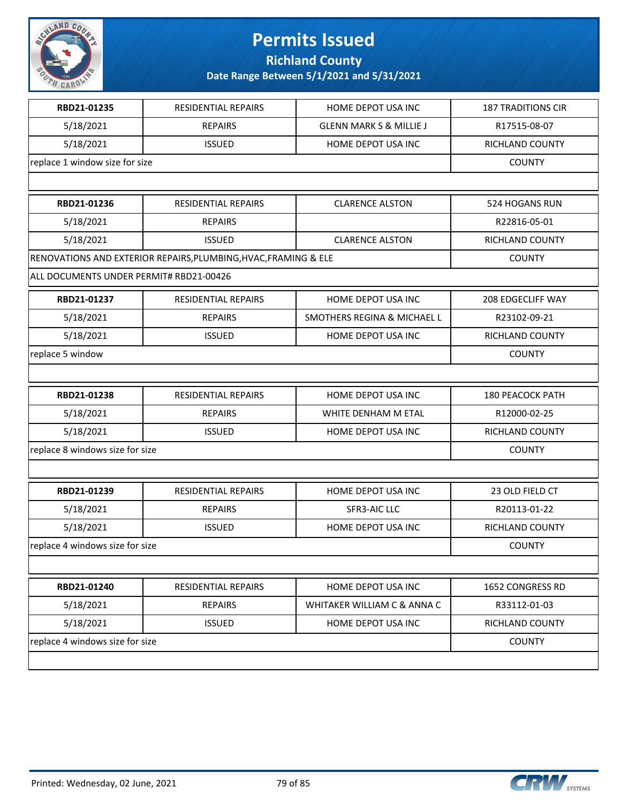

**Richland County**

| RBD21-01235                             | <b>RESIDENTIAL REPAIRS</b>                                      | HOME DEPOT USA INC                 | <b>187 TRADITIONS CIR</b> |
|-----------------------------------------|-----------------------------------------------------------------|------------------------------------|---------------------------|
| 5/18/2021                               | <b>REPAIRS</b>                                                  | <b>GLENN MARK S &amp; MILLIE J</b> | R17515-08-07              |
| 5/18/2021                               | <b>ISSUED</b>                                                   | HOME DEPOT USA INC                 | RICHLAND COUNTY           |
| replace 1 window size for size          |                                                                 |                                    | <b>COUNTY</b>             |
|                                         |                                                                 |                                    |                           |
| RBD21-01236                             | RESIDENTIAL REPAIRS                                             | <b>CLARENCE ALSTON</b>             | 524 HOGANS RUN            |
| 5/18/2021                               | <b>REPAIRS</b>                                                  |                                    | R22816-05-01              |
| 5/18/2021                               | <b>ISSUED</b>                                                   | <b>CLARENCE ALSTON</b>             | RICHLAND COUNTY           |
|                                         | RENOVATIONS AND EXTERIOR REPAIRS, PLUMBING, HVAC, FRAMING & ELE |                                    | <b>COUNTY</b>             |
| ALL DOCUMENTS UNDER PERMIT# RBD21-00426 |                                                                 |                                    |                           |
| RBD21-01237                             | RESIDENTIAL REPAIRS                                             | HOME DEPOT USA INC                 | 208 EDGECLIFF WAY         |
| 5/18/2021                               | <b>REPAIRS</b>                                                  | SMOTHERS REGINA & MICHAEL L        | R23102-09-21              |
| 5/18/2021                               | <b>ISSUED</b>                                                   | HOME DEPOT USA INC                 | RICHLAND COUNTY           |
| replace 5 window                        |                                                                 |                                    | <b>COUNTY</b>             |
|                                         |                                                                 |                                    |                           |
| RBD21-01238                             | RESIDENTIAL REPAIRS                                             | HOME DEPOT USA INC                 | <b>180 PEACOCK PATH</b>   |
| 5/18/2021                               | <b>REPAIRS</b>                                                  | WHITE DENHAM M ETAL                | R12000-02-25              |
| 5/18/2021                               | <b>ISSUED</b>                                                   | HOME DEPOT USA INC                 | RICHLAND COUNTY           |
| replace 8 windows size for size         |                                                                 |                                    | <b>COUNTY</b>             |
|                                         |                                                                 |                                    |                           |
| RBD21-01239                             | RESIDENTIAL REPAIRS                                             | HOME DEPOT USA INC                 | 23 OLD FIELD CT           |
| 5/18/2021                               | <b>REPAIRS</b>                                                  | SFR3-AIC LLC                       | R20113-01-22              |
| 5/18/2021                               | <b>ISSUED</b>                                                   | HOME DEPOT USA INC                 | RICHLAND COUNTY           |
| replace 4 windows size for size         |                                                                 |                                    | <b>COUNTY</b>             |
|                                         |                                                                 |                                    |                           |
| RBD21-01240                             | <b>RESIDENTIAL REPAIRS</b>                                      | HOME DEPOT USA INC                 | 1652 CONGRESS RD          |
| 5/18/2021                               | <b>REPAIRS</b>                                                  | WHITAKER WILLIAM C & ANNA C        | R33112-01-03              |
| 5/18/2021                               | <b>ISSUED</b>                                                   | HOME DEPOT USA INC                 | RICHLAND COUNTY           |
| replace 4 windows size for size         |                                                                 |                                    | <b>COUNTY</b>             |
|                                         |                                                                 |                                    |                           |
|                                         |                                                                 |                                    |                           |

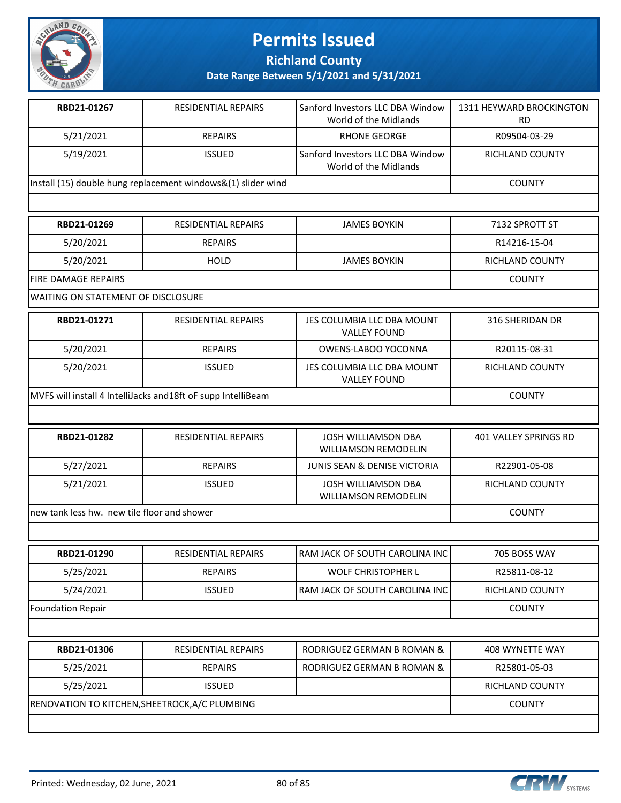

**Richland County**

**Date Range Between 5/1/2021 and 5/31/2021**

| RBD21-01267                                                  | <b>RESIDENTIAL REPAIRS</b> | Sanford Investors LLC DBA Window<br>World of the Midlands | 1311 HEYWARD BROCKINGTON<br>RD |
|--------------------------------------------------------------|----------------------------|-----------------------------------------------------------|--------------------------------|
| 5/21/2021                                                    | <b>REPAIRS</b>             | RHONE GEORGE                                              | R09504-03-29                   |
| 5/19/2021                                                    | <b>ISSUED</b>              | Sanford Investors LLC DBA Window<br>World of the Midlands | <b>RICHLAND COUNTY</b>         |
| Install (15) double hung replacement windows&(1) slider wind |                            |                                                           | <b>COUNTY</b>                  |
|                                                              |                            |                                                           |                                |

| RBD21-01269                        | RESIDENTIAL REPAIRS | <b>JAMES BOYKIN</b> | 7132 SPROTT ST  |
|------------------------------------|---------------------|---------------------|-----------------|
| 5/20/2021                          | <b>REPAIRS</b>      |                     | R14216-15-04    |
| 5/20/2021                          | <b>HOLD</b>         | <b>JAMES BOYKIN</b> | RICHLAND COUNTY |
| <b>IFIRE DAMAGE REPAIRS</b>        | <b>COUNTY</b>       |                     |                 |
| WAITING ON STATEMENT OF DISCLOSURE |                     |                     |                 |

| RBD21-01271                                                   | <b>RESIDENTIAL REPAIRS</b> | JES COLUMBIA LLC DBA MOUNT<br><b>VALLEY FOUND</b> | 316 SHERIDAN DR |
|---------------------------------------------------------------|----------------------------|---------------------------------------------------|-----------------|
| 5/20/2021                                                     | <b>REPAIRS</b>             | OWENS-LABOO YOCONNA                               | R20115-08-31    |
| 5/20/2021                                                     | <b>ISSUED</b>              | JES COLUMBIA LLC DBA MOUNT<br><b>VALLEY FOUND</b> | RICHLAND COUNTY |
| MVFS will install 4 IntelliJacks and 18ft oF supp IntelliBeam |                            |                                                   | <b>COUNTY</b>   |

| RBD21-01282                                  | <b>RESIDENTIAL REPAIRS</b> | JOSH WILLIAMSON DBA<br><b>WILLIAMSON REMODELIN</b> | 401 VALLEY SPRINGS RD |
|----------------------------------------------|----------------------------|----------------------------------------------------|-----------------------|
| 5/27/2021                                    | <b>REPAIRS</b>             | <b>JUNIS SEAN &amp; DENISE VICTORIA</b>            | R22901-05-08          |
| 5/21/2021                                    | <b>ISSUED</b>              | JOSH WILLIAMSON DBA<br><b>WILLIAMSON REMODELIN</b> | RICHLAND COUNTY       |
| Inew tank less hw. new tile floor and shower |                            |                                                    | <b>COUNTY</b>         |

| RBD21-01290       | <b>RESIDENTIAL REPAIRS</b> | RAM JACK OF SOUTH CAROLINA INC | 705 BOSS WAY    |  |
|-------------------|----------------------------|--------------------------------|-----------------|--|
| 5/25/2021         | <b>REPAIRS</b>             | <b>WOLF CHRISTOPHER L</b>      | R25811-08-12    |  |
| 5/24/2021         | <b>ISSUED</b>              | RAM JACK OF SOUTH CAROLINA INC | RICHLAND COUNTY |  |
| Foundation Repair |                            |                                |                 |  |
|                   |                            |                                |                 |  |
| RBD21-01306       | <b>RESIDENTIAL REPAIRS</b> | RODRIGUEZ GERMAN B ROMAN &     | 408 WYNETTE WAY |  |
| 5/25/2021         | <b>REPAIRS</b>             | RODRIGUEZ GERMAN B ROMAN &     | R25801-05-03    |  |
| 5/25/2021         | <b>ISSUED</b>              |                                | RICHLAND COUNTY |  |

RENOVATION TO KITCHEN, SHEETROCK, A/C PLUMBING COUNTY

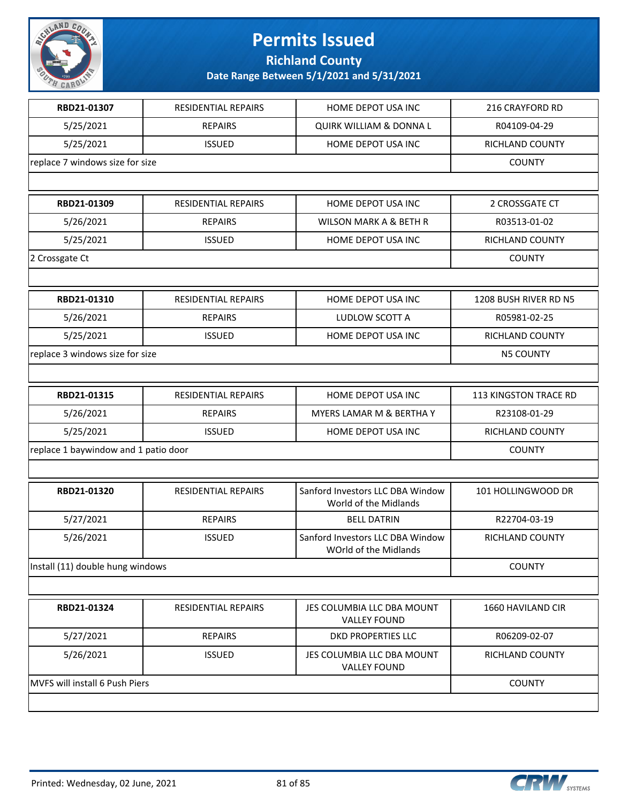

**Richland County**

| RBD21-01307                          | RESIDENTIAL REPAIRS        | HOME DEPOT USA INC                                        | 216 CRAYFORD RD        |
|--------------------------------------|----------------------------|-----------------------------------------------------------|------------------------|
| 5/25/2021                            | <b>REPAIRS</b>             | <b>QUIRK WILLIAM &amp; DONNA L</b>                        | R04109-04-29           |
| 5/25/2021                            | <b>ISSUED</b>              | HOME DEPOT USA INC                                        | <b>RICHLAND COUNTY</b> |
| replace 7 windows size for size      | <b>COUNTY</b>              |                                                           |                        |
|                                      |                            |                                                           |                        |
| RBD21-01309                          | <b>RESIDENTIAL REPAIRS</b> | HOME DEPOT USA INC                                        | 2 CROSSGATE CT         |
| 5/26/2021                            | <b>REPAIRS</b>             | <b>WILSON MARK A &amp; BETH R</b>                         | R03513-01-02           |
| 5/25/2021                            | <b>ISSUED</b>              | HOME DEPOT USA INC                                        | RICHLAND COUNTY        |
| 2 Crossgate Ct                       |                            |                                                           | <b>COUNTY</b>          |
|                                      |                            |                                                           |                        |
| RBD21-01310                          | RESIDENTIAL REPAIRS        | HOME DEPOT USA INC                                        | 1208 BUSH RIVER RD N5  |
| 5/26/2021                            | <b>REPAIRS</b>             | LUDLOW SCOTT A                                            | R05981-02-25           |
| 5/25/2021                            | <b>ISSUED</b>              | HOME DEPOT USA INC                                        | <b>RICHLAND COUNTY</b> |
| replace 3 windows size for size      |                            |                                                           | <b>N5 COUNTY</b>       |
|                                      |                            |                                                           |                        |
| RBD21-01315                          | RESIDENTIAL REPAIRS        | HOME DEPOT USA INC                                        | 113 KINGSTON TRACE RD  |
| 5/26/2021                            | <b>REPAIRS</b>             | MYERS LAMAR M & BERTHA Y                                  | R23108-01-29           |
| 5/25/2021                            | <b>ISSUED</b>              | HOME DEPOT USA INC                                        | RICHLAND COUNTY        |
| replace 1 baywindow and 1 patio door |                            |                                                           | <b>COUNTY</b>          |
|                                      |                            |                                                           |                        |
| RBD21-01320                          | RESIDENTIAL REPAIRS        | Sanford Investors LLC DBA Window<br>World of the Midlands | 101 HOLLINGWOOD DR     |
| 5/27/2021                            | <b>REPAIRS</b>             | <b>BELL DATRIN</b>                                        | R22704-03-19           |
| 5/26/2021                            | <b>ISSUED</b>              | Sanford Investors LLC DBA Window<br>WOrld of the Midlands | RICHLAND COUNTY        |
| Install (11) double hung windows     |                            |                                                           | <b>COUNTY</b>          |
|                                      |                            |                                                           |                        |
| RBD21-01324                          | RESIDENTIAL REPAIRS        | JES COLUMBIA LLC DBA MOUNT<br><b>VALLEY FOUND</b>         | 1660 HAVILAND CIR      |
| 5/27/2021                            | <b>REPAIRS</b>             | <b>DKD PROPERTIES LLC</b>                                 | R06209-02-07           |
| 5/26/2021                            | <b>ISSUED</b>              | JES COLUMBIA LLC DBA MOUNT<br><b>VALLEY FOUND</b>         | RICHLAND COUNTY        |
| MVFS will install 6 Push Piers       |                            |                                                           | <b>COUNTY</b>          |
|                                      |                            |                                                           |                        |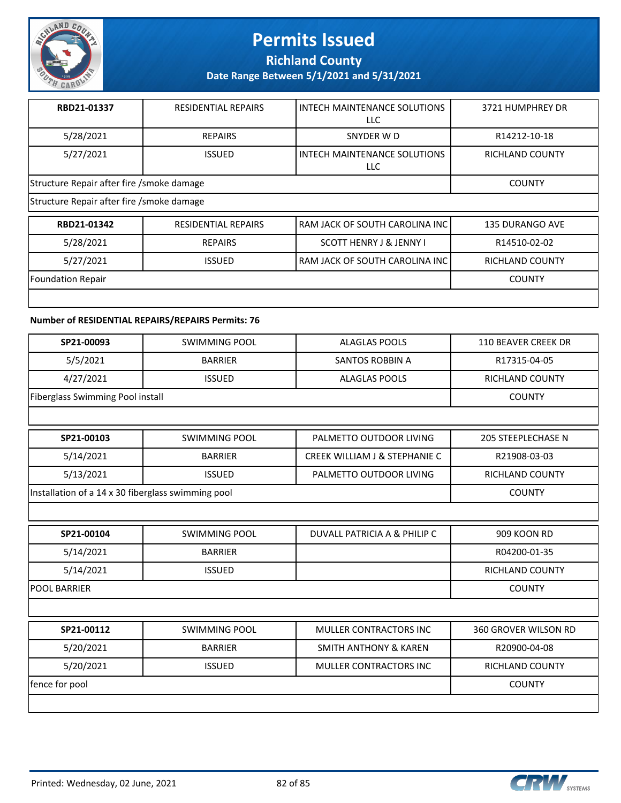

**Richland County**

**Date Range Between 5/1/2021 and 5/31/2021**

| RBD21-01337                                | <b>RESIDENTIAL REPAIRS</b> | INTECH MAINTENANCE SOLUTIONS<br>LLC. | 3721 HUMPHREY DR       |  |
|--------------------------------------------|----------------------------|--------------------------------------|------------------------|--|
| 5/28/2021                                  | <b>REPAIRS</b>             | SNYDER W D                           | R14212-10-18           |  |
| 5/27/2021                                  | <b>ISSUED</b>              | INTECH MAINTENANCE SOLUTIONS<br>LLC. | RICHLAND COUNTY        |  |
| Structure Repair after fire / smoke damage | <b>COUNTY</b>              |                                      |                        |  |
| Structure Repair after fire / smoke damage |                            |                                      |                        |  |
| RBD21-01342                                | <b>RESIDENTIAL REPAIRS</b> | RAM JACK OF SOUTH CAROLINA INC       | <b>135 DURANGO AVE</b> |  |
| 5/28/2021                                  | <b>REPAIRS</b>             | <b>SCOTT HENRY J &amp; JENNY I</b>   | R14510-02-02           |  |

5/27/2021 | ISSUED RAM JACK OF SOUTH CAROLINA INC RICHLAND COUNTY Foundation Repair COUNTY

#### **Number of RESIDENTIAL REPAIRS/REPAIRS Permits: 76**

| SP21-00093                                         | <b>SWIMMING POOL</b> | <b>ALAGLAS POOLS</b>                     | <b>110 BEAVER CREEK DR</b> |
|----------------------------------------------------|----------------------|------------------------------------------|----------------------------|
| 5/5/2021                                           | <b>BARRIER</b>       | <b>SANTOS ROBBIN A</b>                   | R17315-04-05               |
| 4/27/2021                                          | <b>ISSUED</b>        | <b>ALAGLAS POOLS</b>                     | <b>RICHLAND COUNTY</b>     |
| Fiberglass Swimming Pool install                   |                      |                                          | <b>COUNTY</b>              |
|                                                    |                      |                                          |                            |
| SP21-00103                                         | <b>SWIMMING POOL</b> | PALMETTO OUTDOOR LIVING                  | <b>205 STEEPLECHASE N</b>  |
| 5/14/2021                                          | <b>BARRIER</b>       | <b>CREEK WILLIAM J &amp; STEPHANIE C</b> | R21908-03-03               |
| 5/13/2021                                          | <b>ISSUED</b>        | PALMETTO OUTDOOR LIVING                  | <b>RICHLAND COUNTY</b>     |
| Installation of a 14 x 30 fiberglass swimming pool |                      |                                          | <b>COUNTY</b>              |
|                                                    |                      |                                          |                            |
| SP21-00104                                         | <b>SWIMMING POOL</b> | DUVALL PATRICIA A & PHILIP C             | 909 KOON RD                |
| 5/14/2021                                          | <b>BARRIER</b>       |                                          | R04200-01-35               |
| 5/14/2021                                          | <b>ISSUED</b>        |                                          | <b>RICHLAND COUNTY</b>     |
| <b>POOL BARRIER</b>                                |                      |                                          | <b>COUNTY</b>              |
|                                                    |                      |                                          |                            |
| SP21-00112                                         | <b>SWIMMING POOL</b> | MULLER CONTRACTORS INC                   | 360 GROVER WILSON RD       |
| 5/20/2021                                          | <b>BARRIER</b>       | <b>SMITH ANTHONY &amp; KAREN</b>         | R20900-04-08               |
| 5/20/2021                                          | <b>ISSUED</b>        | <b>MULLER CONTRACTORS INC</b>            | RICHLAND COUNTY            |
| fence for pool                                     |                      |                                          | <b>COUNTY</b>              |
|                                                    |                      |                                          |                            |

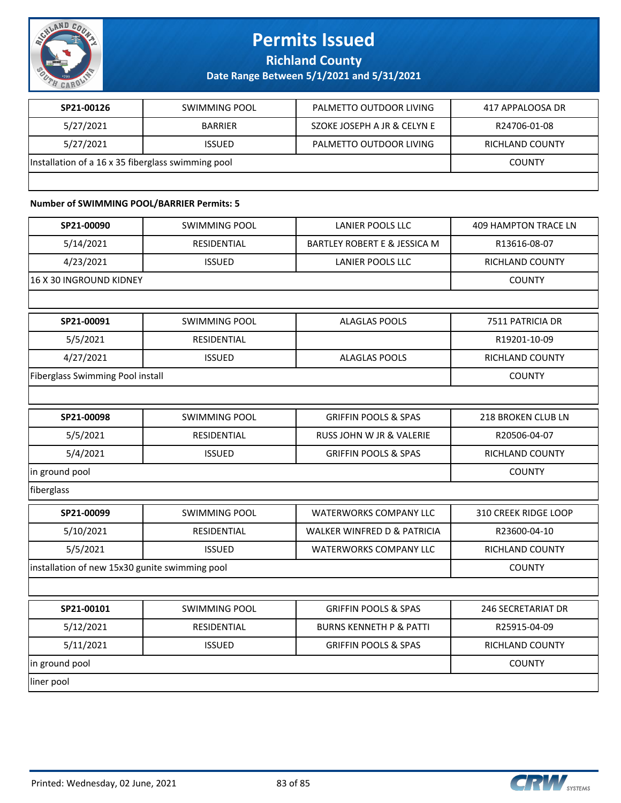

**Richland County**

**Date Range Between 5/1/2021 and 5/31/2021**

| SP21-00126                                         | SWIMMING POOL  | PALMETTO OUTDOOR LIVING     | 417 APPALOOSA DR |
|----------------------------------------------------|----------------|-----------------------------|------------------|
| 5/27/2021                                          | <b>BARRIFR</b> | SZOKE JOSEPH A JR & CELYN E | R24706-01-08     |
| 5/27/2021                                          | <b>ISSUED</b>  | PALMETTO OUTDOOR LIVING     | RICHLAND COUNTY  |
| Installation of a 16 x 35 fiberglass swimming pool |                |                             | <b>COUNTY</b>    |
|                                                    |                |                             |                  |

#### **Number of SWIMMING POOL/BARRIER Permits: 5**

| SP21-00090                                     | <b>SWIMMING POOL</b> | <b>LANIER POOLS LLC</b>                 | <b>409 HAMPTON TRACE LN</b> |
|------------------------------------------------|----------------------|-----------------------------------------|-----------------------------|
| 5/14/2021                                      | RESIDENTIAL          | <b>BARTLEY ROBERT E &amp; JESSICA M</b> | R13616-08-07                |
| 4/23/2021                                      | <b>ISSUED</b>        | LANIER POOLS LLC                        | RICHLAND COUNTY             |
| 16 X 30 INGROUND KIDNEY                        |                      |                                         | <b>COUNTY</b>               |
|                                                |                      |                                         |                             |
| SP21-00091                                     | <b>SWIMMING POOL</b> | <b>ALAGLAS POOLS</b>                    | 7511 PATRICIA DR            |
| 5/5/2021                                       | RESIDENTIAL          |                                         | R19201-10-09                |
| 4/27/2021                                      | <b>ISSUED</b>        | <b>ALAGLAS POOLS</b>                    | <b>RICHLAND COUNTY</b>      |
| <b>Fiberglass Swimming Pool install</b>        |                      |                                         | <b>COUNTY</b>               |
|                                                |                      |                                         |                             |
| SP21-00098                                     | <b>SWIMMING POOL</b> | <b>GRIFFIN POOLS &amp; SPAS</b>         | 218 BROKEN CLUB LN          |
| 5/5/2021                                       | <b>RESIDENTIAL</b>   | <b>RUSS JOHN W JR &amp; VALERIE</b>     | R20506-04-07                |
| 5/4/2021                                       | <b>ISSUED</b>        | <b>GRIFFIN POOLS &amp; SPAS</b>         | <b>RICHLAND COUNTY</b>      |
| in ground pool                                 |                      |                                         | <b>COUNTY</b>               |
| fiberglass                                     |                      |                                         |                             |
| SP21-00099                                     | <b>SWIMMING POOL</b> | <b>WATERWORKS COMPANY LLC</b>           | 310 CREEK RIDGE LOOP        |
| 5/10/2021                                      | RESIDENTIAL          | <b>WALKER WINFRED D &amp; PATRICIA</b>  | R23600-04-10                |
| 5/5/2021                                       | <b>ISSUED</b>        | WATERWORKS COMPANY LLC                  | RICHLAND COUNTY             |
| installation of new 15x30 gunite swimming pool |                      |                                         | <b>COUNTY</b>               |
|                                                |                      |                                         |                             |
| SP21-00101                                     | <b>SWIMMING POOL</b> | <b>GRIFFIN POOLS &amp; SPAS</b>         | <b>246 SECRETARIAT DR</b>   |
| 5/12/2021                                      | RESIDENTIAL          | <b>BURNS KENNETH P &amp; PATTI</b>      | R25915-04-09                |
| 5/11/2021                                      | <b>ISSUED</b>        | <b>GRIFFIN POOLS &amp; SPAS</b>         | <b>RICHLAND COUNTY</b>      |
| in ground pool                                 |                      |                                         | <b>COUNTY</b>               |
| liner pool                                     |                      |                                         |                             |

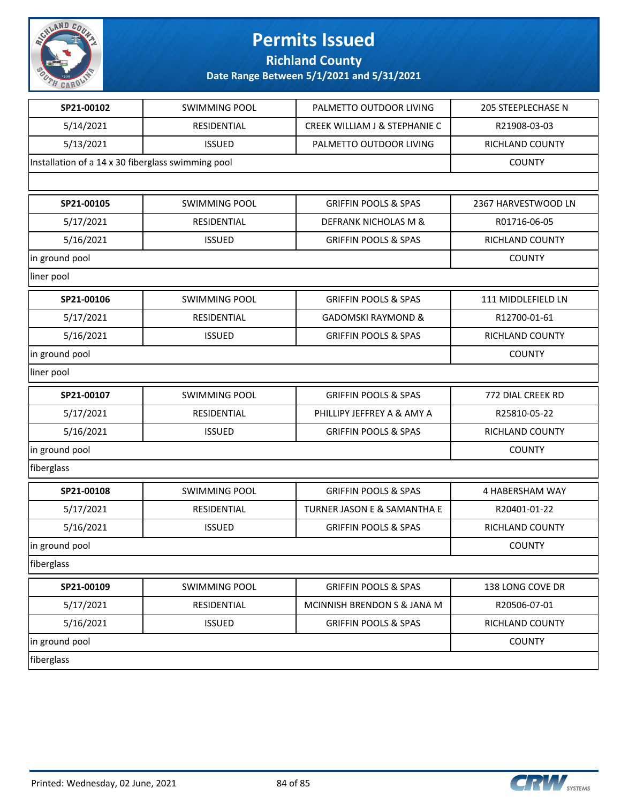

### **Richland County**

| SP21-00102                                         | <b>SWIMMING POOL</b> | PALMETTO OUTDOOR LIVING         | 205 STEEPLECHASE N  |
|----------------------------------------------------|----------------------|---------------------------------|---------------------|
| 5/14/2021                                          | RESIDENTIAL          | CREEK WILLIAM J & STEPHANIE C   | R21908-03-03        |
| 5/13/2021                                          | <b>ISSUED</b>        | PALMETTO OUTDOOR LIVING         | RICHLAND COUNTY     |
| Installation of a 14 x 30 fiberglass swimming pool |                      |                                 | <b>COUNTY</b>       |
|                                                    |                      |                                 |                     |
| SP21-00105                                         | <b>SWIMMING POOL</b> | <b>GRIFFIN POOLS &amp; SPAS</b> | 2367 HARVESTWOOD LN |
| 5/17/2021                                          | RESIDENTIAL          | DEFRANK NICHOLAS M &            | R01716-06-05        |
| 5/16/2021                                          | <b>ISSUED</b>        | <b>GRIFFIN POOLS &amp; SPAS</b> | RICHLAND COUNTY     |
| in ground pool                                     |                      |                                 | <b>COUNTY</b>       |
| liner pool                                         |                      |                                 |                     |
| SP21-00106                                         | <b>SWIMMING POOL</b> | <b>GRIFFIN POOLS &amp; SPAS</b> | 111 MIDDLEFIELD LN  |
| 5/17/2021                                          | RESIDENTIAL          | <b>GADOMSKI RAYMOND &amp;</b>   | R12700-01-61        |
| 5/16/2021                                          | <b>ISSUED</b>        | <b>GRIFFIN POOLS &amp; SPAS</b> | RICHLAND COUNTY     |
| in ground pool                                     |                      |                                 | <b>COUNTY</b>       |
| liner pool                                         |                      |                                 |                     |
| SP21-00107                                         | <b>SWIMMING POOL</b> | <b>GRIFFIN POOLS &amp; SPAS</b> | 772 DIAL CREEK RD   |
| 5/17/2021                                          | RESIDENTIAL          | PHILLIPY JEFFREY A & AMY A      | R25810-05-22        |
| 5/16/2021                                          | <b>ISSUED</b>        | <b>GRIFFIN POOLS &amp; SPAS</b> | RICHLAND COUNTY     |
| in ground pool                                     |                      |                                 | <b>COUNTY</b>       |
| fiberglass                                         |                      |                                 |                     |
| SP21-00108                                         | <b>SWIMMING POOL</b> | <b>GRIFFIN POOLS &amp; SPAS</b> | 4 HABERSHAM WAY     |
| 5/17/2021                                          | RESIDENTIAL          | TURNER JASON E & SAMANTHA E     | R20401-01-22        |
| 5/16/2021                                          | <b>ISSUED</b>        | <b>GRIFFIN POOLS &amp; SPAS</b> | RICHLAND COUNTY     |
| in ground pool                                     |                      |                                 | <b>COUNTY</b>       |
| fiberglass                                         |                      |                                 |                     |
| SP21-00109                                         | <b>SWIMMING POOL</b> | <b>GRIFFIN POOLS &amp; SPAS</b> | 138 LONG COVE DR    |
| 5/17/2021                                          | RESIDENTIAL          | MCINNISH BRENDON S & JANA M     | R20506-07-01        |
| 5/16/2021                                          | <b>ISSUED</b>        | <b>GRIFFIN POOLS &amp; SPAS</b> | RICHLAND COUNTY     |
| in ground pool                                     |                      |                                 | <b>COUNTY</b>       |
| fiberglass                                         |                      |                                 |                     |